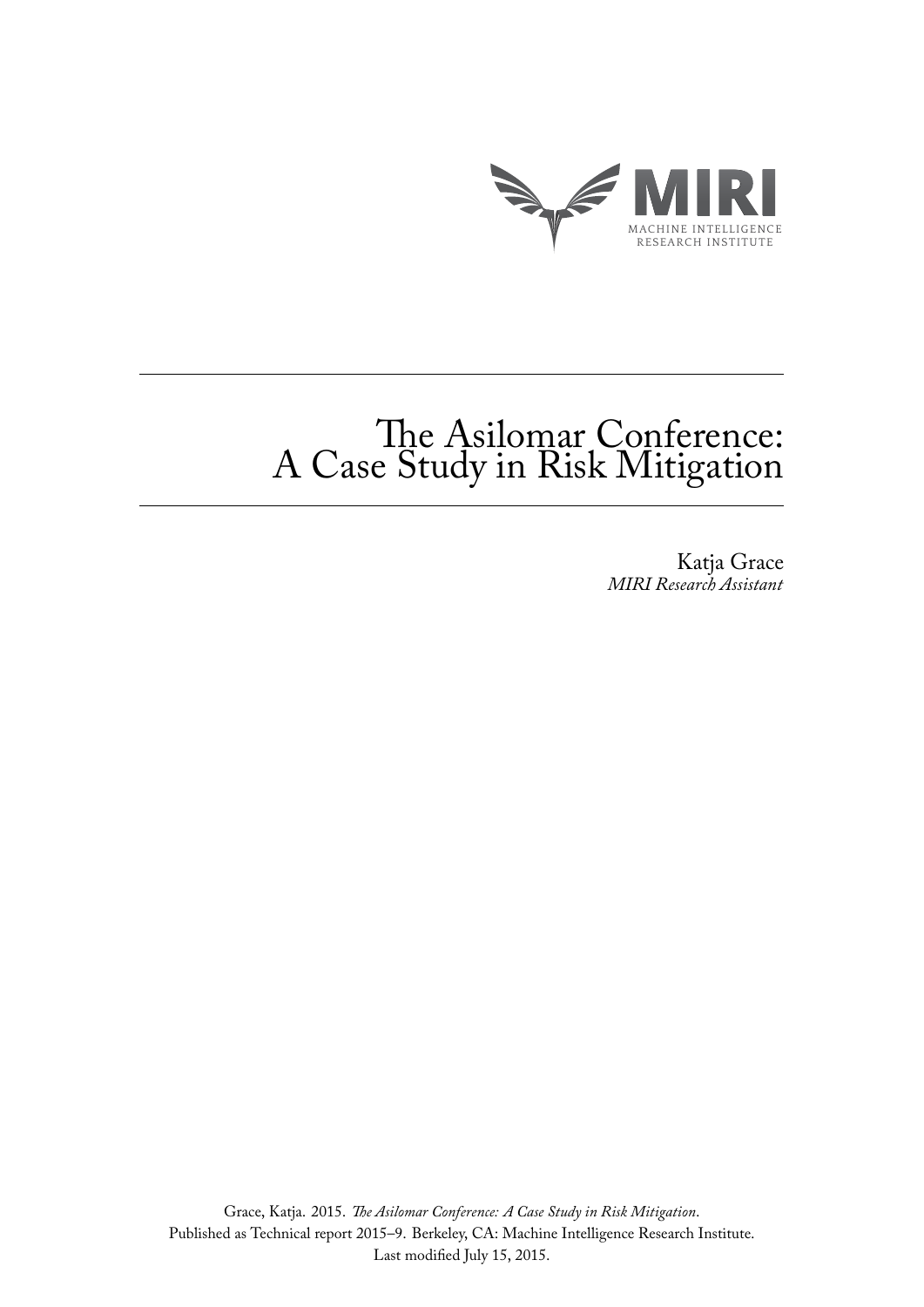

# The Asilomar Conference: A Case Study in Risk Mitigation

Katja Grace *MIRI Research Assistant*

Grace, Katja. 2015. *The Asilomar Conference: A Case Study in Risk Mitigation*. Published as Technical report 2015–9. Berkeley, CA: Machine Intelligence Research Institute. Last modified July 15, 2015.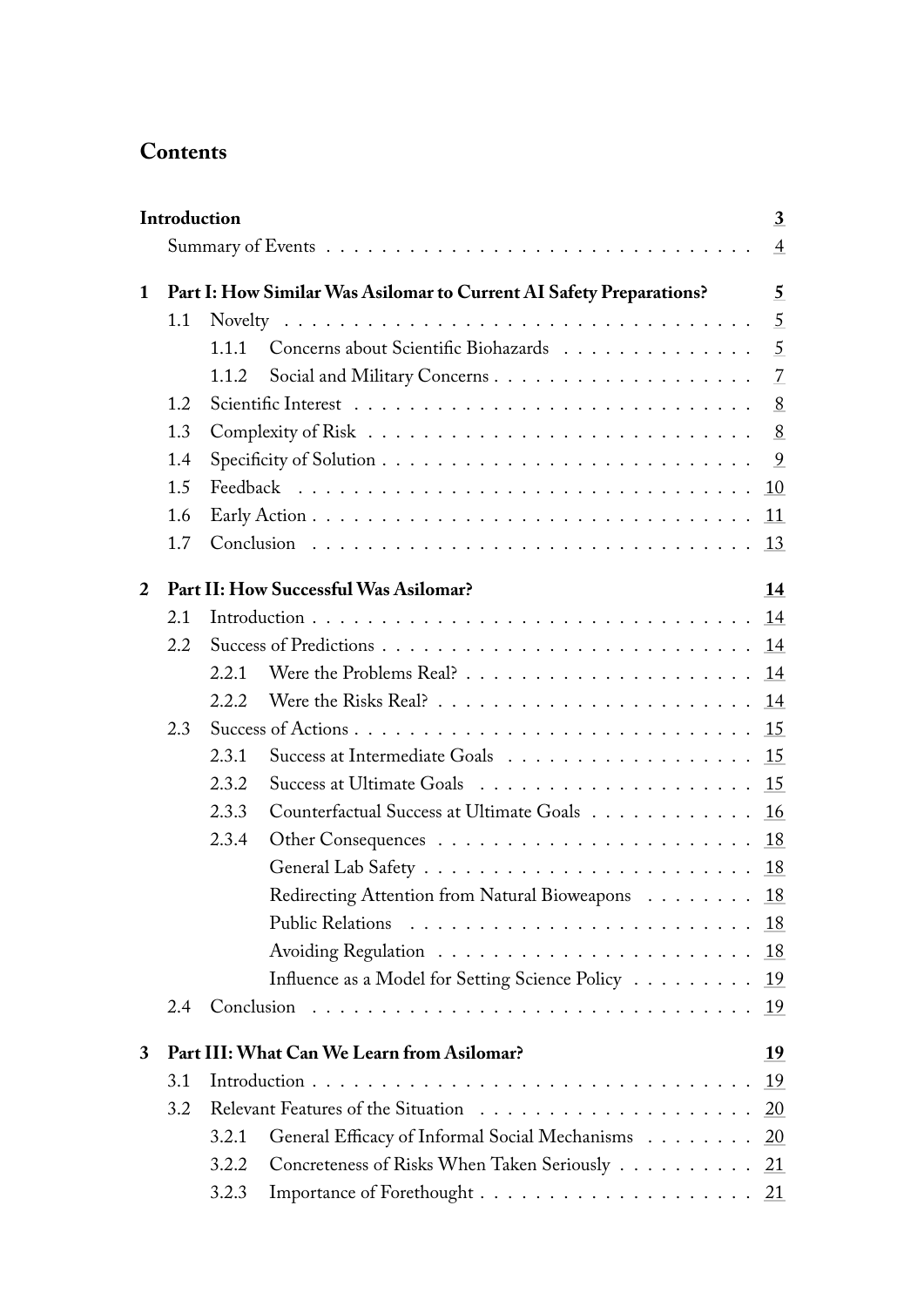# **Contents**

|              | Introduction<br>3                          |                                             |                                                                     |                |  |  |  |  |
|--------------|--------------------------------------------|---------------------------------------------|---------------------------------------------------------------------|----------------|--|--|--|--|
|              |                                            |                                             |                                                                     | $\overline{4}$ |  |  |  |  |
| $\mathbf{1}$ |                                            |                                             | Part I: How Similar Was Asilomar to Current AI Safety Preparations? | 5              |  |  |  |  |
|              | 1.1                                        |                                             |                                                                     | 5              |  |  |  |  |
|              |                                            | 1.1.1                                       | Concerns about Scientific Biohazards                                | 5              |  |  |  |  |
|              |                                            | 1.1.2                                       |                                                                     | $\overline{7}$ |  |  |  |  |
|              | 1.2                                        |                                             |                                                                     | 8              |  |  |  |  |
|              | 1.3                                        |                                             |                                                                     |                |  |  |  |  |
|              | 1.4                                        |                                             |                                                                     | 9              |  |  |  |  |
|              | 1.5                                        |                                             |                                                                     | 10             |  |  |  |  |
|              | 1.6                                        |                                             |                                                                     | 11             |  |  |  |  |
|              | 1.7                                        |                                             |                                                                     | 13             |  |  |  |  |
| 2            |                                            | Part II: How Successful Was Asilomar?<br>14 |                                                                     |                |  |  |  |  |
|              | 2.1                                        |                                             |                                                                     | 14             |  |  |  |  |
|              | 2.2                                        |                                             |                                                                     | 14             |  |  |  |  |
|              |                                            | 2.2.1                                       |                                                                     | 14             |  |  |  |  |
|              |                                            | 2.2.2                                       |                                                                     | 14             |  |  |  |  |
|              | 2.3                                        |                                             |                                                                     | 15             |  |  |  |  |
|              |                                            | 2.3.1                                       |                                                                     | 15             |  |  |  |  |
|              |                                            | 2.3.2                                       |                                                                     | 15             |  |  |  |  |
|              |                                            | 2.3.3                                       | Counterfactual Success at Ultimate Goals                            | 16             |  |  |  |  |
|              |                                            | 2.3.4                                       |                                                                     | 18             |  |  |  |  |
|              |                                            |                                             |                                                                     | 18             |  |  |  |  |
|              |                                            |                                             | Redirecting Attention from Natural Bioweapons 18                    |                |  |  |  |  |
|              |                                            |                                             |                                                                     | 18             |  |  |  |  |
|              |                                            |                                             |                                                                     | 18             |  |  |  |  |
|              |                                            |                                             | Influence as a Model for Setting Science Policy                     | 19             |  |  |  |  |
|              | 2.4                                        |                                             |                                                                     | 19             |  |  |  |  |
| 3            | Part III: What Can We Learn from Asilomar? |                                             |                                                                     |                |  |  |  |  |
|              | 3.1                                        |                                             |                                                                     | 19             |  |  |  |  |
|              | 3.2                                        |                                             |                                                                     |                |  |  |  |  |
|              |                                            | 3.2.1                                       | General Efficacy of Informal Social Mechanisms 20                   |                |  |  |  |  |
|              |                                            | 3.2.2                                       | Concreteness of Risks When Taken Seriously 21                       |                |  |  |  |  |
|              |                                            | 3.2.3                                       |                                                                     |                |  |  |  |  |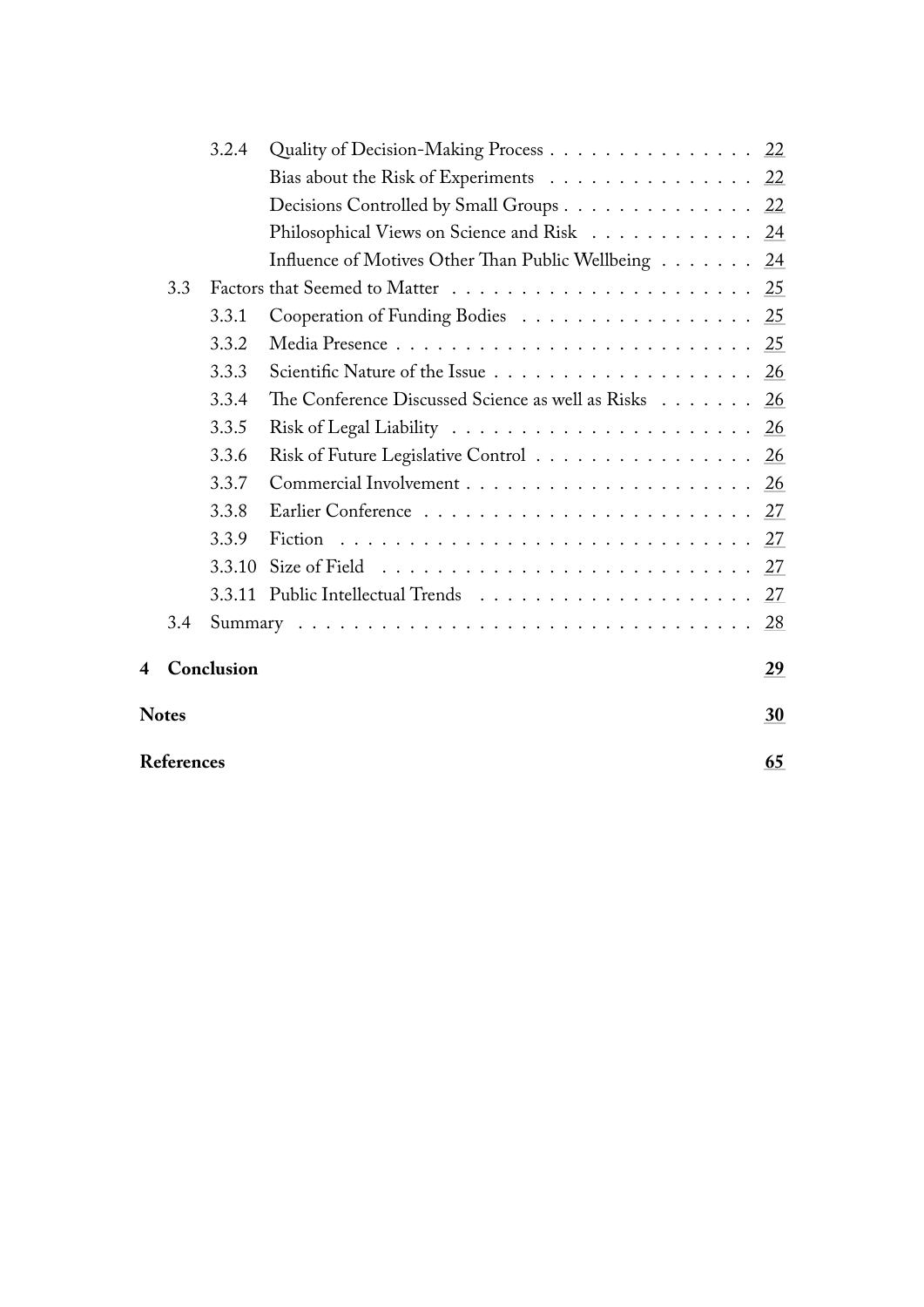|                         |     | 3.2.4      | Quality of Decision-Making Process 22                                             |    |  |  |
|-------------------------|-----|------------|-----------------------------------------------------------------------------------|----|--|--|
|                         |     |            | Bias about the Risk of Experiments 22                                             |    |  |  |
|                         |     |            | Decisions Controlled by Small Groups 22                                           |    |  |  |
|                         |     |            | Philosophical Views on Science and Risk 24                                        |    |  |  |
|                         |     |            | Influence of Motives Other Than Public Wellbeing 24                               |    |  |  |
|                         | 3.3 |            |                                                                                   | 25 |  |  |
|                         |     | 3.3.1      | Cooperation of Funding Bodies 25                                                  |    |  |  |
|                         |     | 3.3.2      |                                                                                   |    |  |  |
|                         |     | 3.3.3      |                                                                                   | 26 |  |  |
|                         |     | 3.3.4      | The Conference Discussed Science as well as Risks 26                              |    |  |  |
|                         |     | 3.3.5      |                                                                                   |    |  |  |
|                         |     | 3.3.6      | Risk of Future Legislative Control                                                | 26 |  |  |
|                         |     | 3.3.7      |                                                                                   |    |  |  |
|                         |     | 3.3.8      |                                                                                   |    |  |  |
|                         |     | 3.3.9      |                                                                                   |    |  |  |
|                         |     | 3.3.10     | Size of Field $\ldots \ldots \ldots \ldots \ldots \ldots \ldots \ldots \ldots 27$ |    |  |  |
|                         |     | 3.3.11     |                                                                                   | 27 |  |  |
|                         | 3.4 |            |                                                                                   | 28 |  |  |
| 4                       |     | Conclusion |                                                                                   | 29 |  |  |
| <b>Notes</b>            |     |            |                                                                                   |    |  |  |
| <b>References</b><br>65 |     |            |                                                                                   |    |  |  |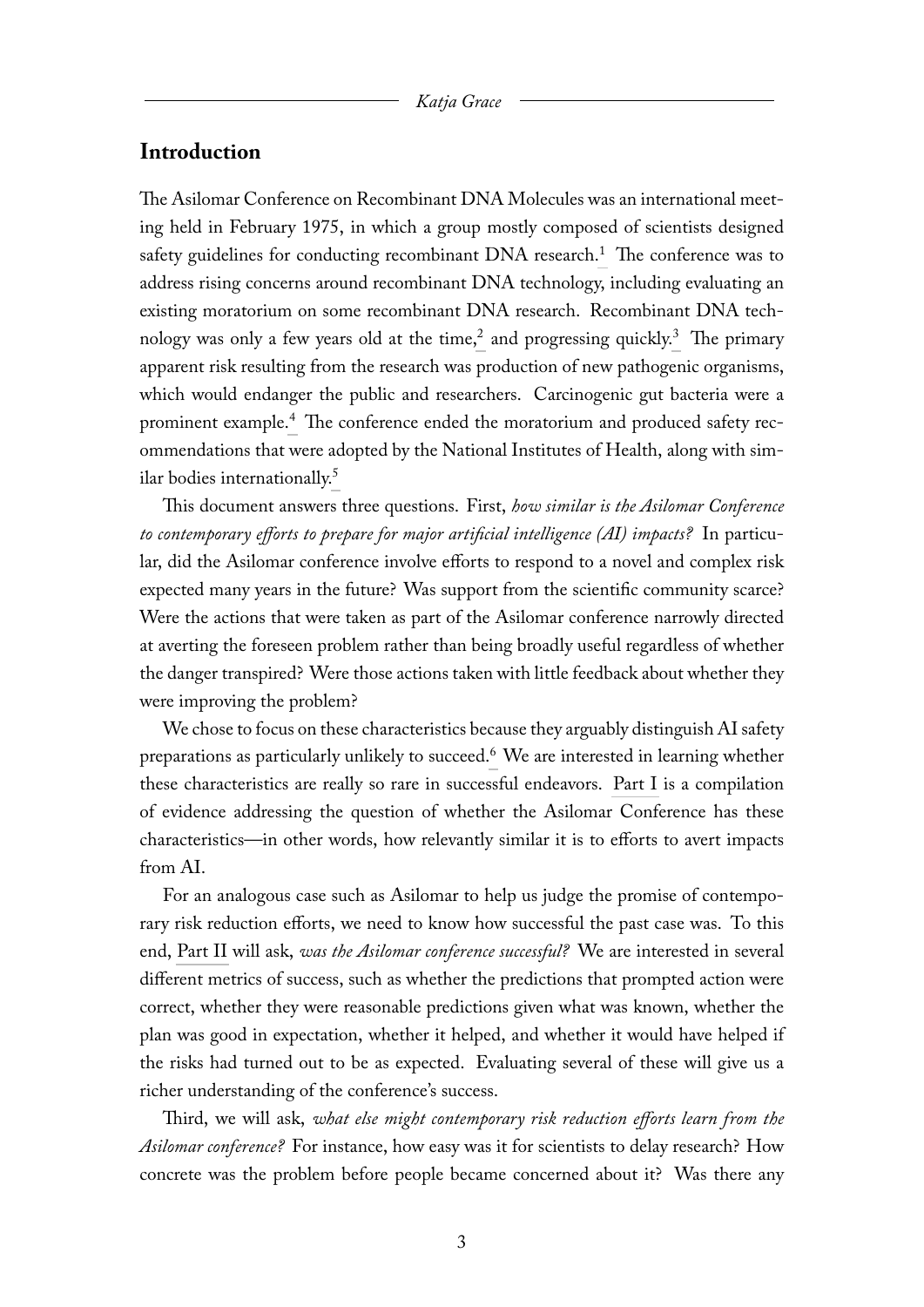### <span id="page-3-0"></span>**Introduction**

<span id="page-3-3"></span><span id="page-3-2"></span><span id="page-3-1"></span>The Asilomar Conference on Recombinant DNA Molecules was an international meeting held in February 1975, in which a group mostly composed of scientists designed safety guidelines for conducting recombinant  $DNA$  research.<sup>[1](#page-30-1)</sup> The conference was to address rising concerns around recombinant DNA technology, including evaluating an existing moratorium on some recombinant DNA research. Recombinant DNA tech-nology was only a few years old at the time,<sup>[2](#page-30-2)</sup> and progressing quickly.<sup>[3](#page-30-3)</sup> The primary apparent risk resulting from the research was production of new pathogenic organisms, which would endanger the public and researchers. Carcinogenic gut bacteria were a prominent example.[4](#page-30-4) The conference ended the moratorium and produced safety recommendations that were adopted by the National Institutes of Health, along with similar bodies internationally.[5](#page-30-5)

<span id="page-3-5"></span><span id="page-3-4"></span>This document answers three questions. First, *how similar is the Asilomar Conference to contemporary efforts to prepare for major artificial intelligence (AI) impacts?* In particular, did the Asilomar conference involve efforts to respond to a novel and complex risk expected many years in the future? Was support from the scientific community scarce? Were the actions that were taken as part of the Asilomar conference narrowly directed at averting the foreseen problem rather than being broadly useful regardless of whether the danger transpired? Were those actions taken with little feedback about whether they were improving the problem?

<span id="page-3-6"></span>We chose to focus on these characteristics because they arguably distinguish AI safety preparations as particularly unlikely to succeed.[6](#page-30-6) We are interested in learning whether these characteristics are really so rare in successful endeavors. [Part I](#page-5-0) is a compilation of evidence addressing the question of whether the Asilomar Conference has these characteristics—in other words, how relevantly similar it is to efforts to avert impacts from AI.

For an analogous case such as Asilomar to help us judge the promise of contemporary risk reduction efforts, we need to know how successful the past case was. To this end, [Part II](#page-14-0) will ask, *was the Asilomar conference successful?* We are interested in several different metrics of success, such as whether the predictions that prompted action were correct, whether they were reasonable predictions given what was known, whether the plan was good in expectation, whether it helped, and whether it would have helped if the risks had turned out to be as expected. Evaluating several of these will give us a richer understanding of the conference's success.

Third, we will ask, *what else might contemporary risk reduction efforts learn from the Asilomar conference?* For instance, how easy was it for scientists to delay research? How concrete was the problem before people became concerned about it? Was there any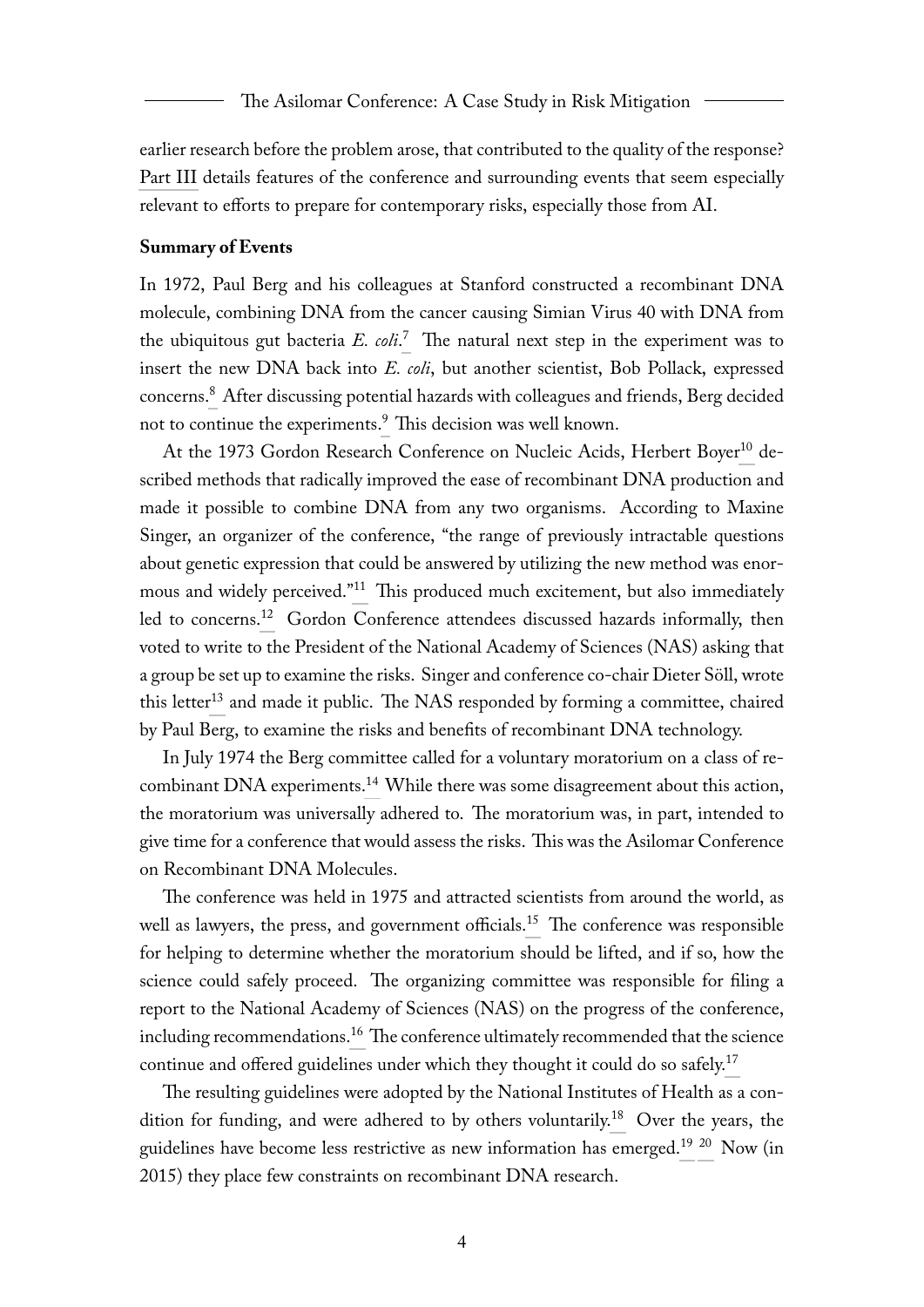earlier research before the problem arose, that contributed to the quality of the response? [Part III](#page-19-2) details features of the conference and surrounding events that seem especially relevant to efforts to prepare for contemporary risks, especially those from AI.

#### **Summary of Events**

<span id="page-4-1"></span><span id="page-4-0"></span>In 1972, Paul Berg and his colleagues at Stanford constructed a recombinant DNA molecule, combining DNA from the cancer causing Simian Virus 40 with DNA from the ubiquitous gut bacteria *E. coli*. [7](#page-30-7) The natural next step in the experiment was to insert the new DNA back into *E. coli*, but another scientist, Bob Pollack, expressed concerns.[8](#page-31-0) After discussing potential hazards with colleagues and friends, Berg decided not to continue the experiments.<sup>[9](#page-31-1)</sup> This decision was well known.

<span id="page-4-5"></span><span id="page-4-4"></span><span id="page-4-3"></span><span id="page-4-2"></span>At the 1973 Gordon Research Conference on Nucleic Acids, Herbert Boyer<sup>[10](#page-31-2)</sup> described methods that radically improved the ease of recombinant DNA production and made it possible to combine DNA from any two organisms. According to Maxine Singer, an organizer of the conference, "the range of previously intractable questions about genetic expression that could be answered by utilizing the new method was enormous and widely perceived."[11](#page-31-3) This produced much excitement, but also immediately led to concerns.[12](#page-31-4) Gordon Conference attendees discussed hazards informally, then voted to write to the President of the National Academy of Sciences (NAS) asking that a group be set up to examine the risks. Singer and conference co-chair Dieter Söll, wrote this letter<sup>[13](#page-31-5)</sup> and made it public. The NAS responded by forming a committee, chaired by Paul Berg, to examine the risks and benefits of recombinant DNA technology.

<span id="page-4-8"></span><span id="page-4-7"></span><span id="page-4-6"></span>In July 1974 the Berg committee called for a voluntary moratorium on a class of re-combinant DNA experiments.<sup>[14](#page-31-6)</sup> While there was some disagreement about this action, the moratorium was universally adhered to. The moratorium was, in part, intended to give time for a conference that would assess the risks. This was the Asilomar Conference on Recombinant DNA Molecules.

<span id="page-4-9"></span>The conference was held in 1975 and attracted scientists from around the world, as well as lawyers, the press, and government officials.<sup>[15](#page-31-7)</sup> The conference was responsible for helping to determine whether the moratorium should be lifted, and if so, how the science could safely proceed. The organizing committee was responsible for filing a report to the National Academy of Sciences (NAS) on the progress of the conference, including recommendations.<sup>[16](#page-32-0)</sup> The conference ultimately recommended that the science continue and offered guidelines under which they thought it could do so safely.<sup>[17](#page-32-1)</sup>

<span id="page-4-14"></span><span id="page-4-13"></span><span id="page-4-12"></span><span id="page-4-11"></span><span id="page-4-10"></span>The resulting guidelines were adopted by the National Institutes of Health as a con-dition for funding, and were adhered to by others voluntarily.<sup>[18](#page-32-2)</sup> Over the years, the guidelines have become less restrictive as new information has emerged.<sup>[19](#page-32-3) [20](#page-32-4)</sup> Now (in 2015) they place few constraints on recombinant DNA research.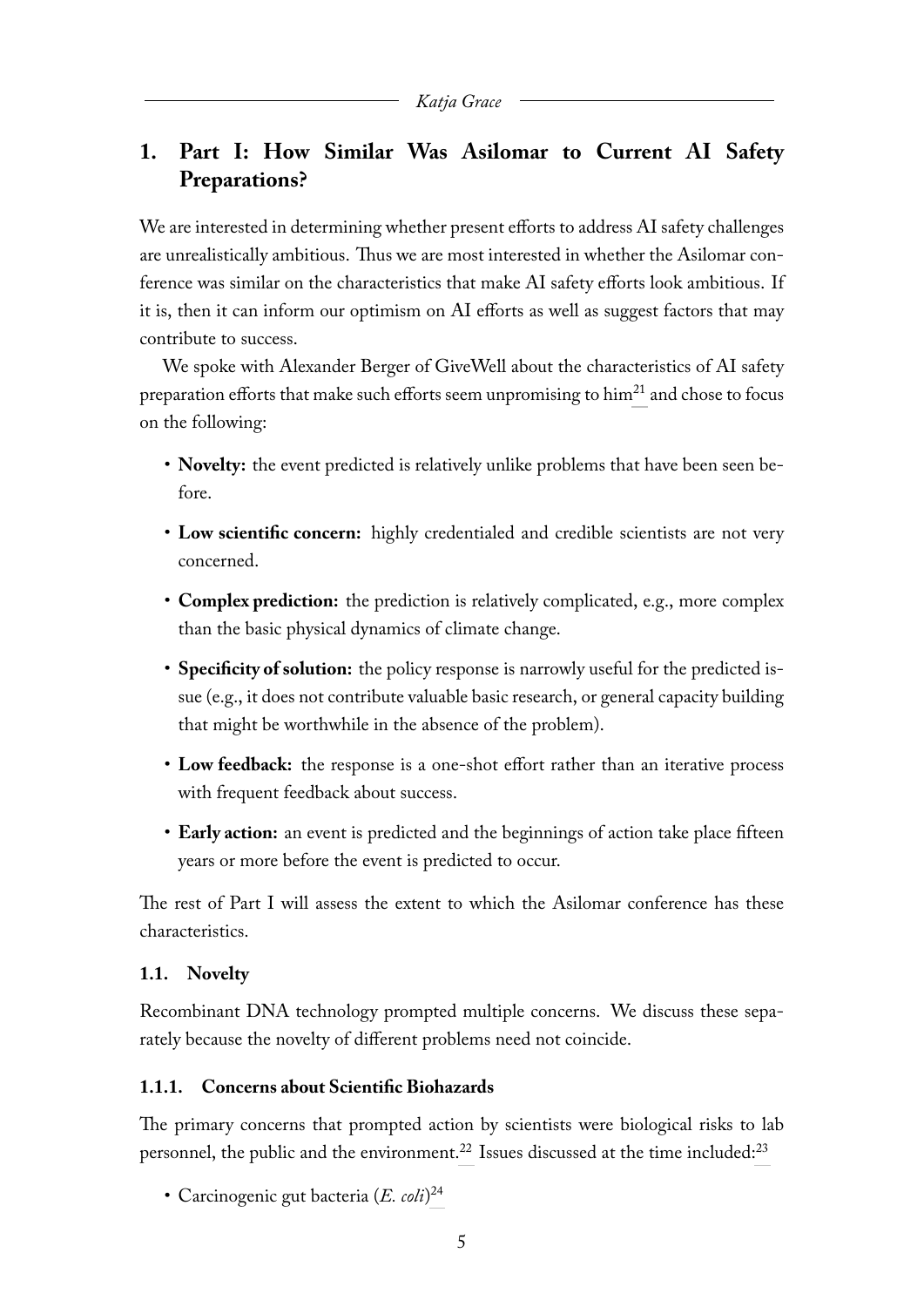## <span id="page-5-0"></span>**1. Part I: How Similar Was Asilomar to Current AI Safety Preparations?**

We are interested in determining whether present efforts to address AI safety challenges are unrealistically ambitious. Thus we are most interested in whether the Asilomar conference was similar on the characteristics that make AI safety efforts look ambitious. If it is, then it can inform our optimism on AI efforts as well as suggest factors that may contribute to success.

We spoke with Alexander Berger of GiveWell about the characteristics of AI safety preparation efforts that make such efforts seem unpromising to him<sup>[21](#page-33-0)</sup> and chose to focus on the following:

- <span id="page-5-3"></span>• **Novelty:** the event predicted is relatively unlike problems that have been seen before.
- **Low scientific concern:** highly credentialed and credible scientists are not very concerned.
- **Complex prediction:** the prediction is relatively complicated, e.g., more complex than the basic physical dynamics of climate change.
- **Specificity of solution:** the policy response is narrowly useful for the predicted issue (e.g., it does not contribute valuable basic research, or general capacity building that might be worthwhile in the absence of the problem).
- **Low feedback:** the response is a one-shot effort rather than an iterative process with frequent feedback about success.
- **Early action:** an event is predicted and the beginnings of action take place fifteen years or more before the event is predicted to occur.

The rest of Part I will assess the extent to which the Asilomar conference has these characteristics.

### <span id="page-5-1"></span>**1.1. Novelty**

Recombinant DNA technology prompted multiple concerns. We discuss these separately because the novelty of different problems need not coincide.

### <span id="page-5-2"></span>**1.1.1. Concerns about Scientific Biohazards**

The primary concerns that prompted action by scientists were biological risks to lab personnel, the public and the environment.<sup>[22](#page-33-1)</sup> Issues discussed at the time included: $^{23}$  $^{23}$  $^{23}$ 

<span id="page-5-6"></span><span id="page-5-5"></span><span id="page-5-4"></span>• Carcinogenic gut bacteria (*E. coli*) [24](#page-33-3)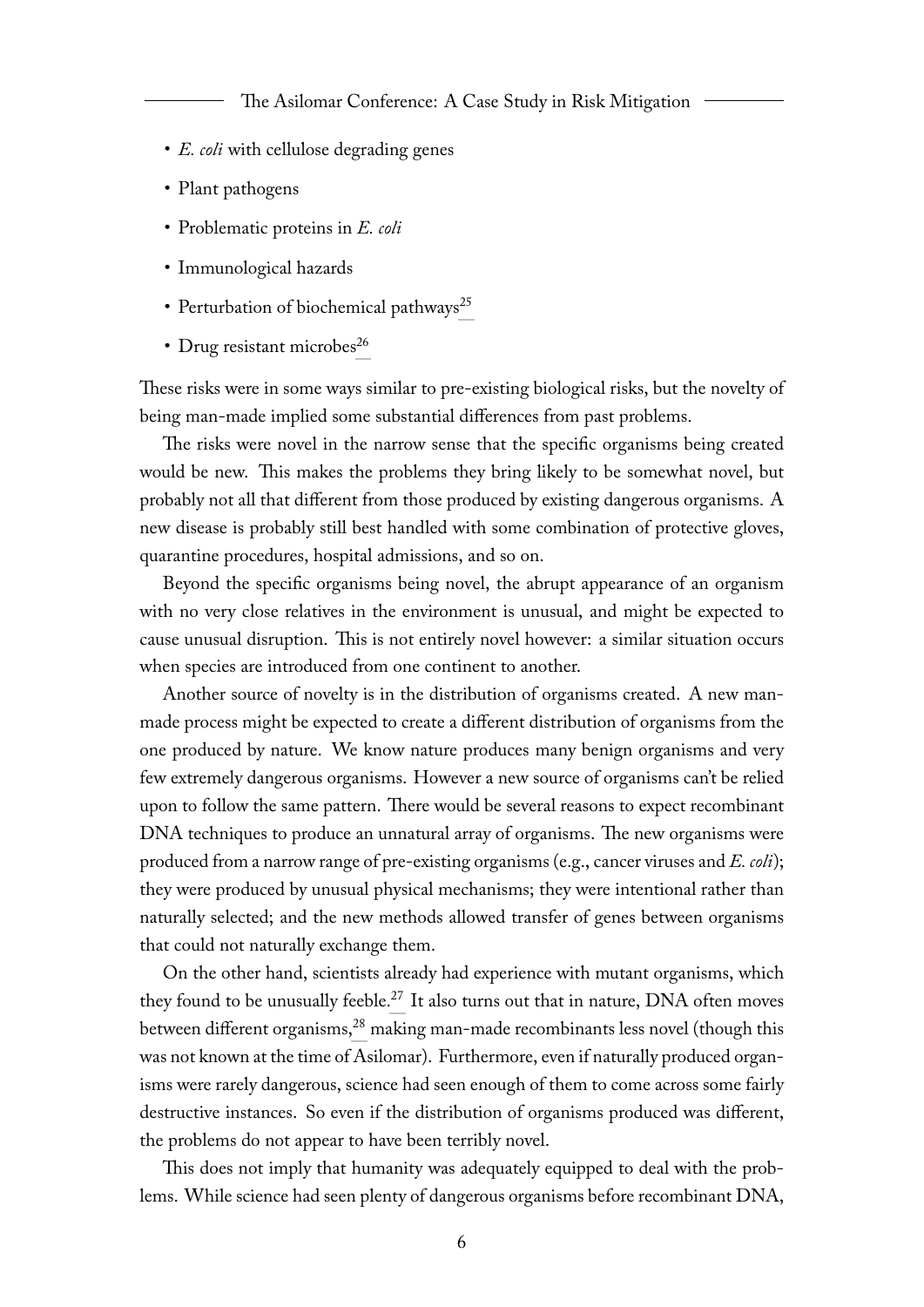- *E. coli* with cellulose degrading genes
- Plant pathogens
- Problematic proteins in *E. coli*
- <span id="page-6-0"></span>• Immunological hazards
- Perturbation of biochemical pathways<sup>[25](#page-33-4)</sup>
- <span id="page-6-1"></span>• Drug resistant microbes<sup>[26](#page-33-5)</sup>

These risks were in some ways similar to pre-existing biological risks, but the novelty of being man-made implied some substantial differences from past problems.

The risks were novel in the narrow sense that the specific organisms being created would be new. This makes the problems they bring likely to be somewhat novel, but probably not all that different from those produced by existing dangerous organisms. A new disease is probably still best handled with some combination of protective gloves, quarantine procedures, hospital admissions, and so on.

Beyond the specific organisms being novel, the abrupt appearance of an organism with no very close relatives in the environment is unusual, and might be expected to cause unusual disruption. This is not entirely novel however: a similar situation occurs when species are introduced from one continent to another.

Another source of novelty is in the distribution of organisms created. A new manmade process might be expected to create a different distribution of organisms from the one produced by nature. We know nature produces many benign organisms and very few extremely dangerous organisms. However a new source of organisms can't be relied upon to follow the same pattern. There would be several reasons to expect recombinant DNA techniques to produce an unnatural array of organisms. The new organisms were produced from a narrow range of pre-existing organisms (e.g., cancer viruses and *E. coli*); they were produced by unusual physical mechanisms; they were intentional rather than naturally selected; and the new methods allowed transfer of genes between organisms that could not naturally exchange them.

<span id="page-6-3"></span><span id="page-6-2"></span>On the other hand, scientists already had experience with mutant organisms, which they found to be unusually feeble. $^{27}$  $^{27}$  $^{27}$  It also turns out that in nature, DNA often moves between different organisms,<sup>[28](#page-33-7)</sup> making man-made recombinants less novel (though this was not known at the time of Asilomar). Furthermore, even if naturally produced organisms were rarely dangerous, science had seen enough of them to come across some fairly destructive instances. So even if the distribution of organisms produced was different, the problems do not appear to have been terribly novel.

This does not imply that humanity was adequately equipped to deal with the problems. While science had seen plenty of dangerous organisms before recombinant DNA,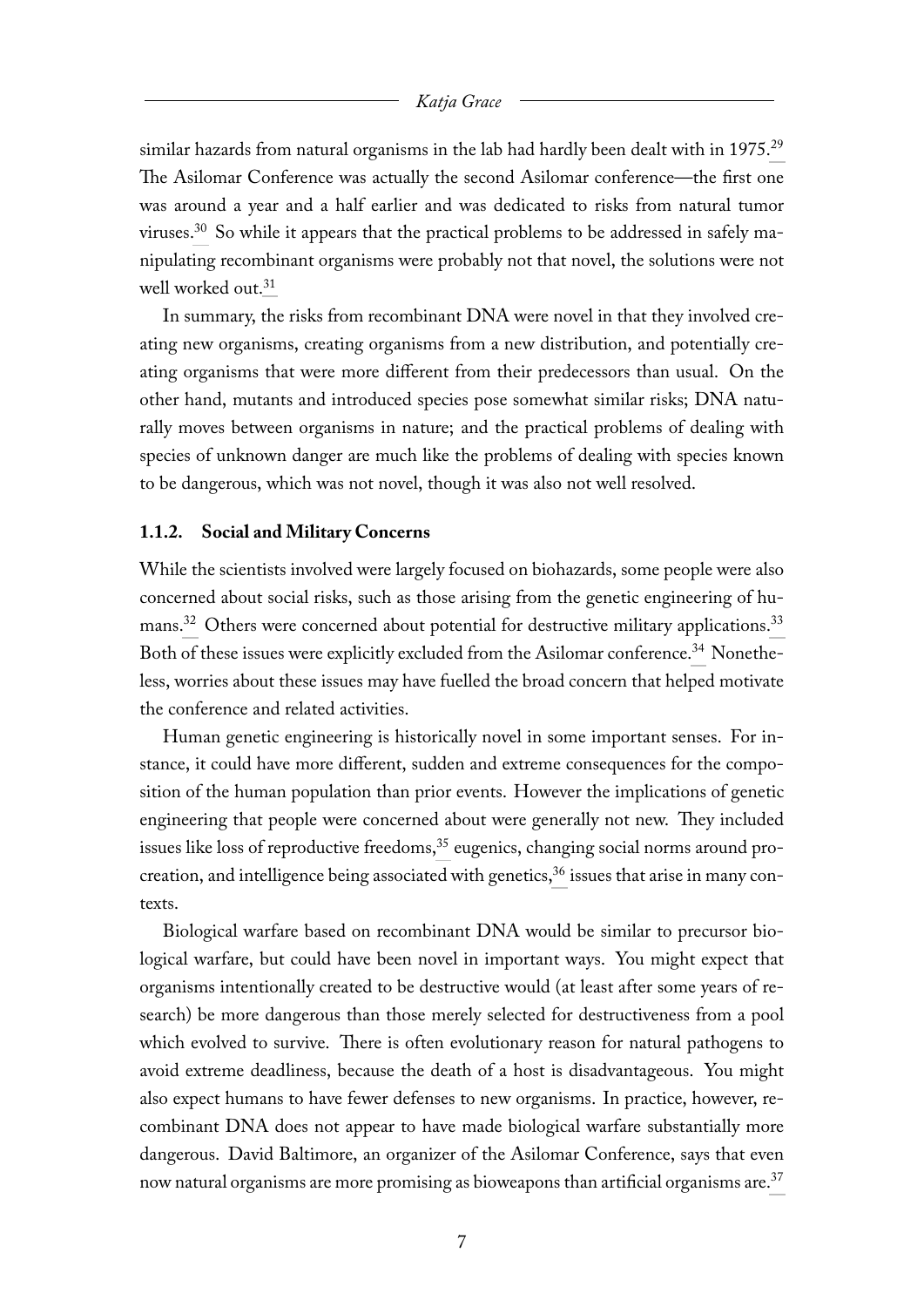<span id="page-7-2"></span><span id="page-7-1"></span>similar hazards from natural organisms in the lab had hardly been dealt with in  $1975.^{29}$  $1975.^{29}$  $1975.^{29}$ The Asilomar Conference was actually the second Asilomar conference—the first one was around a year and a half earlier and was dedicated to risks from natural tumor viruses.[30](#page-33-9) So while it appears that the practical problems to be addressed in safely manipulating recombinant organisms were probably not that novel, the solutions were not well worked out.<sup>[31](#page-34-0)</sup>

<span id="page-7-3"></span>In summary, the risks from recombinant DNA were novel in that they involved creating new organisms, creating organisms from a new distribution, and potentially creating organisms that were more different from their predecessors than usual. On the other hand, mutants and introduced species pose somewhat similar risks; DNA naturally moves between organisms in nature; and the practical problems of dealing with species of unknown danger are much like the problems of dealing with species known to be dangerous, which was not novel, though it was also not well resolved.

#### <span id="page-7-0"></span>**1.1.2. Social and Military Concerns**

<span id="page-7-6"></span><span id="page-7-5"></span><span id="page-7-4"></span>While the scientists involved were largely focused on biohazards, some people were also concerned about social risks, such as those arising from the genetic engineering of hu-mans.<sup>[32](#page-34-1)</sup> Others were concerned about potential for destructive military applications.<sup>[33](#page-34-2)</sup> Both of these issues were explicitly excluded from the Asilomar conference.<sup>[34](#page-34-3)</sup> Nonetheless, worries about these issues may have fuelled the broad concern that helped motivate the conference and related activities.

<span id="page-7-7"></span>Human genetic engineering is historically novel in some important senses. For instance, it could have more different, sudden and extreme consequences for the composition of the human population than prior events. However the implications of genetic engineering that people were concerned about were generally not new. They included issues like loss of reproductive freedoms,<sup>[35](#page-34-4)</sup> eugenics, changing social norms around procreation, and intelligence being associated with genetics,  $36$  issues that arise in many contexts.

<span id="page-7-9"></span><span id="page-7-8"></span>Biological warfare based on recombinant DNA would be similar to precursor biological warfare, but could have been novel in important ways. You might expect that organisms intentionally created to be destructive would (at least after some years of research) be more dangerous than those merely selected for destructiveness from a pool which evolved to survive. There is often evolutionary reason for natural pathogens to avoid extreme deadliness, because the death of a host is disadvantageous. You might also expect humans to have fewer defenses to new organisms. In practice, however, recombinant DNA does not appear to have made biological warfare substantially more dangerous. David Baltimore, an organizer of the Asilomar Conference, says that even now natural organisms are more promising as bioweapons than artificial organisms are.<sup>[37](#page-35-1)</sup>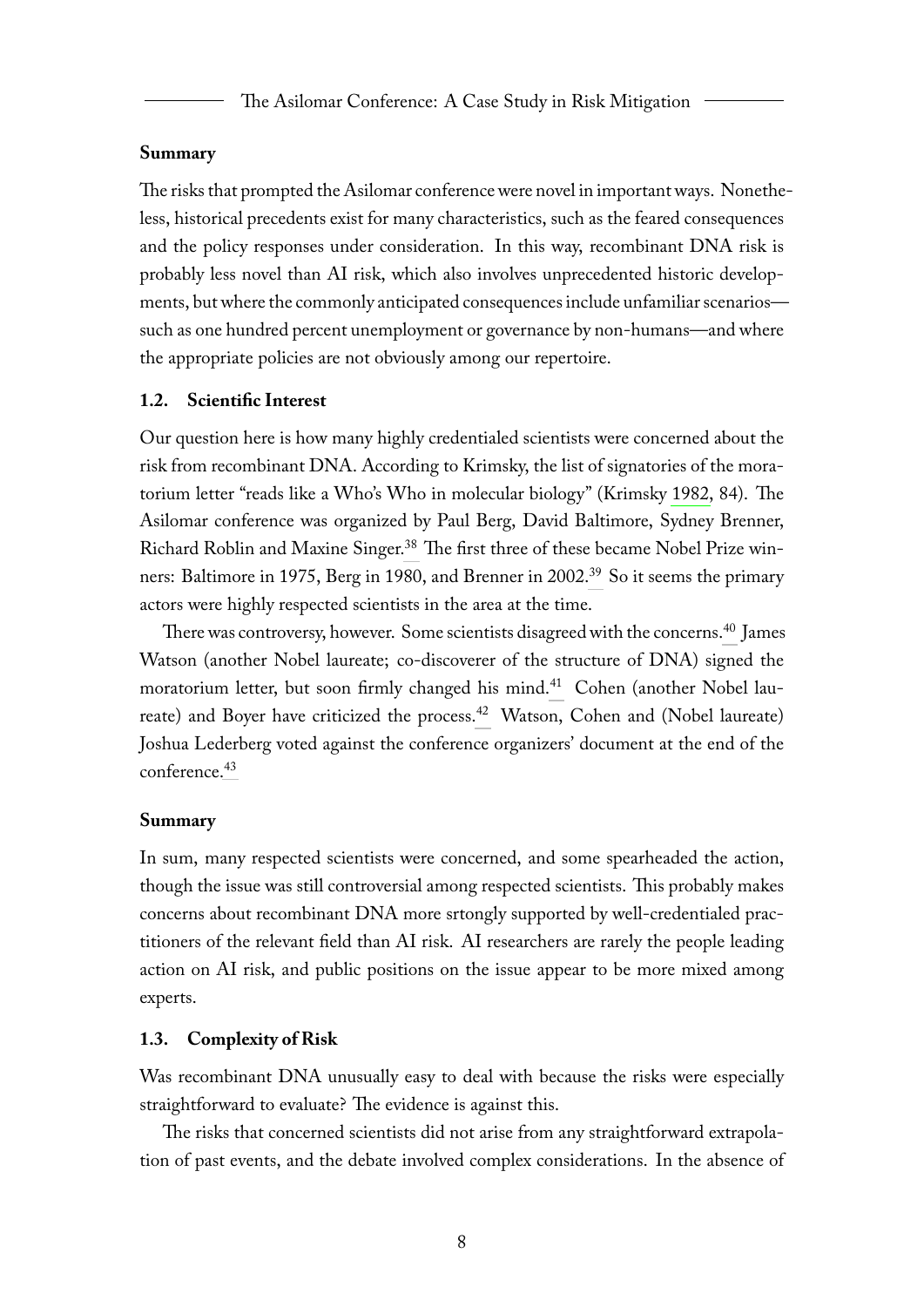#### **Summary**

The risks that prompted the Asilomar conference were novel in important ways. Nonetheless, historical precedents exist for many characteristics, such as the feared consequences and the policy responses under consideration. In this way, recombinant DNA risk is probably less novel than AI risk, which also involves unprecedented historic developments, but where the commonly anticipated consequences include unfamiliar scenarios such as one hundred percent unemployment or governance by non-humans—and where the appropriate policies are not obviously among our repertoire.

#### <span id="page-8-0"></span>**1.2. Scientific Interest**

Our question here is how many highly credentialed scientists were concerned about the risk from recombinant DNA. According to Krimsky, the list of signatories of the moratorium letter "reads like a Who's Who in molecular biology" (Krimsky [1982,](#page-66-0) 84). The Asilomar conference was organized by Paul Berg, David Baltimore, Sydney Brenner, Richard Roblin and Maxine Singer.<sup>[38](#page-35-2)</sup> The first three of these became Nobel Prize win-ners: Baltimore in 1975, Berg in 1980, and Brenner in 2002.<sup>[39](#page-35-3)</sup> So it seems the primary actors were highly respected scientists in the area at the time.

<span id="page-8-6"></span><span id="page-8-5"></span><span id="page-8-4"></span><span id="page-8-3"></span><span id="page-8-2"></span>There was controversy, however. Some scientists disagreed with the concerns.<sup>[40](#page-35-4)</sup> James Watson (another Nobel laureate; co-discoverer of the structure of DNA) signed the moratorium letter, but soon firmly changed his mind.<sup>[41](#page-35-5)</sup> Cohen (another Nobel lau-reate) and Boyer have criticized the process.<sup>[42](#page-35-6)</sup> Watson, Cohen and (Nobel laureate) Joshua Lederberg voted against the conference organizers' document at the end of the conference.[43](#page-36-0)

#### <span id="page-8-7"></span>**Summary**

In sum, many respected scientists were concerned, and some spearheaded the action, though the issue was still controversial among respected scientists. This probably makes concerns about recombinant DNA more srtongly supported by well-credentialed practitioners of the relevant field than AI risk. AI researchers are rarely the people leading action on AI risk, and public positions on the issue appear to be more mixed among experts.

#### <span id="page-8-1"></span>**1.3. Complexity of Risk**

Was recombinant DNA unusually easy to deal with because the risks were especially straightforward to evaluate? The evidence is against this.

The risks that concerned scientists did not arise from any straightforward extrapolation of past events, and the debate involved complex considerations. In the absence of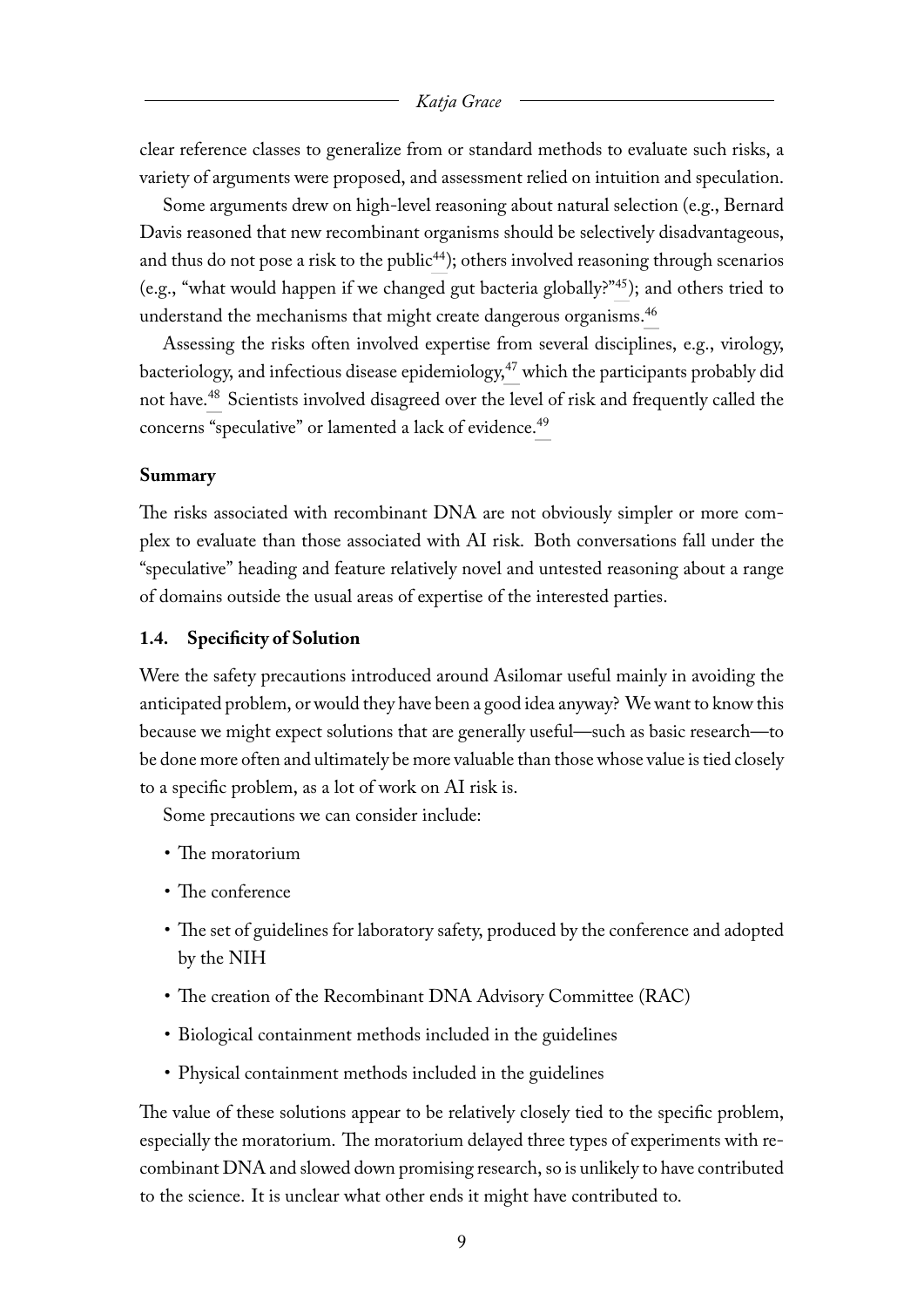clear reference classes to generalize from or standard methods to evaluate such risks, a variety of arguments were proposed, and assessment relied on intuition and speculation.

<span id="page-9-2"></span><span id="page-9-1"></span>Some arguments drew on high-level reasoning about natural selection (e.g., Bernard Davis reasoned that new recombinant organisms should be selectively disadvantageous, and thus do not pose a risk to the public<sup>[44](#page-36-1)</sup>); others involved reasoning through scenarios (e.g., "what would happen if we changed gut bacteria globally?"[45](#page-36-2)); and others tried to understand the mechanisms that might create dangerous organisms.<sup>[46](#page-36-3)</sup>

<span id="page-9-5"></span><span id="page-9-4"></span><span id="page-9-3"></span>Assessing the risks often involved expertise from several disciplines, e.g., virology, bacteriology, and infectious disease epidemiology,<sup>[47](#page-36-4)</sup> which the participants probably did not have.[48](#page-37-0) Scientists involved disagreed over the level of risk and frequently called the concerns "speculative" or lamented a lack of evidence.[49](#page-37-1)

#### <span id="page-9-6"></span>**Summary**

The risks associated with recombinant DNA are not obviously simpler or more complex to evaluate than those associated with AI risk. Both conversations fall under the "speculative" heading and feature relatively novel and untested reasoning about a range of domains outside the usual areas of expertise of the interested parties.

#### <span id="page-9-0"></span>**1.4. Specificity of Solution**

Were the safety precautions introduced around Asilomar useful mainly in avoiding the anticipated problem, or would they have been a good idea anyway? We want to know this because we might expect solutions that are generally useful—such as basic research—to be done more often and ultimately be more valuable than those whose value is tied closely to a specific problem, as a lot of work on AI risk is.

Some precautions we can consider include:

- The moratorium
- The conference
- The set of guidelines for laboratory safety, produced by the conference and adopted by the NIH
- The creation of the Recombinant DNA Advisory Committee (RAC)
- Biological containment methods included in the guidelines
- Physical containment methods included in the guidelines

The value of these solutions appear to be relatively closely tied to the specific problem, especially the moratorium. The moratorium delayed three types of experiments with recombinant DNA and slowed down promising research, so is unlikely to have contributed to the science. It is unclear what other ends it might have contributed to.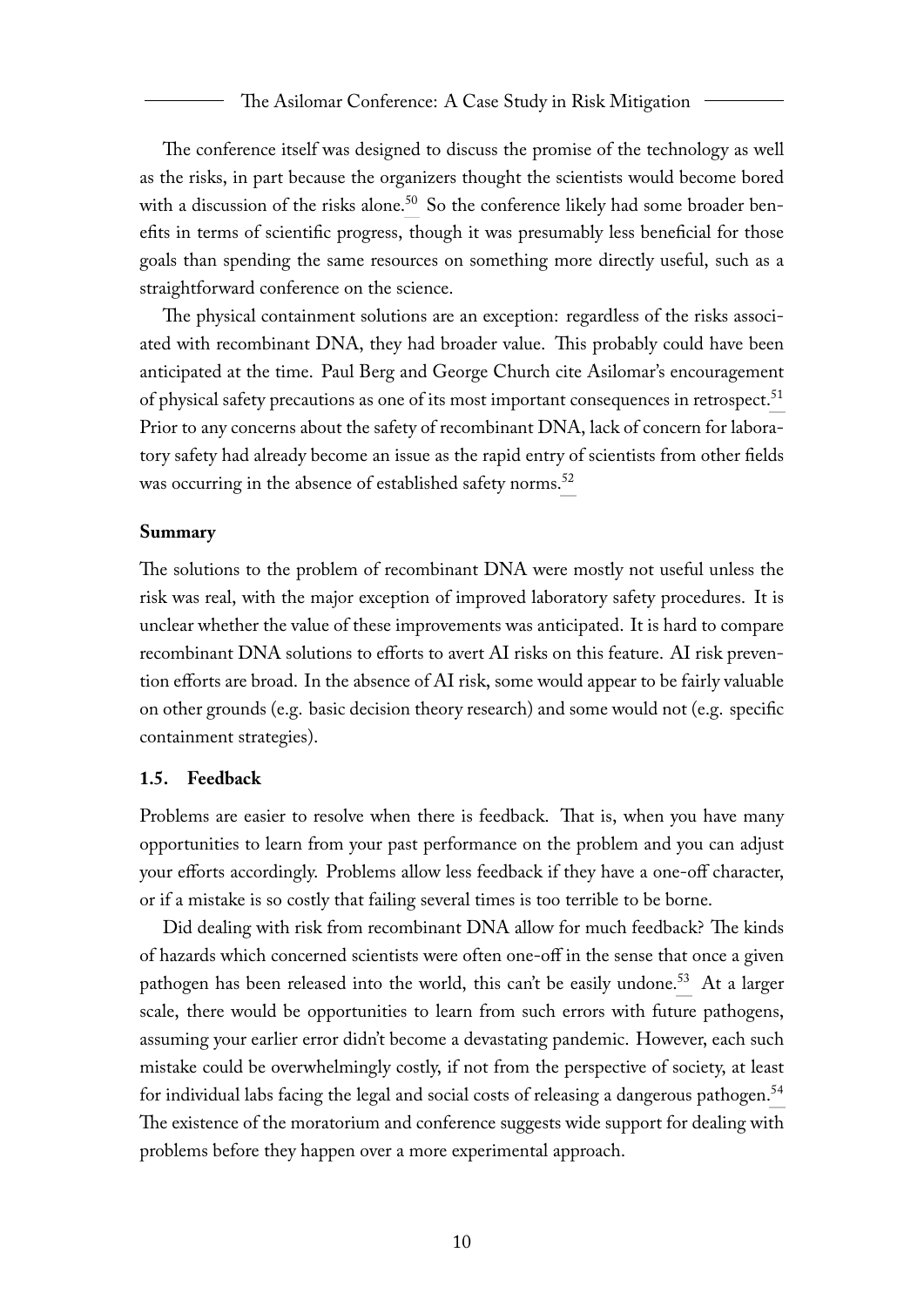<span id="page-10-1"></span>The conference itself was designed to discuss the promise of the technology as well as the risks, in part because the organizers thought the scientists would become bored with a discussion of the risks alone.<sup>[50](#page-37-2)</sup> So the conference likely had some broader benefits in terms of scientific progress, though it was presumably less beneficial for those goals than spending the same resources on something more directly useful, such as a straightforward conference on the science.

<span id="page-10-2"></span>The physical containment solutions are an exception: regardless of the risks associated with recombinant DNA, they had broader value. This probably could have been anticipated at the time. Paul Berg and George Church cite Asilomar's encouragement of physical safety precautions as one of its most important consequences in retrospect.<sup>[51](#page-37-3)</sup> Prior to any concerns about the safety of recombinant DNA, lack of concern for laboratory safety had already become an issue as the rapid entry of scientists from other fields was occurring in the absence of established safety norms.<sup>[52](#page-38-0)</sup>

#### <span id="page-10-3"></span>**Summary**

The solutions to the problem of recombinant DNA were mostly not useful unless the risk was real, with the major exception of improved laboratory safety procedures. It is unclear whether the value of these improvements was anticipated. It is hard to compare recombinant DNA solutions to efforts to avert AI risks on this feature. AI risk prevention efforts are broad. In the absence of AI risk, some would appear to be fairly valuable on other grounds (e.g. basic decision theory research) and some would not (e.g. specific containment strategies).

#### <span id="page-10-0"></span>**1.5. Feedback**

Problems are easier to resolve when there is feedback. That is, when you have many opportunities to learn from your past performance on the problem and you can adjust your efforts accordingly. Problems allow less feedback if they have a one-off character, or if a mistake is so costly that failing several times is too terrible to be borne.

<span id="page-10-5"></span><span id="page-10-4"></span>Did dealing with risk from recombinant DNA allow for much feedback? The kinds of hazards which concerned scientists were often one-off in the sense that once a given pathogen has been released into the world, this can't be easily undone.<sup>[53](#page-38-1)</sup> At a larger scale, there would be opportunities to learn from such errors with future pathogens, assuming your earlier error didn't become a devastating pandemic. However, each such mistake could be overwhelmingly costly, if not from the perspective of society, at least for individual labs facing the legal and social costs of releasing a dangerous pathogen.<sup>[54](#page-38-2)</sup> The existence of the moratorium and conference suggests wide support for dealing with problems before they happen over a more experimental approach.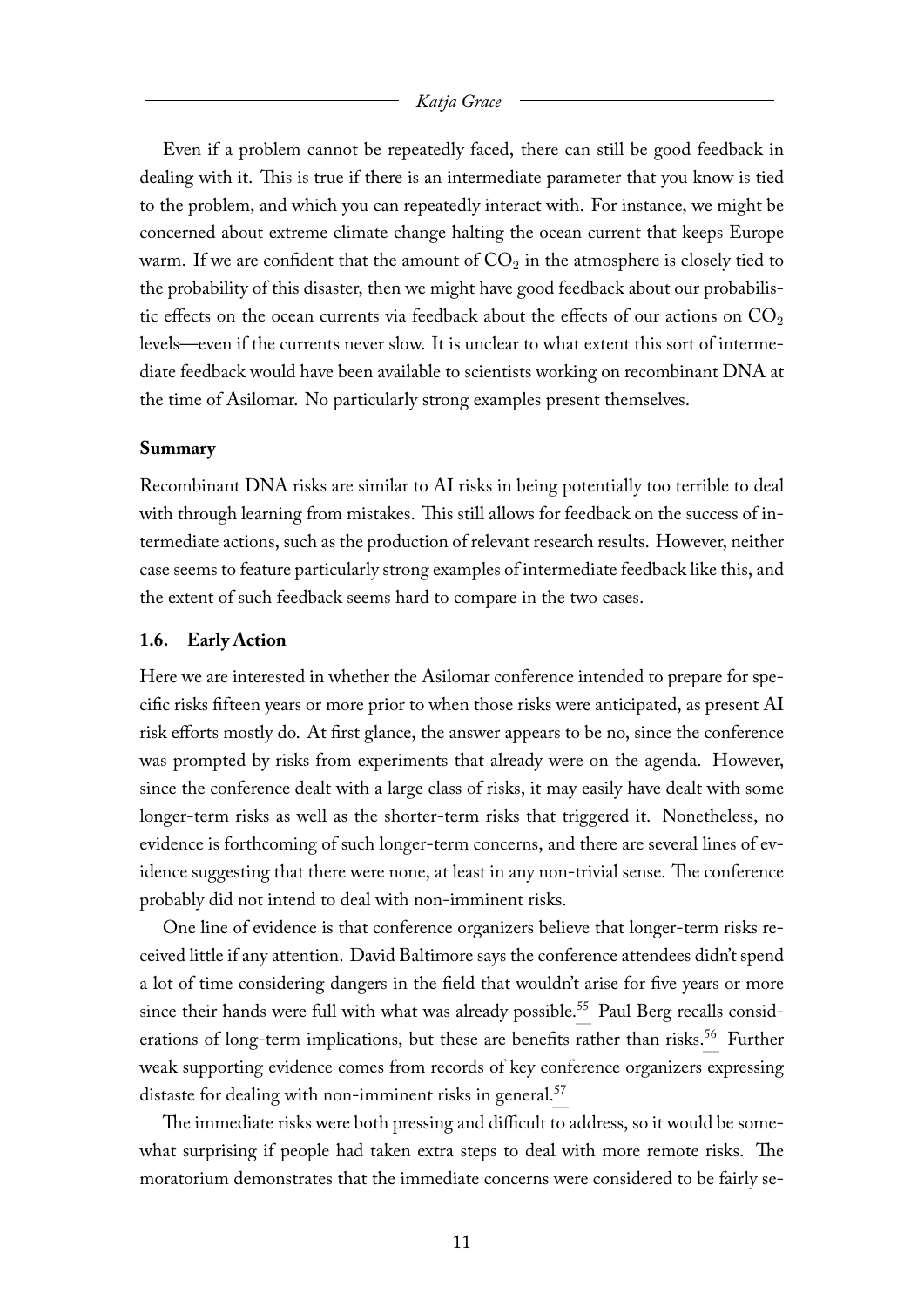Even if a problem cannot be repeatedly faced, there can still be good feedback in dealing with it. This is true if there is an intermediate parameter that you know is tied to the problem, and which you can repeatedly interact with. For instance, we might be concerned about extreme climate change halting the ocean current that keeps Europe warm. If we are confident that the amount of  $CO<sub>2</sub>$  in the atmosphere is closely tied to the probability of this disaster, then we might have good feedback about our probabilistic effects on the ocean currents via feedback about the effects of our actions on  $CO<sub>2</sub>$ levels—even if the currents never slow. It is unclear to what extent this sort of intermediate feedback would have been available to scientists working on recombinant DNA at the time of Asilomar. No particularly strong examples present themselves.

#### **Summary**

Recombinant DNA risks are similar to AI risks in being potentially too terrible to deal with through learning from mistakes. This still allows for feedback on the success of intermediate actions, such as the production of relevant research results. However, neither case seems to feature particularly strong examples of intermediate feedback like this, and the extent of such feedback seems hard to compare in the two cases.

#### <span id="page-11-0"></span>**1.6. Early Action**

Here we are interested in whether the Asilomar conference intended to prepare for specific risks fifteen years or more prior to when those risks were anticipated, as present AI risk efforts mostly do. At first glance, the answer appears to be no, since the conference was prompted by risks from experiments that already were on the agenda. However, since the conference dealt with a large class of risks, it may easily have dealt with some longer-term risks as well as the shorter-term risks that triggered it. Nonetheless, no evidence is forthcoming of such longer-term concerns, and there are several lines of evidence suggesting that there were none, at least in any non-trivial sense. The conference probably did not intend to deal with non-imminent risks.

<span id="page-11-2"></span><span id="page-11-1"></span>One line of evidence is that conference organizers believe that longer-term risks received little if any attention. David Baltimore says the conference attendees didn't spend a lot of time considering dangers in the field that wouldn't arise for five years or more since their hands were full with what was already possible.<sup>[55](#page-38-3)</sup> Paul Berg recalls consid-erations of long-term implications, but these are benefits rather than risks.<sup>[56](#page-38-4)</sup> Further weak supporting evidence comes from records of key conference organizers expressing distaste for dealing with non-imminent risks in general.<sup>[57](#page-39-0)</sup>

<span id="page-11-3"></span>The immediate risks were both pressing and difficult to address, so it would be somewhat surprising if people had taken extra steps to deal with more remote risks. The moratorium demonstrates that the immediate concerns were considered to be fairly se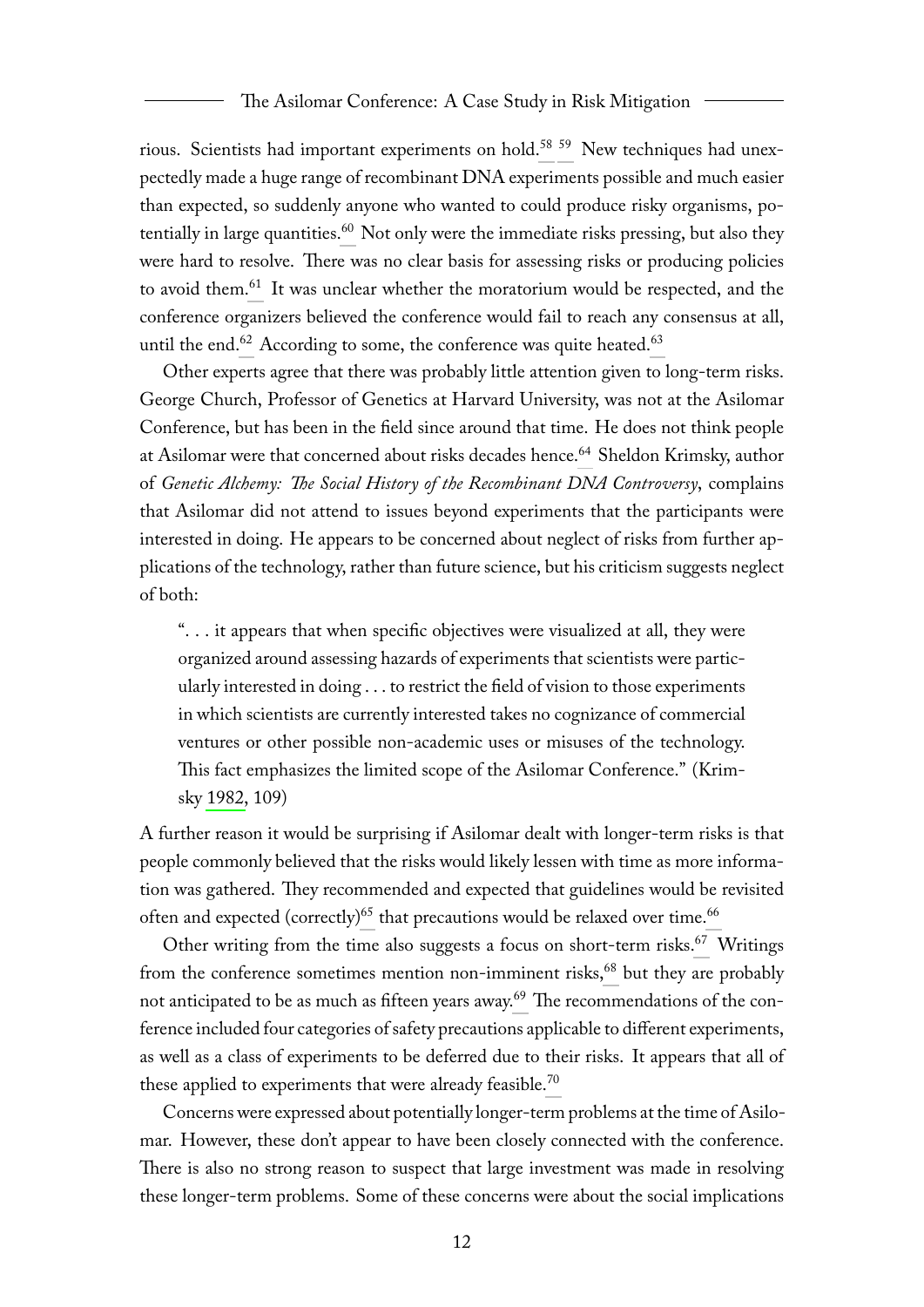<span id="page-12-2"></span><span id="page-12-1"></span><span id="page-12-0"></span>rious. Scientists had important experiments on hold.[58](#page-39-1) [59](#page-39-2) New techniques had unexpectedly made a huge range of recombinant DNA experiments possible and much easier than expected, so suddenly anyone who wanted to could produce risky organisms, po-tentially in large quantities.<sup>[60](#page-39-3)</sup> Not only were the immediate risks pressing, but also they were hard to resolve. There was no clear basis for assessing risks or producing policies to avoid them.[61](#page-40-0) It was unclear whether the moratorium would be respected, and the conference organizers believed the conference would fail to reach any consensus at all, until the end.<sup>[62](#page-40-1)</sup> According to some, the conference was quite heated.<sup>[63](#page-40-2)</sup>

<span id="page-12-5"></span><span id="page-12-4"></span><span id="page-12-3"></span>Other experts agree that there was probably little attention given to long-term risks. George Church, Professor of Genetics at Harvard University, was not at the Asilomar Conference, but has been in the field since around that time. He does not think people at Asilomar were that concerned about risks decades hence.<sup>[64](#page-41-0)</sup> Sheldon Krimsky, author of *Genetic Alchemy: The Social History of the Recombinant DNA Controversy*, complains that Asilomar did not attend to issues beyond experiments that the participants were interested in doing. He appears to be concerned about neglect of risks from further applications of the technology, rather than future science, but his criticism suggests neglect of both:

<span id="page-12-6"></span>". . . it appears that when specific objectives were visualized at all, they were organized around assessing hazards of experiments that scientists were particularly interested in doing . . . to restrict the field of vision to those experiments in which scientists are currently interested takes no cognizance of commercial ventures or other possible non-academic uses or misuses of the technology. This fact emphasizes the limited scope of the Asilomar Conference." (Krimsky [1982,](#page-66-0) 109)

A further reason it would be surprising if Asilomar dealt with longer-term risks is that people commonly believed that the risks would likely lessen with time as more information was gathered. They recommended and expected that guidelines would be revisited often and expected (correctly)<sup>[65](#page-41-1)</sup> that precautions would be relaxed over time.<sup>[66](#page-41-2)</sup>

<span id="page-12-11"></span><span id="page-12-10"></span><span id="page-12-9"></span><span id="page-12-8"></span><span id="page-12-7"></span>Other writing from the time also suggests a focus on short-term risks.<sup>[67](#page-41-3)</sup> Writings from the conference sometimes mention non-imminent risks,<sup>[68](#page-42-0)</sup> but they are probably not anticipated to be as much as fifteen years away.<sup>[69](#page-42-1)</sup> The recommendations of the conference included four categories of safety precautions applicable to different experiments, as well as a class of experiments to be deferred due to their risks. It appears that all of these applied to experiments that were already feasible.<sup>[70](#page-43-0)</sup>

<span id="page-12-12"></span>Concerns were expressed about potentially longer-term problems at the time of Asilomar. However, these don't appear to have been closely connected with the conference. There is also no strong reason to suspect that large investment was made in resolving these longer-term problems. Some of these concerns were about the social implications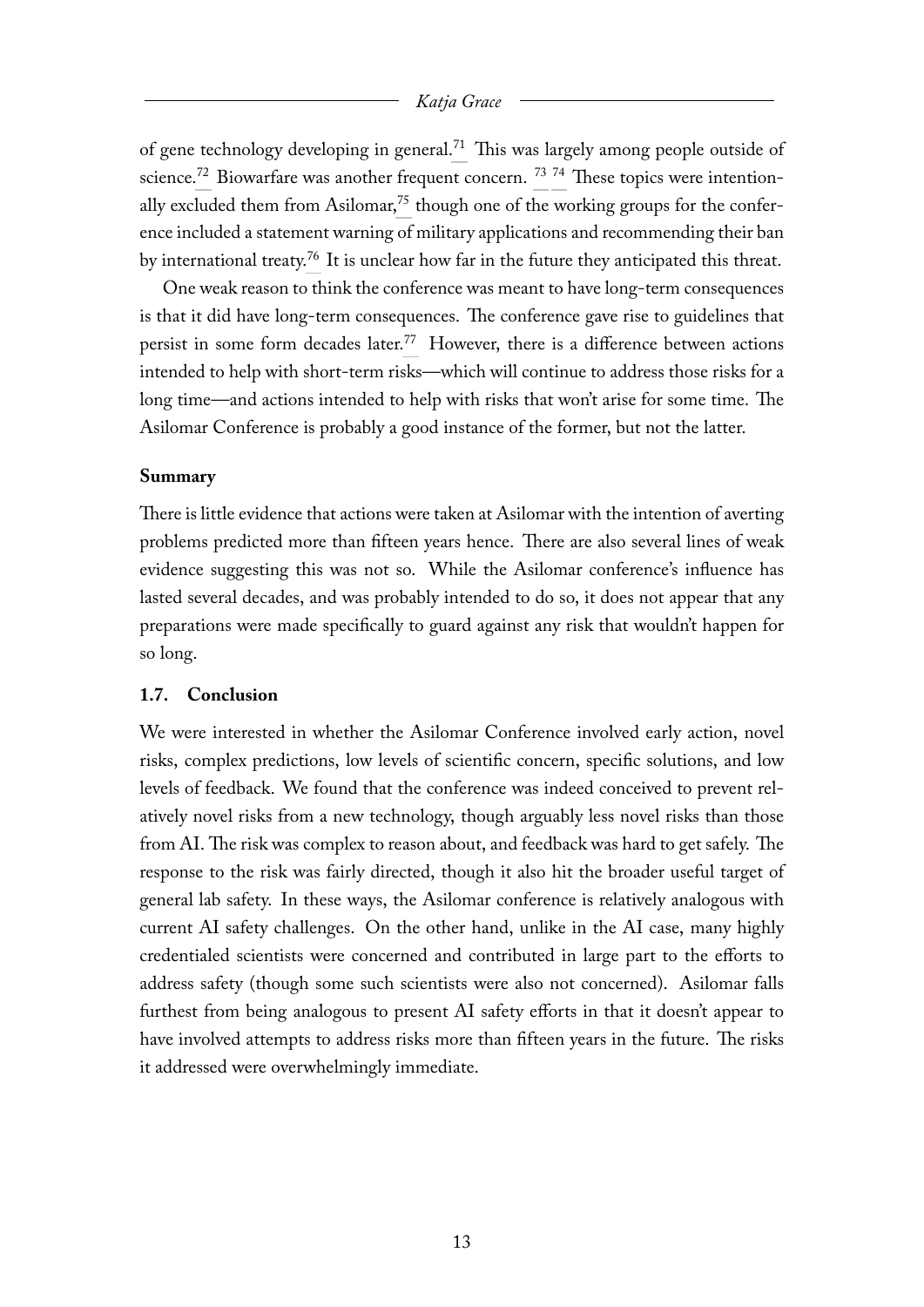<span id="page-13-5"></span><span id="page-13-4"></span><span id="page-13-3"></span><span id="page-13-2"></span><span id="page-13-1"></span>of gene technology developing in general.<sup>[71](#page-43-1)</sup> This was largely among people outside of science.<sup>[72](#page-43-2)</sup> Biowarfare was another frequent concern.<sup>[73](#page-43-3) [74](#page-43-4)</sup> These topics were intention-ally excluded them from Asilomar,<sup>[75](#page-43-5)</sup> though one of the working groups for the conference included a statement warning of military applications and recommending their ban by international treaty.[76](#page-44-0) It is unclear how far in the future they anticipated this threat.

<span id="page-13-7"></span><span id="page-13-6"></span>One weak reason to think the conference was meant to have long-term consequences is that it did have long-term consequences. The conference gave rise to guidelines that persist in some form decades later.<sup>[77](#page-44-1)</sup> However, there is a difference between actions intended to help with short-term risks—which will continue to address those risks for a long time—and actions intended to help with risks that won't arise for some time. The Asilomar Conference is probably a good instance of the former, but not the latter.

#### **Summary**

There is little evidence that actions were taken at Asilomar with the intention of averting problems predicted more than fifteen years hence. There are also several lines of weak evidence suggesting this was not so. While the Asilomar conference's influence has lasted several decades, and was probably intended to do so, it does not appear that any preparations were made specifically to guard against any risk that wouldn't happen for so long.

#### <span id="page-13-0"></span>**1.7. Conclusion**

We were interested in whether the Asilomar Conference involved early action, novel risks, complex predictions, low levels of scientific concern, specific solutions, and low levels of feedback. We found that the conference was indeed conceived to prevent relatively novel risks from a new technology, though arguably less novel risks than those from AI. The risk was complex to reason about, and feedback was hard to get safely. The response to the risk was fairly directed, though it also hit the broader useful target of general lab safety. In these ways, the Asilomar conference is relatively analogous with current AI safety challenges. On the other hand, unlike in the AI case, many highly credentialed scientists were concerned and contributed in large part to the efforts to address safety (though some such scientists were also not concerned). Asilomar falls furthest from being analogous to present AI safety efforts in that it doesn't appear to have involved attempts to address risks more than fifteen years in the future. The risks it addressed were overwhelmingly immediate.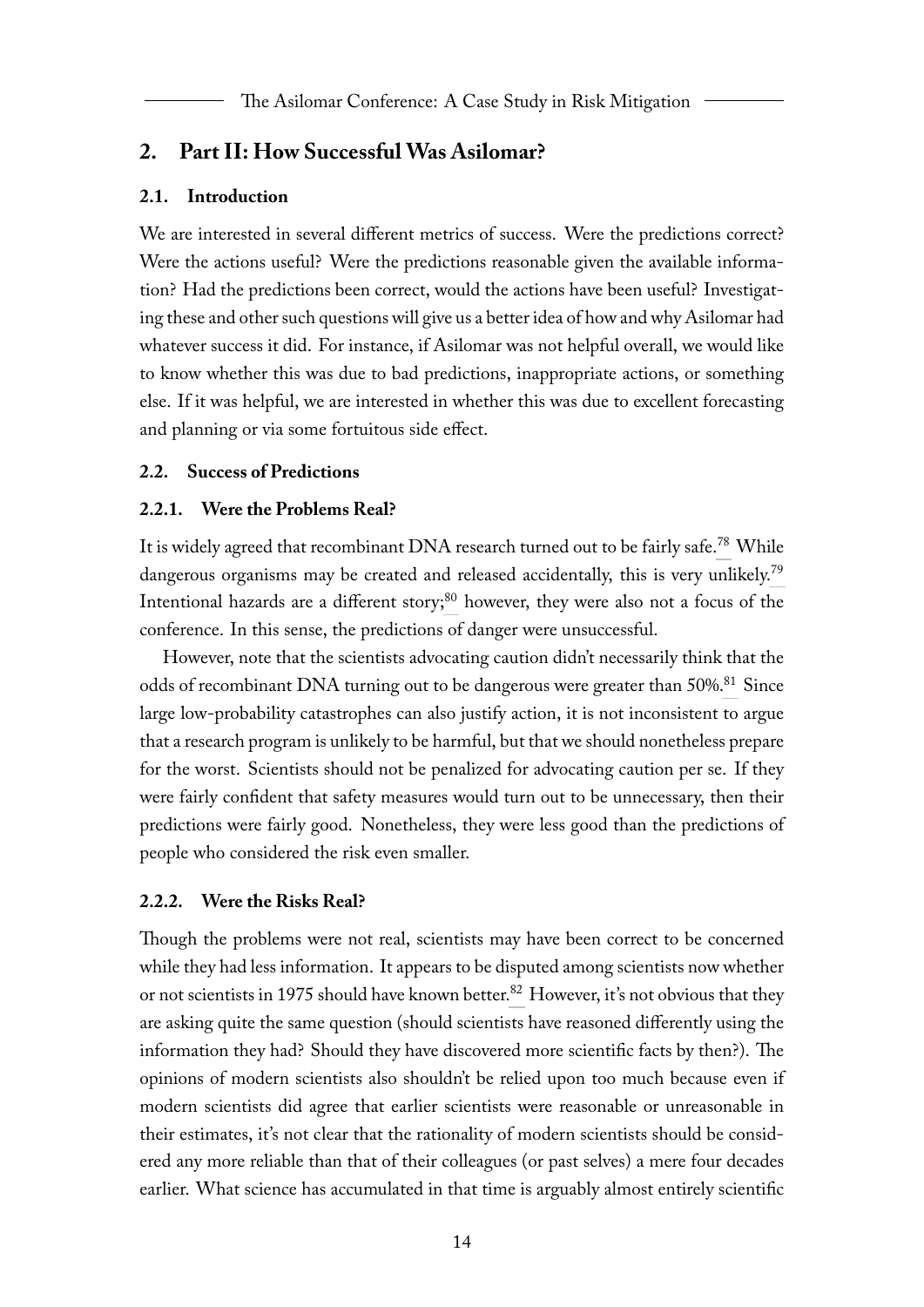### <span id="page-14-0"></span>**2. Part II: How Successful Was Asilomar?**

#### <span id="page-14-1"></span>**2.1. Introduction**

We are interested in several different metrics of success. Were the predictions correct? Were the actions useful? Were the predictions reasonable given the available information? Had the predictions been correct, would the actions have been useful? Investigating these and other such questions will give us a better idea of how and why Asilomar had whatever success it did. For instance, if Asilomar was not helpful overall, we would like to know whether this was due to bad predictions, inappropriate actions, or something else. If it was helpful, we are interested in whether this was due to excellent forecasting and planning or via some fortuitous side effect.

#### <span id="page-14-2"></span>**2.2. Success of Predictions**

#### <span id="page-14-5"></span><span id="page-14-3"></span>**2.2.1. Were the Problems Real?**

<span id="page-14-7"></span><span id="page-14-6"></span>It is widely agreed that recombinant DNA research turned out to be fairly safe.<sup>[78](#page-44-2)</sup> While dangerous organisms may be created and released accidentally, this is very unlikely.<sup>[79](#page-44-3)</sup> Intentional hazards are a different story; $80$  however, they were also not a focus of the conference. In this sense, the predictions of danger were unsuccessful.

<span id="page-14-8"></span>However, note that the scientists advocating caution didn't necessarily think that the odds of recombinant DNA turning out to be dangerous were greater than 50%.<sup>[81](#page-45-1)</sup> Since large low-probability catastrophes can also justify action, it is not inconsistent to argue that a research program is unlikely to be harmful, but that we should nonetheless prepare for the worst. Scientists should not be penalized for advocating caution per se. If they were fairly confident that safety measures would turn out to be unnecessary, then their predictions were fairly good. Nonetheless, they were less good than the predictions of people who considered the risk even smaller.

#### <span id="page-14-4"></span>**2.2.2. Were the Risks Real?**

<span id="page-14-9"></span>Though the problems were not real, scientists may have been correct to be concerned while they had less information. It appears to be disputed among scientists now whether or not scientists in 1975 should have known better.<sup>[82](#page-45-2)</sup> However, it's not obvious that they are asking quite the same question (should scientists have reasoned differently using the information they had? Should they have discovered more scientific facts by then?). The opinions of modern scientists also shouldn't be relied upon too much because even if modern scientists did agree that earlier scientists were reasonable or unreasonable in their estimates, it's not clear that the rationality of modern scientists should be considered any more reliable than that of their colleagues (or past selves) a mere four decades earlier. What science has accumulated in that time is arguably almost entirely scientific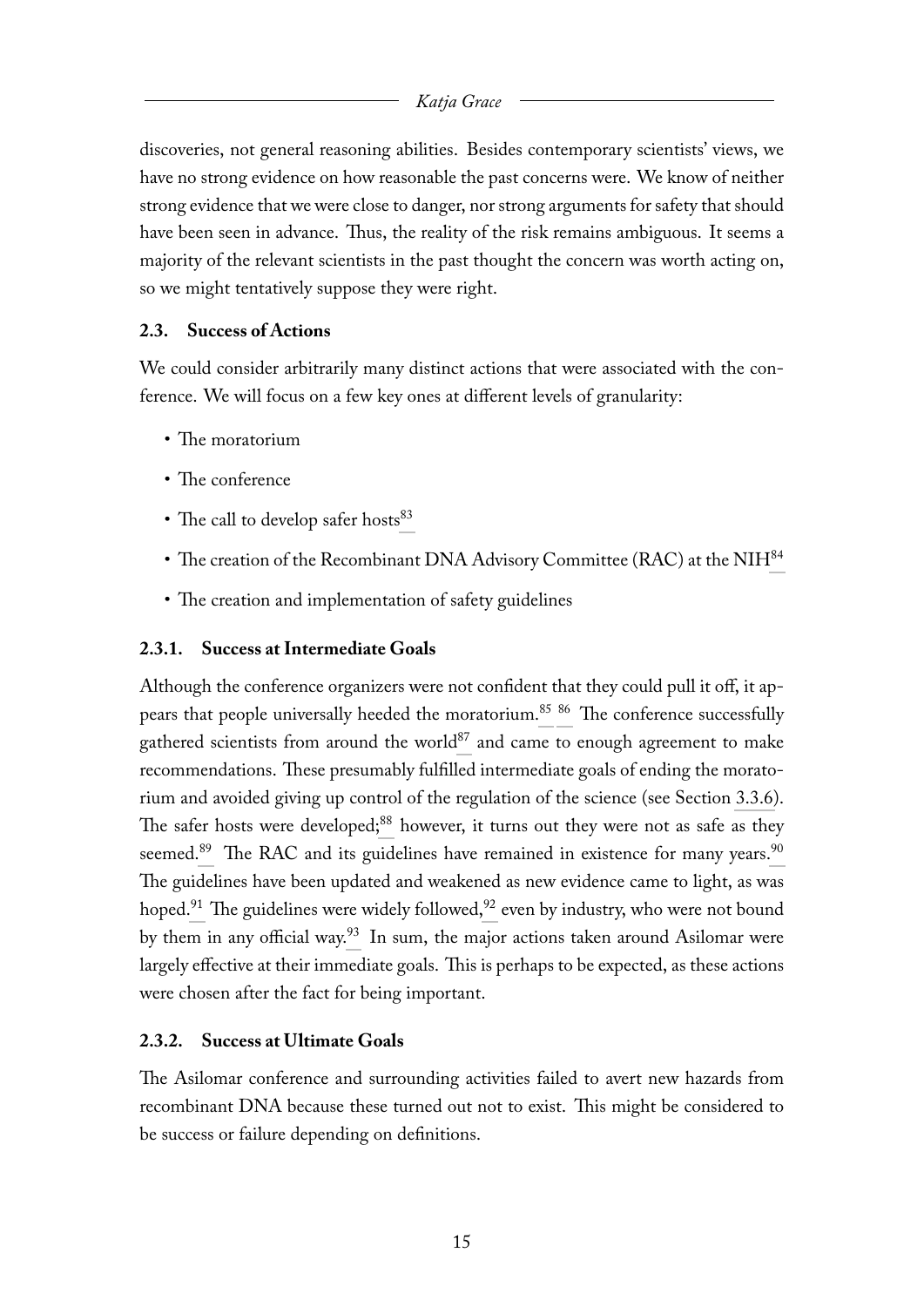discoveries, not general reasoning abilities. Besides contemporary scientists' views, we have no strong evidence on how reasonable the past concerns were. We know of neither strong evidence that we were close to danger, nor strong arguments for safety that should have been seen in advance. Thus, the reality of the risk remains ambiguous. It seems a majority of the relevant scientists in the past thought the concern was worth acting on, so we might tentatively suppose they were right.

### <span id="page-15-0"></span>**2.3. Success of Actions**

We could consider arbitrarily many distinct actions that were associated with the conference. We will focus on a few key ones at different levels of granularity:

- The moratorium
- The conference
- <span id="page-15-3"></span>• The call to develop safer hosts $^{83}$  $^{83}$  $^{83}$
- <span id="page-15-4"></span>• The creation of the Recombinant DNA Advisory Committee (RAC) at the NIH<sup>[84](#page-45-4)</sup>
- <span id="page-15-7"></span><span id="page-15-6"></span><span id="page-15-5"></span>• The creation and implementation of safety guidelines

### <span id="page-15-1"></span>**2.3.1. Success at Intermediate Goals**

<span id="page-15-10"></span><span id="page-15-9"></span><span id="page-15-8"></span>Although the conference organizers were not confident that they could pull it off, it ap-pears that people universally heeded the moratorium.<sup>[85](#page-45-5) [86](#page-45-6)</sup> The conference successfully gathered scientists from around the world $87$  and came to enough agreement to make recommendations. These presumably fulfilled intermediate goals of ending the moratorium and avoided giving up control of the regulation of the science (see Section [3.3.6\)](#page-26-3). The safer hosts were developed;<sup>[88](#page-45-8)</sup> however, it turns out they were not as safe as they seemed.<sup>[89](#page-46-0)</sup> The RAC and its guidelines have remained in existence for many years.<sup>[90](#page-46-1)</sup> The guidelines have been updated and weakened as new evidence came to light, as was hoped.<sup>[91](#page-46-2)</sup> The guidelines were widely followed,<sup>[92](#page-46-3)</sup> even by industry, who were not bound by them in any official way.<sup>[93](#page-46-4)</sup> In sum, the major actions taken around Asilomar were largely effective at their immediate goals. This is perhaps to be expected, as these actions were chosen after the fact for being important.

### <span id="page-15-13"></span><span id="page-15-12"></span><span id="page-15-11"></span><span id="page-15-2"></span>**2.3.2. Success at Ultimate Goals**

The Asilomar conference and surrounding activities failed to avert new hazards from recombinant DNA because these turned out not to exist. This might be considered to be success or failure depending on definitions.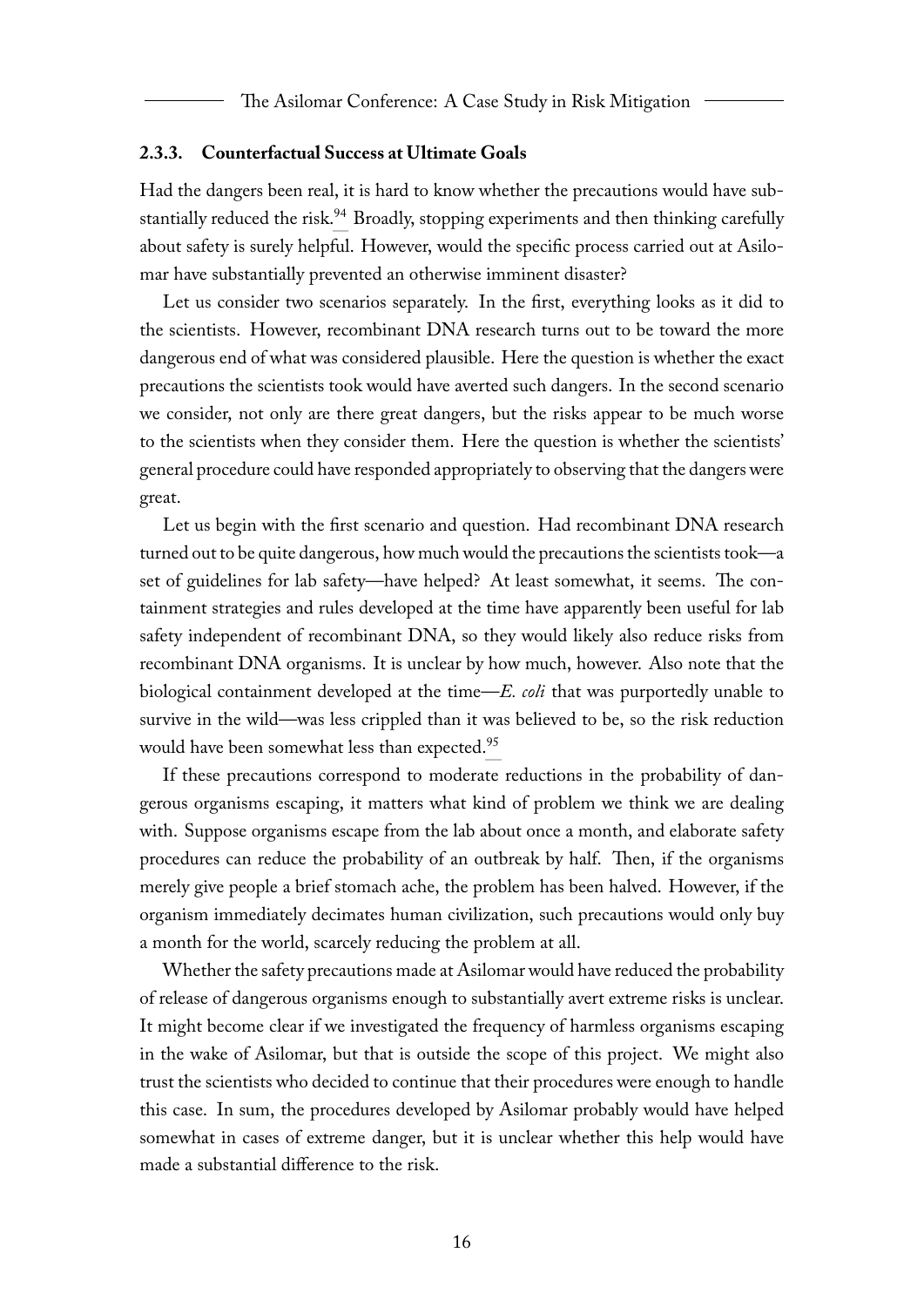#### <span id="page-16-0"></span>**2.3.3. Counterfactual Success at Ultimate Goals**

<span id="page-16-1"></span>Had the dangers been real, it is hard to know whether the precautions would have sub-stantially reduced the risk.<sup>[94](#page-46-5)</sup> Broadly, stopping experiments and then thinking carefully about safety is surely helpful. However, would the specific process carried out at Asilomar have substantially prevented an otherwise imminent disaster?

Let us consider two scenarios separately. In the first, everything looks as it did to the scientists. However, recombinant DNA research turns out to be toward the more dangerous end of what was considered plausible. Here the question is whether the exact precautions the scientists took would have averted such dangers. In the second scenario we consider, not only are there great dangers, but the risks appear to be much worse to the scientists when they consider them. Here the question is whether the scientists' general procedure could have responded appropriately to observing that the dangers were great.

Let us begin with the first scenario and question. Had recombinant DNA research turned out to be quite dangerous, how much would the precautions the scientists took—a set of guidelines for lab safety—have helped? At least somewhat, it seems. The containment strategies and rules developed at the time have apparently been useful for lab safety independent of recombinant DNA, so they would likely also reduce risks from recombinant DNA organisms. It is unclear by how much, however. Also note that the biological containment developed at the time—*E. coli* that was purportedly unable to survive in the wild—was less crippled than it was believed to be, so the risk reduction would have been somewhat less than expected.<sup>[95](#page-47-0)</sup>

<span id="page-16-2"></span>If these precautions correspond to moderate reductions in the probability of dangerous organisms escaping, it matters what kind of problem we think we are dealing with. Suppose organisms escape from the lab about once a month, and elaborate safety procedures can reduce the probability of an outbreak by half. Then, if the organisms merely give people a brief stomach ache, the problem has been halved. However, if the organism immediately decimates human civilization, such precautions would only buy a month for the world, scarcely reducing the problem at all.

Whether the safety precautions made at Asilomar would have reduced the probability of release of dangerous organisms enough to substantially avert extreme risks is unclear. It might become clear if we investigated the frequency of harmless organisms escaping in the wake of Asilomar, but that is outside the scope of this project. We might also trust the scientists who decided to continue that their procedures were enough to handle this case. In sum, the procedures developed by Asilomar probably would have helped somewhat in cases of extreme danger, but it is unclear whether this help would have made a substantial difference to the risk.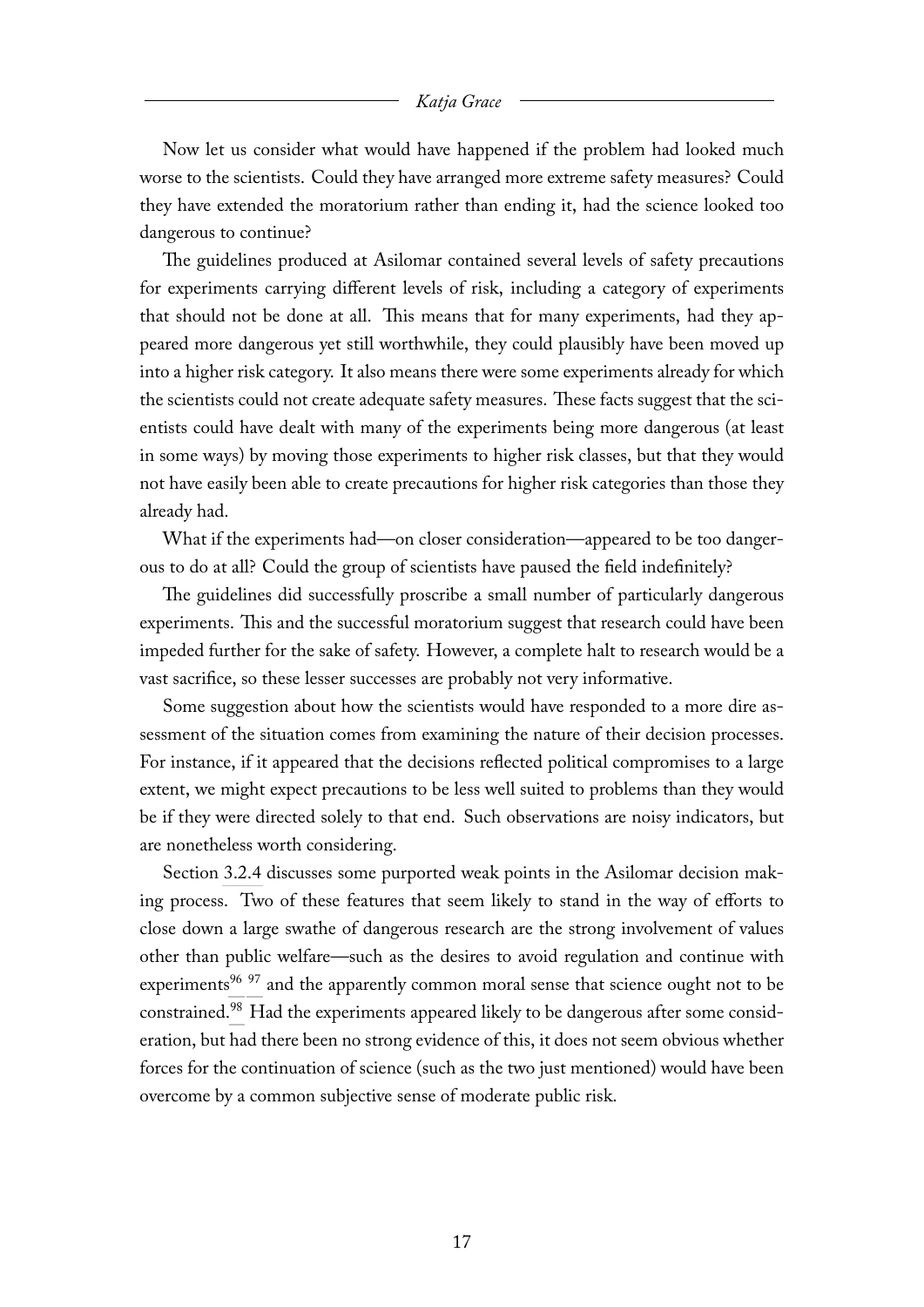Now let us consider what would have happened if the problem had looked much worse to the scientists. Could they have arranged more extreme safety measures? Could they have extended the moratorium rather than ending it, had the science looked too dangerous to continue?

The guidelines produced at Asilomar contained several levels of safety precautions for experiments carrying different levels of risk, including a category of experiments that should not be done at all. This means that for many experiments, had they appeared more dangerous yet still worthwhile, they could plausibly have been moved up into a higher risk category. It also means there were some experiments already for which the scientists could not create adequate safety measures. These facts suggest that the scientists could have dealt with many of the experiments being more dangerous (at least in some ways) by moving those experiments to higher risk classes, but that they would not have easily been able to create precautions for higher risk categories than those they already had.

What if the experiments had—on closer consideration—appeared to be too dangerous to do at all? Could the group of scientists have paused the field indefinitely?

The guidelines did successfully proscribe a small number of particularly dangerous experiments. This and the successful moratorium suggest that research could have been impeded further for the sake of safety. However, a complete halt to research would be a vast sacrifice, so these lesser successes are probably not very informative.

Some suggestion about how the scientists would have responded to a more dire assessment of the situation comes from examining the nature of their decision processes. For instance, if it appeared that the decisions reflected political compromises to a large extent, we might expect precautions to be less well suited to problems than they would be if they were directed solely to that end. Such observations are noisy indicators, but are nonetheless worth considering.

<span id="page-17-2"></span><span id="page-17-1"></span><span id="page-17-0"></span>Section [3.2.4](#page-22-0) discusses some purported weak points in the Asilomar decision making process. Two of these features that seem likely to stand in the way of efforts to close down a large swathe of dangerous research are the strong involvement of values other than public welfare—such as the desires to avoid regulation and continue with experiments<sup>[96](#page-47-1) [97](#page-47-2)</sup> and the apparently common moral sense that science ought not to be constrained.[98](#page-48-0) Had the experiments appeared likely to be dangerous after some consideration, but had there been no strong evidence of this, it does not seem obvious whether forces for the continuation of science (such as the two just mentioned) would have been overcome by a common subjective sense of moderate public risk.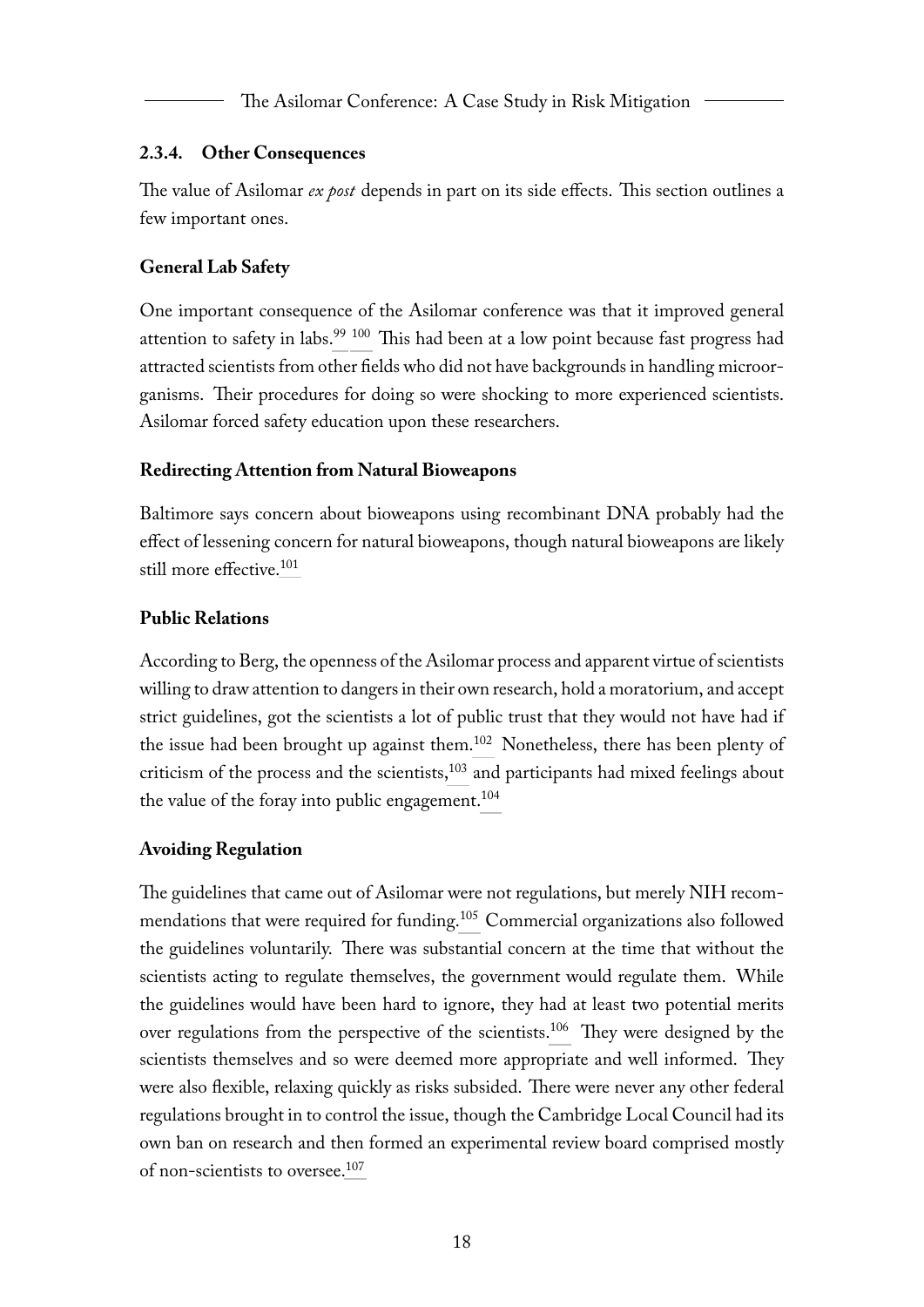The Asilomar Conference: A Case Study in Risk Mitigation

### <span id="page-18-0"></span>**2.3.4. Other Consequences**

The value of Asilomar *ex post* depends in part on its side effects. This section outlines a few important ones.

### <span id="page-18-1"></span>**General Lab Safety**

<span id="page-18-6"></span><span id="page-18-5"></span>One important consequence of the Asilomar conference was that it improved general attention to safety in labs.<sup>[99](#page-48-1) [100](#page-48-2)</sup> This had been at a low point because fast progress had attracted scientists from other fields who did not have backgrounds in handling microorganisms. Their procedures for doing so were shocking to more experienced scientists. Asilomar forced safety education upon these researchers.

### <span id="page-18-2"></span>**Redirecting Attention from Natural Bioweapons**

<span id="page-18-7"></span>Baltimore says concern about bioweapons using recombinant DNA probably had the effect of lessening concern for natural bioweapons, though natural bioweapons are likely still more effective.<sup>[101](#page-48-3)</sup>

### <span id="page-18-3"></span>**Public Relations**

<span id="page-18-8"></span>According to Berg, the openness of the Asilomar process and apparent virtue of scientists willing to draw attention to dangers in their own research, hold a moratorium, and accept strict guidelines, got the scientists a lot of public trust that they would not have had if the issue had been brought up against them.[102](#page-48-4) Nonetheless, there has been plenty of criticism of the process and the scientists, $103$  and participants had mixed feelings about the value of the foray into public engagement.<sup>[104](#page-49-0)</sup>

### <span id="page-18-10"></span><span id="page-18-9"></span><span id="page-18-4"></span>**Avoiding Regulation**

<span id="page-18-13"></span><span id="page-18-12"></span><span id="page-18-11"></span>The guidelines that came out of Asilomar were not regulations, but merely NIH recommendations that were required for funding.[105](#page-49-1) Commercial organizations also followed the guidelines voluntarily. There was substantial concern at the time that without the scientists acting to regulate themselves, the government would regulate them. While the guidelines would have been hard to ignore, they had at least two potential merits over regulations from the perspective of the scientists.[106](#page-49-2) They were designed by the scientists themselves and so were deemed more appropriate and well informed. They were also flexible, relaxing quickly as risks subsided. There were never any other federal regulations brought in to control the issue, though the Cambridge Local Council had its own ban on research and then formed an experimental review board comprised mostly of non-scientists to oversee.[107](#page-49-3)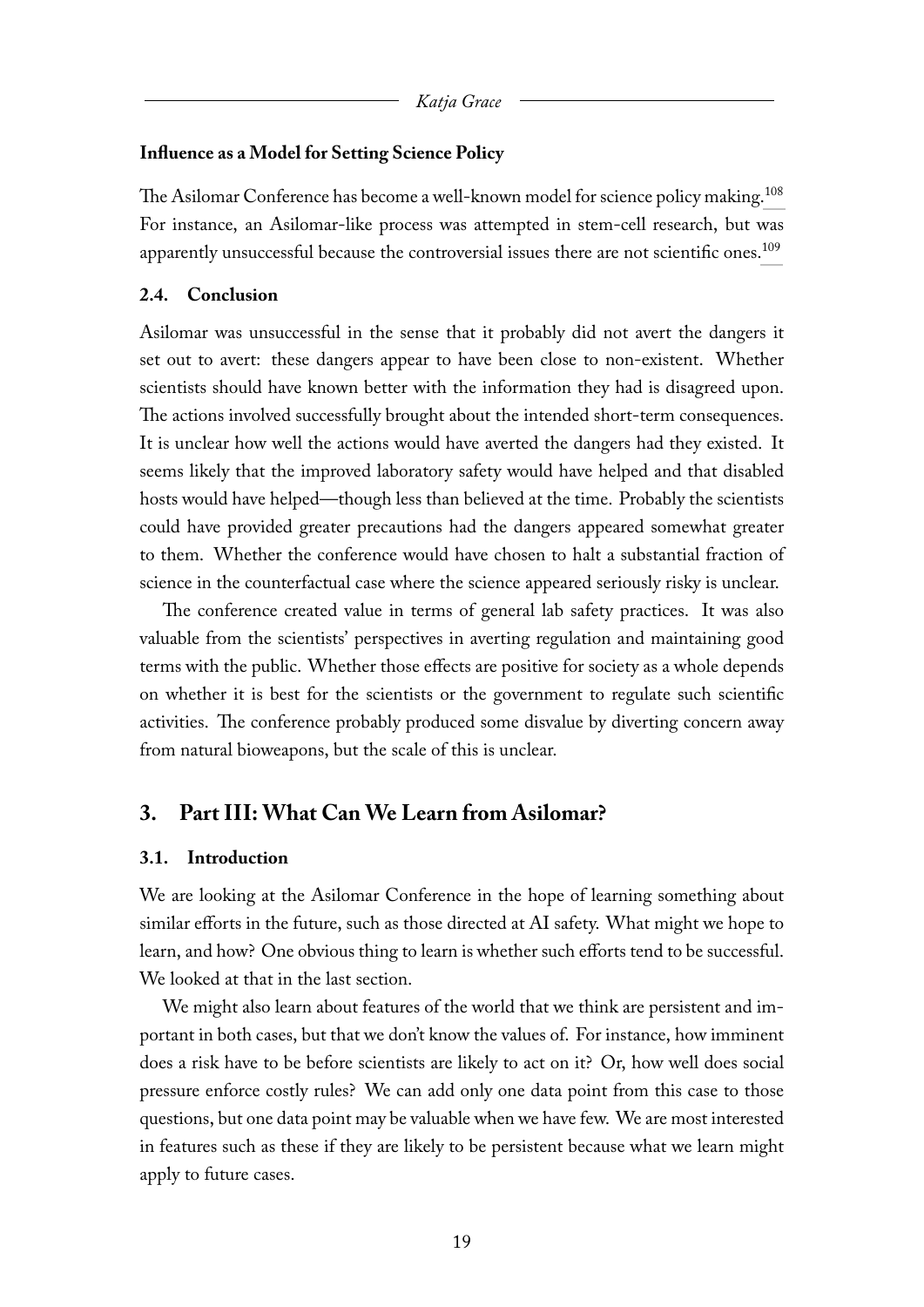#### <span id="page-19-0"></span>**Influence as a Model for Setting Science Policy**

<span id="page-19-5"></span><span id="page-19-4"></span>The Asilomar Conference has become a well-known model for science policy making.<sup>[108](#page-49-4)</sup> For instance, an Asilomar-like process was attempted in stem-cell research, but was apparently unsuccessful because the controversial issues there are not scientific ones.<sup>[109](#page-49-5)</sup>

#### <span id="page-19-1"></span>**2.4. Conclusion**

Asilomar was unsuccessful in the sense that it probably did not avert the dangers it set out to avert: these dangers appear to have been close to non-existent. Whether scientists should have known better with the information they had is disagreed upon. The actions involved successfully brought about the intended short-term consequences. It is unclear how well the actions would have averted the dangers had they existed. It seems likely that the improved laboratory safety would have helped and that disabled hosts would have helped—though less than believed at the time. Probably the scientists could have provided greater precautions had the dangers appeared somewhat greater to them. Whether the conference would have chosen to halt a substantial fraction of science in the counterfactual case where the science appeared seriously risky is unclear.

The conference created value in terms of general lab safety practices. It was also valuable from the scientists' perspectives in averting regulation and maintaining good terms with the public. Whether those effects are positive for society as a whole depends on whether it is best for the scientists or the government to regulate such scientific activities. The conference probably produced some disvalue by diverting concern away from natural bioweapons, but the scale of this is unclear.

### <span id="page-19-2"></span>**3. Part III: What Can We Learn from Asilomar?**

#### <span id="page-19-3"></span>**3.1. Introduction**

We are looking at the Asilomar Conference in the hope of learning something about similar efforts in the future, such as those directed at AI safety. What might we hope to learn, and how? One obvious thing to learn is whether such efforts tend to be successful. We looked at that in the last section.

We might also learn about features of the world that we think are persistent and important in both cases, but that we don't know the values of. For instance, how imminent does a risk have to be before scientists are likely to act on it? Or, how well does social pressure enforce costly rules? We can add only one data point from this case to those questions, but one data point may be valuable when we have few. We are most interested in features such as these if they are likely to be persistent because what we learn might apply to future cases.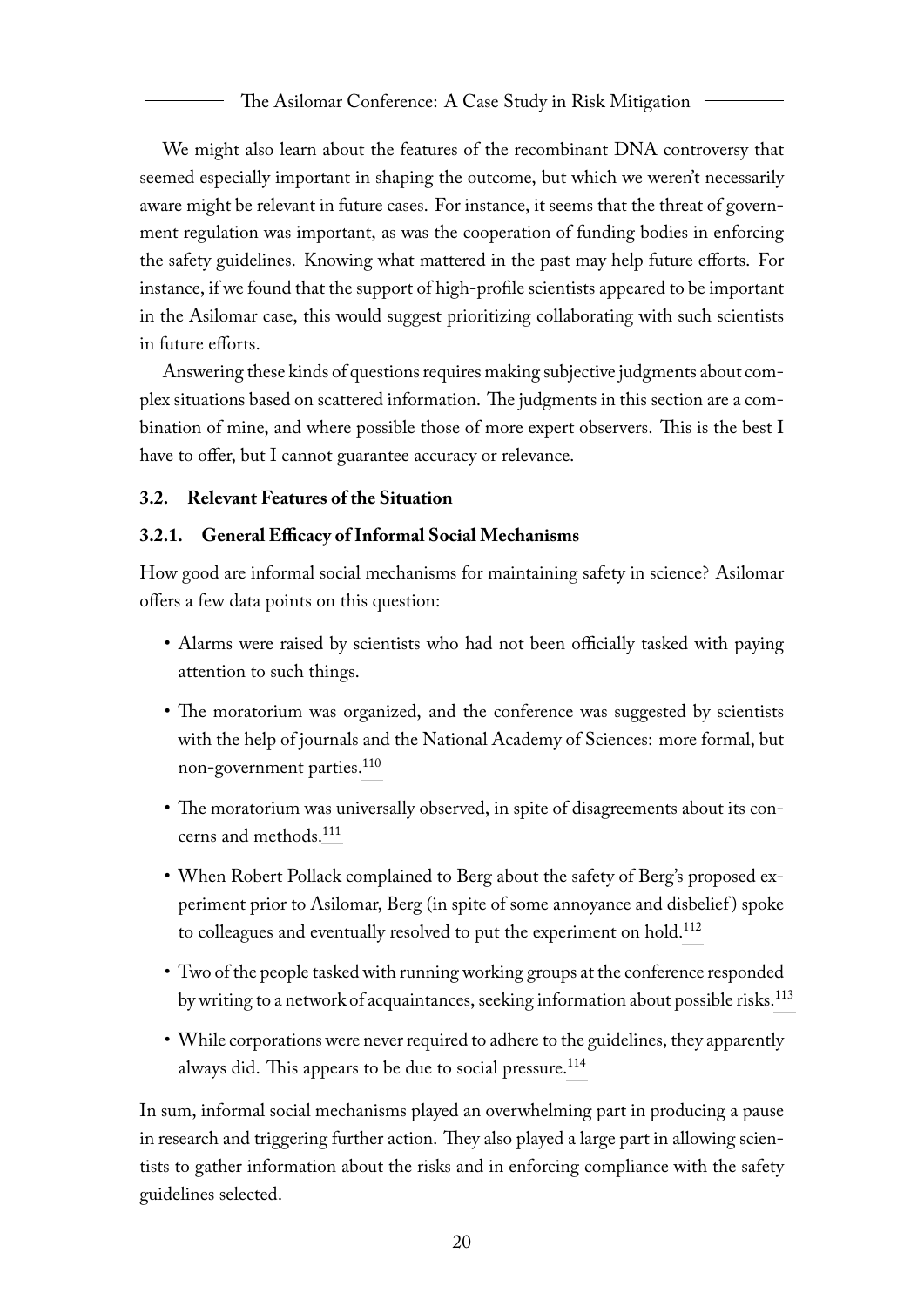We might also learn about the features of the recombinant DNA controversy that seemed especially important in shaping the outcome, but which we weren't necessarily aware might be relevant in future cases. For instance, it seems that the threat of government regulation was important, as was the cooperation of funding bodies in enforcing the safety guidelines. Knowing what mattered in the past may help future efforts. For instance, if we found that the support of high-profile scientists appeared to be important in the Asilomar case, this would suggest prioritizing collaborating with such scientists in future efforts.

Answering these kinds of questions requires making subjective judgments about complex situations based on scattered information. The judgments in this section are a combination of mine, and where possible those of more expert observers. This is the best I have to offer, but I cannot guarantee accuracy or relevance.

#### <span id="page-20-0"></span>**3.2. Relevant Features of the Situation**

#### <span id="page-20-1"></span>**3.2.1. General Efficacy of Informal Social Mechanisms**

How good are informal social mechanisms for maintaining safety in science? Asilomar offers a few data points on this question:

- Alarms were raised by scientists who had not been officially tasked with paying attention to such things.
- <span id="page-20-2"></span>• The moratorium was organized, and the conference was suggested by scientists with the help of journals and the National Academy of Sciences: more formal, but non-government parties.<sup>[110](#page-50-0)</sup>
- <span id="page-20-3"></span>• The moratorium was universally observed, in spite of disagreements about its concerns and methods.[111](#page-50-1)
- <span id="page-20-4"></span>• When Robert Pollack complained to Berg about the safety of Berg's proposed experiment prior to Asilomar, Berg (in spite of some annoyance and disbelief ) spoke to colleagues and eventually resolved to put the experiment on hold.[112](#page-50-2)
- <span id="page-20-5"></span>• Two of the people tasked with running working groups at the conference responded by writing to a network of acquaintances, seeking information about possible risks.<sup>[113](#page-51-0)</sup>
- <span id="page-20-6"></span>• While corporations were never required to adhere to the guidelines, they apparently always did. This appears to be due to social pressure.<sup>[114](#page-51-1)</sup>

In sum, informal social mechanisms played an overwhelming part in producing a pause in research and triggering further action. They also played a large part in allowing scientists to gather information about the risks and in enforcing compliance with the safety guidelines selected.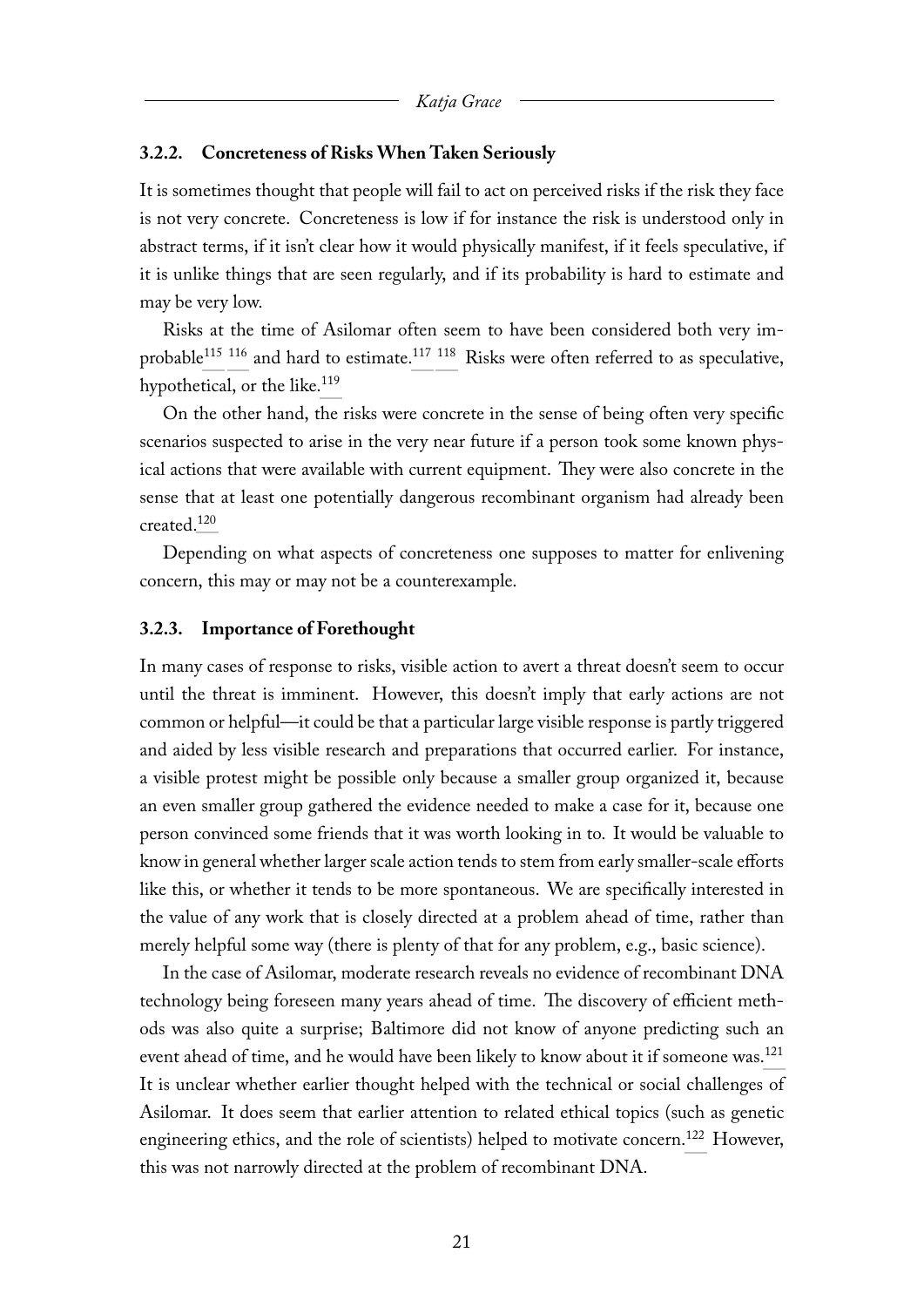#### <span id="page-21-0"></span>**3.2.2. Concreteness of Risks When Taken Seriously**

It is sometimes thought that people will fail to act on perceived risks if the risk they face is not very concrete. Concreteness is low if for instance the risk is understood only in abstract terms, if it isn't clear how it would physically manifest, if it feels speculative, if it is unlike things that are seen regularly, and if its probability is hard to estimate and may be very low.

<span id="page-21-5"></span><span id="page-21-4"></span><span id="page-21-3"></span><span id="page-21-2"></span>Risks at the time of Asilomar often seem to have been considered both very im-probable<sup>[115](#page-51-2) [116](#page-51-3)</sup> and hard to estimate.<sup>[117](#page-51-4) [118](#page-52-0)</sup> Risks were often referred to as speculative, hypothetical, or the like.<sup>[119](#page-52-1)</sup>

<span id="page-21-6"></span>On the other hand, the risks were concrete in the sense of being often very specific scenarios suspected to arise in the very near future if a person took some known physical actions that were available with current equipment. They were also concrete in the sense that at least one potentially dangerous recombinant organism had already been created.[120](#page-52-2)

<span id="page-21-7"></span>Depending on what aspects of concreteness one supposes to matter for enlivening concern, this may or may not be a counterexample.

#### <span id="page-21-1"></span>**3.2.3. Importance of Forethought**

In many cases of response to risks, visible action to avert a threat doesn't seem to occur until the threat is imminent. However, this doesn't imply that early actions are not common or helpful—it could be that a particular large visible response is partly triggered and aided by less visible research and preparations that occurred earlier. For instance, a visible protest might be possible only because a smaller group organized it, because an even smaller group gathered the evidence needed to make a case for it, because one person convinced some friends that it was worth looking in to. It would be valuable to know in general whether larger scale action tends to stem from early smaller-scale efforts like this, or whether it tends to be more spontaneous. We are specifically interested in the value of any work that is closely directed at a problem ahead of time, rather than merely helpful some way (there is plenty of that for any problem, e.g., basic science).

<span id="page-21-9"></span><span id="page-21-8"></span>In the case of Asilomar, moderate research reveals no evidence of recombinant DNA technology being foreseen many years ahead of time. The discovery of efficient methods was also quite a surprise; Baltimore did not know of anyone predicting such an event ahead of time, and he would have been likely to know about it if someone was.<sup>[121](#page-52-3)</sup> It is unclear whether earlier thought helped with the technical or social challenges of Asilomar. It does seem that earlier attention to related ethical topics (such as genetic engineering ethics, and the role of scientists) helped to motivate concern.<sup>[122](#page-52-4)</sup> However, this was not narrowly directed at the problem of recombinant DNA.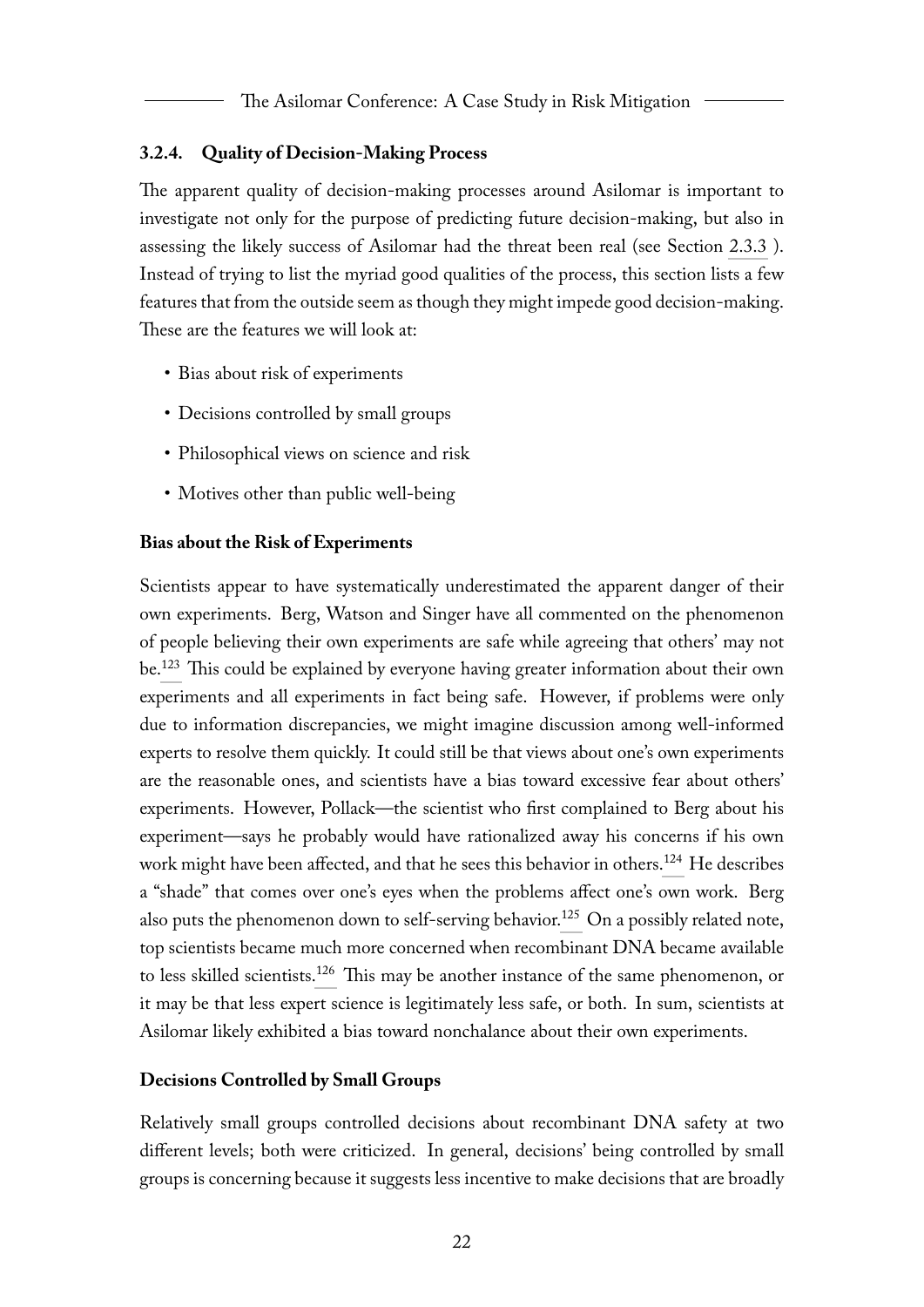#### <span id="page-22-0"></span>**3.2.4. Quality of Decision-Making Process**

The apparent quality of decision-making processes around Asilomar is important to investigate not only for the purpose of predicting future decision-making, but also in assessing the likely success of Asilomar had the threat been real (see Section [2.3.3](#page-16-0) ). Instead of trying to list the myriad good qualities of the process, this section lists a few features that from the outside seem as though they might impede good decision-making. These are the features we will look at:

- Bias about risk of experiments
- Decisions controlled by small groups
- Philosophical views on science and risk
- Motives other than public well-being

#### <span id="page-22-1"></span>**Bias about the Risk of Experiments**

<span id="page-22-3"></span>Scientists appear to have systematically underestimated the apparent danger of their own experiments. Berg, Watson and Singer have all commented on the phenomenon of people believing their own experiments are safe while agreeing that others' may not be.[123](#page-52-5) This could be explained by everyone having greater information about their own experiments and all experiments in fact being safe. However, if problems were only due to information discrepancies, we might imagine discussion among well-informed experts to resolve them quickly. It could still be that views about one's own experiments are the reasonable ones, and scientists have a bias toward excessive fear about others' experiments. However, Pollack—the scientist who first complained to Berg about his experiment—says he probably would have rationalized away his concerns if his own work might have been affected, and that he sees this behavior in others.<sup>[124](#page-53-0)</sup> He describes a "shade" that comes over one's eyes when the problems affect one's own work. Berg also puts the phenomenon down to self-serving behavior.<sup>[125](#page-53-1)</sup> On a possibly related note, top scientists became much more concerned when recombinant DNA became available to less skilled scientists.<sup>[126](#page-53-2)</sup> This may be another instance of the same phenomenon, or it may be that less expert science is legitimately less safe, or both. In sum, scientists at Asilomar likely exhibited a bias toward nonchalance about their own experiments.

#### <span id="page-22-6"></span><span id="page-22-5"></span><span id="page-22-4"></span><span id="page-22-2"></span>**Decisions Controlled by Small Groups**

Relatively small groups controlled decisions about recombinant DNA safety at two different levels; both were criticized. In general, decisions' being controlled by small groups is concerning because it suggests less incentive to make decisions that are broadly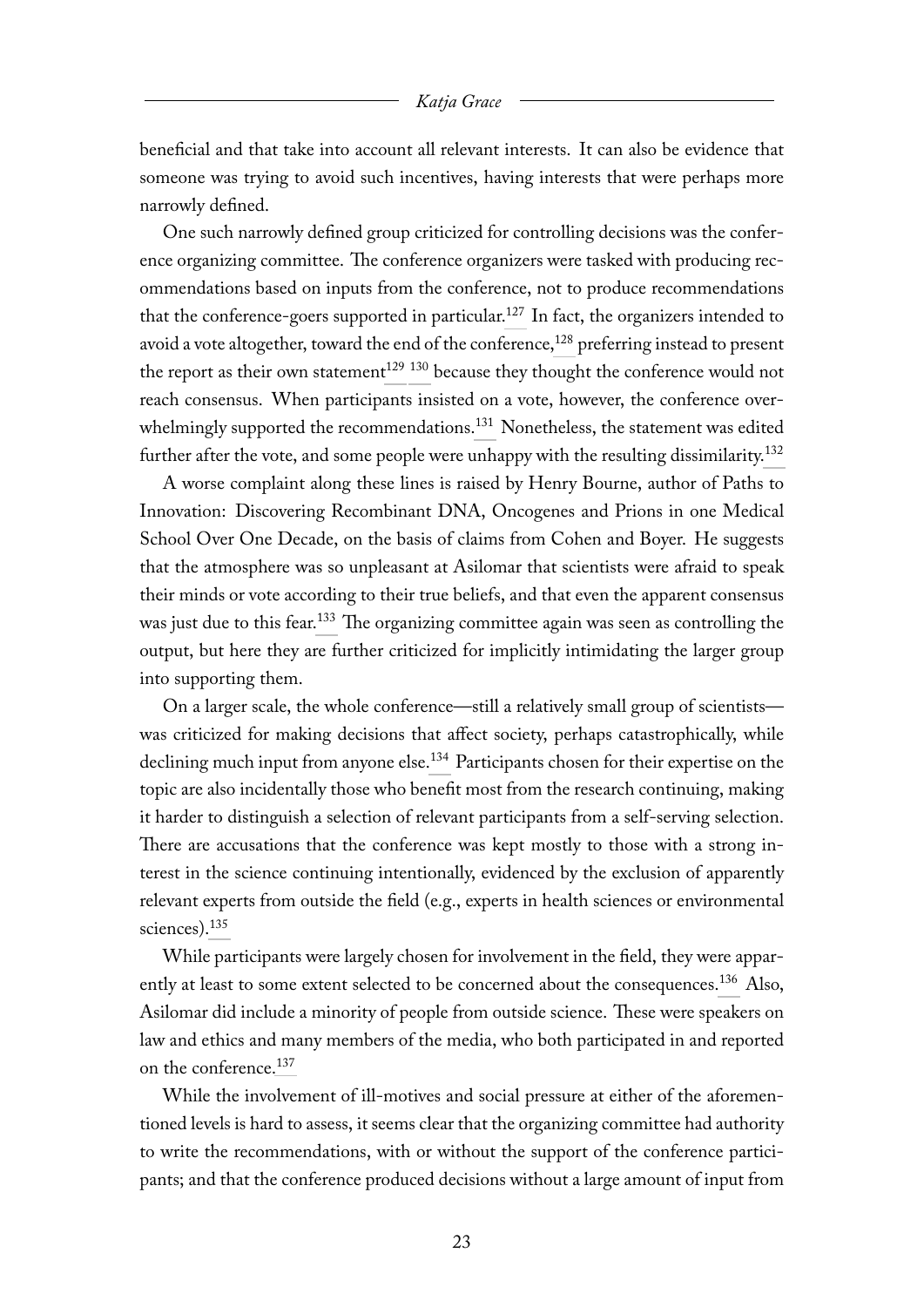beneficial and that take into account all relevant interests. It can also be evidence that someone was trying to avoid such incentives, having interests that were perhaps more narrowly defined.

<span id="page-23-1"></span><span id="page-23-0"></span>One such narrowly defined group criticized for controlling decisions was the conference organizing committee. The conference organizers were tasked with producing recommendations based on inputs from the conference, not to produce recommendations that the conference-goers supported in particular.<sup>[127](#page-53-3)</sup> In fact, the organizers intended to avoid a vote altogether, toward the end of the conference,<sup>[128](#page-53-4)</sup> preferring instead to present the report as their own statement<sup>[129](#page-53-5)</sup> <sup>130</sup> because they thought the conference would not reach consensus. When participants insisted on a vote, however, the conference over-whelmingly supported the recommendations.<sup>[131](#page-53-7)</sup> Nonetheless, the statement was edited further after the vote, and some people were unhappy with the resulting dissimilarity.<sup>[132](#page-53-8)</sup>

<span id="page-23-5"></span><span id="page-23-4"></span><span id="page-23-3"></span><span id="page-23-2"></span>A worse complaint along these lines is raised by Henry Bourne, author of Paths to Innovation: Discovering Recombinant DNA, Oncogenes and Prions in one Medical School Over One Decade, on the basis of claims from Cohen and Boyer. He suggests that the atmosphere was so unpleasant at Asilomar that scientists were afraid to speak their minds or vote according to their true beliefs, and that even the apparent consensus was just due to this fear.<sup>[133](#page-54-0)</sup> The organizing committee again was seen as controlling the output, but here they are further criticized for implicitly intimidating the larger group into supporting them.

<span id="page-23-7"></span><span id="page-23-6"></span>On a larger scale, the whole conference—still a relatively small group of scientists was criticized for making decisions that affect society, perhaps catastrophically, while declining much input from anyone else.<sup>[134](#page-54-1)</sup> Participants chosen for their expertise on the topic are also incidentally those who benefit most from the research continuing, making it harder to distinguish a selection of relevant participants from a self-serving selection. There are accusations that the conference was kept mostly to those with a strong interest in the science continuing intentionally, evidenced by the exclusion of apparently relevant experts from outside the field (e.g., experts in health sciences or environmental sciences).<sup>[135](#page-54-2)</sup>

<span id="page-23-9"></span><span id="page-23-8"></span>While participants were largely chosen for involvement in the field, they were appar-ently at least to some extent selected to be concerned about the consequences.<sup>[136](#page-54-3)</sup> Also, Asilomar did include a minority of people from outside science. These were speakers on law and ethics and many members of the media, who both participated in and reported on the conference.[137](#page-54-4)

<span id="page-23-10"></span>While the involvement of ill-motives and social pressure at either of the aforementioned levels is hard to assess, it seems clear that the organizing committee had authority to write the recommendations, with or without the support of the conference participants; and that the conference produced decisions without a large amount of input from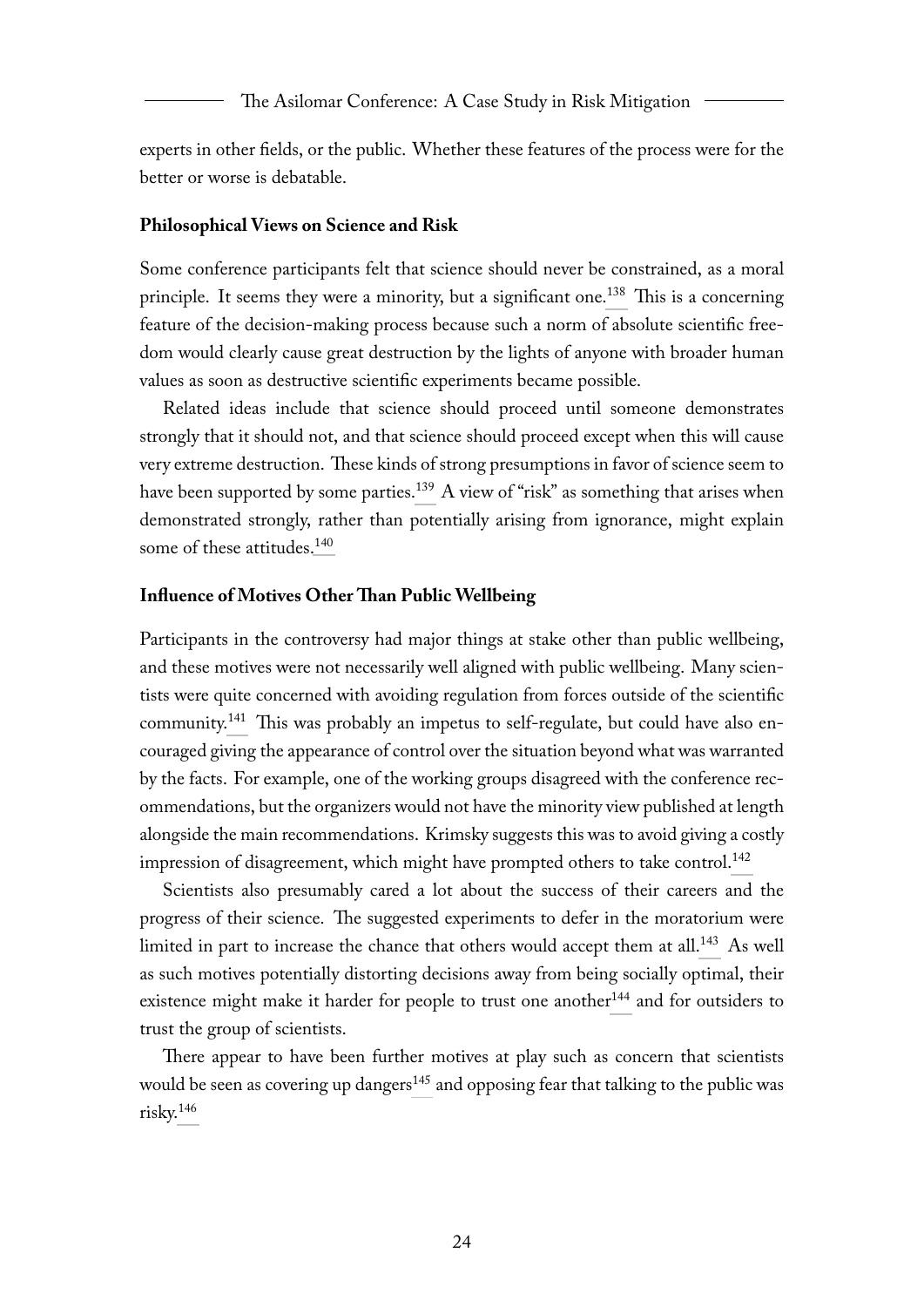experts in other fields, or the public. Whether these features of the process were for the better or worse is debatable.

#### <span id="page-24-0"></span>**Philosophical Views on Science and Risk**

<span id="page-24-2"></span>Some conference participants felt that science should never be constrained, as a moral principle. It seems they were a minority, but a significant one.<sup>[138](#page-54-5)</sup> This is a concerning feature of the decision-making process because such a norm of absolute scientific freedom would clearly cause great destruction by the lights of anyone with broader human values as soon as destructive scientific experiments became possible.

<span id="page-24-3"></span>Related ideas include that science should proceed until someone demonstrates strongly that it should not, and that science should proceed except when this will cause very extreme destruction. These kinds of strong presumptions in favor of science seem to have been supported by some parties.<sup>[139](#page-55-0)</sup> A view of "risk" as something that arises when demonstrated strongly, rather than potentially arising from ignorance, might explain some of these attitudes.<sup>[140](#page-55-1)</sup>

#### <span id="page-24-4"></span><span id="page-24-1"></span>**Influence of Motives Other Than Public Wellbeing**

<span id="page-24-5"></span>Participants in the controversy had major things at stake other than public wellbeing, and these motives were not necessarily well aligned with public wellbeing. Many scientists were quite concerned with avoiding regulation from forces outside of the scientific community.[141](#page-55-2) This was probably an impetus to self-regulate, but could have also encouraged giving the appearance of control over the situation beyond what was warranted by the facts. For example, one of the working groups disagreed with the conference recommendations, but the organizers would not have the minority view published at length alongside the main recommendations. Krimsky suggests this was to avoid giving a costly impression of disagreement, which might have prompted others to take control.<sup>[142](#page-55-3)</sup>

<span id="page-24-7"></span><span id="page-24-6"></span>Scientists also presumably cared a lot about the success of their careers and the progress of their science. The suggested experiments to defer in the moratorium were limited in part to increase the chance that others would accept them at all.<sup>[143](#page-56-0)</sup> As well as such motives potentially distorting decisions away from being socially optimal, their existence might make it harder for people to trust one another<sup>[144](#page-56-1)</sup> and for outsiders to trust the group of scientists.

<span id="page-24-10"></span><span id="page-24-9"></span><span id="page-24-8"></span>There appear to have been further motives at play such as concern that scientists would be seen as covering up dangers<sup>[145](#page-56-2)</sup> and opposing fear that talking to the public was risky.[146](#page-56-3)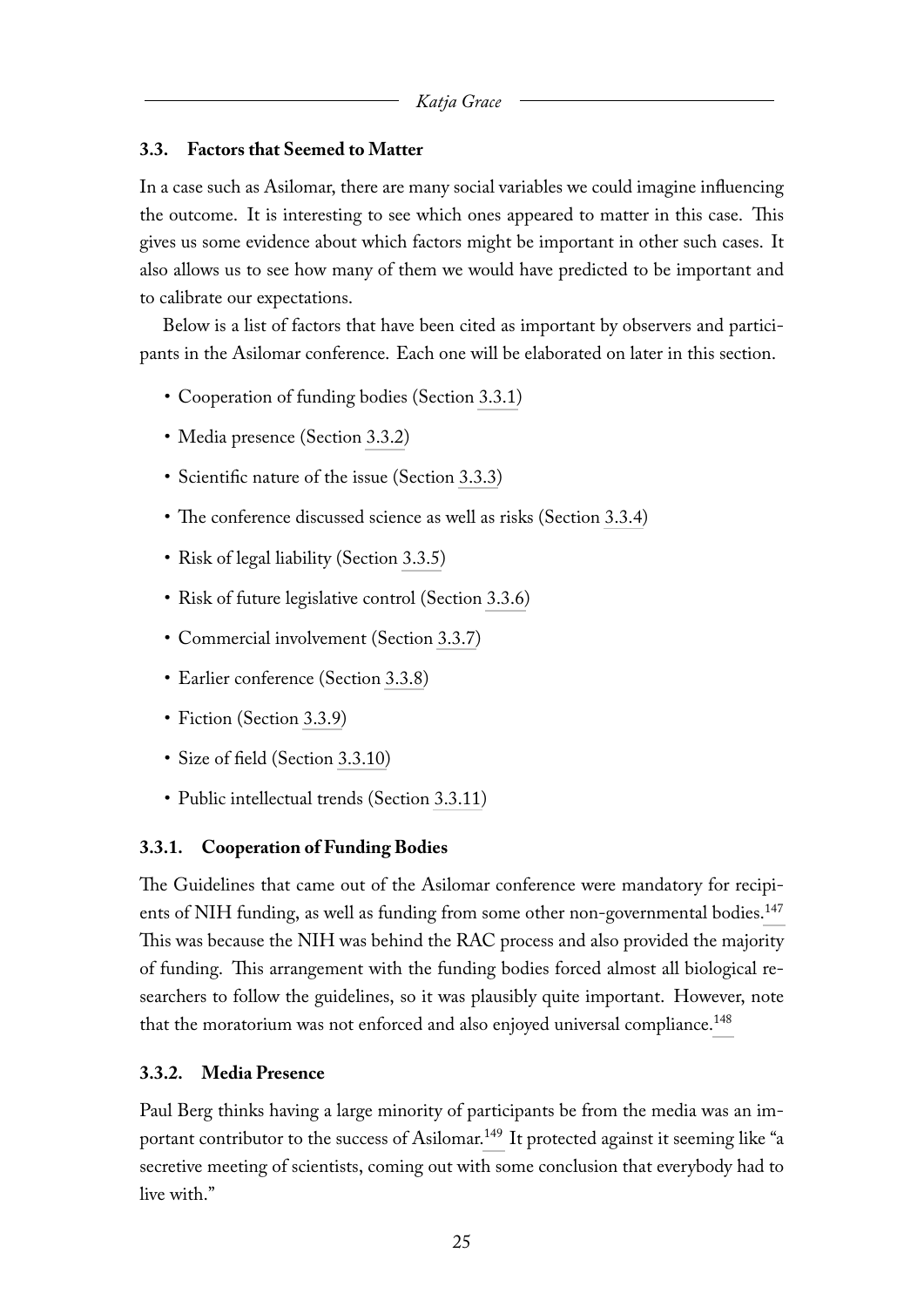### <span id="page-25-0"></span>**3.3. Factors that Seemed to Matter**

In a case such as Asilomar, there are many social variables we could imagine influencing the outcome. It is interesting to see which ones appeared to matter in this case. This gives us some evidence about which factors might be important in other such cases. It also allows us to see how many of them we would have predicted to be important and to calibrate our expectations.

Below is a list of factors that have been cited as important by observers and participants in the Asilomar conference. Each one will be elaborated on later in this section.

- Cooperation of funding bodies (Section [3.3.1\)](#page-25-1)
- Media presence (Section [3.3.2\)](#page-25-2)
- Scientific nature of the issue (Section [3.3.3\)](#page-26-0)
- The conference discussed science as well as risks (Section [3.3.4\)](#page-26-1)
- Risk of legal liability (Section [3.3.5\)](#page-26-2)
- Risk of future legislative control (Section [3.3.6\)](#page-26-3)
- Commercial involvement (Section [3.3.7\)](#page-26-4)
- Earlier conference (Section [3.3.8\)](#page-27-0)
- Fiction (Section [3.3.9\)](#page-27-1)
- Size of field (Section [3.3.10\)](#page-27-2)
- <span id="page-25-3"></span>• Public intellectual trends (Section [3.3.11\)](#page-27-3)

### <span id="page-25-1"></span>**3.3.1. Cooperation of Funding Bodies**

The Guidelines that came out of the Asilomar conference were mandatory for recipi-ents of NIH funding, as well as funding from some other non-governmental bodies.<sup>[147](#page-56-4)</sup> This was because the NIH was behind the RAC process and also provided the majority of funding. This arrangement with the funding bodies forced almost all biological researchers to follow the guidelines, so it was plausibly quite important. However, note that the moratorium was not enforced and also enjoyed universal compliance.<sup>[148](#page-57-0)</sup>

### <span id="page-25-4"></span><span id="page-25-2"></span>**3.3.2. Media Presence**

<span id="page-25-5"></span>Paul Berg thinks having a large minority of participants be from the media was an im-portant contributor to the success of Asilomar.<sup>[149](#page-57-1)</sup> It protected against it seeming like "a secretive meeting of scientists, coming out with some conclusion that everybody had to live with."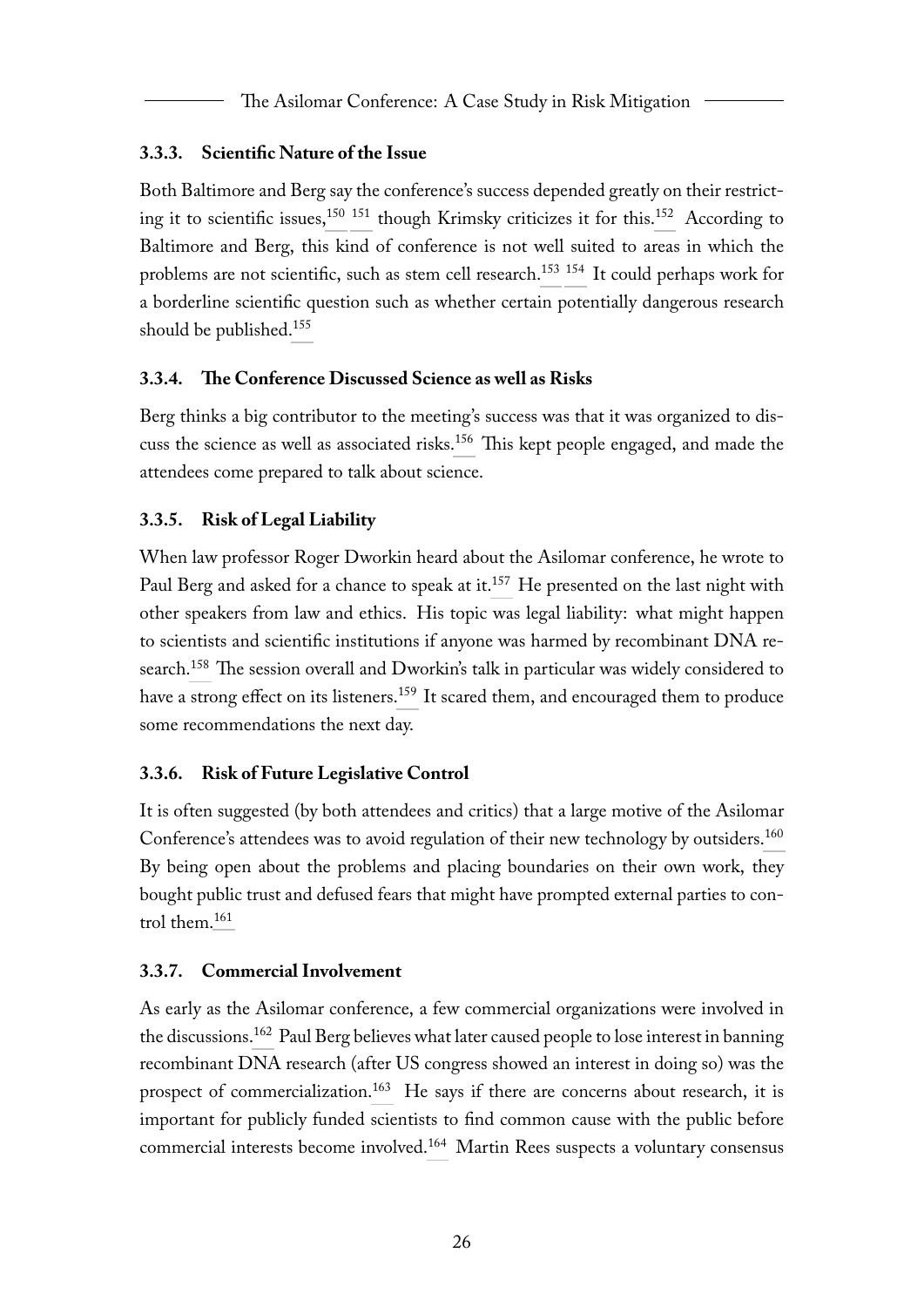### <span id="page-26-0"></span>**3.3.3. Scientific Nature of the Issue**

<span id="page-26-9"></span><span id="page-26-8"></span><span id="page-26-7"></span><span id="page-26-6"></span><span id="page-26-5"></span>Both Baltimore and Berg say the conference's success depended greatly on their restrict-ing it to scientific issues,<sup>[150](#page-57-2) [151](#page-57-3)</sup> though Krimsky criticizes it for this.<sup>[152](#page-57-4)</sup> According to Baltimore and Berg, this kind of conference is not well suited to areas in which the problems are not scientific, such as stem cell research.<sup>[153](#page-57-5)</sup> <sup>154</sup> It could perhaps work for a borderline scientific question such as whether certain potentially dangerous research should be published.[155](#page-57-7)

### <span id="page-26-10"></span><span id="page-26-1"></span>**3.3.4. The Conference Discussed Science as well as Risks**

<span id="page-26-11"></span>Berg thinks a big contributor to the meeting's success was that it was organized to discuss the science as well as associated risks.[156](#page-58-0) This kept people engaged, and made the attendees come prepared to talk about science.

### <span id="page-26-2"></span>**3.3.5. Risk of Legal Liability**

<span id="page-26-13"></span><span id="page-26-12"></span>When law professor Roger Dworkin heard about the Asilomar conference, he wrote to Paul Berg and asked for a chance to speak at it.<sup>[157](#page-58-1)</sup> He presented on the last night with other speakers from law and ethics. His topic was legal liability: what might happen to scientists and scientific institutions if anyone was harmed by recombinant DNA research.[158](#page-58-2) The session overall and Dworkin's talk in particular was widely considered to have a strong effect on its listeners.<sup>[159](#page-58-3)</sup> It scared them, and encouraged them to produce some recommendations the next day.

### <span id="page-26-14"></span><span id="page-26-3"></span>**3.3.6. Risk of Future Legislative Control**

<span id="page-26-15"></span>It is often suggested (by both attendees and critics) that a large motive of the Asilomar Conference's attendees was to avoid regulation of their new technology by outsiders.<sup>[160](#page-59-0)</sup> By being open about the problems and placing boundaries on their own work, they bought public trust and defused fears that might have prompted external parties to control them.[161](#page-59-1)

### <span id="page-26-16"></span><span id="page-26-4"></span>**3.3.7. Commercial Involvement**

<span id="page-26-19"></span><span id="page-26-18"></span><span id="page-26-17"></span>As early as the Asilomar conference, a few commercial organizations were involved in the discussions.<sup>[162](#page-59-2)</sup> Paul Berg believes what later caused people to lose interest in banning recombinant DNA research (after US congress showed an interest in doing so) was the prospect of commercialization.<sup>[163](#page-59-3)</sup> He says if there are concerns about research, it is important for publicly funded scientists to find common cause with the public before commercial interests become involved.[164](#page-60-0) Martin Rees suspects a voluntary consensus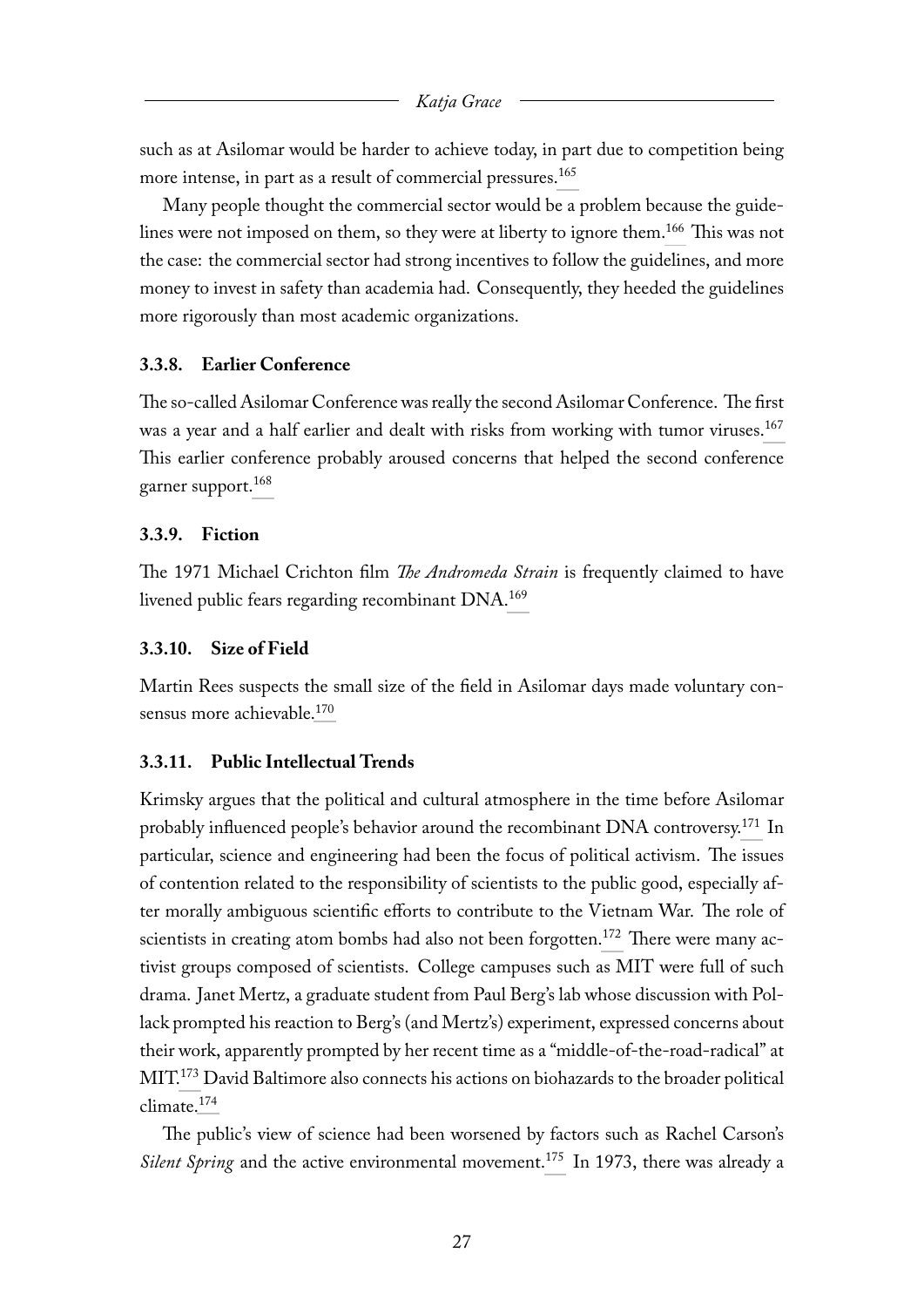<span id="page-27-4"></span>such as at Asilomar would be harder to achieve today, in part due to competition being more intense, in part as a result of commercial pressures.<sup>[165](#page-60-1)</sup>

<span id="page-27-5"></span>Many people thought the commercial sector would be a problem because the guidelines were not imposed on them, so they were at liberty to ignore them.[166](#page-60-2) This was not the case: the commercial sector had strong incentives to follow the guidelines, and more money to invest in safety than academia had. Consequently, they heeded the guidelines more rigorously than most academic organizations.

#### <span id="page-27-0"></span>**3.3.8. Earlier Conference**

<span id="page-27-6"></span>The so-called Asilomar Conference was really the second Asilomar Conference. The first was a year and a half earlier and dealt with risks from working with tumor viruses.<sup>[167](#page-61-0)</sup> This earlier conference probably aroused concerns that helped the second conference garner support.[168](#page-61-1)

#### <span id="page-27-7"></span><span id="page-27-1"></span>**3.3.9. Fiction**

<span id="page-27-8"></span>The 1971 Michael Crichton film *The Andromeda Strain* is frequently claimed to have livened public fears regarding recombinant DNA.<sup>[169](#page-61-2)</sup>

#### <span id="page-27-2"></span>**3.3.10. Size of Field**

<span id="page-27-9"></span>Martin Rees suspects the small size of the field in Asilomar days made voluntary con-sensus more achievable.<sup>[170](#page-61-3)</sup>

#### <span id="page-27-3"></span>**3.3.11. Public Intellectual Trends**

<span id="page-27-11"></span><span id="page-27-10"></span>Krimsky argues that the political and cultural atmosphere in the time before Asilomar probably influenced people's behavior around the recombinant DNA controversy.[171](#page-61-4) In particular, science and engineering had been the focus of political activism. The issues of contention related to the responsibility of scientists to the public good, especially after morally ambiguous scientific efforts to contribute to the Vietnam War. The role of scientists in creating atom bombs had also not been forgotten.<sup>[172](#page-62-0)</sup> There were many activist groups composed of scientists. College campuses such as MIT were full of such drama. Janet Mertz, a graduate student from Paul Berg's lab whose discussion with Pollack prompted his reaction to Berg's (and Mertz's) experiment, expressed concerns about their work, apparently prompted by her recent time as a "middle-of-the-road-radical" at MIT.[173](#page-63-0) David Baltimore also connects his actions on biohazards to the broader political climate.[174](#page-63-1)

<span id="page-27-14"></span><span id="page-27-13"></span><span id="page-27-12"></span>The public's view of science had been worsened by factors such as Rachel Carson's *Silent Spring* and the active environmental movement.<sup>[175](#page-63-2)</sup> In 1973, there was already a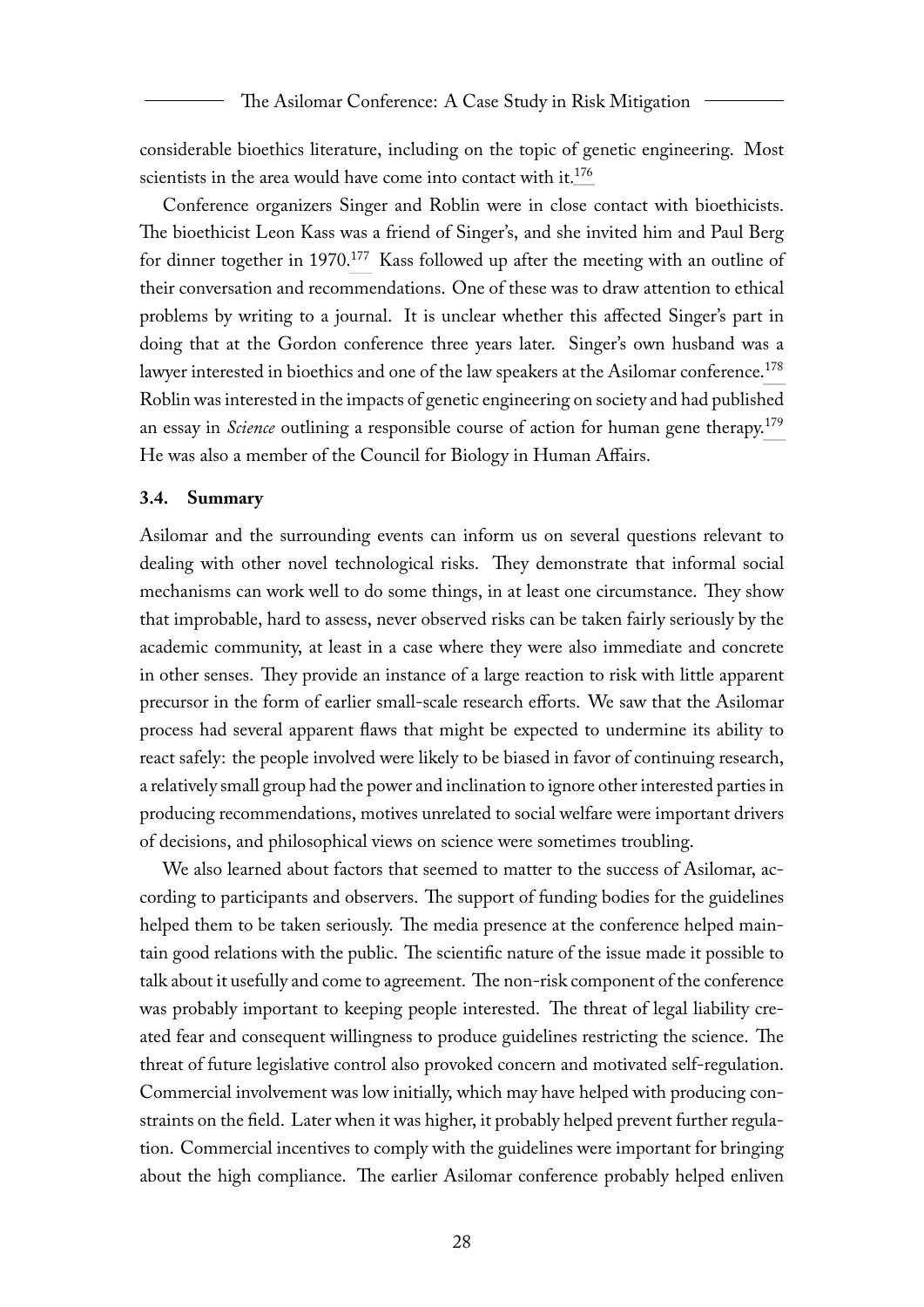<span id="page-28-1"></span>considerable bioethics literature, including on the topic of genetic engineering. Most scientists in the area would have come into contact with it.<sup>[176](#page-63-3)</sup>

<span id="page-28-2"></span>Conference organizers Singer and Roblin were in close contact with bioethicists. The bioethicist Leon Kass was a friend of Singer's, and she invited him and Paul Berg for dinner together in 1970.<sup>[177](#page-63-4)</sup> Kass followed up after the meeting with an outline of their conversation and recommendations. One of these was to draw attention to ethical problems by writing to a journal. It is unclear whether this affected Singer's part in doing that at the Gordon conference three years later. Singer's own husband was a lawyer interested in bioethics and one of the law speakers at the Asilomar conference.<sup>[178](#page-64-0)</sup> Roblin was interested in the impacts of genetic engineering on society and had published an essay in *Science* outlining a responsible course of action for human gene therapy.[179](#page-64-1) He was also a member of the Council for Biology in Human Affairs.

#### <span id="page-28-4"></span><span id="page-28-3"></span><span id="page-28-0"></span>**3.4. Summary**

Asilomar and the surrounding events can inform us on several questions relevant to dealing with other novel technological risks. They demonstrate that informal social mechanisms can work well to do some things, in at least one circumstance. They show that improbable, hard to assess, never observed risks can be taken fairly seriously by the academic community, at least in a case where they were also immediate and concrete in other senses. They provide an instance of a large reaction to risk with little apparent precursor in the form of earlier small-scale research efforts. We saw that the Asilomar process had several apparent flaws that might be expected to undermine its ability to react safely: the people involved were likely to be biased in favor of continuing research, a relatively small group had the power and inclination to ignore other interested parties in producing recommendations, motives unrelated to social welfare were important drivers of decisions, and philosophical views on science were sometimes troubling.

We also learned about factors that seemed to matter to the success of Asilomar, according to participants and observers. The support of funding bodies for the guidelines helped them to be taken seriously. The media presence at the conference helped maintain good relations with the public. The scientific nature of the issue made it possible to talk about it usefully and come to agreement. The non-risk component of the conference was probably important to keeping people interested. The threat of legal liability created fear and consequent willingness to produce guidelines restricting the science. The threat of future legislative control also provoked concern and motivated self-regulation. Commercial involvement was low initially, which may have helped with producing constraints on the field. Later when it was higher, it probably helped prevent further regulation. Commercial incentives to comply with the guidelines were important for bringing about the high compliance. The earlier Asilomar conference probably helped enliven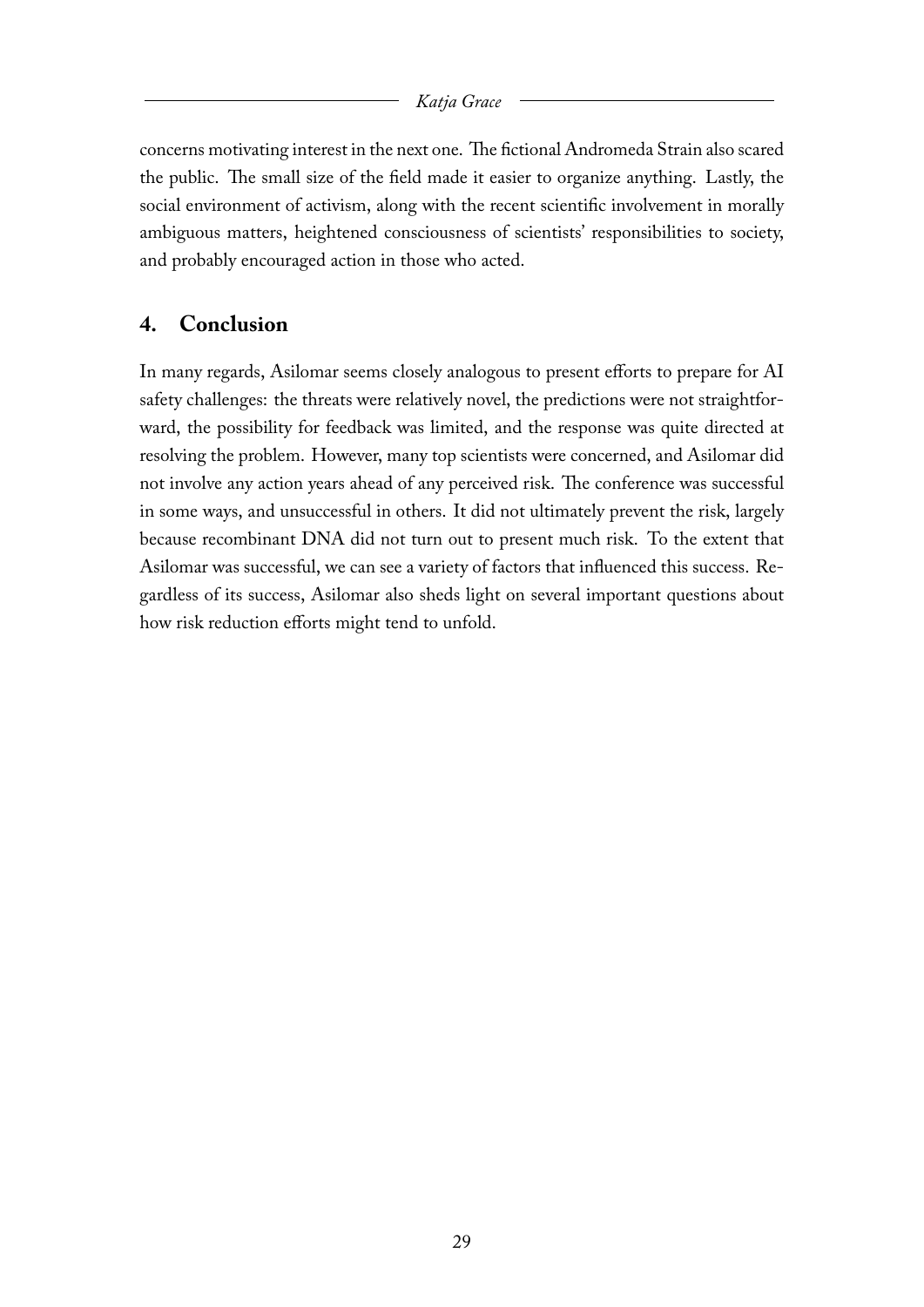concerns motivating interest in the next one. The fictional Andromeda Strain also scared the public. The small size of the field made it easier to organize anything. Lastly, the social environment of activism, along with the recent scientific involvement in morally ambiguous matters, heightened consciousness of scientists' responsibilities to society, and probably encouraged action in those who acted.

### <span id="page-29-0"></span>**4. Conclusion**

In many regards, Asilomar seems closely analogous to present efforts to prepare for AI safety challenges: the threats were relatively novel, the predictions were not straightforward, the possibility for feedback was limited, and the response was quite directed at resolving the problem. However, many top scientists were concerned, and Asilomar did not involve any action years ahead of any perceived risk. The conference was successful in some ways, and unsuccessful in others. It did not ultimately prevent the risk, largely because recombinant DNA did not turn out to present much risk. To the extent that Asilomar was successful, we can see a variety of factors that influenced this success. Regardless of its success, Asilomar also sheds light on several important questions about how risk reduction efforts might tend to unfold.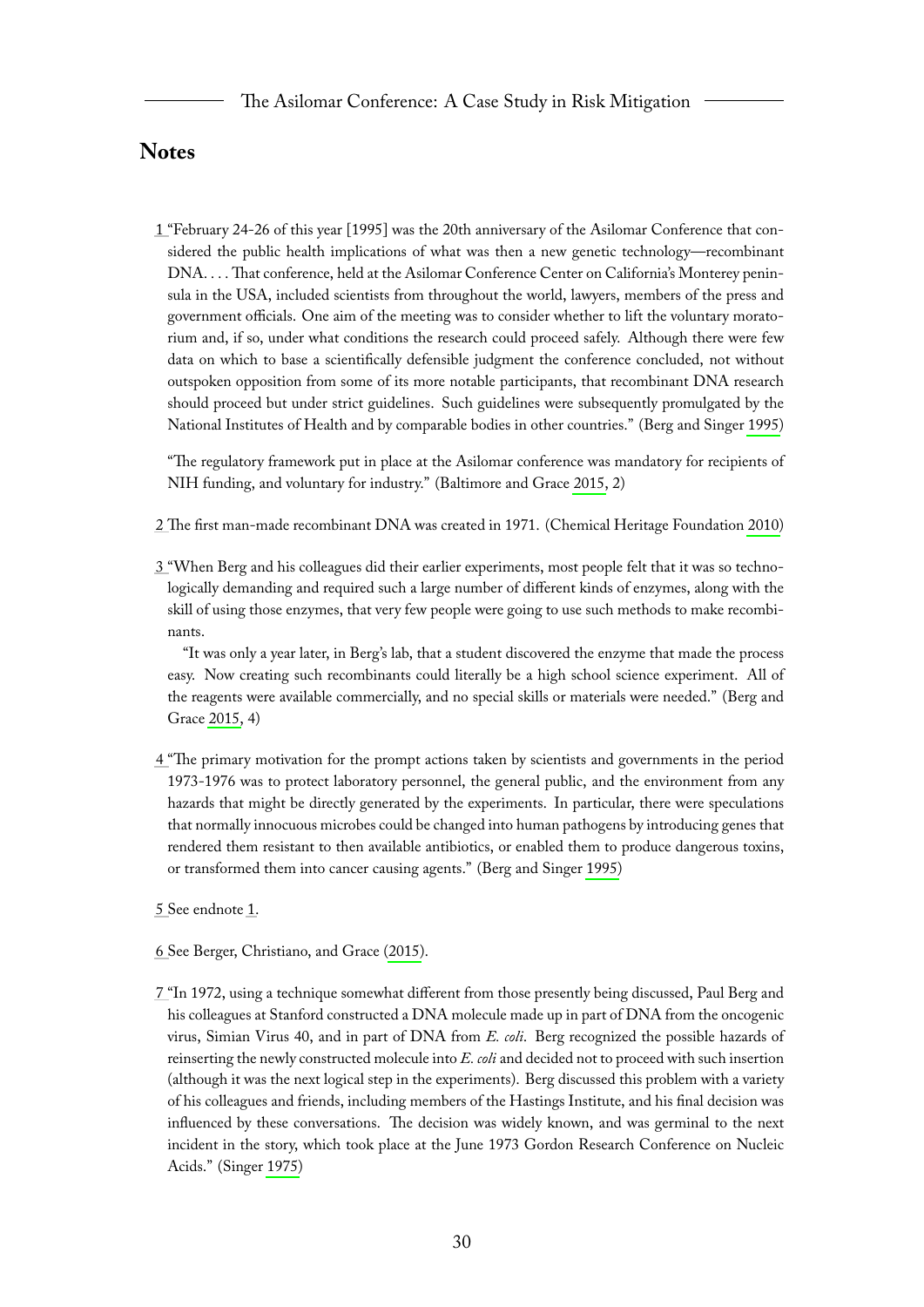### <span id="page-30-0"></span>**Notes**

<span id="page-30-1"></span>[1 "](#page-3-1)February 24-26 of this year [1995] was the 20th anniversary of the Asilomar Conference that considered the public health implications of what was then a new genetic technology—recombinant DNA. . . . That conference, held at the Asilomar Conference Center on California's Monterey peninsula in the USA, included scientists from throughout the world, lawyers, members of the press and government officials. One aim of the meeting was to consider whether to lift the voluntary moratorium and, if so, under what conditions the research could proceed safely. Although there were few data on which to base a scientifically defensible judgment the conference concluded, not without outspoken opposition from some of its more notable participants, that recombinant DNA research should proceed but under strict guidelines. Such guidelines were subsequently promulgated by the National Institutes of Health and by comparable bodies in other countries." (Berg and Singer [1995\)](#page-65-1)

"The regulatory framework put in place at the Asilomar conference was mandatory for recipients of NIH funding, and voluntary for industry." (Baltimore and Grace [2015,](#page-65-2) 2)

<span id="page-30-2"></span>[2 Th](#page-3-2)e first man-made recombinant DNA was created in 1971. (Chemical Heritage Foundation [2010\)](#page-66-1)

<span id="page-30-3"></span>[3 "](#page-3-3)When Berg and his colleagues did their earlier experiments, most people felt that it was so technologically demanding and required such a large number of different kinds of enzymes, along with the skill of using those enzymes, that very few people were going to use such methods to make recombinants.

"It was only a year later, in Berg's lab, that a student discovered the enzyme that made the process easy. Now creating such recombinants could literally be a high school science experiment. All of the reagents were available commercially, and no special skills or materials were needed." (Berg and Grace [2015,](#page-65-3) 4)

<span id="page-30-4"></span>[4 "](#page-3-4)The primary motivation for the prompt actions taken by scientists and governments in the period 1973-1976 was to protect laboratory personnel, the general public, and the environment from any hazards that might be directly generated by the experiments. In particular, there were speculations that normally innocuous microbes could be changed into human pathogens by introducing genes that rendered them resistant to then available antibiotics, or enabled them to produce dangerous toxins, or transformed them into cancer causing agents." (Berg and Singer [1995\)](#page-65-1)

<span id="page-30-5"></span>[5 S](#page-3-5)ee endnote [1.](#page-30-1)

- <span id="page-30-6"></span>[6 S](#page-3-6)ee Berger, Christiano, and Grace [\(2015\)](#page-65-4).
- <span id="page-30-7"></span>[7 "](#page-4-1)In 1972, using a technique somewhat different from those presently being discussed, Paul Berg and his colleagues at Stanford constructed a DNA molecule made up in part of DNA from the oncogenic virus, Simian Virus 40, and in part of DNA from *E. coli*. Berg recognized the possible hazards of reinserting the newly constructed molecule into *E. coli* and decided not to proceed with such insertion (although it was the next logical step in the experiments). Berg discussed this problem with a variety of his colleagues and friends, including members of the Hastings Institute, and his final decision was influenced by these conversations. The decision was widely known, and was germinal to the next incident in the story, which took place at the June 1973 Gordon Research Conference on Nucleic Acids." (Singer [1975\)](#page-67-0)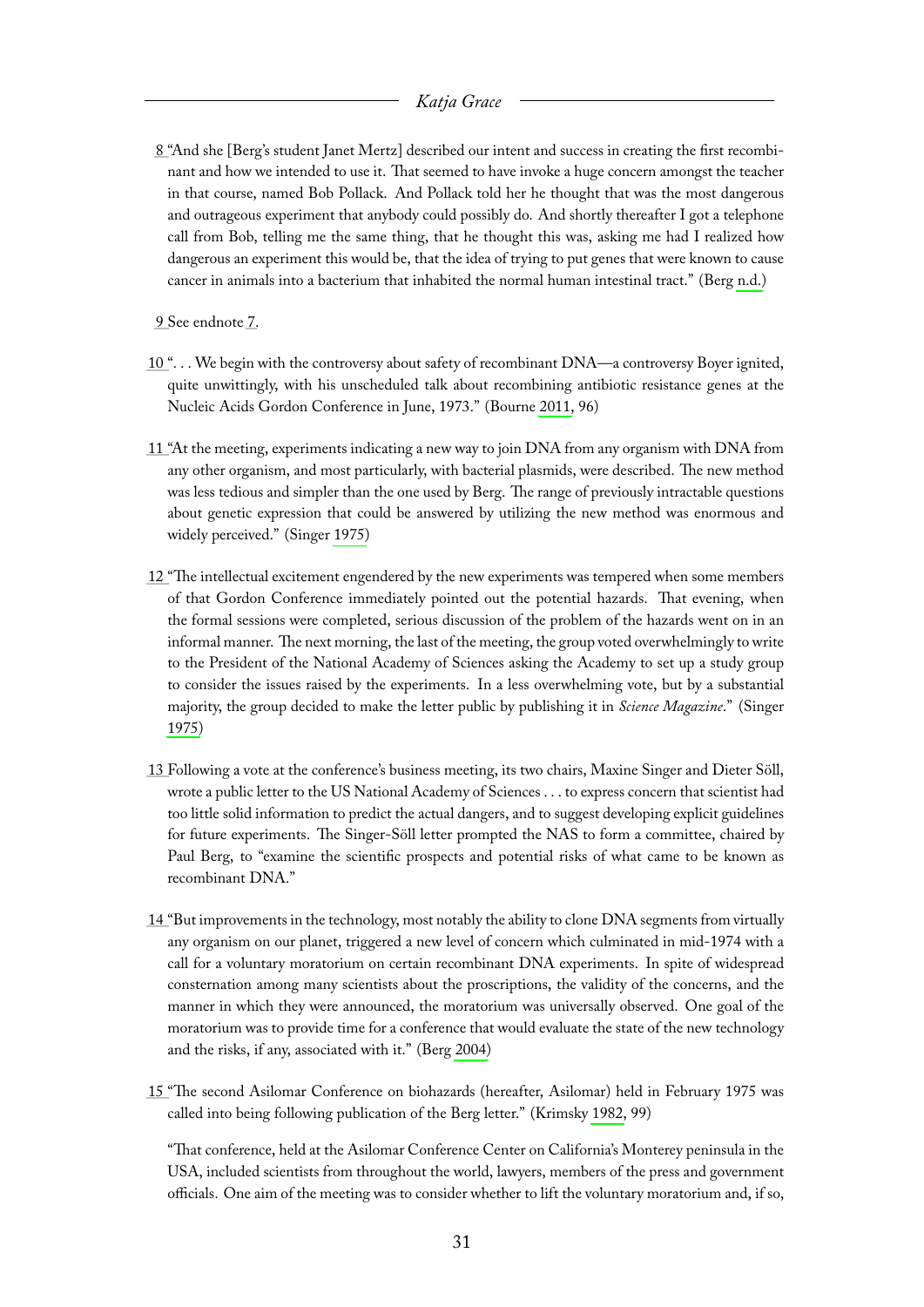- <span id="page-31-0"></span>[8 "](#page-4-2)And she [Berg's student Janet Mertz] described our intent and success in creating the first recombinant and how we intended to use it. That seemed to have invoke a huge concern amongst the teacher in that course, named Bob Pollack. And Pollack told her he thought that was the most dangerous and outrageous experiment that anybody could possibly do. And shortly thereafter I got a telephone call from Bob, telling me the same thing, that he thought this was, asking me had I realized how dangerous an experiment this would be, that the idea of trying to put genes that were known to cause cancer in animals into a bacterium that inhabited the normal human intestinal tract." (Berg [n.d.\)](#page-65-5)
- <span id="page-31-1"></span>[9 S](#page-4-3)ee endnote [7.](#page-30-7)
- <span id="page-31-2"></span>[10 "](#page-4-4). . . We begin with the controversy about safety of recombinant DNA—a controversy Boyer ignited, quite unwittingly, with his unscheduled talk about recombining antibiotic resistance genes at the Nucleic Acids Gordon Conference in June, 1973." (Bourne [2011,](#page-65-6) 96)
- <span id="page-31-3"></span>[11 "](#page-4-5)At the meeting, experiments indicating a new way to join DNA from any organism with DNA from any other organism, and most particularly, with bacterial plasmids, were described. The new method was less tedious and simpler than the one used by Berg. The range of previously intractable questions about genetic expression that could be answered by utilizing the new method was enormous and widely perceived." (Singer [1975\)](#page-67-0)
- <span id="page-31-4"></span>[12 "](#page-4-6)The intellectual excitement engendered by the new experiments was tempered when some members of that Gordon Conference immediately pointed out the potential hazards. That evening, when the formal sessions were completed, serious discussion of the problem of the hazards went on in an informal manner. The next morning, the last of the meeting, the group voted overwhelmingly to write to the President of the National Academy of Sciences asking the Academy to set up a study group to consider the issues raised by the experiments. In a less overwhelming vote, but by a substantial majority, the group decided to make the letter public by publishing it in *Science Magazine*." (Singer [1975\)](#page-67-0)
- <span id="page-31-5"></span>[13 F](#page-4-7)ollowing a vote at the conference's business meeting, its two chairs, Maxine Singer and Dieter Söll, wrote a public letter to the US National Academy of Sciences . . . to express concern that scientist had too little solid information to predict the actual dangers, and to suggest developing explicit guidelines for future experiments. The Singer-Söll letter prompted the NAS to form a committee, chaired by Paul Berg, to "examine the scientific prospects and potential risks of what came to be known as recombinant DNA."
- <span id="page-31-6"></span>[14 "](#page-4-8)But improvements in the technology, most notably the ability to clone DNA segments from virtually any organism on our planet, triggered a new level of concern which culminated in mid-1974 with a call for a voluntary moratorium on certain recombinant DNA experiments. In spite of widespread consternation among many scientists about the proscriptions, the validity of the concerns, and the manner in which they were announced, the moratorium was universally observed. One goal of the moratorium was to provide time for a conference that would evaluate the state of the new technology and the risks, if any, associated with it." (Berg [2004\)](#page-65-7)
- <span id="page-31-7"></span>[15 "](#page-4-9)The second Asilomar Conference on biohazards (hereafter, Asilomar) held in February 1975 was called into being following publication of the Berg letter." (Krimsky [1982,](#page-66-0) 99)

"That conference, held at the Asilomar Conference Center on California's Monterey peninsula in the USA, included scientists from throughout the world, lawyers, members of the press and government officials. One aim of the meeting was to consider whether to lift the voluntary moratorium and, if so,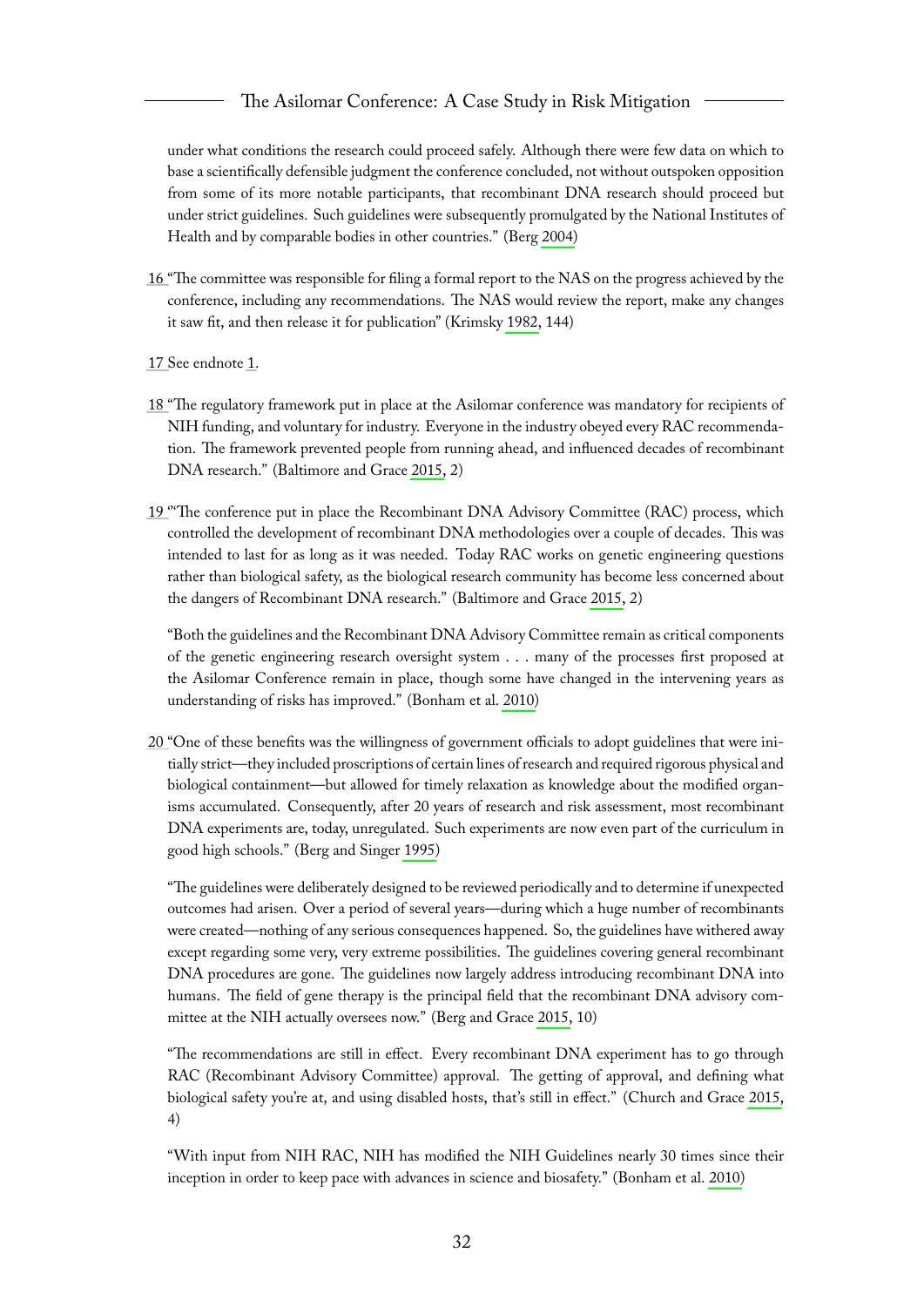under what conditions the research could proceed safely. Although there were few data on which to base a scientifically defensible judgment the conference concluded, not without outspoken opposition from some of its more notable participants, that recombinant DNA research should proceed but under strict guidelines. Such guidelines were subsequently promulgated by the National Institutes of Health and by comparable bodies in other countries." (Berg [2004\)](#page-65-7)

- <span id="page-32-0"></span>[16 "](#page-4-10)The committee was responsible for filing a formal report to the NAS on the progress achieved by the conference, including any recommendations. The NAS would review the report, make any changes it saw fit, and then release it for publication" (Krimsky [1982,](#page-66-0) 144)
- <span id="page-32-1"></span>[17 S](#page-4-11)ee endnote [1.](#page-30-1)
- <span id="page-32-2"></span>[18 "](#page-4-12)The regulatory framework put in place at the Asilomar conference was mandatory for recipients of NIH funding, and voluntary for industry. Everyone in the industry obeyed every RAC recommendation. The framework prevented people from running ahead, and influenced decades of recombinant DNA research." (Baltimore and Grace [2015,](#page-65-2) 2)
- <span id="page-32-3"></span>[19 '](#page-4-13)''The conference put in place the Recombinant DNA Advisory Committee (RAC) process, which controlled the development of recombinant DNA methodologies over a couple of decades. This was intended to last for as long as it was needed. Today RAC works on genetic engineering questions rather than biological safety, as the biological research community has become less concerned about the dangers of Recombinant DNA research." (Baltimore and Grace [2015,](#page-65-2) 2)

"Both the guidelines and the Recombinant DNA Advisory Committee remain as critical components of the genetic engineering research oversight system . . . many of the processes first proposed at the Asilomar Conference remain in place, though some have changed in the intervening years as understanding of risks has improved." (Bonham et al. [2010\)](#page-65-8)

<span id="page-32-4"></span>[20 "](#page-4-14)One of these benefits was the willingness of government officials to adopt guidelines that were initially strict—they included proscriptions of certain lines of research and required rigorous physical and biological containment—but allowed for timely relaxation as knowledge about the modified organisms accumulated. Consequently, after 20 years of research and risk assessment, most recombinant DNA experiments are, today, unregulated. Such experiments are now even part of the curriculum in good high schools." (Berg and Singer [1995\)](#page-65-1)

"The guidelines were deliberately designed to be reviewed periodically and to determine if unexpected outcomes had arisen. Over a period of several years—during which a huge number of recombinants were created—nothing of any serious consequences happened. So, the guidelines have withered away except regarding some very, very extreme possibilities. The guidelines covering general recombinant DNA procedures are gone. The guidelines now largely address introducing recombinant DNA into humans. The field of gene therapy is the principal field that the recombinant DNA advisory committee at the NIH actually oversees now." (Berg and Grace [2015,](#page-65-3) 10)

"The recommendations are still in effect. Every recombinant DNA experiment has to go through RAC (Recombinant Advisory Committee) approval. The getting of approval, and defining what biological safety you're at, and using disabled hosts, that's still in effect." (Church and Grace [2015,](#page-66-2) 4)

"With input from NIH RAC, NIH has modified the NIH Guidelines nearly 30 times since their inception in order to keep pace with advances in science and biosafety." (Bonham et al. [2010\)](#page-65-8)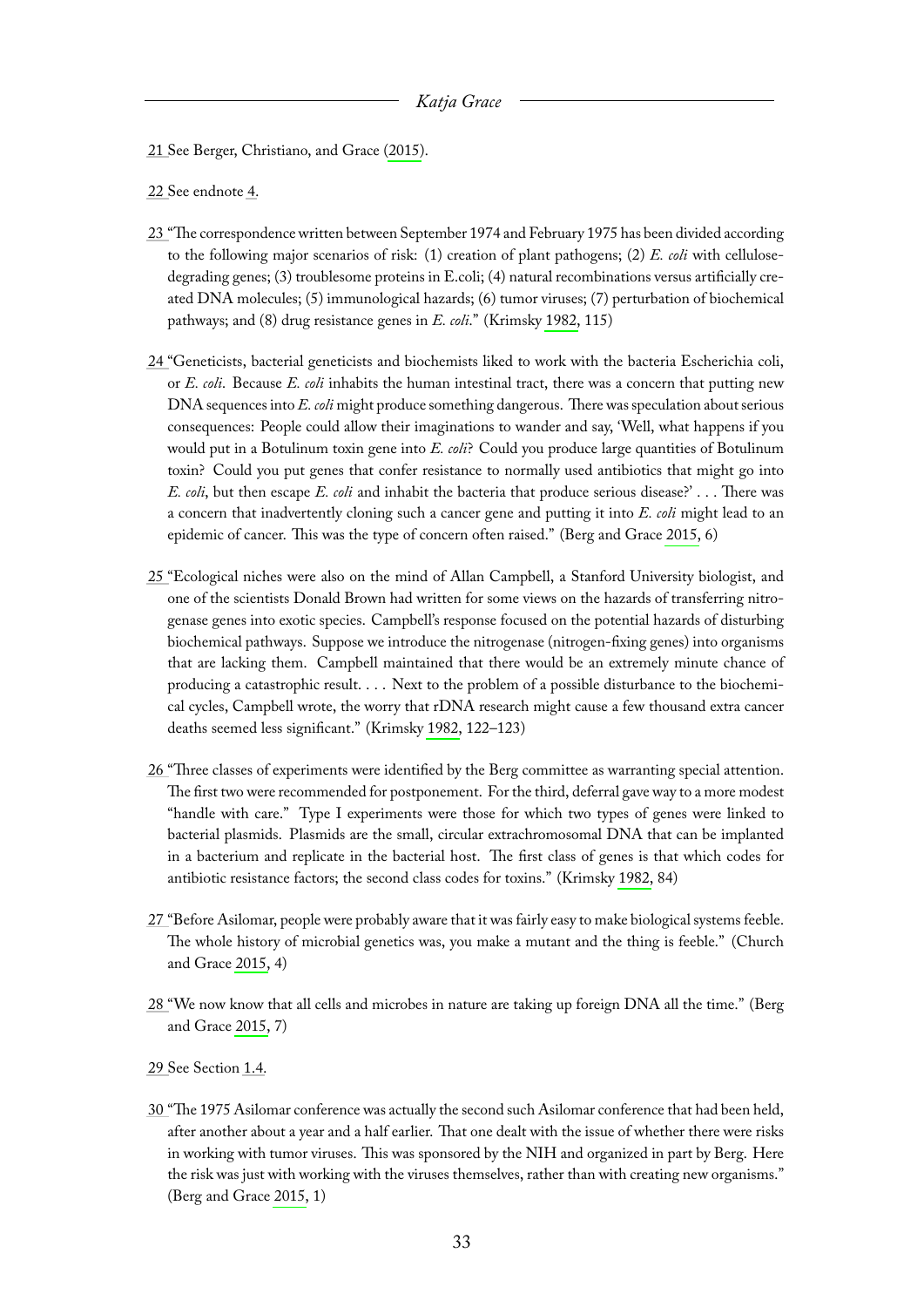<span id="page-33-0"></span>[21 S](#page-5-3)ee Berger, Christiano, and Grace [\(2015\)](#page-65-4).

<span id="page-33-1"></span>[22 S](#page-5-4)ee endnote [4.](#page-30-4)

- <span id="page-33-2"></span>[23 "](#page-5-5)The correspondence written between September 1974 and February 1975 has been divided according to the following major scenarios of risk: (1) creation of plant pathogens; (2) *E. coli* with cellulosedegrading genes; (3) troublesome proteins in E.coli; (4) natural recombinations versus artificially created DNA molecules; (5) immunological hazards; (6) tumor viruses; (7) perturbation of biochemical pathways; and (8) drug resistance genes in *E. coli*." (Krimsky [1982,](#page-66-0) 115)
- <span id="page-33-3"></span>[24 "](#page-5-6)Geneticists, bacterial geneticists and biochemists liked to work with the bacteria Escherichia coli, or *E. coli*. Because *E. coli* inhabits the human intestinal tract, there was a concern that putting new DNA sequences into *E. coli* might produce something dangerous. There was speculation about serious consequences: People could allow their imaginations to wander and say, 'Well, what happens if you would put in a Botulinum toxin gene into *E. coli*? Could you produce large quantities of Botulinum toxin? Could you put genes that confer resistance to normally used antibiotics that might go into *E. coli*, but then escape *E. coli* and inhabit the bacteria that produce serious disease?' . . . There was a concern that inadvertently cloning such a cancer gene and putting it into *E. coli* might lead to an epidemic of cancer. This was the type of concern often raised." (Berg and Grace [2015,](#page-65-3) 6)
- <span id="page-33-4"></span>[25 "](#page-6-0)Ecological niches were also on the mind of Allan Campbell, a Stanford University biologist, and one of the scientists Donald Brown had written for some views on the hazards of transferring nitrogenase genes into exotic species. Campbell's response focused on the potential hazards of disturbing biochemical pathways. Suppose we introduce the nitrogenase (nitrogen-fixing genes) into organisms that are lacking them. Campbell maintained that there would be an extremely minute chance of producing a catastrophic result. . . . Next to the problem of a possible disturbance to the biochemical cycles, Campbell wrote, the worry that rDNA research might cause a few thousand extra cancer deaths seemed less significant." (Krimsky [1982,](#page-66-0) 122–123)
- <span id="page-33-5"></span>[26 "](#page-6-1)Three classes of experiments were identified by the Berg committee as warranting special attention. The first two were recommended for postponement. For the third, deferral gave way to a more modest "handle with care." Type I experiments were those for which two types of genes were linked to bacterial plasmids. Plasmids are the small, circular extrachromosomal DNA that can be implanted in a bacterium and replicate in the bacterial host. The first class of genes is that which codes for antibiotic resistance factors; the second class codes for toxins." (Krimsky [1982,](#page-66-0) 84)
- <span id="page-33-6"></span>[27 "](#page-6-2)Before Asilomar, people were probably aware that it was fairly easy to make biological systems feeble. The whole history of microbial genetics was, you make a mutant and the thing is feeble." (Church and Grace [2015,](#page-66-2) 4)
- <span id="page-33-7"></span>[28 "](#page-6-3)We now know that all cells and microbes in nature are taking up foreign DNA all the time." (Berg and Grace [2015,](#page-65-3) 7)
- <span id="page-33-8"></span>[29 S](#page-7-1)ee Section [1.4.](#page-9-0)
- <span id="page-33-9"></span>[30 "](#page-7-2)The 1975 Asilomar conference was actually the second such Asilomar conference that had been held, after another about a year and a half earlier. That one dealt with the issue of whether there were risks in working with tumor viruses. This was sponsored by the NIH and organized in part by Berg. Here the risk was just with working with the viruses themselves, rather than with creating new organisms." (Berg and Grace [2015,](#page-65-3) 1)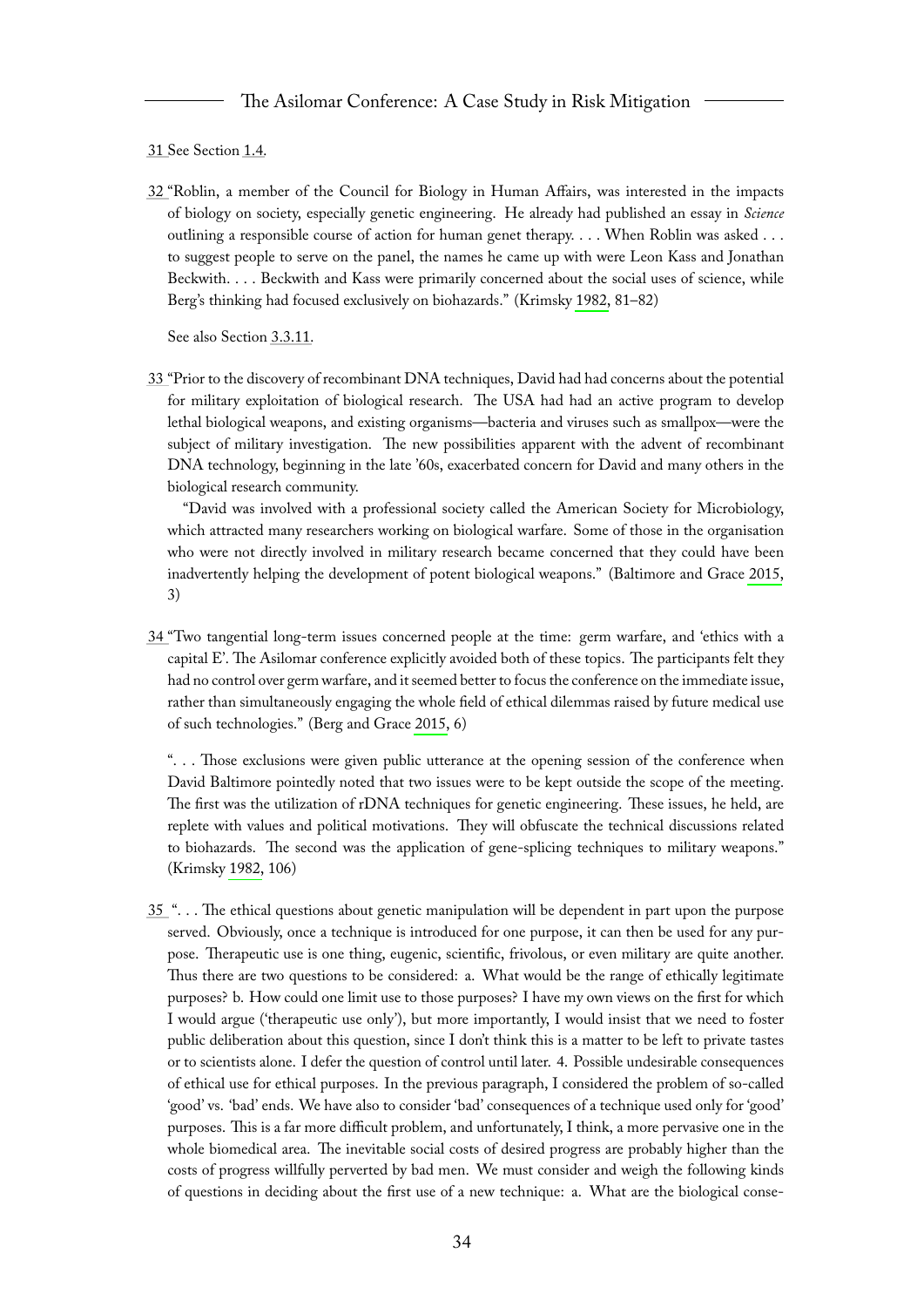#### <span id="page-34-0"></span>[31 S](#page-7-3)ee Section [1.4.](#page-9-0)

<span id="page-34-1"></span>[32 "](#page-7-4)Roblin, a member of the Council for Biology in Human Affairs, was interested in the impacts of biology on society, especially genetic engineering. He already had published an essay in *Science* outlining a responsible course of action for human genet therapy. . . . When Roblin was asked . . . to suggest people to serve on the panel, the names he came up with were Leon Kass and Jonathan Beckwith. . . . Beckwith and Kass were primarily concerned about the social uses of science, while Berg's thinking had focused exclusively on biohazards." (Krimsky [1982,](#page-66-0) 81–82)

See also Section [3.3.11.](#page-27-3)

<span id="page-34-2"></span>[33 "](#page-7-5)Prior to the discovery of recombinant DNA techniques, David had had concerns about the potential for military exploitation of biological research. The USA had had an active program to develop lethal biological weapons, and existing organisms—bacteria and viruses such as smallpox—were the subject of military investigation. The new possibilities apparent with the advent of recombinant DNA technology, beginning in the late '60s, exacerbated concern for David and many others in the biological research community.

"David was involved with a professional society called the American Society for Microbiology, which attracted many researchers working on biological warfare. Some of those in the organisation who were not directly involved in military research became concerned that they could have been inadvertently helping the development of potent biological weapons." (Baltimore and Grace [2015,](#page-65-2) 3)

<span id="page-34-3"></span>[34 "](#page-7-6)Two tangential long-term issues concerned people at the time: germ warfare, and 'ethics with a capital E'. The Asilomar conference explicitly avoided both of these topics. The participants felt they had no control over germ warfare, and it seemed better to focus the conference on the immediate issue, rather than simultaneously engaging the whole field of ethical dilemmas raised by future medical use of such technologies." (Berg and Grace [2015,](#page-65-3) 6)

". . . Those exclusions were given public utterance at the opening session of the conference when David Baltimore pointedly noted that two issues were to be kept outside the scope of the meeting. The first was the utilization of rDNA techniques for genetic engineering. These issues, he held, are replete with values and political motivations. They will obfuscate the technical discussions related to biohazards. The second was the application of gene-splicing techniques to military weapons." (Krimsky [1982,](#page-66-0) 106)

<span id="page-34-4"></span>[35](#page-7-7) ". . . The ethical questions about genetic manipulation will be dependent in part upon the purpose served. Obviously, once a technique is introduced for one purpose, it can then be used for any purpose. Therapeutic use is one thing, eugenic, scientific, frivolous, or even military are quite another. Thus there are two questions to be considered: a. What would be the range of ethically legitimate purposes? b. How could one limit use to those purposes? I have my own views on the first for which I would argue ('therapeutic use only'), but more importantly, I would insist that we need to foster public deliberation about this question, since I don't think this is a matter to be left to private tastes or to scientists alone. I defer the question of control until later. 4. Possible undesirable consequences of ethical use for ethical purposes. In the previous paragraph, I considered the problem of so-called 'good' vs. 'bad' ends. We have also to consider 'bad' consequences of a technique used only for 'good' purposes. This is a far more difficult problem, and unfortunately, I think, a more pervasive one in the whole biomedical area. The inevitable social costs of desired progress are probably higher than the costs of progress willfully perverted by bad men. We must consider and weigh the following kinds of questions in deciding about the first use of a new technique: a. What are the biological conse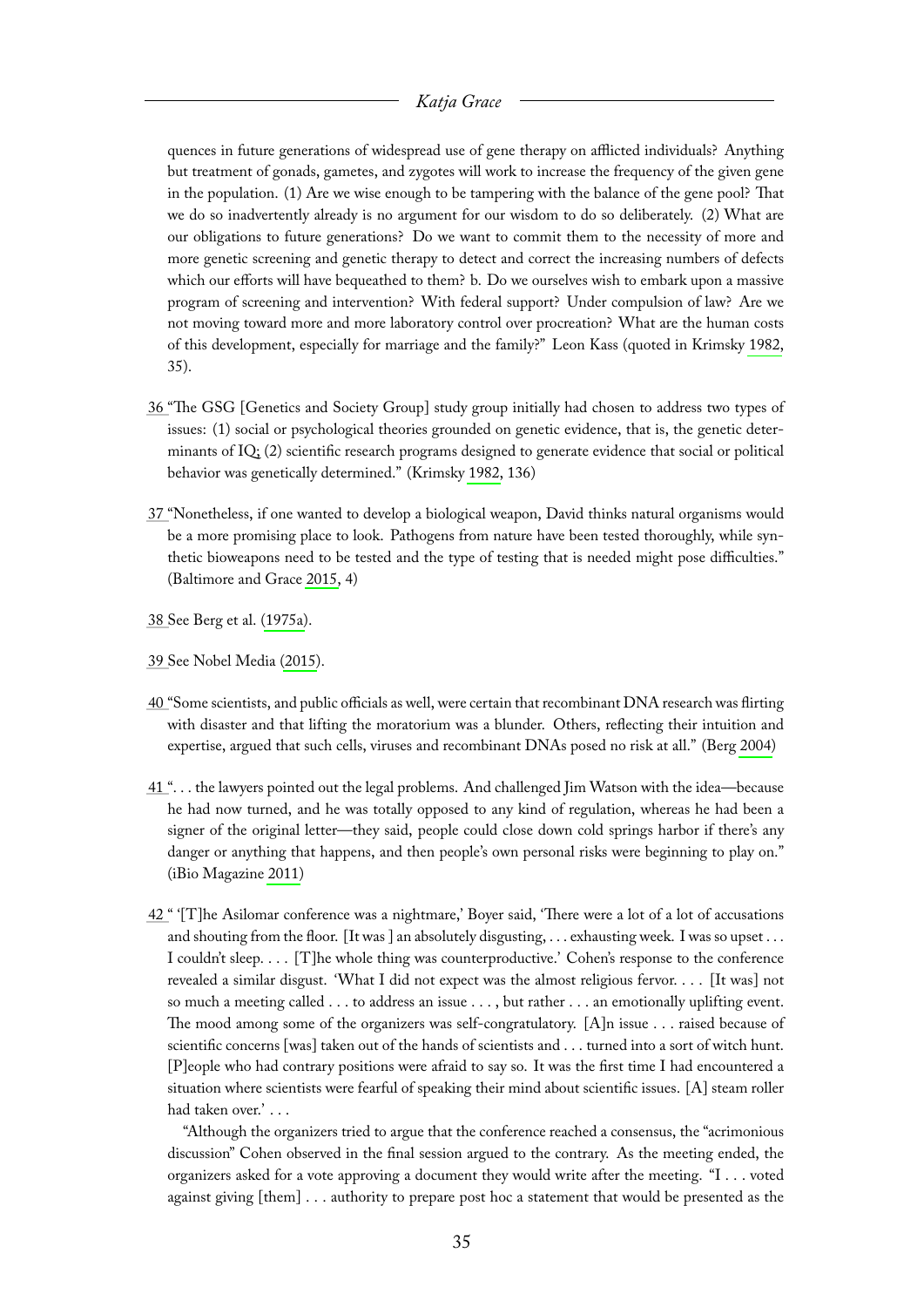quences in future generations of widespread use of gene therapy on afflicted individuals? Anything but treatment of gonads, gametes, and zygotes will work to increase the frequency of the given gene in the population. (1) Are we wise enough to be tampering with the balance of the gene pool? That we do so inadvertently already is no argument for our wisdom to do so deliberately. (2) What are our obligations to future generations? Do we want to commit them to the necessity of more and more genetic screening and genetic therapy to detect and correct the increasing numbers of defects which our efforts will have bequeathed to them? b. Do we ourselves wish to embark upon a massive program of screening and intervention? With federal support? Under compulsion of law? Are we not moving toward more and more laboratory control over procreation? What are the human costs of this development, especially for marriage and the family?" Leon Kass (quoted in Krimsky [1982,](#page-66-0) 35).

- <span id="page-35-0"></span>[36 "](#page-7-8)The GSG [Genetics and Society Group] study group initially had chosen to address two types of issues: (1) social or psychological theories grounded on genetic evidence, that is, the genetic determinants of IQ; (2) scientific research programs designed to generate evidence that social or political behavior was genetically determined." (Krimsky [1982,](#page-66-0) 136)
- <span id="page-35-1"></span>[37 "](#page-7-9)Nonetheless, if one wanted to develop a biological weapon, David thinks natural organisms would be a more promising place to look. Pathogens from nature have been tested thoroughly, while synthetic bioweapons need to be tested and the type of testing that is needed might pose difficulties." (Baltimore and Grace [2015,](#page-65-2) 4)
- <span id="page-35-2"></span>[38 S](#page-8-2)ee Berg et al. [\(1975a\)](#page-65-9).
- <span id="page-35-3"></span>[39 S](#page-8-3)ee Nobel Media [\(2015\)](#page-67-1).
- <span id="page-35-4"></span>[40 "](#page-8-4)Some scientists, and public officials as well, were certain that recombinant DNA research was flirting with disaster and that lifting the moratorium was a blunder. Others, reflecting their intuition and expertise, argued that such cells, viruses and recombinant DNAs posed no risk at all." (Berg [2004\)](#page-65-7)
- <span id="page-35-5"></span>[41 "](#page-8-5). . . the lawyers pointed out the legal problems. And challenged Jim Watson with the idea—because he had now turned, and he was totally opposed to any kind of regulation, whereas he had been a signer of the original letter—they said, people could close down cold springs harbor if there's any danger or anything that happens, and then people's own personal risks were beginning to play on." (iBio Magazine [2011\)](#page-66-3)
- <span id="page-35-6"></span>[42 "](#page-8-6) '[T]he Asilomar conference was a nightmare,' Boyer said, 'There were a lot of a lot of accusations and shouting from the floor. [It was ] an absolutely disgusting, . . . exhausting week. I was so upset . . . I couldn't sleep. . . . [T]he whole thing was counterproductive.' Cohen's response to the conference revealed a similar disgust. 'What I did not expect was the almost religious fervor. . . . [It was] not so much a meeting called . . . to address an issue . . . , but rather . . . an emotionally uplifting event. The mood among some of the organizers was self-congratulatory. [A]n issue . . . raised because of scientific concerns [was] taken out of the hands of scientists and . . . turned into a sort of witch hunt. [P]eople who had contrary positions were afraid to say so. It was the first time I had encountered a situation where scientists were fearful of speaking their mind about scientific issues. [A] steam roller had taken over.' . . .

"Although the organizers tried to argue that the conference reached a consensus, the "acrimonious discussion" Cohen observed in the final session argued to the contrary. As the meeting ended, the organizers asked for a vote approving a document they would write after the meeting. "I . . . voted against giving [them] . . . authority to prepare post hoc a statement that would be presented as the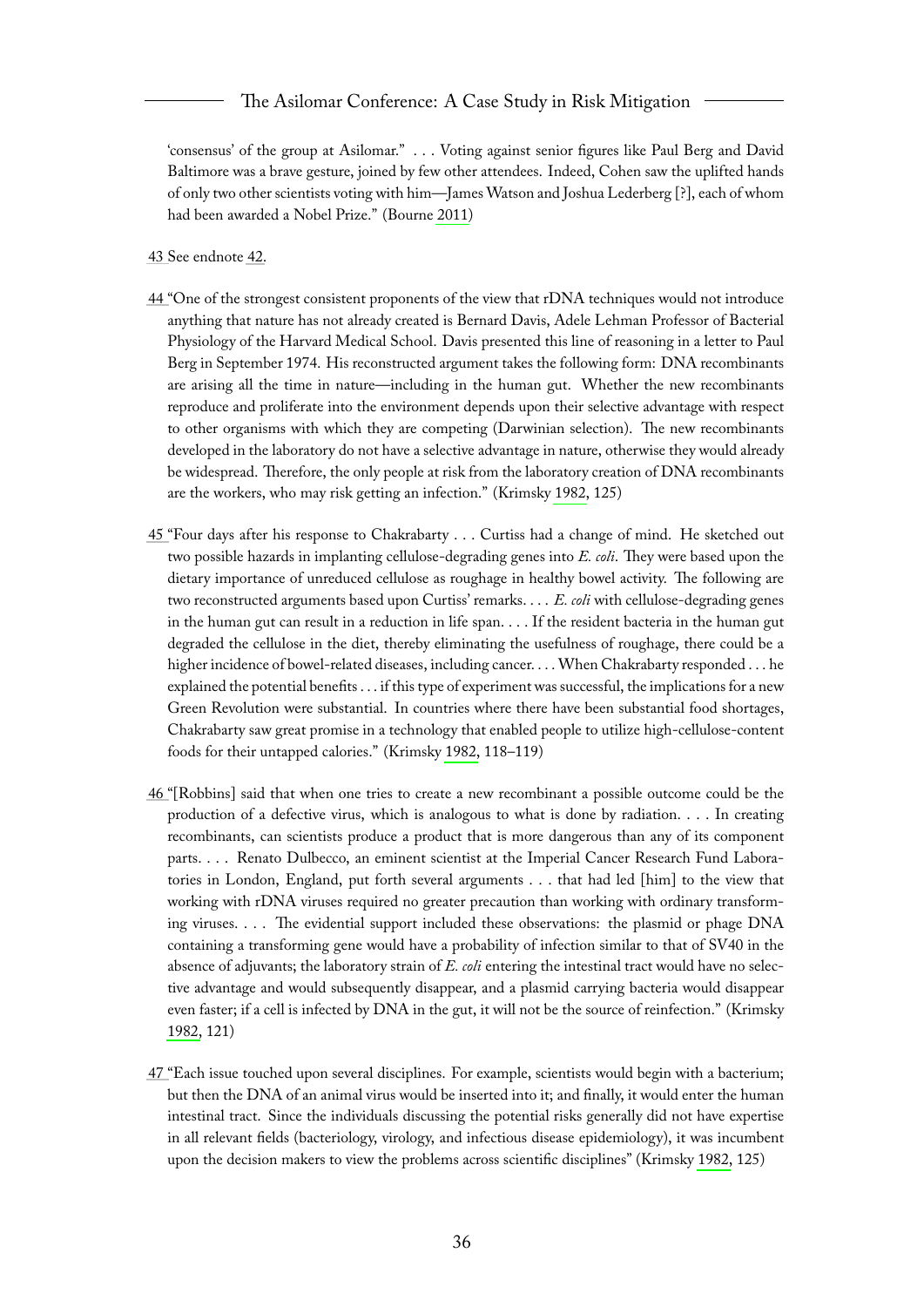#### The Asilomar Conference: A Case Study in Risk Mitigation

'consensus' of the group at Asilomar." . . . Voting against senior figures like Paul Berg and David Baltimore was a brave gesture, joined by few other attendees. Indeed, Cohen saw the uplifted hands of only two other scientists voting with him—James Watson and Joshua Lederberg [?], each of whom had been awarded a Nobel Prize." (Bourne [2011\)](#page-65-6)

- <span id="page-36-0"></span>[43 S](#page-8-7)ee endnote [42.](#page-35-6)
- <span id="page-36-1"></span>[44 "](#page-9-1)One of the strongest consistent proponents of the view that rDNA techniques would not introduce anything that nature has not already created is Bernard Davis, Adele Lehman Professor of Bacterial Physiology of the Harvard Medical School. Davis presented this line of reasoning in a letter to Paul Berg in September 1974. His reconstructed argument takes the following form: DNA recombinants are arising all the time in nature—including in the human gut. Whether the new recombinants reproduce and proliferate into the environment depends upon their selective advantage with respect to other organisms with which they are competing (Darwinian selection). The new recombinants developed in the laboratory do not have a selective advantage in nature, otherwise they would already be widespread. Therefore, the only people at risk from the laboratory creation of DNA recombinants are the workers, who may risk getting an infection." (Krimsky [1982,](#page-66-0) 125)
- <span id="page-36-2"></span>[45 "](#page-9-2)Four days after his response to Chakrabarty . . . Curtiss had a change of mind. He sketched out two possible hazards in implanting cellulose-degrading genes into *E. coli*. They were based upon the dietary importance of unreduced cellulose as roughage in healthy bowel activity. The following are two reconstructed arguments based upon Curtiss' remarks. . . . *E. coli* with cellulose-degrading genes in the human gut can result in a reduction in life span. . . . If the resident bacteria in the human gut degraded the cellulose in the diet, thereby eliminating the usefulness of roughage, there could be a higher incidence of bowel-related diseases, including cancer. . . . When Chakrabarty responded . . . he explained the potential benefits . . . if this type of experiment was successful, the implications for a new Green Revolution were substantial. In countries where there have been substantial food shortages, Chakrabarty saw great promise in a technology that enabled people to utilize high-cellulose-content foods for their untapped calories." (Krimsky [1982,](#page-66-0) 118–119)
- <span id="page-36-3"></span>[46 "](#page-9-3)[Robbins] said that when one tries to create a new recombinant a possible outcome could be the production of a defective virus, which is analogous to what is done by radiation. . . . In creating recombinants, can scientists produce a product that is more dangerous than any of its component parts. . . . Renato Dulbecco, an eminent scientist at the Imperial Cancer Research Fund Laboratories in London, England, put forth several arguments . . . that had led [him] to the view that working with rDNA viruses required no greater precaution than working with ordinary transforming viruses. . . . The evidential support included these observations: the plasmid or phage DNA containing a transforming gene would have a probability of infection similar to that of SV40 in the absence of adjuvants; the laboratory strain of *E. coli* entering the intestinal tract would have no selective advantage and would subsequently disappear, and a plasmid carrying bacteria would disappear even faster; if a cell is infected by DNA in the gut, it will not be the source of reinfection." (Krimsky [1982,](#page-66-0) 121)
- <span id="page-36-4"></span>[47 "](#page-9-4)Each issue touched upon several disciplines. For example, scientists would begin with a bacterium; but then the DNA of an animal virus would be inserted into it; and finally, it would enter the human intestinal tract. Since the individuals discussing the potential risks generally did not have expertise in all relevant fields (bacteriology, virology, and infectious disease epidemiology), it was incumbent upon the decision makers to view the problems across scientific disciplines" (Krimsky [1982,](#page-66-0) 125)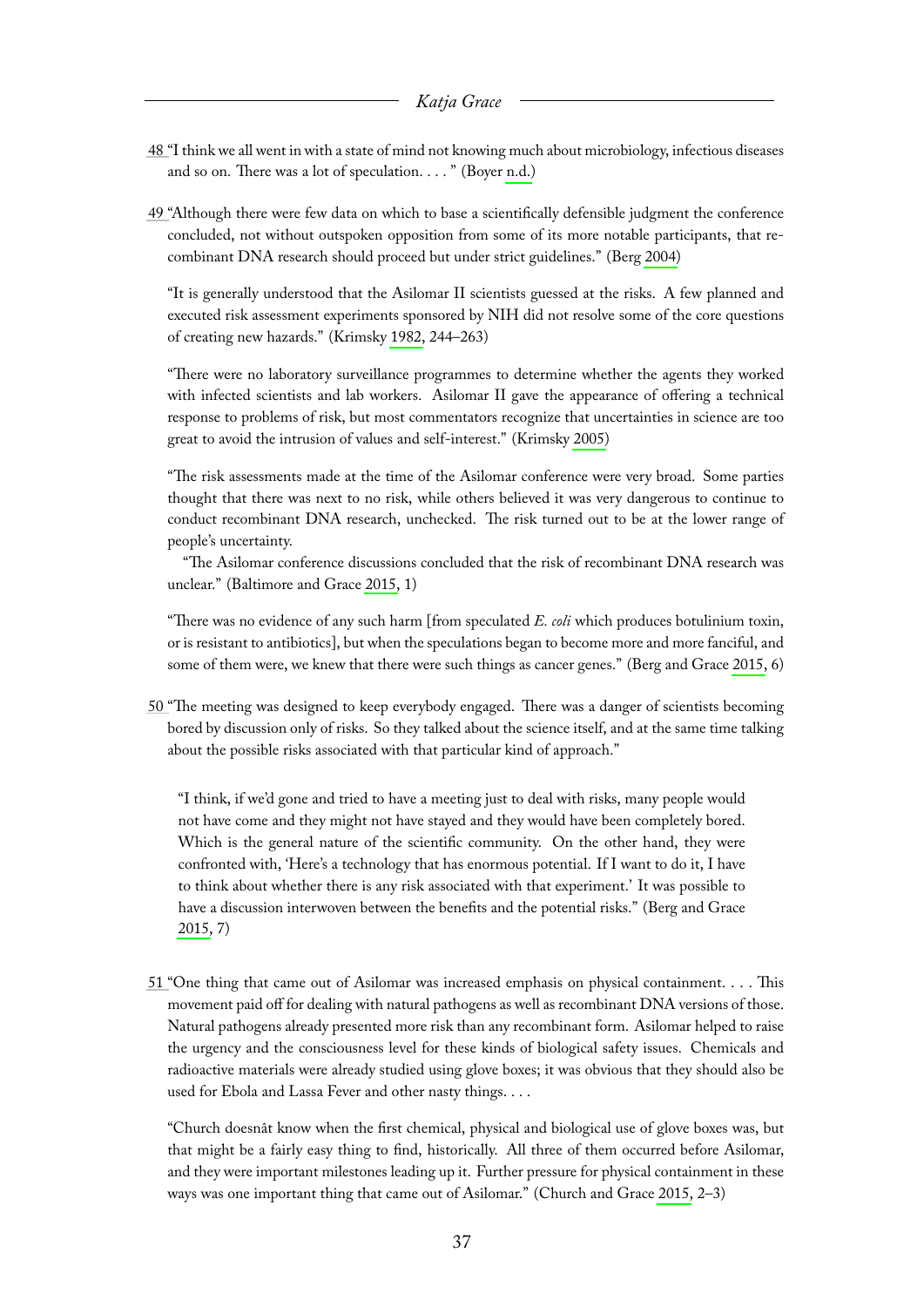- <span id="page-37-0"></span>[48 "](#page-9-5)I think we all went in with a state of mind not knowing much about microbiology, infectious diseases and so on. There was a lot of speculation. . . . " (Boyer [n.d.\)](#page-65-10)
- <span id="page-37-1"></span>[49 "](#page-9-6)Although there were few data on which to base a scientifically defensible judgment the conference concluded, not without outspoken opposition from some of its more notable participants, that recombinant DNA research should proceed but under strict guidelines." (Berg [2004\)](#page-65-7)

"It is generally understood that the Asilomar II scientists guessed at the risks. A few planned and executed risk assessment experiments sponsored by NIH did not resolve some of the core questions of creating new hazards." (Krimsky [1982,](#page-66-0) 244–263)

"There were no laboratory surveillance programmes to determine whether the agents they worked with infected scientists and lab workers. Asilomar II gave the appearance of offering a technical response to problems of risk, but most commentators recognize that uncertainties in science are too great to avoid the intrusion of values and self-interest." (Krimsky [2005\)](#page-66-4)

"The risk assessments made at the time of the Asilomar conference were very broad. Some parties thought that there was next to no risk, while others believed it was very dangerous to continue to conduct recombinant DNA research, unchecked. The risk turned out to be at the lower range of people's uncertainty.

"The Asilomar conference discussions concluded that the risk of recombinant DNA research was unclear." (Baltimore and Grace [2015,](#page-65-2) 1)

"There was no evidence of any such harm [from speculated *E. coli* which produces botulinium toxin, or is resistant to antibiotics], but when the speculations began to become more and more fanciful, and some of them were, we knew that there were such things as cancer genes." (Berg and Grace [2015,](#page-65-3) 6)

<span id="page-37-2"></span>[50 "](#page-10-1)The meeting was designed to keep everybody engaged. There was a danger of scientists becoming bored by discussion only of risks. So they talked about the science itself, and at the same time talking about the possible risks associated with that particular kind of approach."

"I think, if we'd gone and tried to have a meeting just to deal with risks, many people would not have come and they might not have stayed and they would have been completely bored. Which is the general nature of the scientific community. On the other hand, they were confronted with, 'Here's a technology that has enormous potential. If I want to do it, I have to think about whether there is any risk associated with that experiment.' It was possible to have a discussion interwoven between the benefits and the potential risks." (Berg and Grace [2015,](#page-65-3) 7)

<span id="page-37-3"></span>[51 "](#page-10-2)One thing that came out of Asilomar was increased emphasis on physical containment. . . . This movement paid off for dealing with natural pathogens as well as recombinant DNA versions of those. Natural pathogens already presented more risk than any recombinant form. Asilomar helped to raise the urgency and the consciousness level for these kinds of biological safety issues. Chemicals and radioactive materials were already studied using glove boxes; it was obvious that they should also be used for Ebola and Lassa Fever and other nasty things. . . .

"Church doesnât know when the first chemical, physical and biological use of glove boxes was, but that might be a fairly easy thing to find, historically. All three of them occurred before Asilomar, and they were important milestones leading up it. Further pressure for physical containment in these ways was one important thing that came out of Asilomar." (Church and Grace [2015,](#page-66-2) 2–3)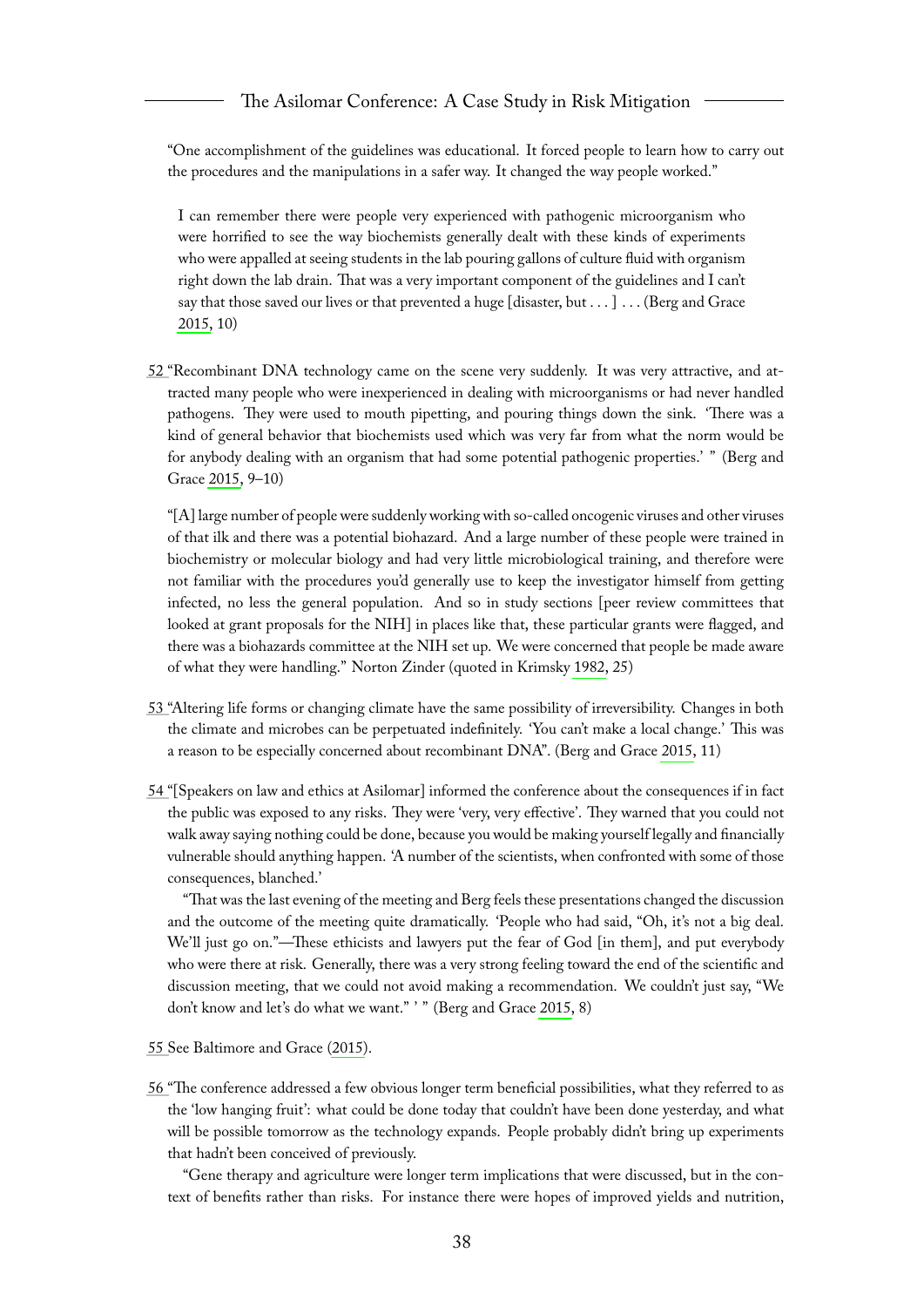"One accomplishment of the guidelines was educational. It forced people to learn how to carry out the procedures and the manipulations in a safer way. It changed the way people worked."

I can remember there were people very experienced with pathogenic microorganism who were horrified to see the way biochemists generally dealt with these kinds of experiments who were appalled at seeing students in the lab pouring gallons of culture fluid with organism right down the lab drain. That was a very important component of the guidelines and I can't say that those saved our lives or that prevented a huge [disaster, but . . . ] . . . (Berg and Grace [2015,](#page-65-3) 10)

<span id="page-38-0"></span>[52 "](#page-10-3)Recombinant DNA technology came on the scene very suddenly. It was very attractive, and attracted many people who were inexperienced in dealing with microorganisms or had never handled pathogens. They were used to mouth pipetting, and pouring things down the sink. 'There was a kind of general behavior that biochemists used which was very far from what the norm would be for anybody dealing with an organism that had some potential pathogenic properties.' " (Berg and Grace [2015,](#page-65-3) 9–10)

"[A] large number of people were suddenly working with so-called oncogenic viruses and other viruses of that ilk and there was a potential biohazard. And a large number of these people were trained in biochemistry or molecular biology and had very little microbiological training, and therefore were not familiar with the procedures you'd generally use to keep the investigator himself from getting infected, no less the general population. And so in study sections [peer review committees that looked at grant proposals for the NIH] in places like that, these particular grants were flagged, and there was a biohazards committee at the NIH set up. We were concerned that people be made aware of what they were handling." Norton Zinder (quoted in Krimsky [1982,](#page-66-0) 25)

- <span id="page-38-1"></span>[53 "](#page-10-4)Altering life forms or changing climate have the same possibility of irreversibility. Changes in both the climate and microbes can be perpetuated indefinitely. 'You can't make a local change.' This was a reason to be especially concerned about recombinant DNA". (Berg and Grace [2015,](#page-65-3) 11)
- <span id="page-38-2"></span>[54 "](#page-10-5)[Speakers on law and ethics at Asilomar] informed the conference about the consequences if in fact the public was exposed to any risks. They were 'very, very effective'. They warned that you could not walk away saying nothing could be done, because you would be making yourself legally and financially vulnerable should anything happen. 'A number of the scientists, when confronted with some of those consequences, blanched.'

"That was the last evening of the meeting and Berg feels these presentations changed the discussion and the outcome of the meeting quite dramatically. 'People who had said, "Oh, it's not a big deal. We'll just go on."—These ethicists and lawyers put the fear of God [in them], and put everybody who were there at risk. Generally, there was a very strong feeling toward the end of the scientific and discussion meeting, that we could not avoid making a recommendation. We couldn't just say, "We don't know and let's do what we want." ' " (Berg and Grace [2015,](#page-65-3) 8)

<span id="page-38-3"></span>[55 S](#page-11-1)ee Baltimore and Grace [\(2015\)](#page-65-2).

<span id="page-38-4"></span>[56 "](#page-11-2)The conference addressed a few obvious longer term beneficial possibilities, what they referred to as the 'low hanging fruit': what could be done today that couldn't have been done yesterday, and what will be possible tomorrow as the technology expands. People probably didn't bring up experiments that hadn't been conceived of previously.

"Gene therapy and agriculture were longer term implications that were discussed, but in the context of benefits rather than risks. For instance there were hopes of improved yields and nutrition,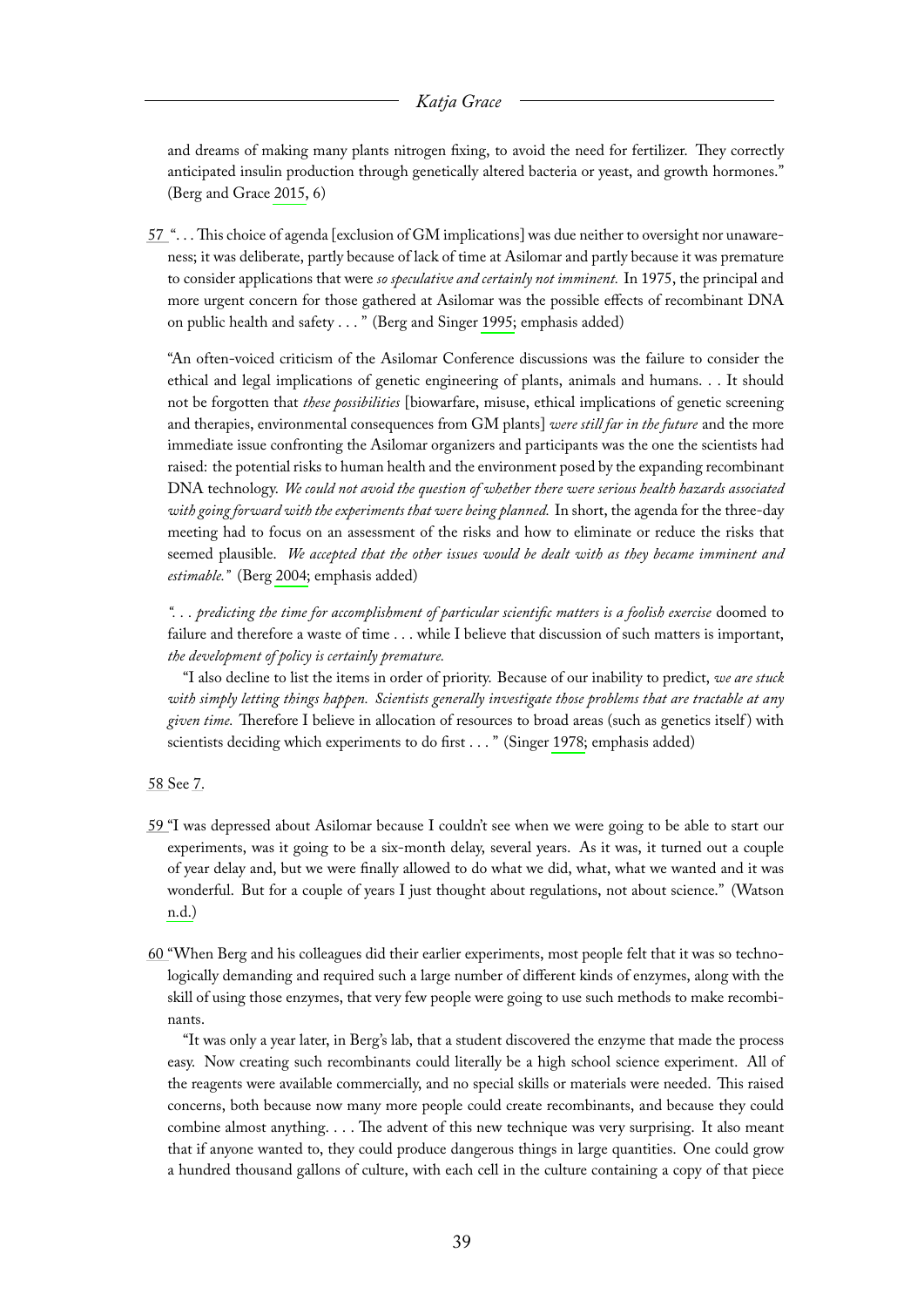and dreams of making many plants nitrogen fixing, to avoid the need for fertilizer. They correctly anticipated insulin production through genetically altered bacteria or yeast, and growth hormones." (Berg and Grace [2015,](#page-65-3) 6)

<span id="page-39-0"></span>[57](#page-11-3) ". . . This choice of agenda [exclusion of GM implications] was due neither to oversight nor unawareness; it was deliberate, partly because of lack of time at Asilomar and partly because it was premature to consider applications that were *so speculative and certainly not imminent.* In 1975, the principal and more urgent concern for those gathered at Asilomar was the possible effects of recombinant DNA on public health and safety . . . " (Berg and Singer [1995;](#page-65-1) emphasis added)

"An often-voiced criticism of the Asilomar Conference discussions was the failure to consider the ethical and legal implications of genetic engineering of plants, animals and humans. . . It should not be forgotten that *these possibilities* [biowarfare, misuse, ethical implications of genetic screening and therapies, environmental consequences from GM plants] *were still far in the future* and the more immediate issue confronting the Asilomar organizers and participants was the one the scientists had raised: the potential risks to human health and the environment posed by the expanding recombinant DNA technology. *We could not avoid the question of whether there were serious health hazards associated with going forward with the experiments that were being planned.* In short, the agenda for the three-day meeting had to focus on an assessment of the risks and how to eliminate or reduce the risks that seemed plausible. *We accepted that the other issues would be dealt with as they became imminent and estimable."* (Berg [2004;](#page-65-7) emphasis added)

*". . . predicting the time for accomplishment of particular scientific matters is a foolish exercise* doomed to failure and therefore a waste of time . . . while I believe that discussion of such matters is important, *the development of policy is certainly premature.*

"I also decline to list the items in order of priority. Because of our inability to predict, *we are stuck with simply letting things happen. Scientists generally investigate those problems that are tractable at any given time.* Therefore I believe in allocation of resources to broad areas (such as genetics itself ) with scientists deciding which experiments to do first . . . " (Singer [1978;](#page-67-2) emphasis added)

<span id="page-39-1"></span>[58 S](#page-12-0)ee [7.](#page-30-7)

- <span id="page-39-2"></span>[59 "](#page-12-1)I was depressed about Asilomar because I couldn't see when we were going to be able to start our experiments, was it going to be a six-month delay, several years. As it was, it turned out a couple of year delay and, but we were finally allowed to do what we did, what, what we wanted and it was wonderful. But for a couple of years I just thought about regulations, not about science." (Watson [n.d.\)](#page-67-3)
- <span id="page-39-3"></span>[60 "](#page-12-2)When Berg and his colleagues did their earlier experiments, most people felt that it was so technologically demanding and required such a large number of different kinds of enzymes, along with the skill of using those enzymes, that very few people were going to use such methods to make recombinants.

"It was only a year later, in Berg's lab, that a student discovered the enzyme that made the process easy. Now creating such recombinants could literally be a high school science experiment. All of the reagents were available commercially, and no special skills or materials were needed. This raised concerns, both because now many more people could create recombinants, and because they could combine almost anything. . . . The advent of this new technique was very surprising. It also meant that if anyone wanted to, they could produce dangerous things in large quantities. One could grow a hundred thousand gallons of culture, with each cell in the culture containing a copy of that piece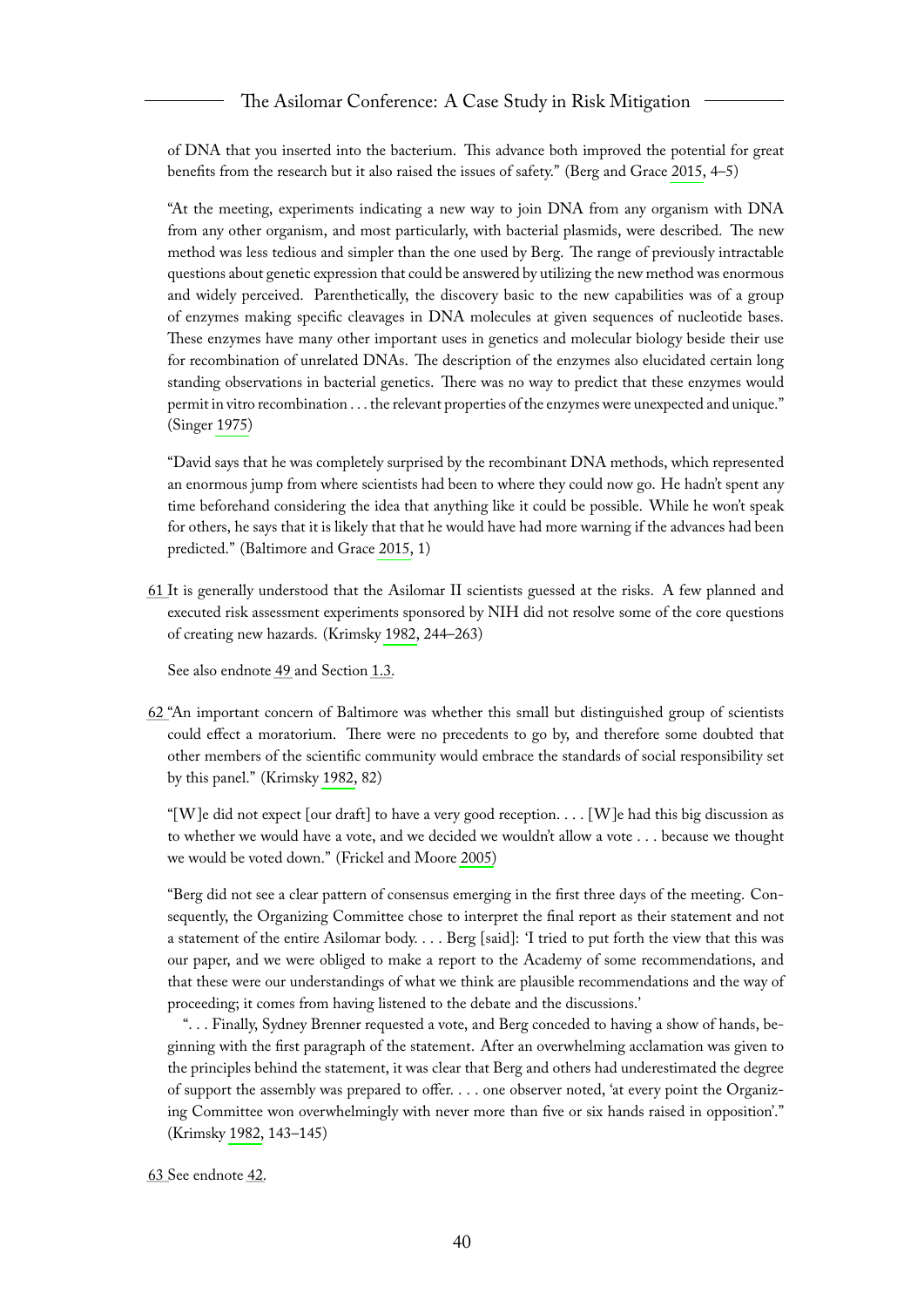of DNA that you inserted into the bacterium. This advance both improved the potential for great benefits from the research but it also raised the issues of safety." (Berg and Grace [2015,](#page-65-3) 4–5)

"At the meeting, experiments indicating a new way to join DNA from any organism with DNA from any other organism, and most particularly, with bacterial plasmids, were described. The new method was less tedious and simpler than the one used by Berg. The range of previously intractable questions about genetic expression that could be answered by utilizing the new method was enormous and widely perceived. Parenthetically, the discovery basic to the new capabilities was of a group of enzymes making specific cleavages in DNA molecules at given sequences of nucleotide bases. These enzymes have many other important uses in genetics and molecular biology beside their use for recombination of unrelated DNAs. The description of the enzymes also elucidated certain long standing observations in bacterial genetics. There was no way to predict that these enzymes would permit in vitro recombination . . . the relevant properties of the enzymes were unexpected and unique." (Singer [1975\)](#page-67-0)

"David says that he was completely surprised by the recombinant DNA methods, which represented an enormous jump from where scientists had been to where they could now go. He hadn't spent any time beforehand considering the idea that anything like it could be possible. While he won't speak for others, he says that it is likely that that he would have had more warning if the advances had been predicted." (Baltimore and Grace [2015,](#page-65-2) 1)

<span id="page-40-0"></span>[61 I](#page-12-3)t is generally understood that the Asilomar II scientists guessed at the risks. A few planned and executed risk assessment experiments sponsored by NIH did not resolve some of the core questions of creating new hazards. (Krimsky [1982,](#page-66-0) 244–263)

See also endnote [49](#page-37-1) and Section [1.3.](#page-8-1)

<span id="page-40-1"></span>[62 "](#page-12-4)An important concern of Baltimore was whether this small but distinguished group of scientists could effect a moratorium. There were no precedents to go by, and therefore some doubted that other members of the scientific community would embrace the standards of social responsibility set by this panel." (Krimsky [1982,](#page-66-0) 82)

"[W]e did not expect [our draft] to have a very good reception.  $\dots$  [W]e had this big discussion as to whether we would have a vote, and we decided we wouldn't allow a vote . . . because we thought we would be voted down." (Frickel and Moore [2005\)](#page-66-5)

"Berg did not see a clear pattern of consensus emerging in the first three days of the meeting. Consequently, the Organizing Committee chose to interpret the final report as their statement and not a statement of the entire Asilomar body. . . . Berg [said]: 'I tried to put forth the view that this was our paper, and we were obliged to make a report to the Academy of some recommendations, and that these were our understandings of what we think are plausible recommendations and the way of proceeding; it comes from having listened to the debate and the discussions.'

". . . Finally, Sydney Brenner requested a vote, and Berg conceded to having a show of hands, beginning with the first paragraph of the statement. After an overwhelming acclamation was given to the principles behind the statement, it was clear that Berg and others had underestimated the degree of support the assembly was prepared to offer. . . . one observer noted, 'at every point the Organizing Committee won overwhelmingly with never more than five or six hands raised in opposition'." (Krimsky [1982,](#page-66-0) 143–145)

<span id="page-40-2"></span>[63 S](#page-12-5)ee endnote [42.](#page-35-6)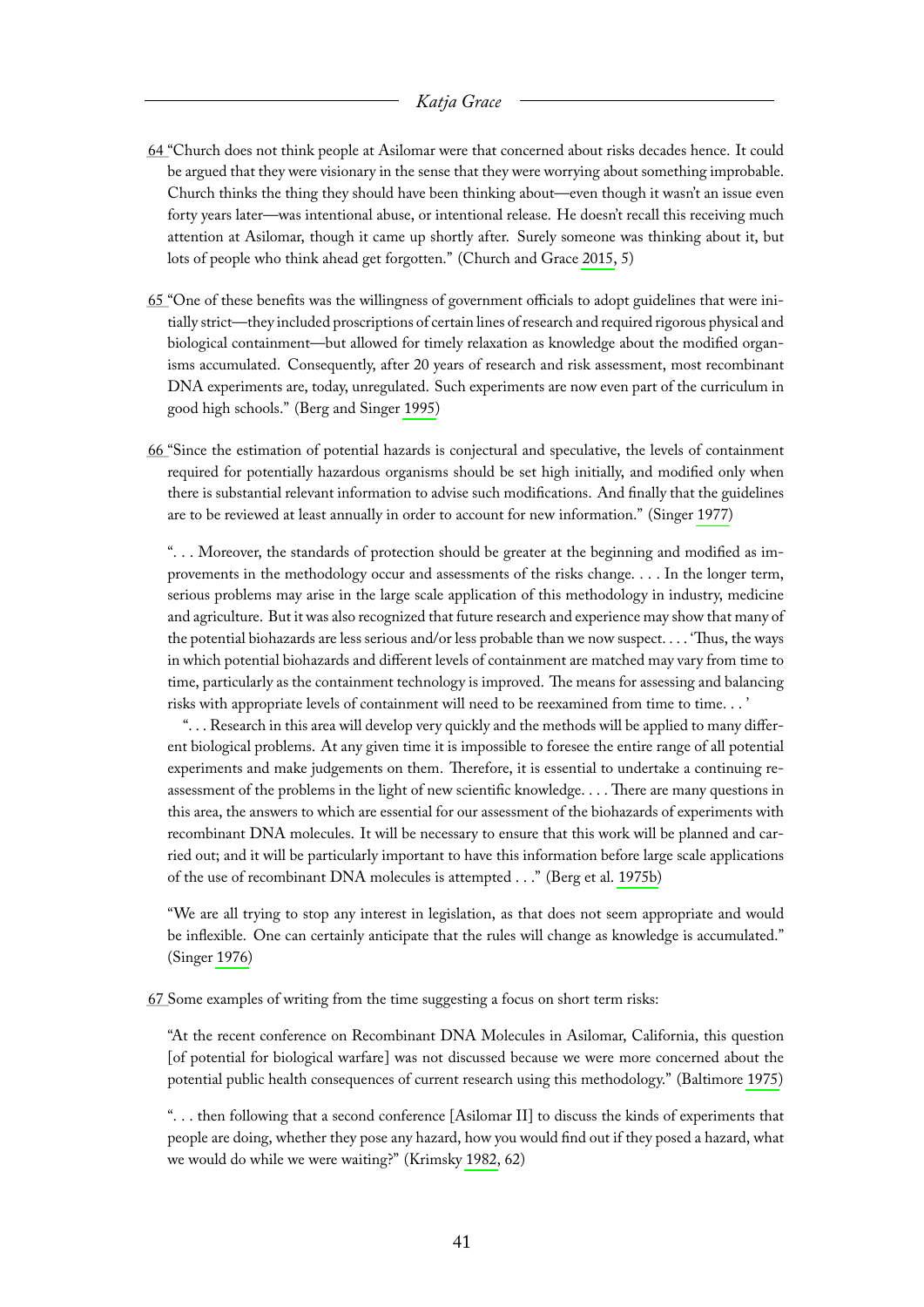- <span id="page-41-0"></span>[64 "](#page-12-6)Church does not think people at Asilomar were that concerned about risks decades hence. It could be argued that they were visionary in the sense that they were worrying about something improbable. Church thinks the thing they should have been thinking about—even though it wasn't an issue even forty years later—was intentional abuse, or intentional release. He doesn't recall this receiving much attention at Asilomar, though it came up shortly after. Surely someone was thinking about it, but lots of people who think ahead get forgotten." (Church and Grace [2015,](#page-66-2) 5)
- <span id="page-41-1"></span>[65 "](#page-12-7)One of these benefits was the willingness of government officials to adopt guidelines that were initially strict—they included proscriptions of certain lines of research and required rigorous physical and biological containment—but allowed for timely relaxation as knowledge about the modified organisms accumulated. Consequently, after 20 years of research and risk assessment, most recombinant DNA experiments are, today, unregulated. Such experiments are now even part of the curriculum in good high schools." (Berg and Singer [1995\)](#page-65-1)
- <span id="page-41-2"></span>[66 "](#page-12-8)Since the estimation of potential hazards is conjectural and speculative, the levels of containment required for potentially hazardous organisms should be set high initially, and modified only when there is substantial relevant information to advise such modifications. And finally that the guidelines are to be reviewed at least annually in order to account for new information." (Singer [1977\)](#page-67-4)

". . . Moreover, the standards of protection should be greater at the beginning and modified as improvements in the methodology occur and assessments of the risks change. . . . In the longer term, serious problems may arise in the large scale application of this methodology in industry, medicine and agriculture. But it was also recognized that future research and experience may show that many of the potential biohazards are less serious and/or less probable than we now suspect. . . . 'Thus, the ways in which potential biohazards and different levels of containment are matched may vary from time to time, particularly as the containment technology is improved. The means for assessing and balancing risks with appropriate levels of containment will need to be reexamined from time to time. . . '

". . . Research in this area will develop very quickly and the methods will be applied to many different biological problems. At any given time it is impossible to foresee the entire range of all potential experiments and make judgements on them. Therefore, it is essential to undertake a continuing reassessment of the problems in the light of new scientific knowledge. . . . There are many questions in this area, the answers to which are essential for our assessment of the biohazards of experiments with recombinant DNA molecules. It will be necessary to ensure that this work will be planned and carried out; and it will be particularly important to have this information before large scale applications of the use of recombinant DNA molecules is attempted . . ." (Berg et al. [1975b\)](#page-65-11)

"We are all trying to stop any interest in legislation, as that does not seem appropriate and would be inflexible. One can certainly anticipate that the rules will change as knowledge is accumulated." (Singer [1976\)](#page-67-5)

<span id="page-41-3"></span>[67 S](#page-12-9)ome examples of writing from the time suggesting a focus on short term risks:

"At the recent conference on Recombinant DNA Molecules in Asilomar, California, this question [of potential for biological warfare] was not discussed because we were more concerned about the potential public health consequences of current research using this methodology." (Baltimore [1975\)](#page-65-12)

". . . then following that a second conference [Asilomar II] to discuss the kinds of experiments that people are doing, whether they pose any hazard, how you would find out if they posed a hazard, what we would do while we were waiting?" (Krimsky [1982,](#page-66-0) 62)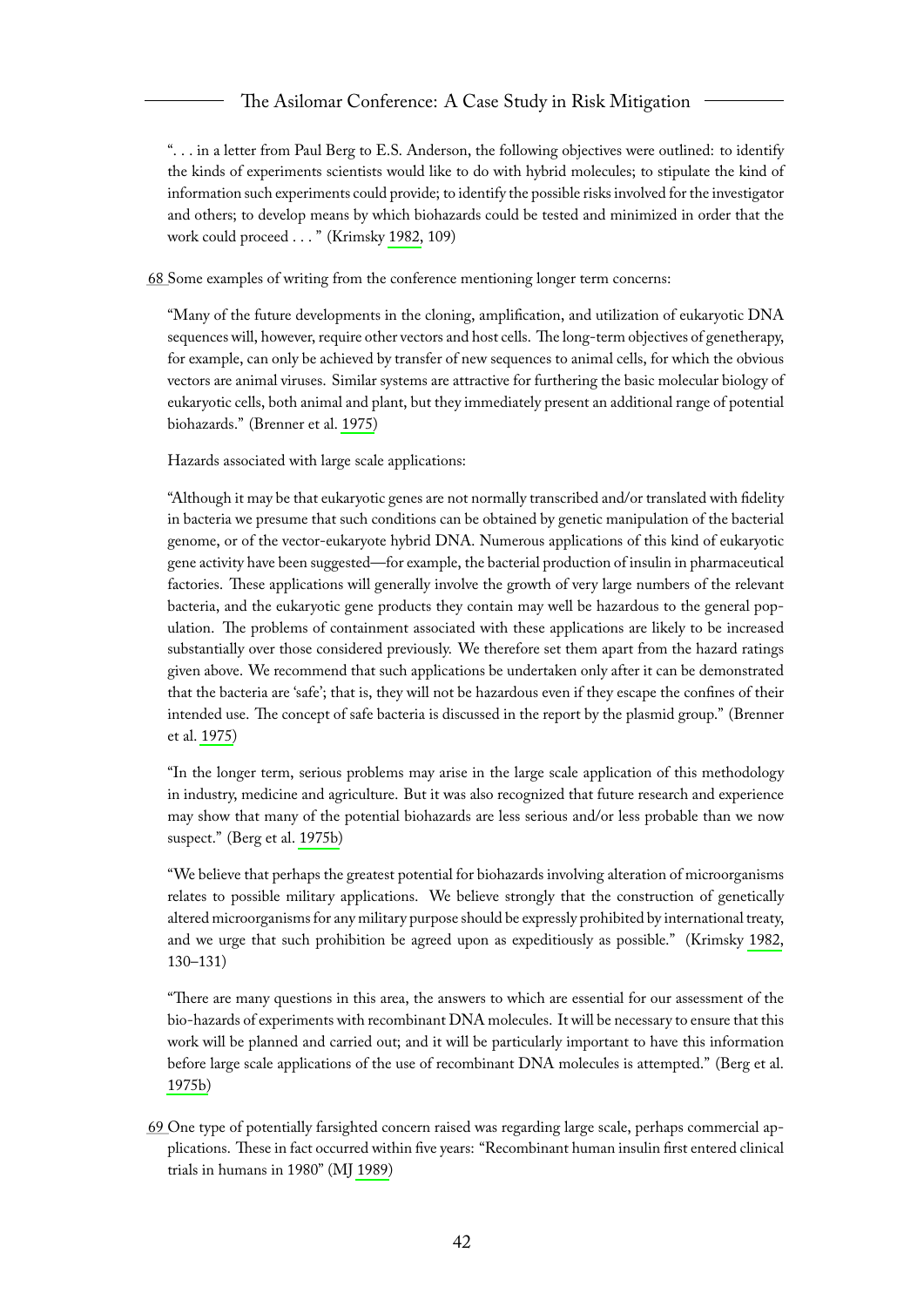". . . in a letter from Paul Berg to E.S. Anderson, the following objectives were outlined: to identify the kinds of experiments scientists would like to do with hybrid molecules; to stipulate the kind of information such experiments could provide; to identify the possible risks involved for the investigator and others; to develop means by which biohazards could be tested and minimized in order that the work could proceed . . . " (Krimsky [1982,](#page-66-0) 109)

<span id="page-42-0"></span>[68 S](#page-12-10)ome examples of writing from the conference mentioning longer term concerns:

"Many of the future developments in the cloning, amplification, and utilization of eukaryotic DNA sequences will, however, require other vectors and host cells. The long-term objectives of genetherapy, for example, can only be achieved by transfer of new sequences to animal cells, for which the obvious vectors are animal viruses. Similar systems are attractive for furthering the basic molecular biology of eukaryotic cells, both animal and plant, but they immediately present an additional range of potential biohazards." (Brenner et al. [1975\)](#page-66-6)

Hazards associated with large scale applications:

"Although it may be that eukaryotic genes are not normally transcribed and/or translated with fidelity in bacteria we presume that such conditions can be obtained by genetic manipulation of the bacterial genome, or of the vector-eukaryote hybrid DNA. Numerous applications of this kind of eukaryotic gene activity have been suggested—for example, the bacterial production of insulin in pharmaceutical factories. These applications will generally involve the growth of very large numbers of the relevant bacteria, and the eukaryotic gene products they contain may well be hazardous to the general population. The problems of containment associated with these applications are likely to be increased substantially over those considered previously. We therefore set them apart from the hazard ratings given above. We recommend that such applications be undertaken only after it can be demonstrated that the bacteria are 'safe'; that is, they will not be hazardous even if they escape the confines of their intended use. The concept of safe bacteria is discussed in the report by the plasmid group." (Brenner et al. [1975\)](#page-66-6)

"In the longer term, serious problems may arise in the large scale application of this methodology in industry, medicine and agriculture. But it was also recognized that future research and experience may show that many of the potential biohazards are less serious and/or less probable than we now suspect." (Berg et al. [1975b\)](#page-65-11)

"We believe that perhaps the greatest potential for biohazards involving alteration of microorganisms relates to possible military applications. We believe strongly that the construction of genetically altered microorganisms for any military purpose should be expressly prohibited by international treaty, and we urge that such prohibition be agreed upon as expeditiously as possible." (Krimsky [1982,](#page-66-0) 130–131)

"There are many questions in this area, the answers to which are essential for our assessment of the bio-hazards of experiments with recombinant DNA molecules. It will be necessary to ensure that this work will be planned and carried out; and it will be particularly important to have this information before large scale applications of the use of recombinant DNA molecules is attempted." (Berg et al. [1975b\)](#page-65-11)

<span id="page-42-1"></span>[69 O](#page-12-11)ne type of potentially farsighted concern raised was regarding large scale, perhaps commercial applications. These in fact occurred within five years: "Recombinant human insulin first entered clinical trials in humans in 1980" (MJ [1989\)](#page-66-7)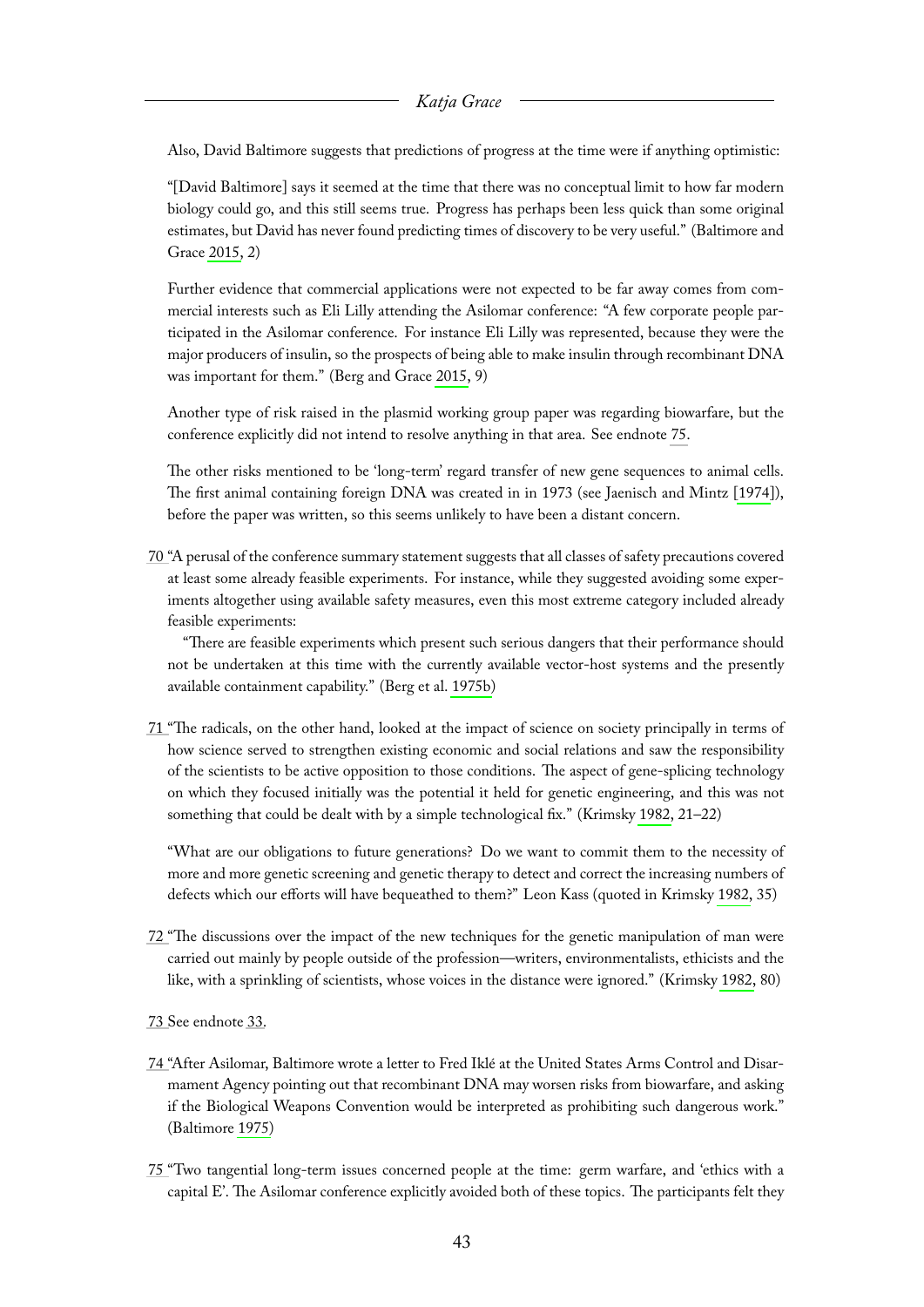Also, David Baltimore suggests that predictions of progress at the time were if anything optimistic:

"[David Baltimore] says it seemed at the time that there was no conceptual limit to how far modern biology could go, and this still seems true. Progress has perhaps been less quick than some original estimates, but David has never found predicting times of discovery to be very useful." (Baltimore and Grace [2015,](#page-65-2) 2)

Further evidence that commercial applications were not expected to be far away comes from commercial interests such as Eli Lilly attending the Asilomar conference: "A few corporate people participated in the Asilomar conference. For instance Eli Lilly was represented, because they were the major producers of insulin, so the prospects of being able to make insulin through recombinant DNA was important for them." (Berg and Grace [2015,](#page-65-3) 9)

Another type of risk raised in the plasmid working group paper was regarding biowarfare, but the conference explicitly did not intend to resolve anything in that area. See endnote [75.](#page-43-5)

The other risks mentioned to be 'long-term' regard transfer of new gene sequences to animal cells. The first animal containing foreign DNA was created in in 1973 (see Jaenisch and Mintz [\[1974\]](#page-66-8)), before the paper was written, so this seems unlikely to have been a distant concern.

<span id="page-43-0"></span>[70 "](#page-12-12)A perusal of the conference summary statement suggests that all classes of safety precautions covered at least some already feasible experiments. For instance, while they suggested avoiding some experiments altogether using available safety measures, even this most extreme category included already feasible experiments:

"There are feasible experiments which present such serious dangers that their performance should not be undertaken at this time with the currently available vector-host systems and the presently available containment capability." (Berg et al. [1975b\)](#page-65-11)

<span id="page-43-1"></span>[71 "](#page-13-1)The radicals, on the other hand, looked at the impact of science on society principally in terms of how science served to strengthen existing economic and social relations and saw the responsibility of the scientists to be active opposition to those conditions. The aspect of gene-splicing technology on which they focused initially was the potential it held for genetic engineering, and this was not something that could be dealt with by a simple technological fix." (Krimsky [1982,](#page-66-0) 21–22)

"What are our obligations to future generations? Do we want to commit them to the necessity of more and more genetic screening and genetic therapy to detect and correct the increasing numbers of defects which our efforts will have bequeathed to them?" Leon Kass (quoted in Krimsky [1982,](#page-66-0) 35)

- <span id="page-43-2"></span>[72 "](#page-13-2)The discussions over the impact of the new techniques for the genetic manipulation of man were carried out mainly by people outside of the profession—writers, environmentalists, ethicists and the like, with a sprinkling of scientists, whose voices in the distance were ignored." (Krimsky [1982,](#page-66-0) 80)
- <span id="page-43-3"></span>[73 S](#page-13-3)ee endnote [33.](#page-34-2)
- <span id="page-43-4"></span>[74 "](#page-13-4)After Asilomar, Baltimore wrote a letter to Fred Iklé at the United States Arms Control and Disarmament Agency pointing out that recombinant DNA may worsen risks from biowarfare, and asking if the Biological Weapons Convention would be interpreted as prohibiting such dangerous work." (Baltimore [1975\)](#page-65-12)
- <span id="page-43-5"></span>[75 "](#page-13-5)Two tangential long-term issues concerned people at the time: germ warfare, and 'ethics with a capital E'. The Asilomar conference explicitly avoided both of these topics. The participants felt they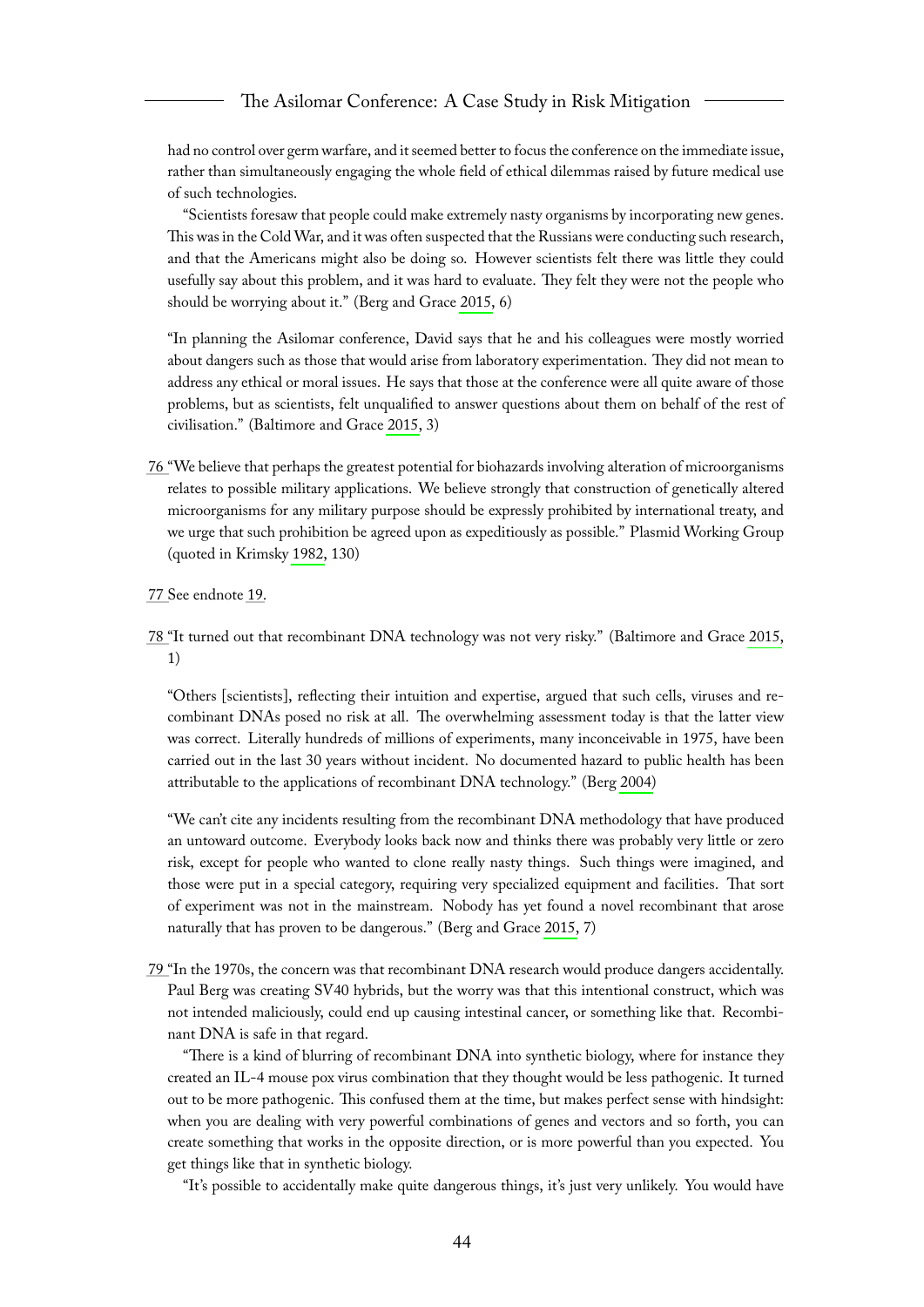had no control over germ warfare, and it seemed better to focus the conference on the immediate issue, rather than simultaneously engaging the whole field of ethical dilemmas raised by future medical use of such technologies.

"Scientists foresaw that people could make extremely nasty organisms by incorporating new genes. This was in the Cold War, and it was often suspected that the Russians were conducting such research, and that the Americans might also be doing so. However scientists felt there was little they could usefully say about this problem, and it was hard to evaluate. They felt they were not the people who should be worrying about it." (Berg and Grace [2015,](#page-65-3) 6)

"In planning the Asilomar conference, David says that he and his colleagues were mostly worried about dangers such as those that would arise from laboratory experimentation. They did not mean to address any ethical or moral issues. He says that those at the conference were all quite aware of those problems, but as scientists, felt unqualified to answer questions about them on behalf of the rest of civilisation." (Baltimore and Grace [2015,](#page-65-2) 3)

- <span id="page-44-0"></span>[76 "](#page-13-6)We believe that perhaps the greatest potential for biohazards involving alteration of microorganisms relates to possible military applications. We believe strongly that construction of genetically altered microorganisms for any military purpose should be expressly prohibited by international treaty, and we urge that such prohibition be agreed upon as expeditiously as possible." Plasmid Working Group (quoted in Krimsky [1982,](#page-66-0) 130)
- <span id="page-44-1"></span>[77 S](#page-13-7)ee endnote [19.](#page-32-3)
- <span id="page-44-2"></span>[78 "](#page-14-5)It turned out that recombinant DNA technology was not very risky." (Baltimore and Grace [2015,](#page-65-2) 1)

"Others [scientists], reflecting their intuition and expertise, argued that such cells, viruses and recombinant DNAs posed no risk at all. The overwhelming assessment today is that the latter view was correct. Literally hundreds of millions of experiments, many inconceivable in 1975, have been carried out in the last 30 years without incident. No documented hazard to public health has been attributable to the applications of recombinant DNA technology." (Berg [2004\)](#page-65-7)

"We can't cite any incidents resulting from the recombinant DNA methodology that have produced an untoward outcome. Everybody looks back now and thinks there was probably very little or zero risk, except for people who wanted to clone really nasty things. Such things were imagined, and those were put in a special category, requiring very specialized equipment and facilities. That sort of experiment was not in the mainstream. Nobody has yet found a novel recombinant that arose naturally that has proven to be dangerous." (Berg and Grace [2015,](#page-65-3) 7)

<span id="page-44-3"></span>[79 "](#page-14-6)In the 1970s, the concern was that recombinant DNA research would produce dangers accidentally. Paul Berg was creating SV40 hybrids, but the worry was that this intentional construct, which was not intended maliciously, could end up causing intestinal cancer, or something like that. Recombinant DNA is safe in that regard.

"There is a kind of blurring of recombinant DNA into synthetic biology, where for instance they created an IL-4 mouse pox virus combination that they thought would be less pathogenic. It turned out to be more pathogenic. This confused them at the time, but makes perfect sense with hindsight: when you are dealing with very powerful combinations of genes and vectors and so forth, you can create something that works in the opposite direction, or is more powerful than you expected. You get things like that in synthetic biology.

"It's possible to accidentally make quite dangerous things, it's just very unlikely. You would have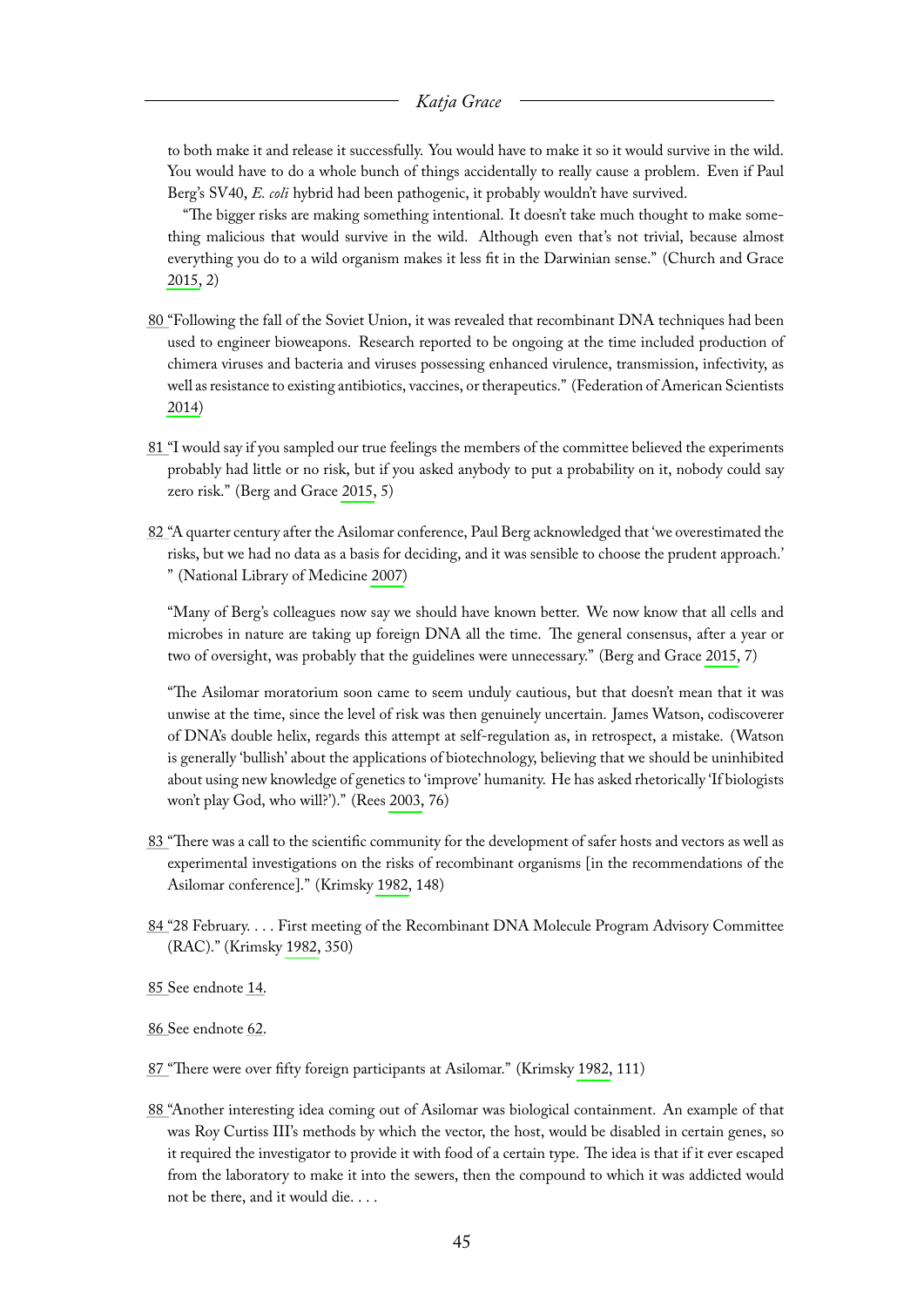to both make it and release it successfully. You would have to make it so it would survive in the wild. You would have to do a whole bunch of things accidentally to really cause a problem. Even if Paul Berg's SV40, *E. coli* hybrid had been pathogenic, it probably wouldn't have survived.

"The bigger risks are making something intentional. It doesn't take much thought to make something malicious that would survive in the wild. Although even that's not trivial, because almost everything you do to a wild organism makes it less fit in the Darwinian sense." (Church and Grace [2015,](#page-66-2) 2)

- <span id="page-45-0"></span>[80 "](#page-14-7)Following the fall of the Soviet Union, it was revealed that recombinant DNA techniques had been used to engineer bioweapons. Research reported to be ongoing at the time included production of chimera viruses and bacteria and viruses possessing enhanced virulence, transmission, infectivity, as well as resistance to existing antibiotics, vaccines, or therapeutics." (Federation of American Scientists [2014\)](#page-66-9)
- <span id="page-45-1"></span>[81 "](#page-14-8)I would say if you sampled our true feelings the members of the committee believed the experiments probably had little or no risk, but if you asked anybody to put a probability on it, nobody could say zero risk." (Berg and Grace [2015,](#page-65-3) 5)
- <span id="page-45-2"></span>[82 "](#page-14-9)A quarter century after the Asilomar conference, Paul Berg acknowledged that 'we overestimated the risks, but we had no data as a basis for deciding, and it was sensible to choose the prudent approach.' " (National Library of Medicine [2007\)](#page-67-6)

"Many of Berg's colleagues now say we should have known better. We now know that all cells and microbes in nature are taking up foreign DNA all the time. The general consensus, after a year or two of oversight, was probably that the guidelines were unnecessary." (Berg and Grace [2015,](#page-65-3) 7)

"The Asilomar moratorium soon came to seem unduly cautious, but that doesn't mean that it was unwise at the time, since the level of risk was then genuinely uncertain. James Watson, codiscoverer of DNA's double helix, regards this attempt at self-regulation as, in retrospect, a mistake. (Watson is generally 'bullish' about the applications of biotechnology, believing that we should be uninhibited about using new knowledge of genetics to 'improve' humanity. He has asked rhetorically 'If biologists won't play God, who will?')." (Rees [2003,](#page-67-7) 76)

- <span id="page-45-3"></span>[83 "](#page-15-3)There was a call to the scientific community for the development of safer hosts and vectors as well as experimental investigations on the risks of recombinant organisms [in the recommendations of the Asilomar conference]." (Krimsky [1982,](#page-66-0) 148)
- <span id="page-45-4"></span>[84 "](#page-15-4)28 February. . . . First meeting of the Recombinant DNA Molecule Program Advisory Committee (RAC)." (Krimsky [1982,](#page-66-0) 350)
- <span id="page-45-5"></span>[85 S](#page-15-5)ee endnote [14.](#page-31-6)

<span id="page-45-6"></span>[86 S](#page-15-6)ee endnote [62.](#page-40-1)

- <span id="page-45-7"></span>[87 "](#page-15-7)There were over fifty foreign participants at Asilomar." (Krimsky [1982,](#page-66-0) 111)
- <span id="page-45-8"></span>[88 "](#page-15-8)Another interesting idea coming out of Asilomar was biological containment. An example of that was Roy Curtiss III's methods by which the vector, the host, would be disabled in certain genes, so it required the investigator to provide it with food of a certain type. The idea is that if it ever escaped from the laboratory to make it into the sewers, then the compound to which it was addicted would not be there, and it would die. . . .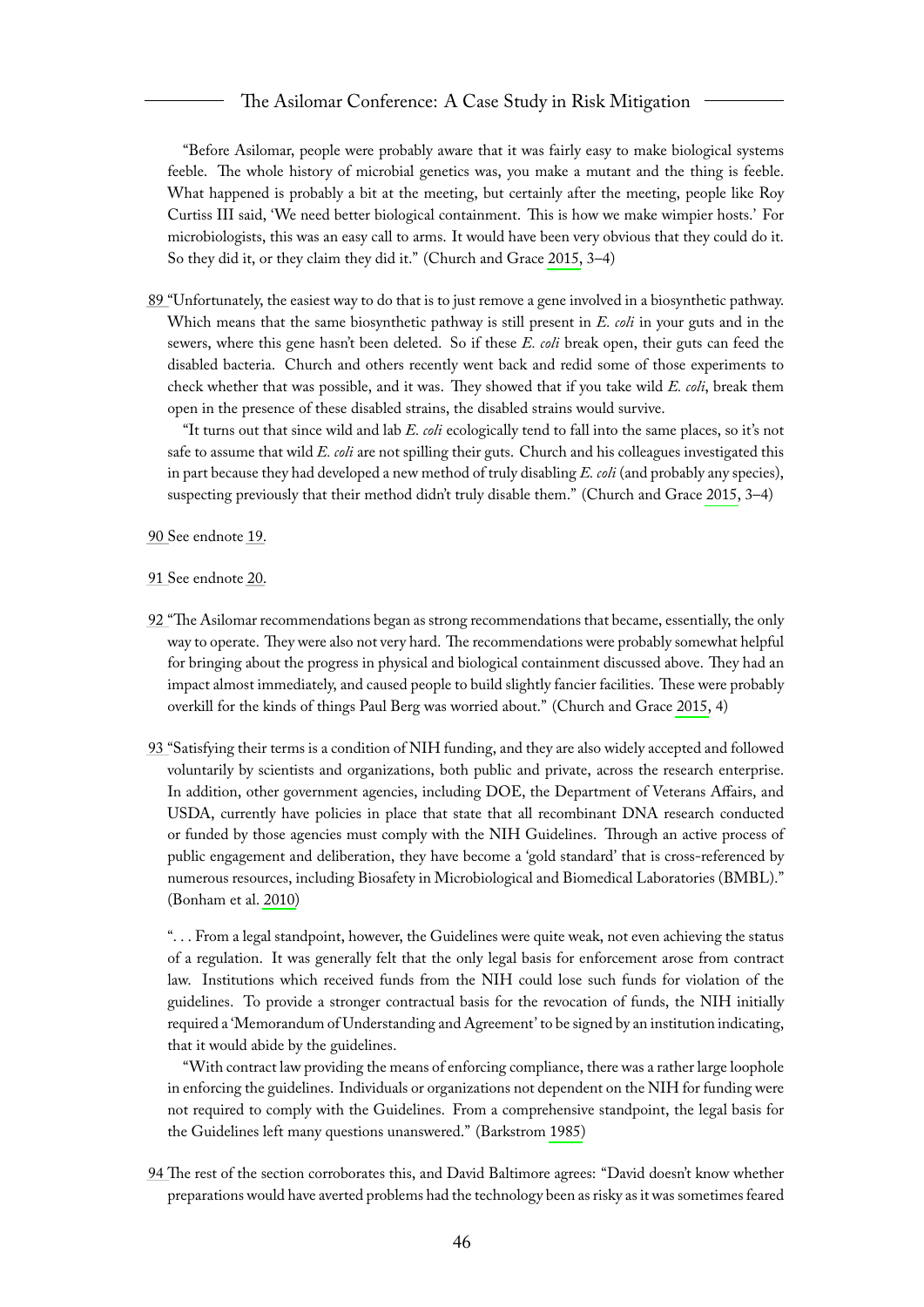#### The Asilomar Conference: A Case Study in Risk Mitigation

"Before Asilomar, people were probably aware that it was fairly easy to make biological systems feeble. The whole history of microbial genetics was, you make a mutant and the thing is feeble. What happened is probably a bit at the meeting, but certainly after the meeting, people like Roy Curtiss III said, 'We need better biological containment. This is how we make wimpier hosts.' For microbiologists, this was an easy call to arms. It would have been very obvious that they could do it. So they did it, or they claim they did it." (Church and Grace [2015,](#page-66-2) 3–4)

<span id="page-46-0"></span>[89 "](#page-15-9)Unfortunately, the easiest way to do that is to just remove a gene involved in a biosynthetic pathway. Which means that the same biosynthetic pathway is still present in *E. coli* in your guts and in the sewers, where this gene hasn't been deleted. So if these *E. coli* break open, their guts can feed the disabled bacteria. Church and others recently went back and redid some of those experiments to check whether that was possible, and it was. They showed that if you take wild *E. coli*, break them open in the presence of these disabled strains, the disabled strains would survive.

"It turns out that since wild and lab *E. coli* ecologically tend to fall into the same places, so it's not safe to assume that wild *E. coli* are not spilling their guts. Church and his colleagues investigated this in part because they had developed a new method of truly disabling *E. coli* (and probably any species), suspecting previously that their method didn't truly disable them." (Church and Grace [2015,](#page-66-2) 3–4)

<span id="page-46-1"></span>[90 S](#page-15-10)ee endnote [19.](#page-32-3)

- <span id="page-46-2"></span>[91 S](#page-15-11)ee endnote [20.](#page-32-4)
- <span id="page-46-3"></span>[92 "](#page-15-12)The Asilomar recommendations began as strong recommendations that became, essentially, the only way to operate. They were also not very hard. The recommendations were probably somewhat helpful for bringing about the progress in physical and biological containment discussed above. They had an impact almost immediately, and caused people to build slightly fancier facilities. These were probably overkill for the kinds of things Paul Berg was worried about." (Church and Grace [2015,](#page-66-2) 4)
- <span id="page-46-4"></span>[93 "](#page-15-13)Satisfying their terms is a condition of NIH funding, and they are also widely accepted and followed voluntarily by scientists and organizations, both public and private, across the research enterprise. In addition, other government agencies, including DOE, the Department of Veterans Affairs, and USDA, currently have policies in place that state that all recombinant DNA research conducted or funded by those agencies must comply with the NIH Guidelines. Through an active process of public engagement and deliberation, they have become a 'gold standard' that is cross-referenced by numerous resources, including Biosafety in Microbiological and Biomedical Laboratories (BMBL)." (Bonham et al. [2010\)](#page-65-8)

". . . From a legal standpoint, however, the Guidelines were quite weak, not even achieving the status of a regulation. It was generally felt that the only legal basis for enforcement arose from contract law. Institutions which received funds from the NIH could lose such funds for violation of the guidelines. To provide a stronger contractual basis for the revocation of funds, the NIH initially required a 'Memorandum of Understanding and Agreement' to be signed by an institution indicating, that it would abide by the guidelines.

"With contract law providing the means of enforcing compliance, there was a rather large loophole in enforcing the guidelines. Individuals or organizations not dependent on the NIH for funding were not required to comply with the Guidelines. From a comprehensive standpoint, the legal basis for the Guidelines left many questions unanswered." (Barkstrom [1985\)](#page-65-13)

<span id="page-46-5"></span>[94 Th](#page-16-1)e rest of the section corroborates this, and David Baltimore agrees: "David doesn't know whether preparations would have averted problems had the technology been as risky as it was sometimes feared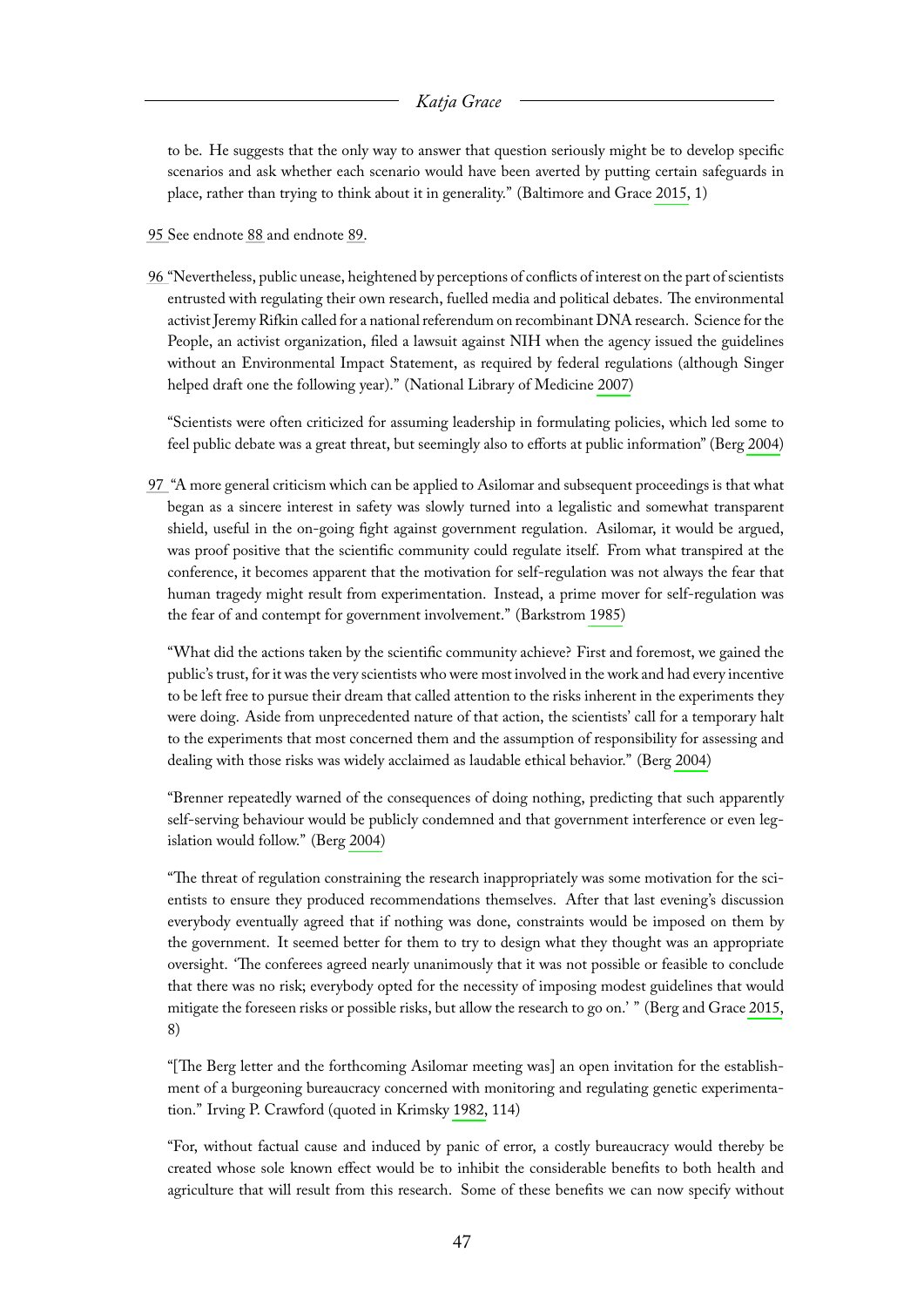to be. He suggests that the only way to answer that question seriously might be to develop specific scenarios and ask whether each scenario would have been averted by putting certain safeguards in place, rather than trying to think about it in generality." (Baltimore and Grace [2015,](#page-65-2) 1)

- <span id="page-47-0"></span>[95 S](#page-16-2)ee endnote [88](#page-45-8) and endnote [89.](#page-46-0)
- <span id="page-47-1"></span>[96 "](#page-17-0)Nevertheless, public unease, heightened by perceptions of conflicts of interest on the part of scientists entrusted with regulating their own research, fuelled media and political debates. The environmental activist Jeremy Rifkin called for a national referendum on recombinant DNA research. Science for the People, an activist organization, filed a lawsuit against NIH when the agency issued the guidelines without an Environmental Impact Statement, as required by federal regulations (although Singer helped draft one the following year)." (National Library of Medicine [2007\)](#page-67-6)

"Scientists were often criticized for assuming leadership in formulating policies, which led some to feel public debate was a great threat, but seemingly also to efforts at public information" (Berg [2004\)](#page-65-7)

<span id="page-47-2"></span>[97](#page-17-1) "A more general criticism which can be applied to Asilomar and subsequent proceedings is that what began as a sincere interest in safety was slowly turned into a legalistic and somewhat transparent shield, useful in the on-going fight against government regulation. Asilomar, it would be argued, was proof positive that the scientific community could regulate itself. From what transpired at the conference, it becomes apparent that the motivation for self-regulation was not always the fear that human tragedy might result from experimentation. Instead, a prime mover for self-regulation was the fear of and contempt for government involvement." (Barkstrom [1985\)](#page-65-13)

"What did the actions taken by the scientific community achieve? First and foremost, we gained the public's trust, for it was the very scientists who were most involved in the work and had every incentive to be left free to pursue their dream that called attention to the risks inherent in the experiments they were doing. Aside from unprecedented nature of that action, the scientists' call for a temporary halt to the experiments that most concerned them and the assumption of responsibility for assessing and dealing with those risks was widely acclaimed as laudable ethical behavior." (Berg [2004\)](#page-65-7)

"Brenner repeatedly warned of the consequences of doing nothing, predicting that such apparently self-serving behaviour would be publicly condemned and that government interference or even legislation would follow." (Berg [2004\)](#page-65-7)

"The threat of regulation constraining the research inappropriately was some motivation for the scientists to ensure they produced recommendations themselves. After that last evening's discussion everybody eventually agreed that if nothing was done, constraints would be imposed on them by the government. It seemed better for them to try to design what they thought was an appropriate oversight. 'The conferees agreed nearly unanimously that it was not possible or feasible to conclude that there was no risk; everybody opted for the necessity of imposing modest guidelines that would mitigate the foreseen risks or possible risks, but allow the research to go on.' " (Berg and Grace [2015,](#page-65-3) 8)

"[The Berg letter and the forthcoming Asilomar meeting was] an open invitation for the establishment of a burgeoning bureaucracy concerned with monitoring and regulating genetic experimentation." Irving P. Crawford (quoted in Krimsky [1982,](#page-66-0) 114)

"For, without factual cause and induced by panic of error, a costly bureaucracy would thereby be created whose sole known effect would be to inhibit the considerable benefits to both health and agriculture that will result from this research. Some of these benefits we can now specify without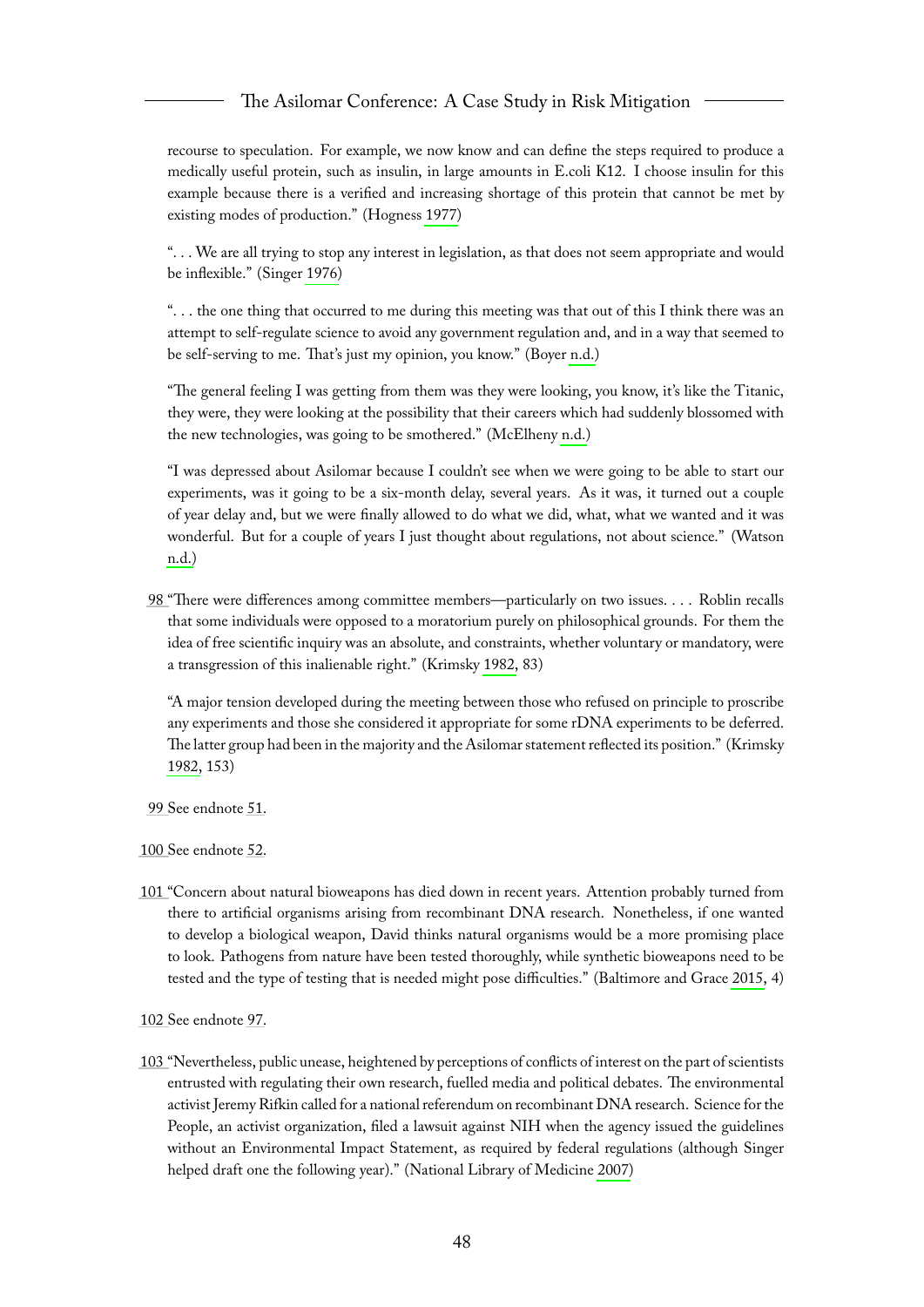#### The Asilomar Conference: A Case Study in Risk Mitigation

recourse to speculation. For example, we now know and can define the steps required to produce a medically useful protein, such as insulin, in large amounts in E.coli K12. I choose insulin for this example because there is a verified and increasing shortage of this protein that cannot be met by existing modes of production." (Hogness [1977\)](#page-66-10)

". . . We are all trying to stop any interest in legislation, as that does not seem appropriate and would be inflexible." (Singer [1976\)](#page-67-5)

". . . the one thing that occurred to me during this meeting was that out of this I think there was an attempt to self-regulate science to avoid any government regulation and, and in a way that seemed to be self-serving to me. That's just my opinion, you know." (Boyer [n.d.\)](#page-65-10)

"The general feeling I was getting from them was they were looking, you know, it's like the Titanic, they were, they were looking at the possibility that their careers which had suddenly blossomed with the new technologies, was going to be smothered." (McElheny [n.d.\)](#page-66-11)

"I was depressed about Asilomar because I couldn't see when we were going to be able to start our experiments, was it going to be a six-month delay, several years. As it was, it turned out a couple of year delay and, but we were finally allowed to do what we did, what, what we wanted and it was wonderful. But for a couple of years I just thought about regulations, not about science." (Watson [n.d.\)](#page-67-3)

<span id="page-48-0"></span>[98 "](#page-17-2)There were differences among committee members—particularly on two issues. . . . Roblin recalls that some individuals were opposed to a moratorium purely on philosophical grounds. For them the idea of free scientific inquiry was an absolute, and constraints, whether voluntary or mandatory, were a transgression of this inalienable right." (Krimsky [1982,](#page-66-0) 83)

"A major tension developed during the meeting between those who refused on principle to proscribe any experiments and those she considered it appropriate for some rDNA experiments to be deferred. The latter group had been in the majority and the Asilomar statement reflected its position." (Krimsky [1982,](#page-66-0) 153)

- <span id="page-48-1"></span>[99 S](#page-18-5)ee endnote [51.](#page-37-3)
- <span id="page-48-2"></span>[100 S](#page-18-6)ee endnote [52.](#page-38-0)
- <span id="page-48-3"></span>[101 "](#page-18-7)Concern about natural bioweapons has died down in recent years. Attention probably turned from there to artificial organisms arising from recombinant DNA research. Nonetheless, if one wanted to develop a biological weapon, David thinks natural organisms would be a more promising place to look. Pathogens from nature have been tested thoroughly, while synthetic bioweapons need to be tested and the type of testing that is needed might pose difficulties." (Baltimore and Grace [2015,](#page-65-2) 4)
- <span id="page-48-4"></span>[102 S](#page-18-8)ee endnote [97.](#page-47-2)
- <span id="page-48-5"></span>[103 "](#page-18-9)Nevertheless, public unease, heightened by perceptions of conflicts of interest on the part of scientists entrusted with regulating their own research, fuelled media and political debates. The environmental activist Jeremy Rifkin called for a national referendum on recombinant DNA research. Science for the People, an activist organization, filed a lawsuit against NIH when the agency issued the guidelines without an Environmental Impact Statement, as required by federal regulations (although Singer helped draft one the following year)." (National Library of Medicine [2007\)](#page-67-6)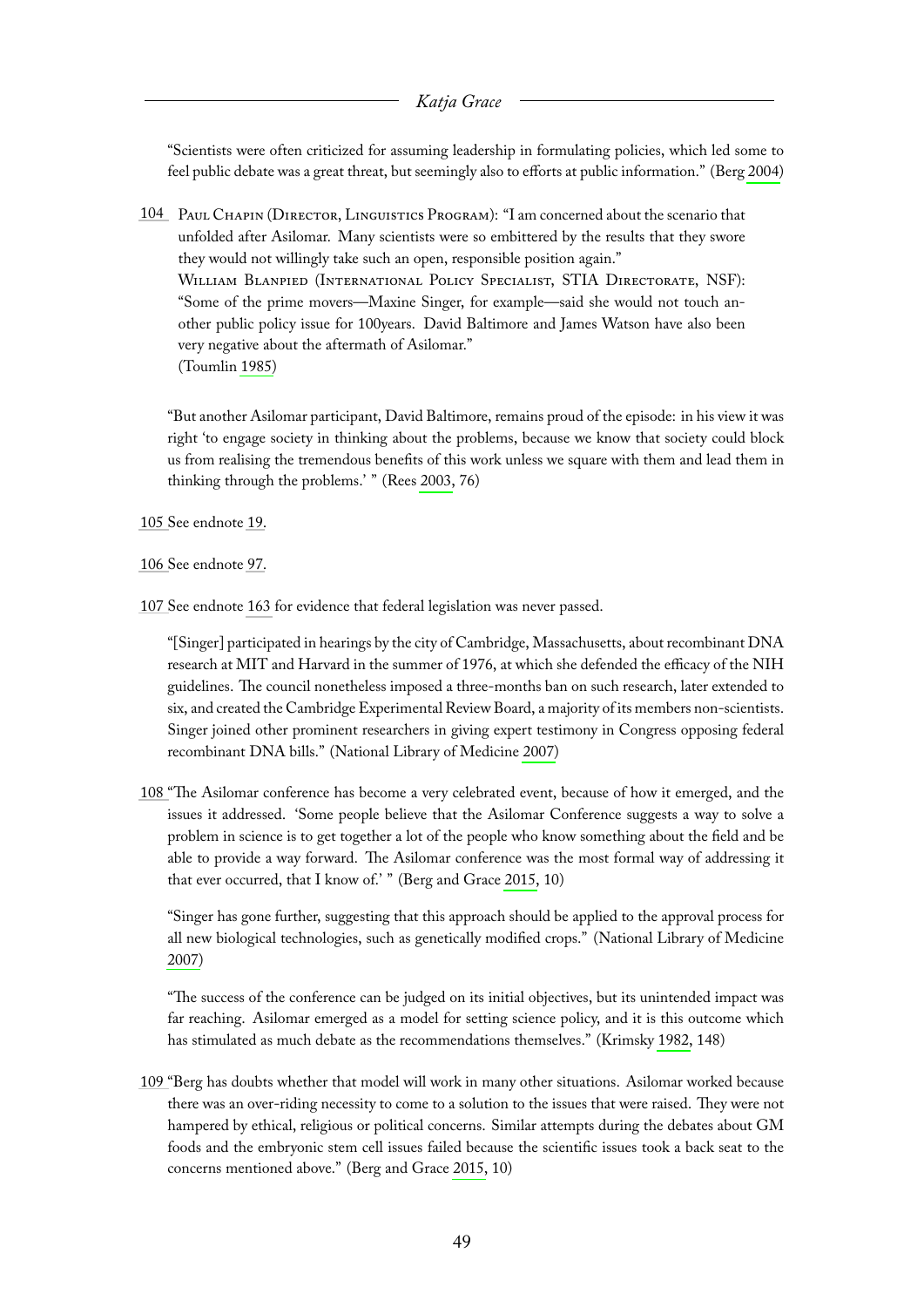"Scientists were often criticized for assuming leadership in formulating policies, which led some to feel public debate was a great threat, but seemingly also to efforts at public information." (Berg [2004\)](#page-65-7)

<span id="page-49-0"></span>[104](#page-18-10) Paul Chapin (Director, Linguistics Program): "I am concerned about the scenario that unfolded after Asilomar. Many scientists were so embittered by the results that they swore they would not willingly take such an open, responsible position again." WILLIAM BLANPIED (INTERNATIONAL POLICY SPECIALIST, STIA DIRECTORATE, NSF): "Some of the prime movers—Maxine Singer, for example—said she would not touch another public policy issue for 100years. David Baltimore and James Watson have also been very negative about the aftermath of Asilomar." (Toumlin [1985\)](#page-67-8)

"But another Asilomar participant, David Baltimore, remains proud of the episode: in his view it was right 'to engage society in thinking about the problems, because we know that society could block us from realising the tremendous benefits of this work unless we square with them and lead them in thinking through the problems.' " (Rees [2003,](#page-67-7) 76)

- <span id="page-49-1"></span>[105 S](#page-18-11)ee endnote [19.](#page-32-3)
- <span id="page-49-2"></span>[106 S](#page-18-12)ee endnote [97.](#page-47-2)
- <span id="page-49-3"></span>[107 S](#page-18-13)ee endnote [163](#page-59-3) for evidence that federal legislation was never passed.

"[Singer] participated in hearings by the city of Cambridge, Massachusetts, about recombinant DNA research at MIT and Harvard in the summer of 1976, at which she defended the efficacy of the NIH guidelines. The council nonetheless imposed a three-months ban on such research, later extended to six, and created the Cambridge Experimental Review Board, a majority of its members non-scientists. Singer joined other prominent researchers in giving expert testimony in Congress opposing federal recombinant DNA bills." (National Library of Medicine [2007\)](#page-67-6)

<span id="page-49-4"></span>[108 "](#page-19-4)The Asilomar conference has become a very celebrated event, because of how it emerged, and the issues it addressed. 'Some people believe that the Asilomar Conference suggests a way to solve a problem in science is to get together a lot of the people who know something about the field and be able to provide a way forward. The Asilomar conference was the most formal way of addressing it that ever occurred, that I know of.' " (Berg and Grace [2015,](#page-65-3) 10)

"Singer has gone further, suggesting that this approach should be applied to the approval process for all new biological technologies, such as genetically modified crops." (National Library of Medicine [2007\)](#page-67-6)

"The success of the conference can be judged on its initial objectives, but its unintended impact was far reaching. Asilomar emerged as a model for setting science policy, and it is this outcome which has stimulated as much debate as the recommendations themselves." (Krimsky [1982,](#page-66-0) 148)

<span id="page-49-5"></span>[109 "](#page-19-5)Berg has doubts whether that model will work in many other situations. Asilomar worked because there was an over-riding necessity to come to a solution to the issues that were raised. They were not hampered by ethical, religious or political concerns. Similar attempts during the debates about GM foods and the embryonic stem cell issues failed because the scientific issues took a back seat to the concerns mentioned above." (Berg and Grace [2015,](#page-65-3) 10)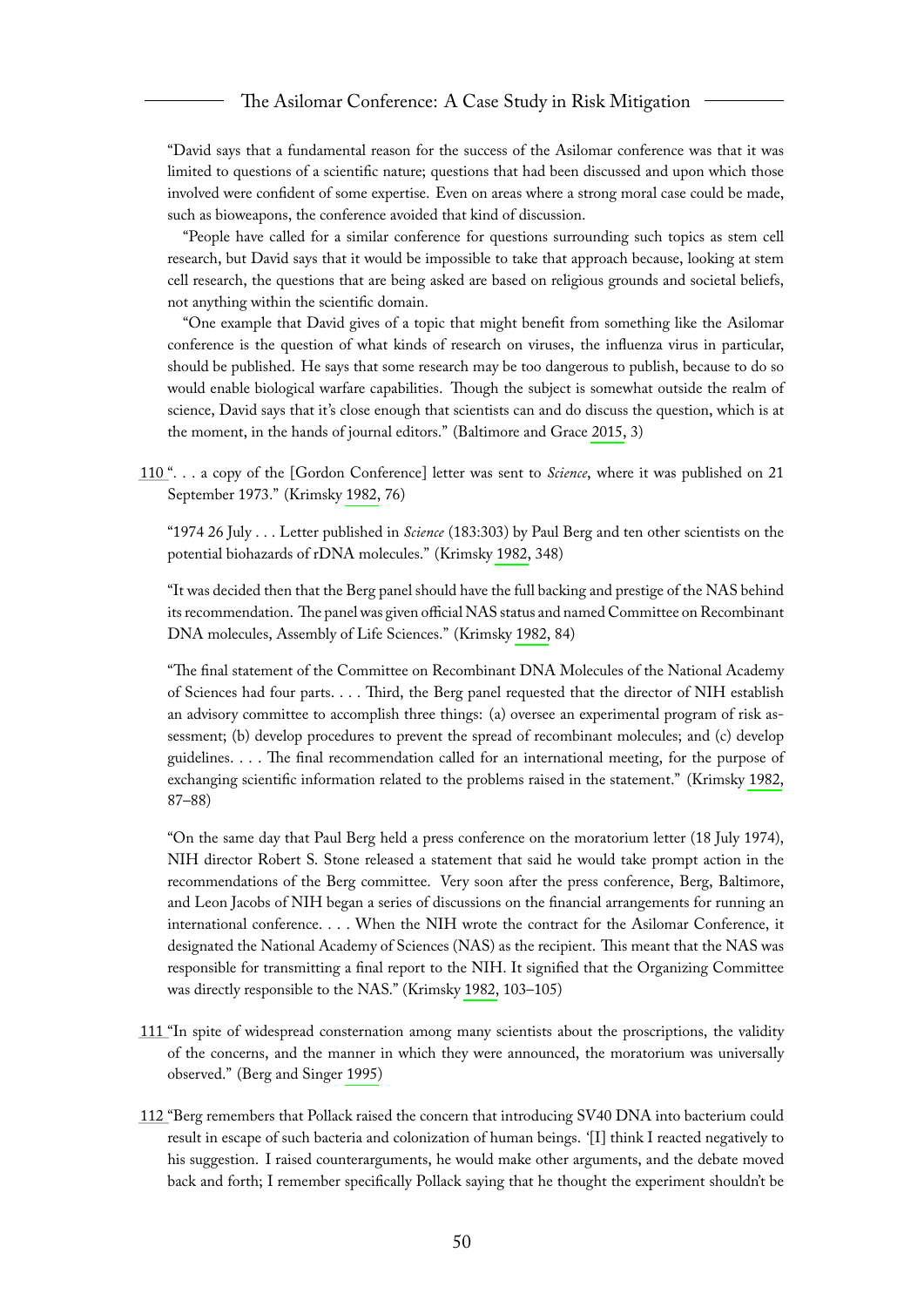"David says that a fundamental reason for the success of the Asilomar conference was that it was limited to questions of a scientific nature; questions that had been discussed and upon which those involved were confident of some expertise. Even on areas where a strong moral case could be made, such as bioweapons, the conference avoided that kind of discussion.

"People have called for a similar conference for questions surrounding such topics as stem cell research, but David says that it would be impossible to take that approach because, looking at stem cell research, the questions that are being asked are based on religious grounds and societal beliefs, not anything within the scientific domain.

"One example that David gives of a topic that might benefit from something like the Asilomar conference is the question of what kinds of research on viruses, the influenza virus in particular, should be published. He says that some research may be too dangerous to publish, because to do so would enable biological warfare capabilities. Though the subject is somewhat outside the realm of science, David says that it's close enough that scientists can and do discuss the question, which is at the moment, in the hands of journal editors." (Baltimore and Grace [2015,](#page-65-2) 3)

<span id="page-50-0"></span>[110 "](#page-20-2). . . a copy of the [Gordon Conference] letter was sent to *Science*, where it was published on 21 September 1973." (Krimsky [1982,](#page-66-0) 76)

"1974 26 July . . . Letter published in *Science* (183:303) by Paul Berg and ten other scientists on the potential biohazards of rDNA molecules." (Krimsky [1982,](#page-66-0) 348)

"It was decided then that the Berg panel should have the full backing and prestige of the NAS behind its recommendation. The panel was given official NAS status and named Committee on Recombinant DNA molecules, Assembly of Life Sciences." (Krimsky [1982,](#page-66-0) 84)

"The final statement of the Committee on Recombinant DNA Molecules of the National Academy of Sciences had four parts. . . . Third, the Berg panel requested that the director of NIH establish an advisory committee to accomplish three things: (a) oversee an experimental program of risk assessment; (b) develop procedures to prevent the spread of recombinant molecules; and (c) develop guidelines. . . . The final recommendation called for an international meeting, for the purpose of exchanging scientific information related to the problems raised in the statement." (Krimsky [1982,](#page-66-0) 87–88)

"On the same day that Paul Berg held a press conference on the moratorium letter (18 July 1974), NIH director Robert S. Stone released a statement that said he would take prompt action in the recommendations of the Berg committee. Very soon after the press conference, Berg, Baltimore, and Leon Jacobs of NIH began a series of discussions on the financial arrangements for running an international conference. . . . When the NIH wrote the contract for the Asilomar Conference, it designated the National Academy of Sciences (NAS) as the recipient. This meant that the NAS was responsible for transmitting a final report to the NIH. It signified that the Organizing Committee was directly responsible to the NAS." (Krimsky [1982,](#page-66-0) 103–105)

- <span id="page-50-1"></span>[111 "](#page-20-3)In spite of widespread consternation among many scientists about the proscriptions, the validity of the concerns, and the manner in which they were announced, the moratorium was universally observed." (Berg and Singer [1995\)](#page-65-1)
- <span id="page-50-2"></span>[112 "](#page-20-4)Berg remembers that Pollack raised the concern that introducing SV40 DNA into bacterium could result in escape of such bacteria and colonization of human beings. '[I] think I reacted negatively to his suggestion. I raised counterarguments, he would make other arguments, and the debate moved back and forth; I remember specifically Pollack saying that he thought the experiment shouldn't be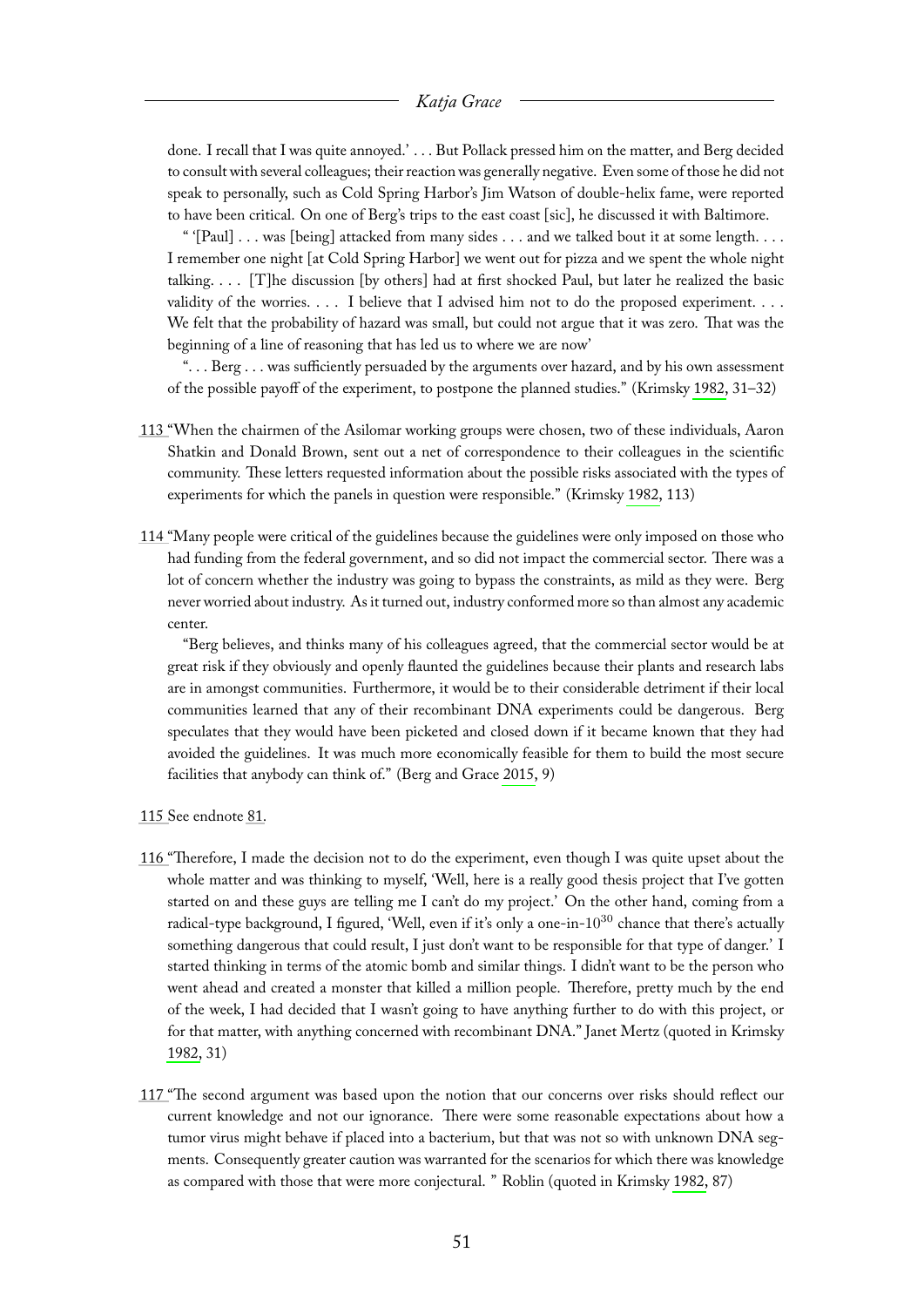done. I recall that I was quite annoyed.' . . . But Pollack pressed him on the matter, and Berg decided to consult with several colleagues; their reaction was generally negative. Even some of those he did not speak to personally, such as Cold Spring Harbor's Jim Watson of double-helix fame, were reported to have been critical. On one of Berg's trips to the east coast [sic], he discussed it with Baltimore.

" '[Paul]  $\dots$  was [being] attacked from many sides  $\dots$  and we talked bout it at some length.  $\dots$ I remember one night [at Cold Spring Harbor] we went out for pizza and we spent the whole night talking. . . . [T]he discussion [by others] had at first shocked Paul, but later he realized the basic validity of the worries. . . . I believe that I advised him not to do the proposed experiment. . . . We felt that the probability of hazard was small, but could not argue that it was zero. That was the beginning of a line of reasoning that has led us to where we are now'

". . . Berg . . . was sufficiently persuaded by the arguments over hazard, and by his own assessment of the possible payoff of the experiment, to postpone the planned studies." (Krimsky [1982,](#page-66-0) 31–32)

- <span id="page-51-0"></span>[113 "](#page-20-5)When the chairmen of the Asilomar working groups were chosen, two of these individuals, Aaron Shatkin and Donald Brown, sent out a net of correspondence to their colleagues in the scientific community. These letters requested information about the possible risks associated with the types of experiments for which the panels in question were responsible." (Krimsky [1982,](#page-66-0) 113)
- <span id="page-51-1"></span>[114 "](#page-20-6)Many people were critical of the guidelines because the guidelines were only imposed on those who had funding from the federal government, and so did not impact the commercial sector. There was a lot of concern whether the industry was going to bypass the constraints, as mild as they were. Berg never worried about industry. As it turned out, industry conformed more so than almost any academic center.

"Berg believes, and thinks many of his colleagues agreed, that the commercial sector would be at great risk if they obviously and openly flaunted the guidelines because their plants and research labs are in amongst communities. Furthermore, it would be to their considerable detriment if their local communities learned that any of their recombinant DNA experiments could be dangerous. Berg speculates that they would have been picketed and closed down if it became known that they had avoided the guidelines. It was much more economically feasible for them to build the most secure facilities that anybody can think of." (Berg and Grace [2015,](#page-65-3) 9)

- <span id="page-51-2"></span>[115 S](#page-21-2)ee endnote [81.](#page-45-1)
- <span id="page-51-3"></span>[116 "](#page-21-3)Therefore, I made the decision not to do the experiment, even though I was quite upset about the whole matter and was thinking to myself, 'Well, here is a really good thesis project that I've gotten started on and these guys are telling me I can't do my project.' On the other hand, coming from a radical-type background, I figured, 'Well, even if it's only a one-in-10<sup>30</sup> chance that there's actually something dangerous that could result, I just don't want to be responsible for that type of danger.' I started thinking in terms of the atomic bomb and similar things. I didn't want to be the person who went ahead and created a monster that killed a million people. Therefore, pretty much by the end of the week, I had decided that I wasn't going to have anything further to do with this project, or for that matter, with anything concerned with recombinant DNA." Janet Mertz (quoted in Krimsky [1982,](#page-66-0) 31)
- <span id="page-51-4"></span>[117 "](#page-21-4)The second argument was based upon the notion that our concerns over risks should reflect our current knowledge and not our ignorance. There were some reasonable expectations about how a tumor virus might behave if placed into a bacterium, but that was not so with unknown DNA segments. Consequently greater caution was warranted for the scenarios for which there was knowledge as compared with those that were more conjectural. " Roblin (quoted in Krimsky [1982,](#page-66-0) 87)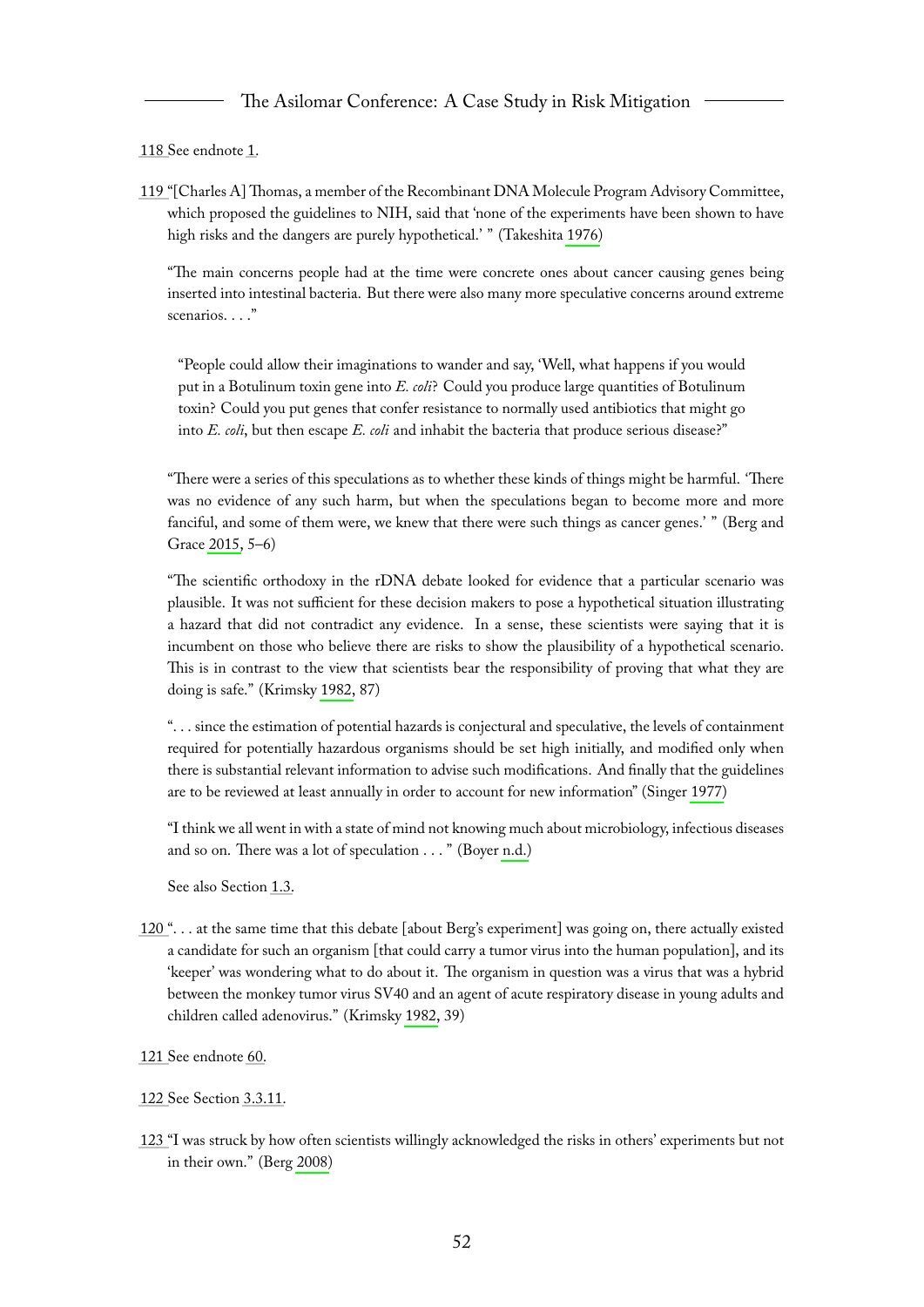<span id="page-52-0"></span>[118 S](#page-21-5)ee endnote [1.](#page-30-1)

<span id="page-52-1"></span>[119 "](#page-21-6)[Charles A] Thomas, a member of the Recombinant DNA Molecule Program Advisory Committee, which proposed the guidelines to NIH, said that 'none of the experiments have been shown to have high risks and the dangers are purely hypothetical.' " (Takeshita [1976\)](#page-67-9)

"The main concerns people had at the time were concrete ones about cancer causing genes being inserted into intestinal bacteria. But there were also many more speculative concerns around extreme scenarios. . . ."

"People could allow their imaginations to wander and say, 'Well, what happens if you would put in a Botulinum toxin gene into *E. coli*? Could you produce large quantities of Botulinum toxin? Could you put genes that confer resistance to normally used antibiotics that might go into *E. coli*, but then escape *E. coli* and inhabit the bacteria that produce serious disease?"

"There were a series of this speculations as to whether these kinds of things might be harmful. 'There was no evidence of any such harm, but when the speculations began to become more and more fanciful, and some of them were, we knew that there were such things as cancer genes.' " (Berg and Grace [2015,](#page-65-3) 5–6)

"The scientific orthodoxy in the rDNA debate looked for evidence that a particular scenario was plausible. It was not sufficient for these decision makers to pose a hypothetical situation illustrating a hazard that did not contradict any evidence. In a sense, these scientists were saying that it is incumbent on those who believe there are risks to show the plausibility of a hypothetical scenario. This is in contrast to the view that scientists bear the responsibility of proving that what they are doing is safe." (Krimsky [1982,](#page-66-0) 87)

". . . since the estimation of potential hazards is conjectural and speculative, the levels of containment required for potentially hazardous organisms should be set high initially, and modified only when there is substantial relevant information to advise such modifications. And finally that the guidelines are to be reviewed at least annually in order to account for new information" (Singer [1977\)](#page-67-4)

"I think we all went in with a state of mind not knowing much about microbiology, infectious diseases and so on. There was a lot of speculation . . . " (Boyer [n.d.\)](#page-65-10)

See also Section [1.3.](#page-8-1)

- <span id="page-52-2"></span>[120 "](#page-21-7). . . at the same time that this debate [about Berg's experiment] was going on, there actually existed a candidate for such an organism [that could carry a tumor virus into the human population], and its 'keeper' was wondering what to do about it. The organism in question was a virus that was a hybrid between the monkey tumor virus SV40 and an agent of acute respiratory disease in young adults and children called adenovirus." (Krimsky [1982,](#page-66-0) 39)
- <span id="page-52-3"></span>[121 S](#page-21-8)ee endnote [60.](#page-39-3)
- <span id="page-52-4"></span>[122 S](#page-21-9)ee Section [3.3.11.](#page-27-3)
- <span id="page-52-5"></span>[123 "](#page-22-3)I was struck by how often scientists willingly acknowledged the risks in others' experiments but not in their own." (Berg [2008\)](#page-65-14)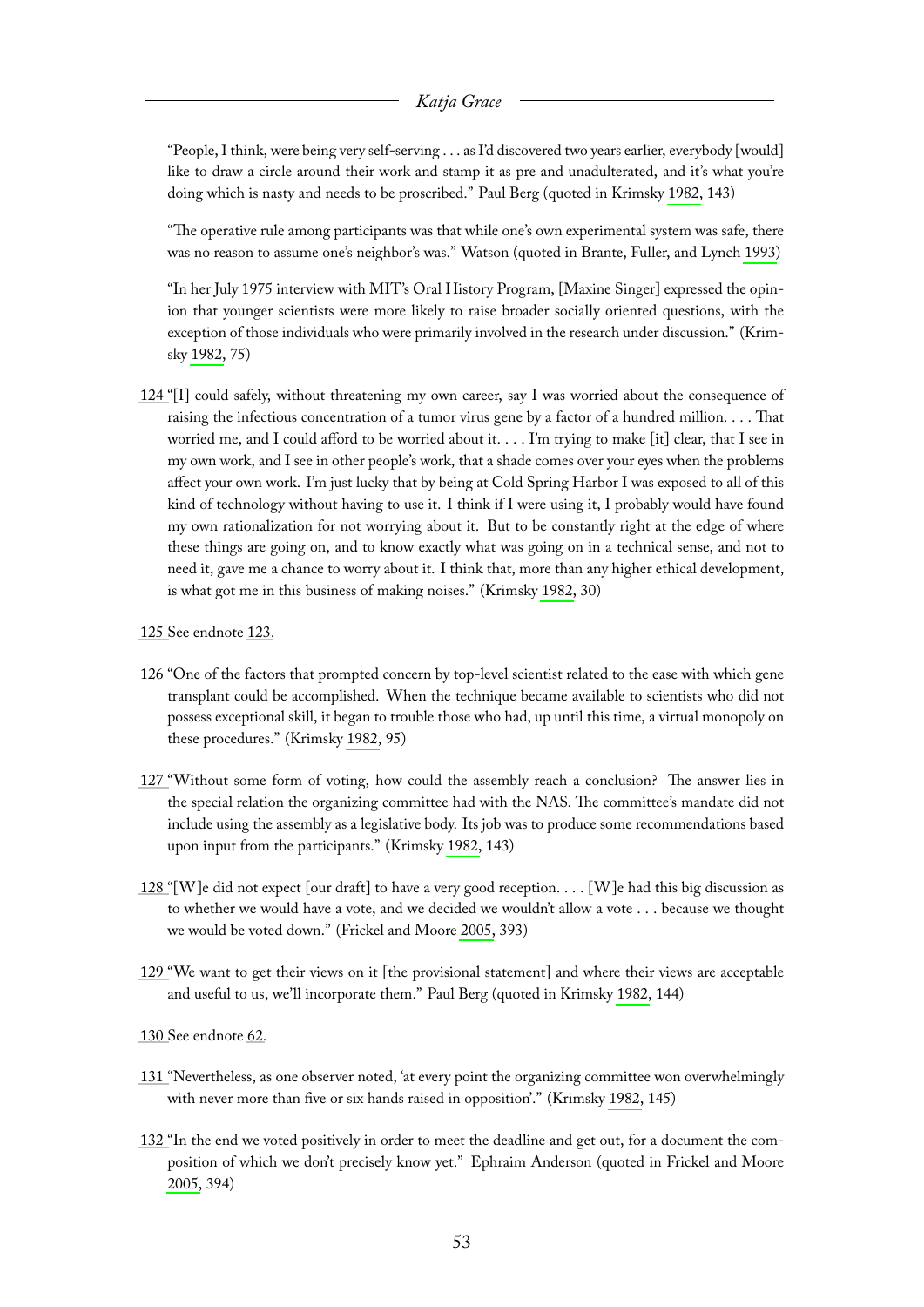"People, I think, were being very self-serving . . . as I'd discovered two years earlier, everybody [would] like to draw a circle around their work and stamp it as pre and unadulterated, and it's what you're doing which is nasty and needs to be proscribed." Paul Berg (quoted in Krimsky [1982,](#page-66-0) 143)

"The operative rule among participants was that while one's own experimental system was safe, there was no reason to assume one's neighbor's was." Watson (quoted in Brante, Fuller, and Lynch [1993\)](#page-66-12)

"In her July 1975 interview with MIT's Oral History Program, [Maxine Singer] expressed the opinion that younger scientists were more likely to raise broader socially oriented questions, with the exception of those individuals who were primarily involved in the research under discussion." (Krimsky [1982,](#page-66-0) 75)

- <span id="page-53-0"></span>[124 "](#page-22-4)[I] could safely, without threatening my own career, say I was worried about the consequence of raising the infectious concentration of a tumor virus gene by a factor of a hundred million. . . . That worried me, and I could afford to be worried about it. . . . I'm trying to make [it] clear, that I see in my own work, and I see in other people's work, that a shade comes over your eyes when the problems affect your own work. I'm just lucky that by being at Cold Spring Harbor I was exposed to all of this kind of technology without having to use it. I think if I were using it, I probably would have found my own rationalization for not worrying about it. But to be constantly right at the edge of where these things are going on, and to know exactly what was going on in a technical sense, and not to need it, gave me a chance to worry about it. I think that, more than any higher ethical development, is what got me in this business of making noises." (Krimsky [1982,](#page-66-0) 30)
- <span id="page-53-1"></span>[125 S](#page-22-5)ee endnote [123.](#page-52-5)
- <span id="page-53-2"></span>[126 "](#page-22-6)One of the factors that prompted concern by top-level scientist related to the ease with which gene transplant could be accomplished. When the technique became available to scientists who did not possess exceptional skill, it began to trouble those who had, up until this time, a virtual monopoly on these procedures." (Krimsky [1982,](#page-66-0) 95)
- <span id="page-53-3"></span>[127 "](#page-23-0)Without some form of voting, how could the assembly reach a conclusion? The answer lies in the special relation the organizing committee had with the NAS. The committee's mandate did not include using the assembly as a legislative body. Its job was to produce some recommendations based upon input from the participants." (Krimsky [1982,](#page-66-0) 143)
- <span id="page-53-4"></span>[128 "](#page-23-1)[W ]e did not expect [our draft] to have a very good reception. . . . [W ]e had this big discussion as to whether we would have a vote, and we decided we wouldn't allow a vote . . . because we thought we would be voted down." (Frickel and Moore [2005,](#page-66-5) 393)
- <span id="page-53-5"></span>[129 "](#page-23-2)We want to get their views on it [the provisional statement] and where their views are acceptable and useful to us, we'll incorporate them." Paul Berg (quoted in Krimsky [1982,](#page-66-0) 144)
- <span id="page-53-6"></span>[130 S](#page-23-3)ee endnote [62.](#page-40-1)
- <span id="page-53-7"></span>[131 "](#page-23-4)Nevertheless, as one observer noted, 'at every point the organizing committee won overwhelmingly with never more than five or six hands raised in opposition'." (Krimsky [1982,](#page-66-0) 145)
- <span id="page-53-8"></span>[132 "](#page-23-5)In the end we voted positively in order to meet the deadline and get out, for a document the composition of which we don't precisely know yet." Ephraim Anderson (quoted in Frickel and Moore [2005,](#page-66-5) 394)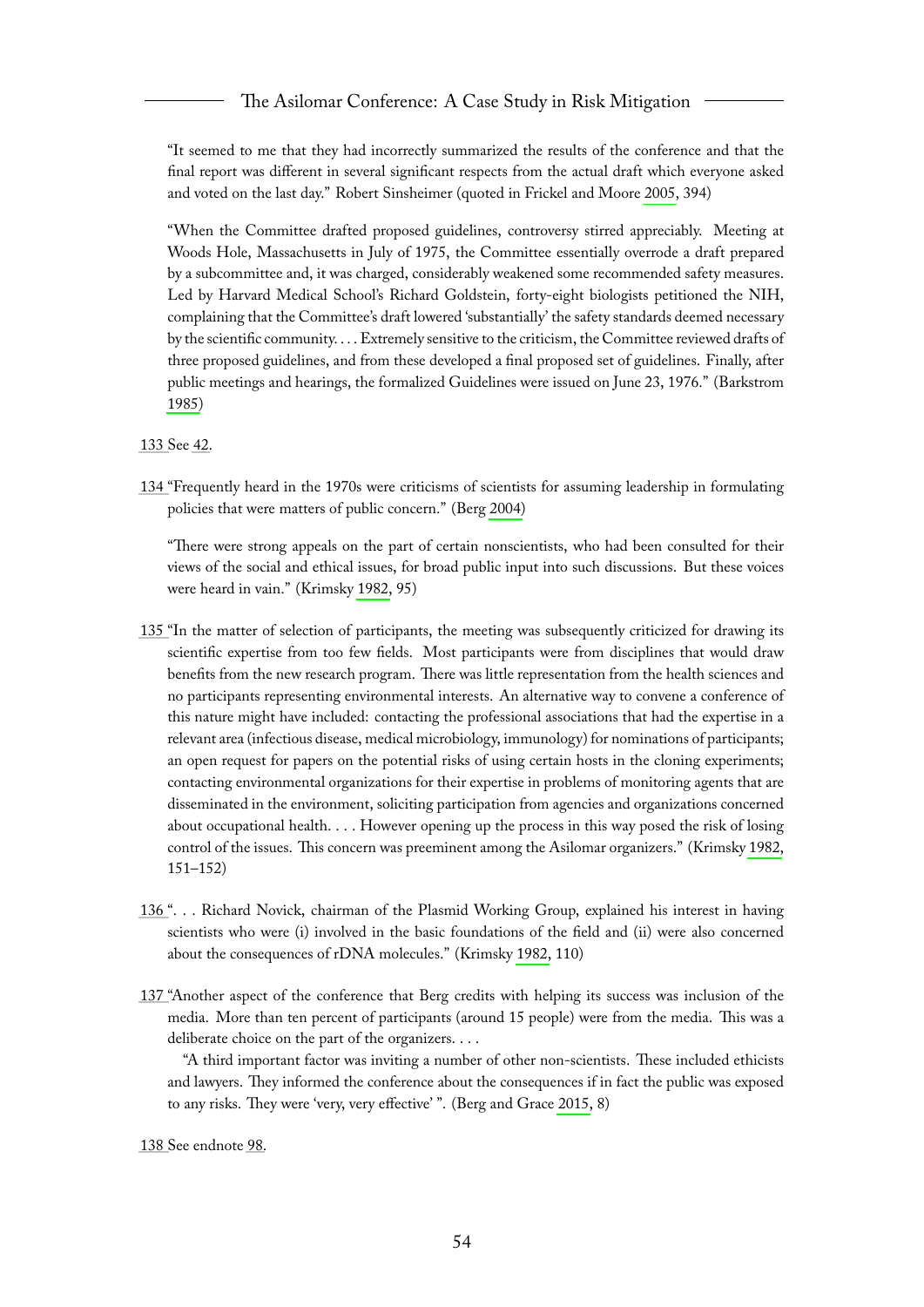"It seemed to me that they had incorrectly summarized the results of the conference and that the final report was different in several significant respects from the actual draft which everyone asked and voted on the last day." Robert Sinsheimer (quoted in Frickel and Moore [2005,](#page-66-5) 394)

"When the Committee drafted proposed guidelines, controversy stirred appreciably. Meeting at Woods Hole, Massachusetts in July of 1975, the Committee essentially overrode a draft prepared by a subcommittee and, it was charged, considerably weakened some recommended safety measures. Led by Harvard Medical School's Richard Goldstein, forty-eight biologists petitioned the NIH, complaining that the Committee's draft lowered 'substantially' the safety standards deemed necessary by the scientific community. . . . Extremely sensitive to the criticism, the Committee reviewed drafts of three proposed guidelines, and from these developed a final proposed set of guidelines. Finally, after public meetings and hearings, the formalized Guidelines were issued on June 23, 1976." (Barkstrom [1985\)](#page-65-13)

<span id="page-54-0"></span>[133 S](#page-23-6)ee [42.](#page-35-6)

<span id="page-54-1"></span>[134 "](#page-23-7)Frequently heard in the 1970s were criticisms of scientists for assuming leadership in formulating policies that were matters of public concern." (Berg [2004\)](#page-65-7)

"There were strong appeals on the part of certain nonscientists, who had been consulted for their views of the social and ethical issues, for broad public input into such discussions. But these voices were heard in vain." (Krimsky [1982,](#page-66-0) 95)

- <span id="page-54-2"></span>[135 "](#page-23-8)In the matter of selection of participants, the meeting was subsequently criticized for drawing its scientific expertise from too few fields. Most participants were from disciplines that would draw benefits from the new research program. There was little representation from the health sciences and no participants representing environmental interests. An alternative way to convene a conference of this nature might have included: contacting the professional associations that had the expertise in a relevant area (infectious disease, medical microbiology, immunology) for nominations of participants; an open request for papers on the potential risks of using certain hosts in the cloning experiments; contacting environmental organizations for their expertise in problems of monitoring agents that are disseminated in the environment, soliciting participation from agencies and organizations concerned about occupational health. . . . However opening up the process in this way posed the risk of losing control of the issues. This concern was preeminent among the Asilomar organizers." (Krimsky [1982,](#page-66-0) 151–152)
- <span id="page-54-3"></span>[136 "](#page-23-9). . . Richard Novick, chairman of the Plasmid Working Group, explained his interest in having scientists who were (i) involved in the basic foundations of the field and (ii) were also concerned about the consequences of rDNA molecules." (Krimsky [1982,](#page-66-0) 110)
- <span id="page-54-4"></span>[137 "](#page-23-10)Another aspect of the conference that Berg credits with helping its success was inclusion of the media. More than ten percent of participants (around 15 people) were from the media. This was a deliberate choice on the part of the organizers. . . .

"A third important factor was inviting a number of other non-scientists. These included ethicists and lawyers. They informed the conference about the consequences if in fact the public was exposed to any risks. They were 'very, very effective' ". (Berg and Grace [2015,](#page-65-3) 8)

<span id="page-54-5"></span>[138 S](#page-24-2)ee endnote [98.](#page-48-0)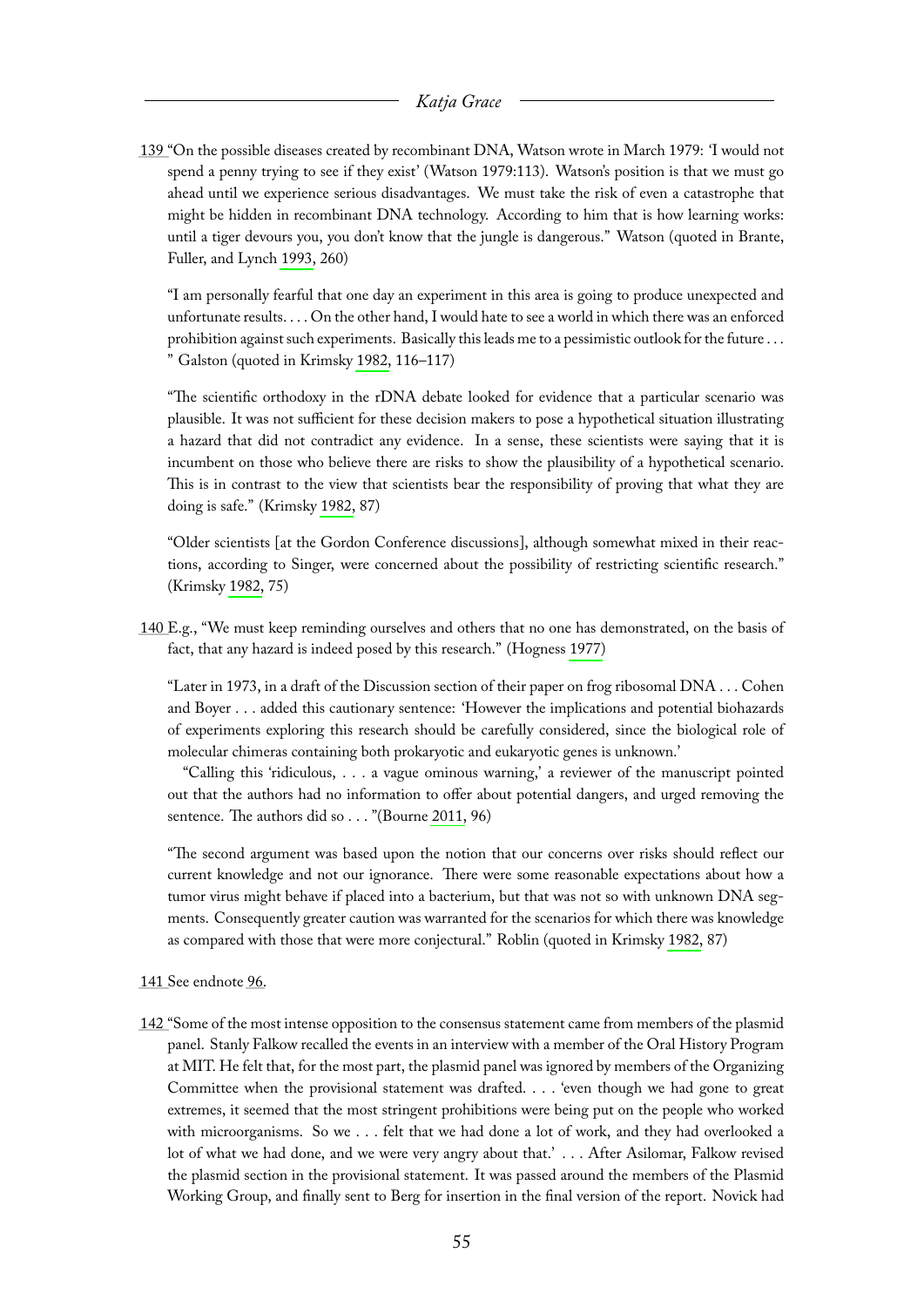<span id="page-55-0"></span>[139 "](#page-24-3)On the possible diseases created by recombinant DNA, Watson wrote in March 1979: 'I would not spend a penny trying to see if they exist' (Watson 1979:113). Watson's position is that we must go ahead until we experience serious disadvantages. We must take the risk of even a catastrophe that might be hidden in recombinant DNA technology. According to him that is how learning works: until a tiger devours you, you don't know that the jungle is dangerous." Watson (quoted in Brante, Fuller, and Lynch [1993,](#page-66-12) 260)

"I am personally fearful that one day an experiment in this area is going to produce unexpected and unfortunate results. . . . On the other hand, I would hate to see a world in which there was an enforced prohibition against such experiments. Basically this leads me to a pessimistic outlook for the future . . . " Galston (quoted in Krimsky [1982,](#page-66-0) 116–117)

"The scientific orthodoxy in the rDNA debate looked for evidence that a particular scenario was plausible. It was not sufficient for these decision makers to pose a hypothetical situation illustrating a hazard that did not contradict any evidence. In a sense, these scientists were saying that it is incumbent on those who believe there are risks to show the plausibility of a hypothetical scenario. This is in contrast to the view that scientists bear the responsibility of proving that what they are doing is safe." (Krimsky [1982,](#page-66-0) 87)

"Older scientists [at the Gordon Conference discussions], although somewhat mixed in their reactions, according to Singer, were concerned about the possibility of restricting scientific research." (Krimsky [1982,](#page-66-0) 75)

<span id="page-55-1"></span>[140 E](#page-24-4).g., "We must keep reminding ourselves and others that no one has demonstrated, on the basis of fact, that any hazard is indeed posed by this research." (Hogness [1977\)](#page-66-10)

"Later in 1973, in a draft of the Discussion section of their paper on frog ribosomal DNA . . . Cohen and Boyer . . . added this cautionary sentence: 'However the implications and potential biohazards of experiments exploring this research should be carefully considered, since the biological role of molecular chimeras containing both prokaryotic and eukaryotic genes is unknown.'

"Calling this 'ridiculous, . . . a vague ominous warning,' a reviewer of the manuscript pointed out that the authors had no information to offer about potential dangers, and urged removing the sentence. The authors did so . . . "(Bourne [2011,](#page-65-6) 96)

"The second argument was based upon the notion that our concerns over risks should reflect our current knowledge and not our ignorance. There were some reasonable expectations about how a tumor virus might behave if placed into a bacterium, but that was not so with unknown DNA segments. Consequently greater caution was warranted for the scenarios for which there was knowledge as compared with those that were more conjectural." Roblin (quoted in Krimsky [1982,](#page-66-0) 87)

<span id="page-55-2"></span>[141 S](#page-24-5)ee endnote [96.](#page-47-1)

<span id="page-55-3"></span>[142 "](#page-24-6)Some of the most intense opposition to the consensus statement came from members of the plasmid panel. Stanly Falkow recalled the events in an interview with a member of the Oral History Program at MIT. He felt that, for the most part, the plasmid panel was ignored by members of the Organizing Committee when the provisional statement was drafted. . . . 'even though we had gone to great extremes, it seemed that the most stringent prohibitions were being put on the people who worked with microorganisms. So we . . . felt that we had done a lot of work, and they had overlooked a lot of what we had done, and we were very angry about that.' . . . After Asilomar, Falkow revised the plasmid section in the provisional statement. It was passed around the members of the Plasmid Working Group, and finally sent to Berg for insertion in the final version of the report. Novick had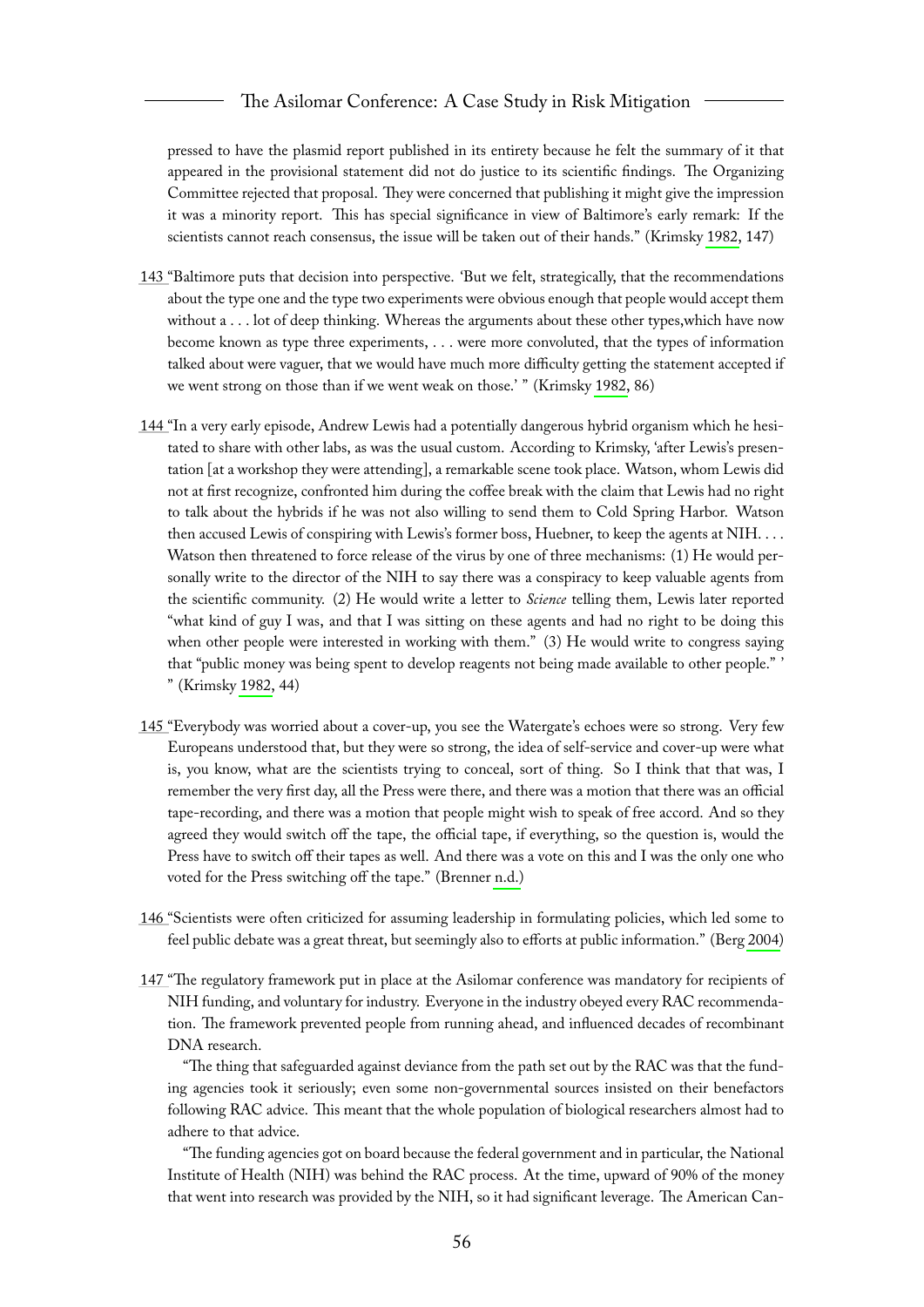pressed to have the plasmid report published in its entirety because he felt the summary of it that appeared in the provisional statement did not do justice to its scientific findings. The Organizing Committee rejected that proposal. They were concerned that publishing it might give the impression it was a minority report. This has special significance in view of Baltimore's early remark: If the scientists cannot reach consensus, the issue will be taken out of their hands." (Krimsky [1982,](#page-66-0) 147)

- <span id="page-56-0"></span>[143 "](#page-24-7)Baltimore puts that decision into perspective. 'But we felt, strategically, that the recommendations about the type one and the type two experiments were obvious enough that people would accept them without a . . . lot of deep thinking. Whereas the arguments about these other types,which have now become known as type three experiments, . . . were more convoluted, that the types of information talked about were vaguer, that we would have much more difficulty getting the statement accepted if we went strong on those than if we went weak on those.' " (Krimsky [1982,](#page-66-0) 86)
- <span id="page-56-1"></span>[144 "](#page-24-8)In a very early episode, Andrew Lewis had a potentially dangerous hybrid organism which he hesitated to share with other labs, as was the usual custom. According to Krimsky, 'after Lewis's presentation [at a workshop they were attending], a remarkable scene took place. Watson, whom Lewis did not at first recognize, confronted him during the coffee break with the claim that Lewis had no right to talk about the hybrids if he was not also willing to send them to Cold Spring Harbor. Watson then accused Lewis of conspiring with Lewis's former boss, Huebner, to keep the agents at NIH. . . . Watson then threatened to force release of the virus by one of three mechanisms: (1) He would personally write to the director of the NIH to say there was a conspiracy to keep valuable agents from the scientific community. (2) He would write a letter to *Science* telling them, Lewis later reported "what kind of guy I was, and that I was sitting on these agents and had no right to be doing this when other people were interested in working with them." (3) He would write to congress saying that "public money was being spent to develop reagents not being made available to other people." ' " (Krimsky [1982,](#page-66-0) 44)
- <span id="page-56-2"></span>[145 "](#page-24-9)Everybody was worried about a cover-up, you see the Watergate's echoes were so strong. Very few Europeans understood that, but they were so strong, the idea of self-service and cover-up were what is, you know, what are the scientists trying to conceal, sort of thing. So I think that that was, I remember the very first day, all the Press were there, and there was a motion that there was an official tape-recording, and there was a motion that people might wish to speak of free accord. And so they agreed they would switch off the tape, the official tape, if everything, so the question is, would the Press have to switch off their tapes as well. And there was a vote on this and I was the only one who voted for the Press switching off the tape." (Brenner [n.d.\)](#page-66-13)
- <span id="page-56-3"></span>[146 "](#page-24-10)Scientists were often criticized for assuming leadership in formulating policies, which led some to feel public debate was a great threat, but seemingly also to efforts at public information." (Berg [2004\)](#page-65-7)
- <span id="page-56-4"></span>[147 "](#page-25-3)The regulatory framework put in place at the Asilomar conference was mandatory for recipients of NIH funding, and voluntary for industry. Everyone in the industry obeyed every RAC recommendation. The framework prevented people from running ahead, and influenced decades of recombinant DNA research.

"The thing that safeguarded against deviance from the path set out by the RAC was that the funding agencies took it seriously; even some non-governmental sources insisted on their benefactors following RAC advice. This meant that the whole population of biological researchers almost had to adhere to that advice.

"The funding agencies got on board because the federal government and in particular, the National Institute of Health (NIH) was behind the RAC process. At the time, upward of 90% of the money that went into research was provided by the NIH, so it had significant leverage. The American Can-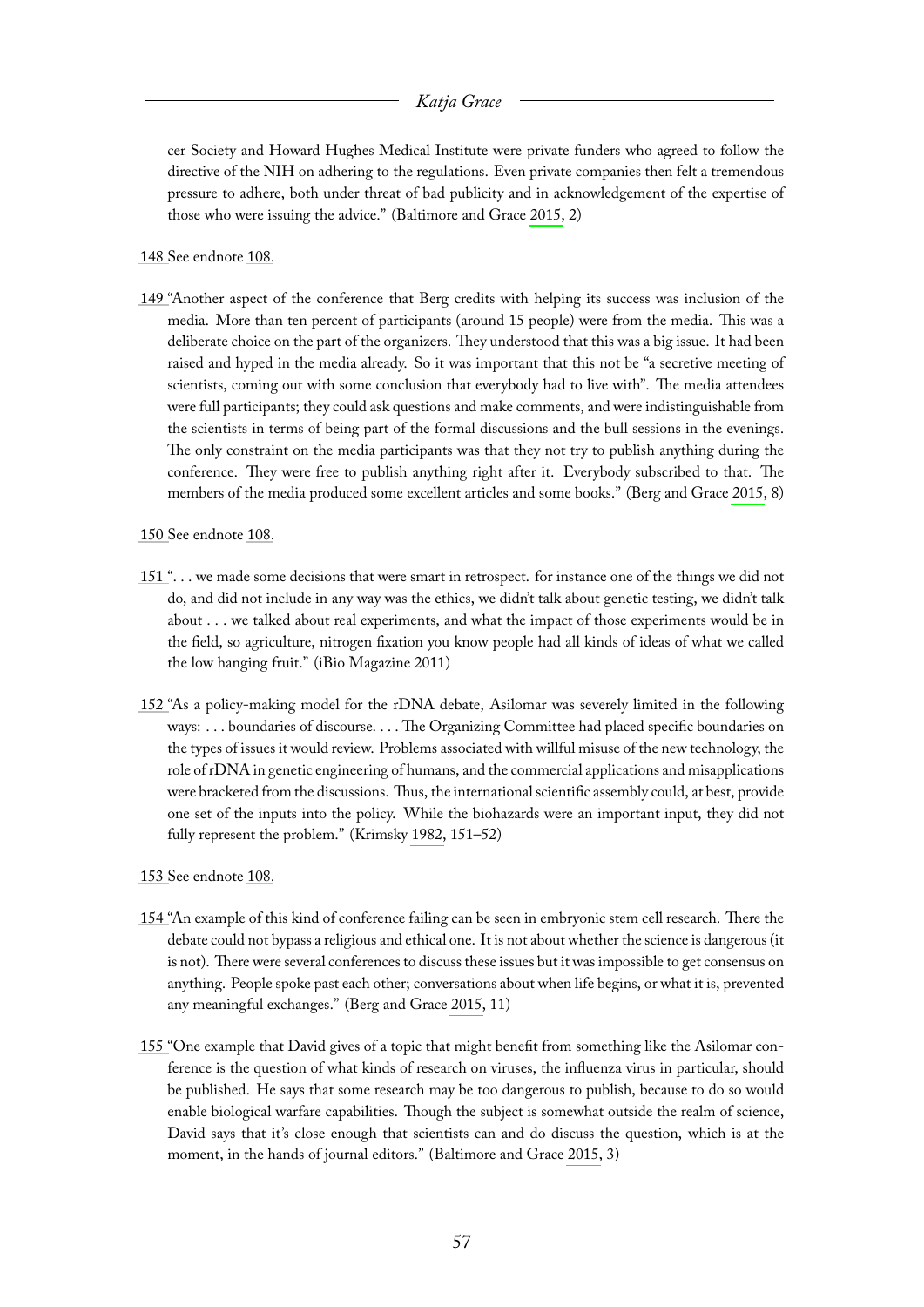cer Society and Howard Hughes Medical Institute were private funders who agreed to follow the directive of the NIH on adhering to the regulations. Even private companies then felt a tremendous pressure to adhere, both under threat of bad publicity and in acknowledgement of the expertise of those who were issuing the advice." (Baltimore and Grace [2015,](#page-65-2) 2)

<span id="page-57-0"></span>[148 S](#page-25-4)ee endnote [108.](#page-49-4)

- <span id="page-57-1"></span>[149 "](#page-25-5)Another aspect of the conference that Berg credits with helping its success was inclusion of the media. More than ten percent of participants (around 15 people) were from the media. This was a deliberate choice on the part of the organizers. They understood that this was a big issue. It had been raised and hyped in the media already. So it was important that this not be "a secretive meeting of scientists, coming out with some conclusion that everybody had to live with". The media attendees were full participants; they could ask questions and make comments, and were indistinguishable from the scientists in terms of being part of the formal discussions and the bull sessions in the evenings. The only constraint on the media participants was that they not try to publish anything during the conference. They were free to publish anything right after it. Everybody subscribed to that. The members of the media produced some excellent articles and some books." (Berg and Grace [2015,](#page-65-3) 8)
- <span id="page-57-2"></span>[150 S](#page-26-5)ee endnote [108.](#page-49-4)
- <span id="page-57-3"></span>[151 "](#page-26-6). . . we made some decisions that were smart in retrospect. for instance one of the things we did not do, and did not include in any way was the ethics, we didn't talk about genetic testing, we didn't talk about . . . we talked about real experiments, and what the impact of those experiments would be in the field, so agriculture, nitrogen fixation you know people had all kinds of ideas of what we called the low hanging fruit." (iBio Magazine [2011\)](#page-66-3)
- <span id="page-57-4"></span>[152 "](#page-26-7)As a policy-making model for the rDNA debate, Asilomar was severely limited in the following ways: . . . boundaries of discourse. . . . The Organizing Committee had placed specific boundaries on the types of issues it would review. Problems associated with willful misuse of the new technology, the role of rDNA in genetic engineering of humans, and the commercial applications and misapplications were bracketed from the discussions. Thus, the international scientific assembly could, at best, provide one set of the inputs into the policy. While the biohazards were an important input, they did not fully represent the problem." (Krimsky [1982,](#page-66-0) 151–52)
- <span id="page-57-5"></span>[153 S](#page-26-8)ee endnote [108.](#page-49-4)
- <span id="page-57-6"></span>[154 "](#page-26-9)An example of this kind of conference failing can be seen in embryonic stem cell research. There the debate could not bypass a religious and ethical one. It is not about whether the science is dangerous (it is not). There were several conferences to discuss these issues but it was impossible to get consensus on anything. People spoke past each other; conversations about when life begins, or what it is, prevented any meaningful exchanges." (Berg and Grace [2015,](#page-65-3) 11)
- <span id="page-57-7"></span>[155 "](#page-26-10)One example that David gives of a topic that might benefit from something like the Asilomar conference is the question of what kinds of research on viruses, the influenza virus in particular, should be published. He says that some research may be too dangerous to publish, because to do so would enable biological warfare capabilities. Though the subject is somewhat outside the realm of science, David says that it's close enough that scientists can and do discuss the question, which is at the moment, in the hands of journal editors." (Baltimore and Grace [2015,](#page-65-2) 3)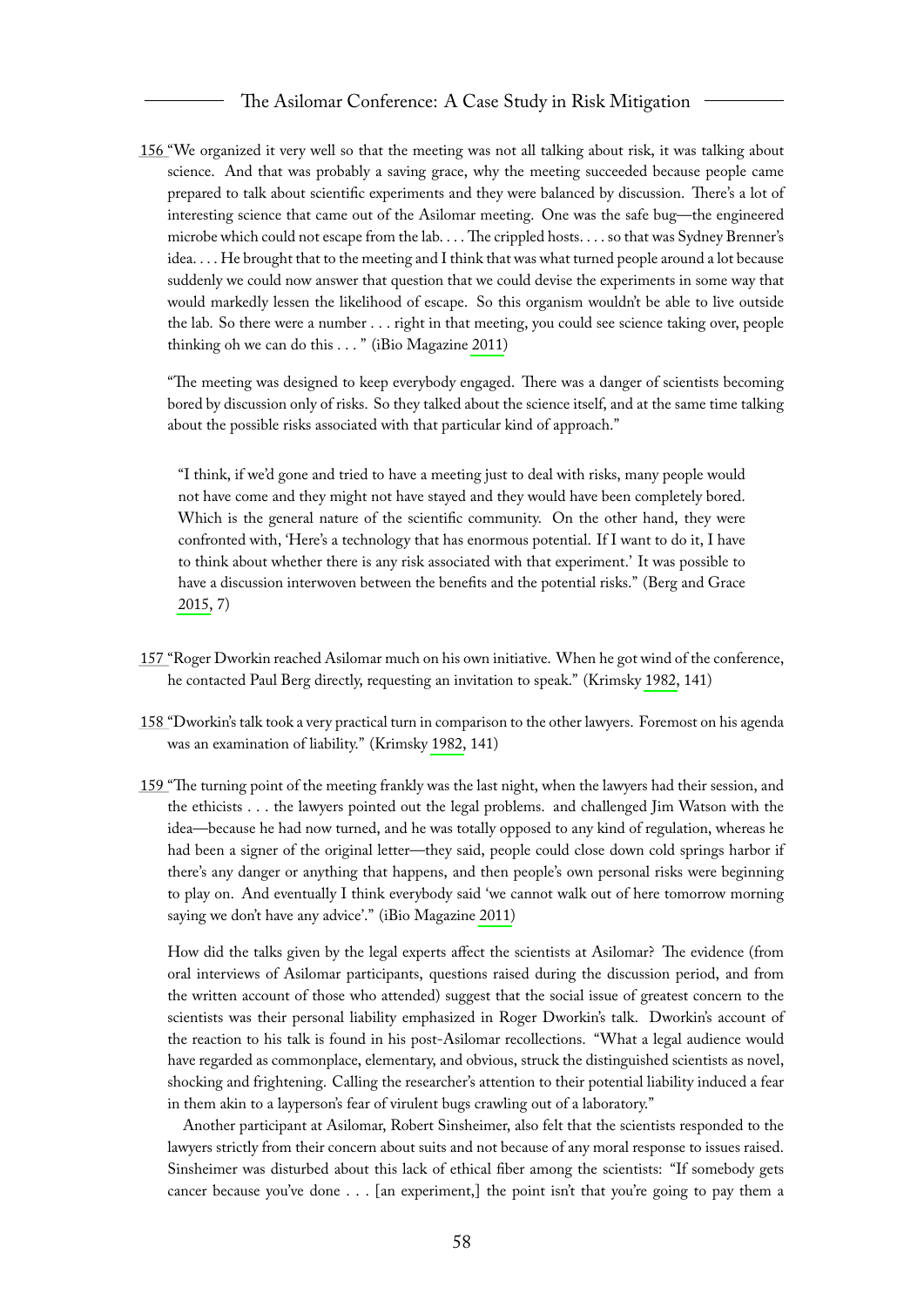<span id="page-58-0"></span>[156 "](#page-26-11)We organized it very well so that the meeting was not all talking about risk, it was talking about science. And that was probably a saving grace, why the meeting succeeded because people came prepared to talk about scientific experiments and they were balanced by discussion. There's a lot of interesting science that came out of the Asilomar meeting. One was the safe bug—the engineered microbe which could not escape from the lab. . . . The crippled hosts. . . . so that was Sydney Brenner's idea. . . . He brought that to the meeting and I think that was what turned people around a lot because suddenly we could now answer that question that we could devise the experiments in some way that would markedly lessen the likelihood of escape. So this organism wouldn't be able to live outside the lab. So there were a number . . . right in that meeting, you could see science taking over, people thinking oh we can do this . . . " (iBio Magazine [2011\)](#page-66-3)

"The meeting was designed to keep everybody engaged. There was a danger of scientists becoming bored by discussion only of risks. So they talked about the science itself, and at the same time talking about the possible risks associated with that particular kind of approach."

"I think, if we'd gone and tried to have a meeting just to deal with risks, many people would not have come and they might not have stayed and they would have been completely bored. Which is the general nature of the scientific community. On the other hand, they were confronted with, 'Here's a technology that has enormous potential. If I want to do it, I have to think about whether there is any risk associated with that experiment.' It was possible to have a discussion interwoven between the benefits and the potential risks." (Berg and Grace [2015,](#page-65-3) 7)

- <span id="page-58-1"></span>[157 "](#page-26-12)Roger Dworkin reached Asilomar much on his own initiative. When he got wind of the conference, he contacted Paul Berg directly, requesting an invitation to speak." (Krimsky [1982,](#page-66-0) 141)
- <span id="page-58-2"></span>[158 "](#page-26-13)Dworkin's talk took a very practical turn in comparison to the other lawyers. Foremost on his agenda was an examination of liability." (Krimsky [1982,](#page-66-0) 141)
- <span id="page-58-3"></span>[159 "](#page-26-14)The turning point of the meeting frankly was the last night, when the lawyers had their session, and the ethicists . . . the lawyers pointed out the legal problems. and challenged Jim Watson with the idea—because he had now turned, and he was totally opposed to any kind of regulation, whereas he had been a signer of the original letter—they said, people could close down cold springs harbor if there's any danger or anything that happens, and then people's own personal risks were beginning to play on. And eventually I think everybody said 'we cannot walk out of here tomorrow morning saying we don't have any advice'." (iBio Magazine [2011\)](#page-66-3)

How did the talks given by the legal experts affect the scientists at Asilomar? The evidence (from oral interviews of Asilomar participants, questions raised during the discussion period, and from the written account of those who attended) suggest that the social issue of greatest concern to the scientists was their personal liability emphasized in Roger Dworkin's talk. Dworkin's account of the reaction to his talk is found in his post-Asilomar recollections. "What a legal audience would have regarded as commonplace, elementary, and obvious, struck the distinguished scientists as novel, shocking and frightening. Calling the researcher's attention to their potential liability induced a fear in them akin to a layperson's fear of virulent bugs crawling out of a laboratory."

Another participant at Asilomar, Robert Sinsheimer, also felt that the scientists responded to the lawyers strictly from their concern about suits and not because of any moral response to issues raised. Sinsheimer was disturbed about this lack of ethical fiber among the scientists: "If somebody gets cancer because you've done . . . [an experiment,] the point isn't that you're going to pay them a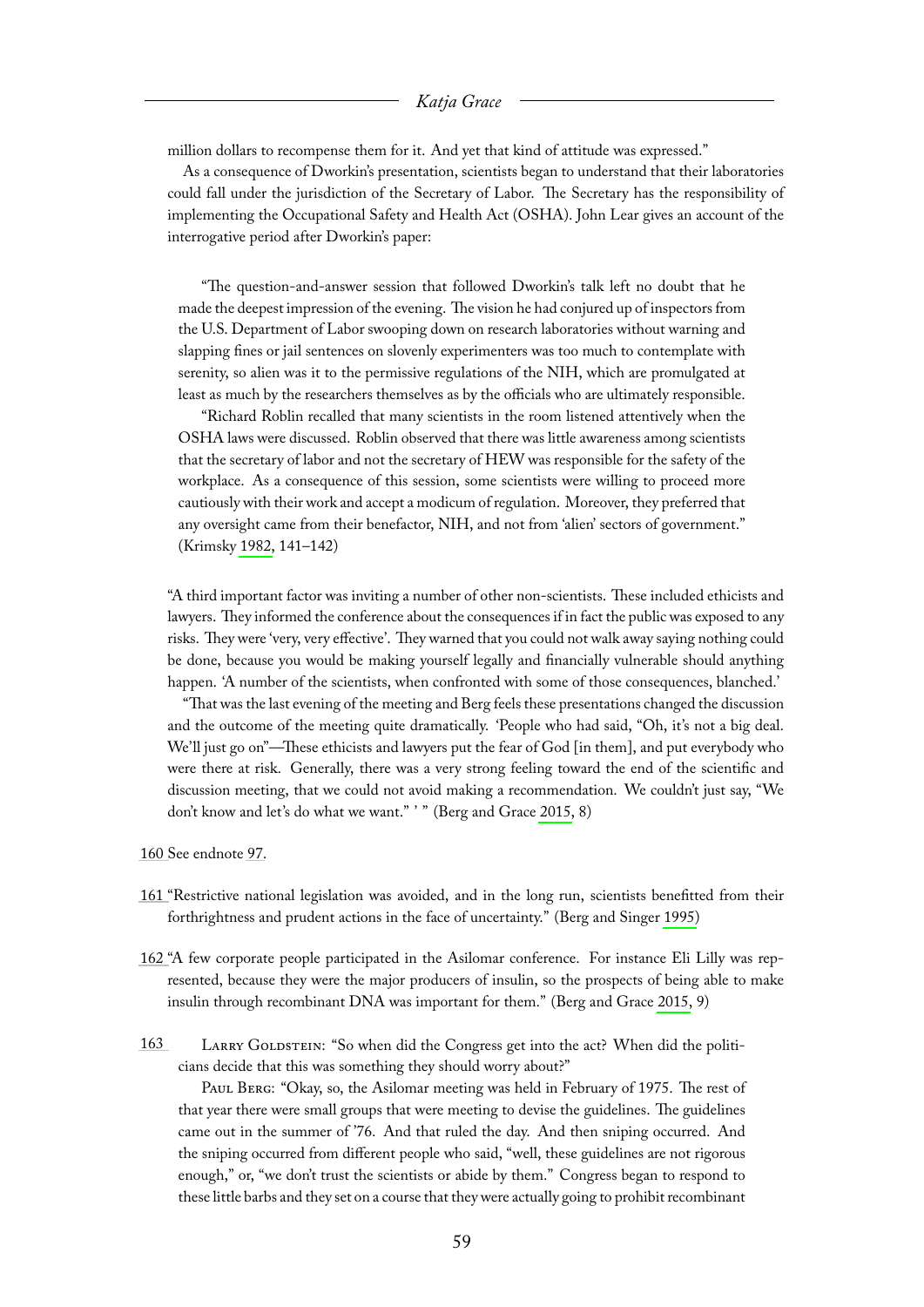million dollars to recompense them for it. And yet that kind of attitude was expressed."

As a consequence of Dworkin's presentation, scientists began to understand that their laboratories could fall under the jurisdiction of the Secretary of Labor. The Secretary has the responsibility of implementing the Occupational Safety and Health Act (OSHA). John Lear gives an account of the interrogative period after Dworkin's paper:

"The question-and-answer session that followed Dworkin's talk left no doubt that he made the deepest impression of the evening. The vision he had conjured up of inspectors from the U.S. Department of Labor swooping down on research laboratories without warning and slapping fines or jail sentences on slovenly experimenters was too much to contemplate with serenity, so alien was it to the permissive regulations of the NIH, which are promulgated at least as much by the researchers themselves as by the officials who are ultimately responsible.

"Richard Roblin recalled that many scientists in the room listened attentively when the OSHA laws were discussed. Roblin observed that there was little awareness among scientists that the secretary of labor and not the secretary of HEW was responsible for the safety of the workplace. As a consequence of this session, some scientists were willing to proceed more cautiously with their work and accept a modicum of regulation. Moreover, they preferred that any oversight came from their benefactor, NIH, and not from 'alien' sectors of government." (Krimsky [1982,](#page-66-0) 141–142)

"A third important factor was inviting a number of other non-scientists. These included ethicists and lawyers. They informed the conference about the consequences if in fact the public was exposed to any risks. They were 'very, very effective'. They warned that you could not walk away saying nothing could be done, because you would be making yourself legally and financially vulnerable should anything happen. 'A number of the scientists, when confronted with some of those consequences, blanched.'

"That was the last evening of the meeting and Berg feels these presentations changed the discussion and the outcome of the meeting quite dramatically. 'People who had said, "Oh, it's not a big deal. We'll just go on"—These ethicists and lawyers put the fear of God [in them], and put everybody who were there at risk. Generally, there was a very strong feeling toward the end of the scientific and discussion meeting, that we could not avoid making a recommendation. We couldn't just say, "We don't know and let's do what we want." ' " (Berg and Grace [2015,](#page-65-3) 8)

<span id="page-59-0"></span>[160 S](#page-26-15)ee endnote [97.](#page-47-2)

- <span id="page-59-1"></span>[161 "](#page-26-16)Restrictive national legislation was avoided, and in the long run, scientists benefitted from their forthrightness and prudent actions in the face of uncertainty." (Berg and Singer [1995\)](#page-65-1)
- <span id="page-59-2"></span>[162 "](#page-26-17)A few corporate people participated in the Asilomar conference. For instance Eli Lilly was represented, because they were the major producers of insulin, so the prospects of being able to make insulin through recombinant DNA was important for them." (Berg and Grace [2015,](#page-65-3) 9)
- <span id="page-59-3"></span>[163](#page-26-18) LARRY GOLDSTEIN: "So when did the Congress get into the act? When did the politicians decide that this was something they should worry about?"

Paul Berg: "Okay, so, the Asilomar meeting was held in February of 1975. The rest of that year there were small groups that were meeting to devise the guidelines. The guidelines came out in the summer of '76. And that ruled the day. And then sniping occurred. And the sniping occurred from different people who said, "well, these guidelines are not rigorous enough," or, "we don't trust the scientists or abide by them." Congress began to respond to these little barbs and they set on a course that they were actually going to prohibit recombinant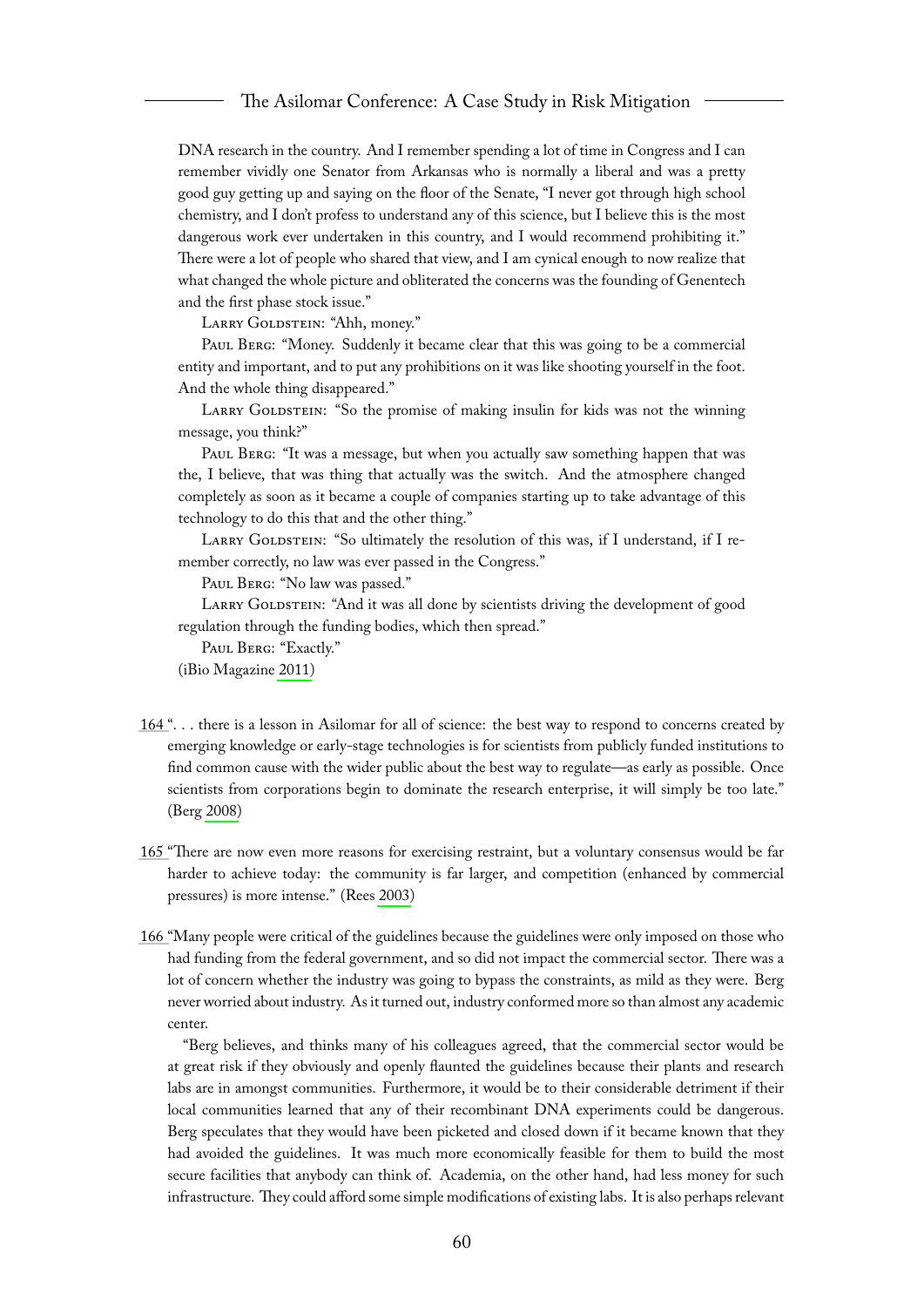DNA research in the country. And I remember spending a lot of time in Congress and I can remember vividly one Senator from Arkansas who is normally a liberal and was a pretty good guy getting up and saying on the floor of the Senate, "I never got through high school chemistry, and I don't profess to understand any of this science, but I believe this is the most dangerous work ever undertaken in this country, and I would recommend prohibiting it." There were a lot of people who shared that view, and I am cynical enough to now realize that what changed the whole picture and obliterated the concerns was the founding of Genentech and the first phase stock issue."

LARRY GOLDSTEIN: "Ahh, money."

Paul Berg: "Money. Suddenly it became clear that this was going to be a commercial entity and important, and to put any prohibitions on it was like shooting yourself in the foot. And the whole thing disappeared."

LARRY GOLDSTEIN: "So the promise of making insulin for kids was not the winning message, you think?"

PAUL BERG: "It was a message, but when you actually saw something happen that was the, I believe, that was thing that actually was the switch. And the atmosphere changed completely as soon as it became a couple of companies starting up to take advantage of this technology to do this that and the other thing."

LARRY GOLDSTEIN: "So ultimately the resolution of this was, if I understand, if I remember correctly, no law was ever passed in the Congress."

PAUL BERG: "No law was passed."

LARRY GOLDSTEIN: "And it was all done by scientists driving the development of good regulation through the funding bodies, which then spread."

PAUL BERG: "Exactly."

(iBio Magazine [2011\)](#page-66-3)

- <span id="page-60-0"></span>[164 "](#page-26-19). . . there is a lesson in Asilomar for all of science: the best way to respond to concerns created by emerging knowledge or early-stage technologies is for scientists from publicly funded institutions to find common cause with the wider public about the best way to regulate—as early as possible. Once scientists from corporations begin to dominate the research enterprise, it will simply be too late." (Berg [2008\)](#page-65-14)
- <span id="page-60-1"></span>[165 "](#page-27-4)There are now even more reasons for exercising restraint, but a voluntary consensus would be far harder to achieve today: the community is far larger, and competition (enhanced by commercial pressures) is more intense." (Rees [2003\)](#page-67-7)
- <span id="page-60-2"></span>[166 "](#page-27-5)Many people were critical of the guidelines because the guidelines were only imposed on those who had funding from the federal government, and so did not impact the commercial sector. There was a lot of concern whether the industry was going to bypass the constraints, as mild as they were. Berg never worried about industry. As it turned out, industry conformed more so than almost any academic center.

"Berg believes, and thinks many of his colleagues agreed, that the commercial sector would be at great risk if they obviously and openly flaunted the guidelines because their plants and research labs are in amongst communities. Furthermore, it would be to their considerable detriment if their local communities learned that any of their recombinant DNA experiments could be dangerous. Berg speculates that they would have been picketed and closed down if it became known that they had avoided the guidelines. It was much more economically feasible for them to build the most secure facilities that anybody can think of. Academia, on the other hand, had less money for such infrastructure. They could afford some simple modifications of existing labs. It is also perhaps relevant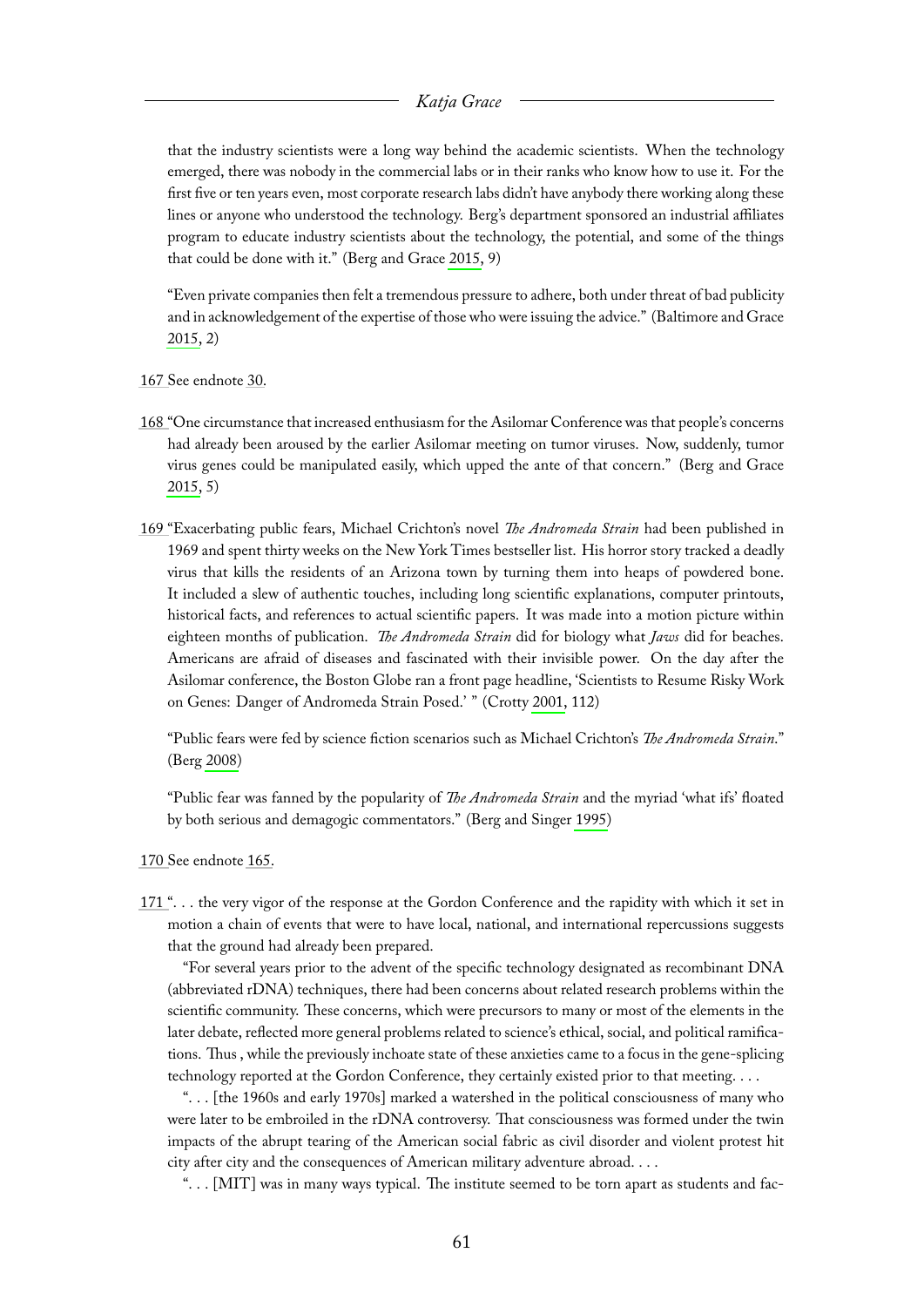that the industry scientists were a long way behind the academic scientists. When the technology emerged, there was nobody in the commercial labs or in their ranks who know how to use it. For the first five or ten years even, most corporate research labs didn't have anybody there working along these lines or anyone who understood the technology. Berg's department sponsored an industrial affiliates program to educate industry scientists about the technology, the potential, and some of the things that could be done with it." (Berg and Grace [2015,](#page-65-3) 9)

"Even private companies then felt a tremendous pressure to adhere, both under threat of bad publicity and in acknowledgement of the expertise of those who were issuing the advice." (Baltimore and Grace [2015,](#page-65-2) 2)

<span id="page-61-0"></span>[167 S](#page-27-6)ee endnote [30.](#page-33-9)

- <span id="page-61-1"></span>[168 "](#page-27-7)One circumstance that increased enthusiasm for the Asilomar Conference was that people's concerns had already been aroused by the earlier Asilomar meeting on tumor viruses. Now, suddenly, tumor virus genes could be manipulated easily, which upped the ante of that concern." (Berg and Grace [2015,](#page-65-3) 5)
- <span id="page-61-2"></span>[169 "](#page-27-8)Exacerbating public fears, Michael Crichton's novel *The Andromeda Strain* had been published in 1969 and spent thirty weeks on the New York Times bestseller list. His horror story tracked a deadly virus that kills the residents of an Arizona town by turning them into heaps of powdered bone. It included a slew of authentic touches, including long scientific explanations, computer printouts, historical facts, and references to actual scientific papers. It was made into a motion picture within eighteen months of publication. *The Andromeda Strain* did for biology what *Jaws* did for beaches. Americans are afraid of diseases and fascinated with their invisible power. On the day after the Asilomar conference, the Boston Globe ran a front page headline, 'Scientists to Resume Risky Work on Genes: Danger of Andromeda Strain Posed.' " (Crotty [2001,](#page-66-14) 112)

"Public fears were fed by science fiction scenarios such as Michael Crichton's *The Andromeda Strain*." (Berg [2008\)](#page-65-14)

"Public fear was fanned by the popularity of *The Andromeda Strain* and the myriad 'what ifs' floated by both serious and demagogic commentators." (Berg and Singer [1995\)](#page-65-1)

<span id="page-61-3"></span>[170 S](#page-27-9)ee endnote [165.](#page-60-1)

<span id="page-61-4"></span>[171 "](#page-27-10). . . the very vigor of the response at the Gordon Conference and the rapidity with which it set in motion a chain of events that were to have local, national, and international repercussions suggests that the ground had already been prepared.

"For several years prior to the advent of the specific technology designated as recombinant DNA (abbreviated rDNA) techniques, there had been concerns about related research problems within the scientific community. These concerns, which were precursors to many or most of the elements in the later debate, reflected more general problems related to science's ethical, social, and political ramifications. Thus , while the previously inchoate state of these anxieties came to a focus in the gene-splicing technology reported at the Gordon Conference, they certainly existed prior to that meeting. . . .

". . . [the 1960s and early 1970s] marked a watershed in the political consciousness of many who were later to be embroiled in the rDNA controversy. That consciousness was formed under the twin impacts of the abrupt tearing of the American social fabric as civil disorder and violent protest hit city after city and the consequences of American military adventure abroad. . . .

". . . [MIT] was in many ways typical. The institute seemed to be torn apart as students and fac-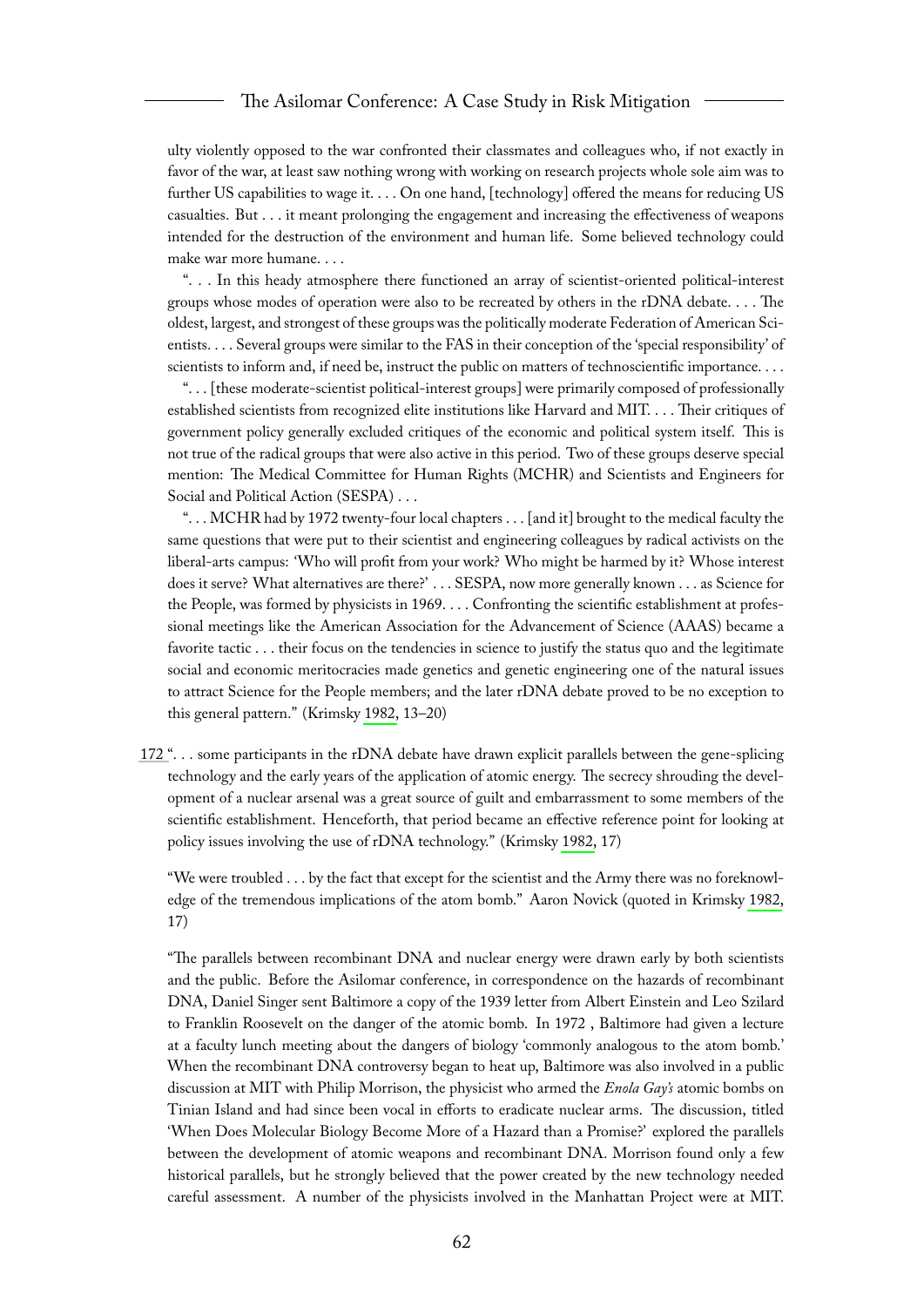#### The Asilomar Conference: A Case Study in Risk Mitigation

ulty violently opposed to the war confronted their classmates and colleagues who, if not exactly in favor of the war, at least saw nothing wrong with working on research projects whole sole aim was to further US capabilities to wage it. . . . On one hand, [technology] offered the means for reducing US casualties. But . . . it meant prolonging the engagement and increasing the effectiveness of weapons intended for the destruction of the environment and human life. Some believed technology could make war more humane. . . .

". . . In this heady atmosphere there functioned an array of scientist-oriented political-interest groups whose modes of operation were also to be recreated by others in the rDNA debate. . . . The oldest, largest, and strongest of these groups was the politically moderate Federation of American Scientists. . . . Several groups were similar to the FAS in their conception of the 'special responsibility' of scientists to inform and, if need be, instruct the public on matters of technoscientific importance. . . .

". . . [these moderate-scientist political-interest groups] were primarily composed of professionally established scientists from recognized elite institutions like Harvard and MIT. . . . Their critiques of government policy generally excluded critiques of the economic and political system itself. This is not true of the radical groups that were also active in this period. Two of these groups deserve special mention: The Medical Committee for Human Rights (MCHR) and Scientists and Engineers for Social and Political Action (SESPA) . . .

". . . MCHR had by 1972 twenty-four local chapters . . . [and it] brought to the medical faculty the same questions that were put to their scientist and engineering colleagues by radical activists on the liberal-arts campus: 'Who will profit from your work? Who might be harmed by it? Whose interest does it serve? What alternatives are there?' . . . SESPA, now more generally known . . . as Science for the People, was formed by physicists in 1969. . . . Confronting the scientific establishment at professional meetings like the American Association for the Advancement of Science (AAAS) became a favorite tactic . . . their focus on the tendencies in science to justify the status quo and the legitimate social and economic meritocracies made genetics and genetic engineering one of the natural issues to attract Science for the People members; and the later rDNA debate proved to be no exception to this general pattern." (Krimsky [1982,](#page-66-0) 13–20)

<span id="page-62-0"></span>[172 "](#page-27-11). . . some participants in the rDNA debate have drawn explicit parallels between the gene-splicing technology and the early years of the application of atomic energy. The secrecy shrouding the development of a nuclear arsenal was a great source of guilt and embarrassment to some members of the scientific establishment. Henceforth, that period became an effective reference point for looking at policy issues involving the use of rDNA technology." (Krimsky [1982,](#page-66-0) 17)

"We were troubled . . . by the fact that except for the scientist and the Army there was no foreknowledge of the tremendous implications of the atom bomb." Aaron Novick (quoted in Krimsky [1982,](#page-66-0) 17)

"The parallels between recombinant DNA and nuclear energy were drawn early by both scientists and the public. Before the Asilomar conference, in correspondence on the hazards of recombinant DNA, Daniel Singer sent Baltimore a copy of the 1939 letter from Albert Einstein and Leo Szilard to Franklin Roosevelt on the danger of the atomic bomb. In 1972 , Baltimore had given a lecture at a faculty lunch meeting about the dangers of biology 'commonly analogous to the atom bomb.' When the recombinant DNA controversy began to heat up, Baltimore was also involved in a public discussion at MIT with Philip Morrison, the physicist who armed the *Enola Gay's* atomic bombs on Tinian Island and had since been vocal in efforts to eradicate nuclear arms. The discussion, titled 'When Does Molecular Biology Become More of a Hazard than a Promise?' explored the parallels between the development of atomic weapons and recombinant DNA. Morrison found only a few historical parallels, but he strongly believed that the power created by the new technology needed careful assessment. A number of the physicists involved in the Manhattan Project were at MIT.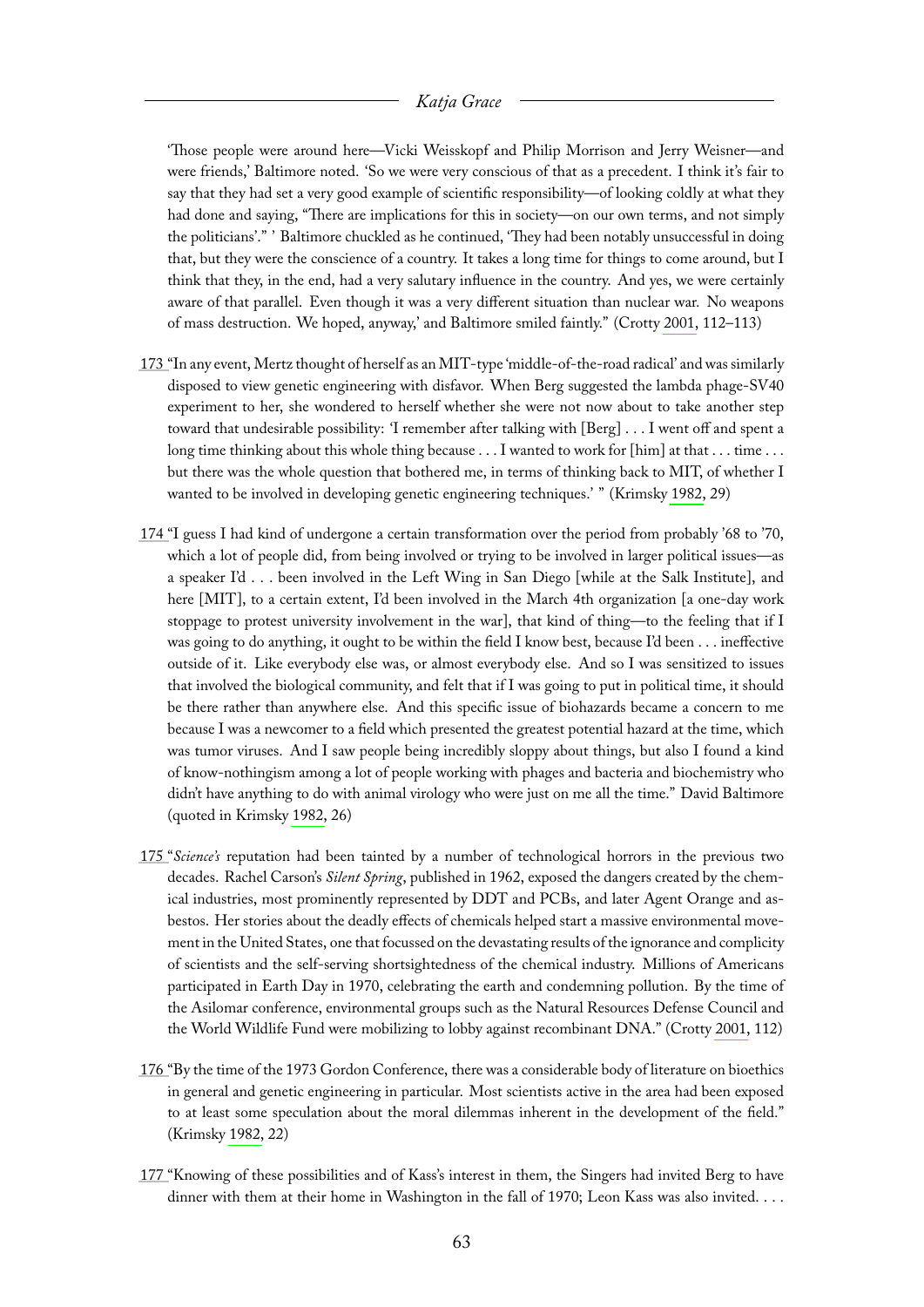'Those people were around here—Vicki Weisskopf and Philip Morrison and Jerry Weisner—and were friends,' Baltimore noted. 'So we were very conscious of that as a precedent. I think it's fair to say that they had set a very good example of scientific responsibility—of looking coldly at what they had done and saying, "There are implications for this in society—on our own terms, and not simply the politicians'." ' Baltimore chuckled as he continued, 'They had been notably unsuccessful in doing that, but they were the conscience of a country. It takes a long time for things to come around, but I think that they, in the end, had a very salutary influence in the country. And yes, we were certainly aware of that parallel. Even though it was a very different situation than nuclear war. No weapons of mass destruction. We hoped, anyway,' and Baltimore smiled faintly." (Crotty [2001,](#page-66-14) 112–113)

- <span id="page-63-0"></span>[173 "](#page-27-12)In any event, Mertz thought of herself as an MIT-type 'middle-of-the-road radical' and was similarly disposed to view genetic engineering with disfavor. When Berg suggested the lambda phage-SV40 experiment to her, she wondered to herself whether she were not now about to take another step toward that undesirable possibility: 'I remember after talking with [Berg] . . . I went off and spent a long time thinking about this whole thing because . . . I wanted to work for [him] at that . . . time . . . but there was the whole question that bothered me, in terms of thinking back to MIT, of whether I wanted to be involved in developing genetic engineering techniques.' " (Krimsky [1982,](#page-66-0) 29)
- <span id="page-63-1"></span>[174 "](#page-27-13)I guess I had kind of undergone a certain transformation over the period from probably '68 to '70, which a lot of people did, from being involved or trying to be involved in larger political issues—as a speaker I'd . . . been involved in the Left Wing in San Diego [while at the Salk Institute], and here [MIT], to a certain extent, I'd been involved in the March 4th organization [a one-day work stoppage to protest university involvement in the war], that kind of thing—to the feeling that if I was going to do anything, it ought to be within the field I know best, because I'd been . . . ineffective outside of it. Like everybody else was, or almost everybody else. And so I was sensitized to issues that involved the biological community, and felt that if I was going to put in political time, it should be there rather than anywhere else. And this specific issue of biohazards became a concern to me because I was a newcomer to a field which presented the greatest potential hazard at the time, which was tumor viruses. And I saw people being incredibly sloppy about things, but also I found a kind of know-nothingism among a lot of people working with phages and bacteria and biochemistry who didn't have anything to do with animal virology who were just on me all the time." David Baltimore (quoted in Krimsky [1982,](#page-66-0) 26)
- <span id="page-63-2"></span>[175 "](#page-27-14)*Science's* reputation had been tainted by a number of technological horrors in the previous two decades. Rachel Carson's *Silent Spring*, published in 1962, exposed the dangers created by the chemical industries, most prominently represented by DDT and PCBs, and later Agent Orange and asbestos. Her stories about the deadly effects of chemicals helped start a massive environmental movement in the United States, one that focussed on the devastating results of the ignorance and complicity of scientists and the self-serving shortsightedness of the chemical industry. Millions of Americans participated in Earth Day in 1970, celebrating the earth and condemning pollution. By the time of the Asilomar conference, environmental groups such as the Natural Resources Defense Council and the World Wildlife Fund were mobilizing to lobby against recombinant DNA." (Crotty [2001,](#page-66-14) 112)
- <span id="page-63-3"></span>[176 "](#page-28-1)By the time of the 1973 Gordon Conference, there was a considerable body of literature on bioethics in general and genetic engineering in particular. Most scientists active in the area had been exposed to at least some speculation about the moral dilemmas inherent in the development of the field." (Krimsky [1982,](#page-66-0) 22)
- <span id="page-63-4"></span>[177 "](#page-28-2)Knowing of these possibilities and of Kass's interest in them, the Singers had invited Berg to have dinner with them at their home in Washington in the fall of 1970; Leon Kass was also invited. . . .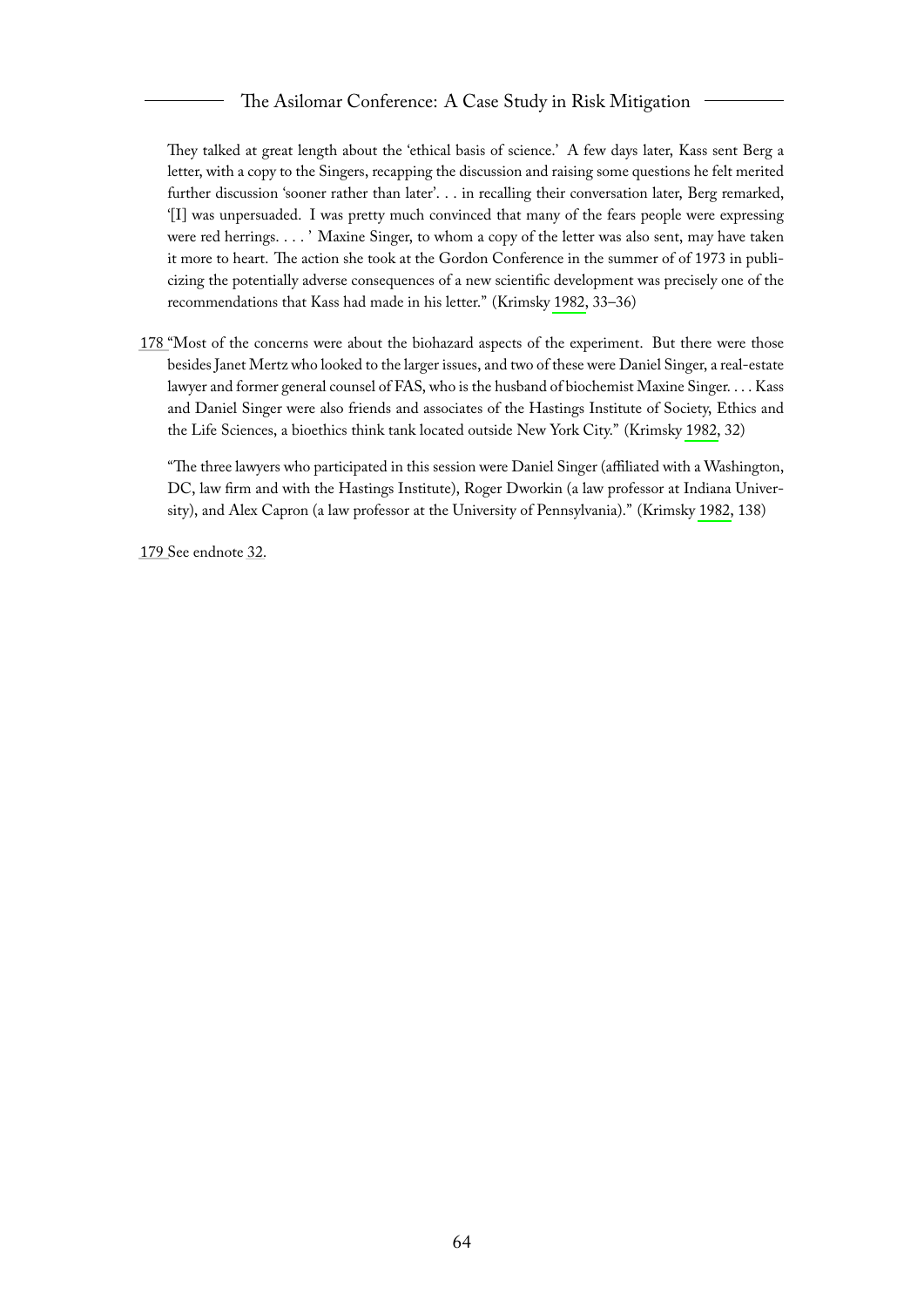They talked at great length about the 'ethical basis of science.' A few days later, Kass sent Berg a letter, with a copy to the Singers, recapping the discussion and raising some questions he felt merited further discussion 'sooner rather than later'. . . in recalling their conversation later, Berg remarked, '[I] was unpersuaded. I was pretty much convinced that many of the fears people were expressing were red herrings. . . . ' Maxine Singer, to whom a copy of the letter was also sent, may have taken it more to heart. The action she took at the Gordon Conference in the summer of of 1973 in publicizing the potentially adverse consequences of a new scientific development was precisely one of the recommendations that Kass had made in his letter." (Krimsky [1982,](#page-66-0) 33–36)

<span id="page-64-0"></span>[178 "](#page-28-3)Most of the concerns were about the biohazard aspects of the experiment. But there were those besides Janet Mertz who looked to the larger issues, and two of these were Daniel Singer, a real-estate lawyer and former general counsel of FAS, who is the husband of biochemist Maxine Singer. . . . Kass and Daniel Singer were also friends and associates of the Hastings Institute of Society, Ethics and the Life Sciences, a bioethics think tank located outside New York City." (Krimsky [1982,](#page-66-0) 32)

"The three lawyers who participated in this session were Daniel Singer (affiliated with a Washington, DC, law firm and with the Hastings Institute), Roger Dworkin (a law professor at Indiana University), and Alex Capron (a law professor at the University of Pennsylvania)." (Krimsky [1982,](#page-66-0) 138)

<span id="page-64-1"></span>[179 S](#page-28-4)ee endnote [32.](#page-34-1)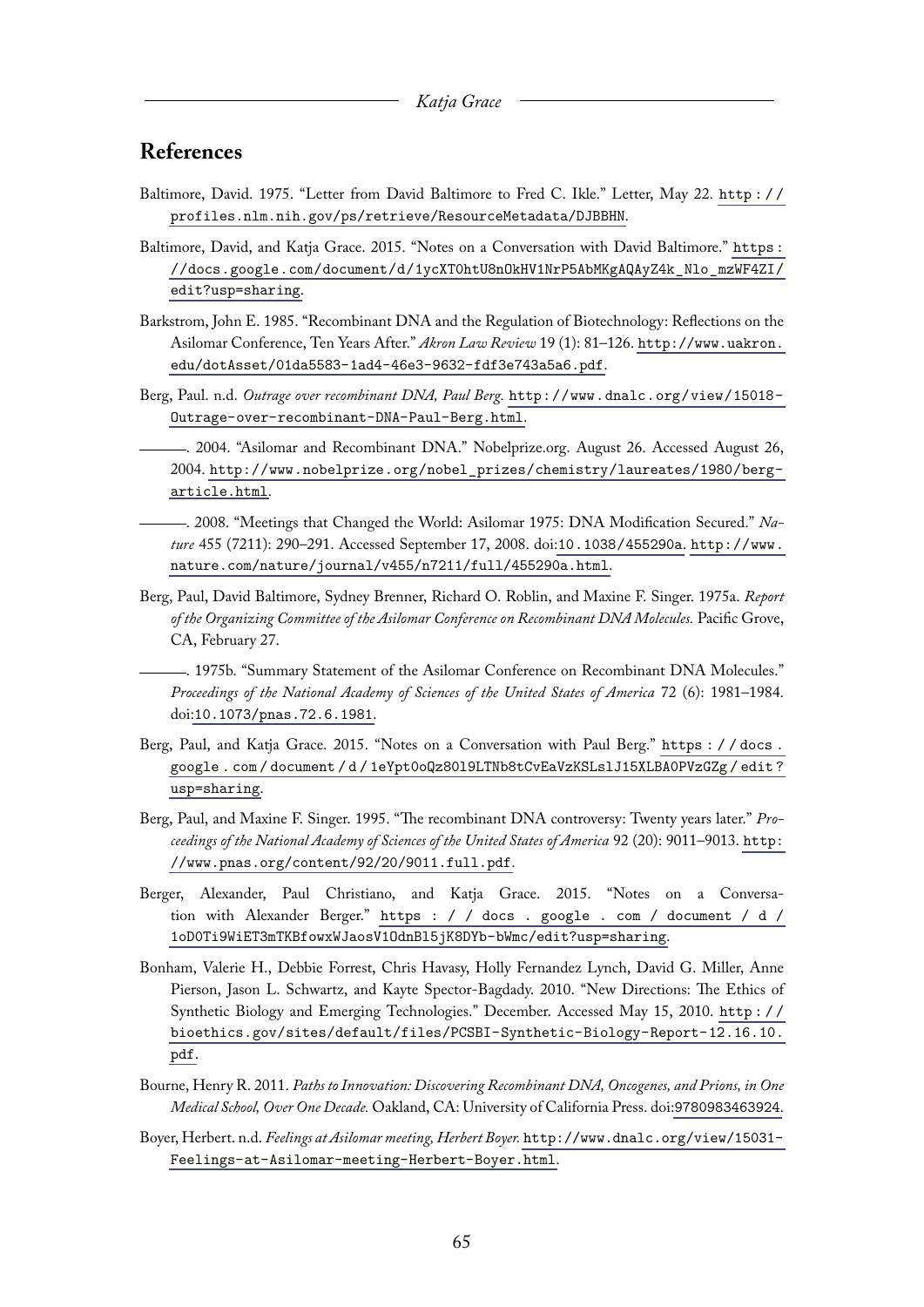### <span id="page-65-0"></span>**References**

- <span id="page-65-12"></span>Baltimore, David. 1975. "Letter from David Baltimore to Fred C. Ikle." Letter, May 22. [http : / /](http://profiles.nlm.nih.gov/ps/retrieve/ResourceMetadata/DJBBHN) [profiles.nlm.nih.gov/ps/retrieve/ResourceMetadata/DJBBHN](http://profiles.nlm.nih.gov/ps/retrieve/ResourceMetadata/DJBBHN).
- <span id="page-65-2"></span>Baltimore, David, and Katja Grace. 2015. "Notes on a Conversation with David Baltimore." [https :](https://docs.google.com/document/d/1ycXT0htU8nOkHV1NrP5AbMKgAQAyZ4k_Nlo_mzWF4ZI/edit?usp=sharing) [//docs.google.com/document/d/1ycXT0htU8nOkHV1NrP5AbMKgAQAyZ4k\\_Nlo\\_mzWF4ZI/](https://docs.google.com/document/d/1ycXT0htU8nOkHV1NrP5AbMKgAQAyZ4k_Nlo_mzWF4ZI/edit?usp=sharing) [edit?usp=sharing](https://docs.google.com/document/d/1ycXT0htU8nOkHV1NrP5AbMKgAQAyZ4k_Nlo_mzWF4ZI/edit?usp=sharing).
- <span id="page-65-13"></span>Barkstrom, John E. 1985. "Recombinant DNA and the Regulation of Biotechnology: Reflections on the Asilomar Conference, Ten Years After." *Akron Law Review* 19 (1): 81–126. [http://www.uakron.](http://www.uakron.edu/dotAsset/01da5583-1ad4-46e3-9632-fdf3e743a5a6.pdf) [edu/dotAsset/01da5583-1ad4-46e3-9632-fdf3e743a5a6.pdf](http://www.uakron.edu/dotAsset/01da5583-1ad4-46e3-9632-fdf3e743a5a6.pdf).
- <span id="page-65-7"></span><span id="page-65-5"></span>Berg, Paul. n.d. *Outrage over recombinant DNA, Paul Berg.* [http://www.dnalc.org/view/15018-](http://www.dnalc.org/view/15018-Outrage-over-recombinant-DNA-Paul-Berg.html) [Outrage-over-recombinant-DNA-Paul-Berg.html](http://www.dnalc.org/view/15018-Outrage-over-recombinant-DNA-Paul-Berg.html).
	- . 2004. "Asilomar and Recombinant DNA." Nobelprize.org. August 26. Accessed August 26, 2004. [http://www.nobelprize.org/nobel\\_prizes/chemistry/laureates/1980/berg](http://www.nobelprize.org/nobel_prizes/chemistry/laureates/1980/berg-article.html)[article.html](http://www.nobelprize.org/nobel_prizes/chemistry/laureates/1980/berg-article.html).
- <span id="page-65-14"></span>. 2008. "Meetings that Changed the World: Asilomar 1975: DNA Modification Secured." *Nature* 455 (7211): 290–291. Accessed September 17, 2008. doi:[10.1038/455290a](http://dx.doi.org/10.1038/455290a). [http://www.](http://www.nature.com/nature/journal/v455/n7211/full/455290a.html) [nature.com/nature/journal/v455/n7211/full/455290a.html](http://www.nature.com/nature/journal/v455/n7211/full/455290a.html).
- <span id="page-65-9"></span>Berg, Paul, David Baltimore, Sydney Brenner, Richard O. Roblin, and Maxine F. Singer. 1975a. *Report of the Organizing Committee of the Asilomar Conference on Recombinant DNA Molecules.* Pacific Grove, CA, February 27.

<span id="page-65-11"></span>. 1975b. "Summary Statement of the Asilomar Conference on Recombinant DNA Molecules." *Proceedings of the National Academy of Sciences of the United States of America* 72 (6): 1981–1984. doi:[10.1073/pnas.72.6.1981](http://dx.doi.org/10.1073/pnas.72.6.1981).

- <span id="page-65-3"></span>Berg, Paul, and Katja Grace. 2015. "Notes on a Conversation with Paul Berg." [https : / / docs .](https://docs.google.com/document/d/1eYpt0oQz80l9LTNb8tCvEaVzKSLslJ15XLBA0PVzGZg/edit?usp=sharing) [google . com / document / d / 1eYpt0oQz80l9LTNb8tCvEaVzKSLslJ15XLBA0PVzGZg / edit ?](https://docs.google.com/document/d/1eYpt0oQz80l9LTNb8tCvEaVzKSLslJ15XLBA0PVzGZg/edit?usp=sharing) [usp=sharing](https://docs.google.com/document/d/1eYpt0oQz80l9LTNb8tCvEaVzKSLslJ15XLBA0PVzGZg/edit?usp=sharing).
- <span id="page-65-1"></span>Berg, Paul, and Maxine F. Singer. 1995. "The recombinant DNA controversy: Twenty years later." *Proceedings of the National Academy of Sciences of the United States of America* 92 (20): 9011–9013. [http:](http://www.pnas.org/content/92/20/9011.full.pdf) [//www.pnas.org/content/92/20/9011.full.pdf](http://www.pnas.org/content/92/20/9011.full.pdf).
- <span id="page-65-4"></span>Berger, Alexander, Paul Christiano, and Katja Grace. 2015. "Notes on a Conversation with Alexander Berger." [https : / / docs . google . com / document / d /](https://docs.google.com/document/d/1oD0Ti9WiET3mTKBfowxWJaosV1OdnBl5jK8DYb-bWmc/edit?usp=sharing) [1oD0Ti9WiET3mTKBfowxWJaosV1OdnBl5jK8DYb-bWmc/edit?usp=sharing](https://docs.google.com/document/d/1oD0Ti9WiET3mTKBfowxWJaosV1OdnBl5jK8DYb-bWmc/edit?usp=sharing).
- <span id="page-65-8"></span>Bonham, Valerie H., Debbie Forrest, Chris Havasy, Holly Fernandez Lynch, David G. Miller, Anne Pierson, Jason L. Schwartz, and Kayte Spector-Bagdady. 2010. "New Directions: The Ethics of Synthetic Biology and Emerging Technologies." December. Accessed May 15, 2010. [http : / /](http://bioethics.gov/sites/default/files/PCSBI-Synthetic-Biology-Report-12.16.10.pdf) [bioethics.gov/sites/default/files/PCSBI-Synthetic-Biology-Report-12.16.10.](http://bioethics.gov/sites/default/files/PCSBI-Synthetic-Biology-Report-12.16.10.pdf) [pdf](http://bioethics.gov/sites/default/files/PCSBI-Synthetic-Biology-Report-12.16.10.pdf).
- <span id="page-65-6"></span>Bourne, Henry R. 2011. *Paths to Innovation: Discovering Recombinant DNA, Oncogenes, and Prions, in One Medical School, Over One Decade.* Oakland, CA: University of California Press. doi:[9780983463924](http://dx.doi.org/9780983463924).
- <span id="page-65-10"></span>Boyer, Herbert. n.d. *Feelings at Asilomar meeting, Herbert Boyer.* [http://www.dnalc.org/view/15031-](http://www.dnalc.org/view/15031-Feelings-at-Asilomar-meeting-Herbert-Boyer.html) [Feelings-at-Asilomar-meeting-Herbert-Boyer.html](http://www.dnalc.org/view/15031-Feelings-at-Asilomar-meeting-Herbert-Boyer.html).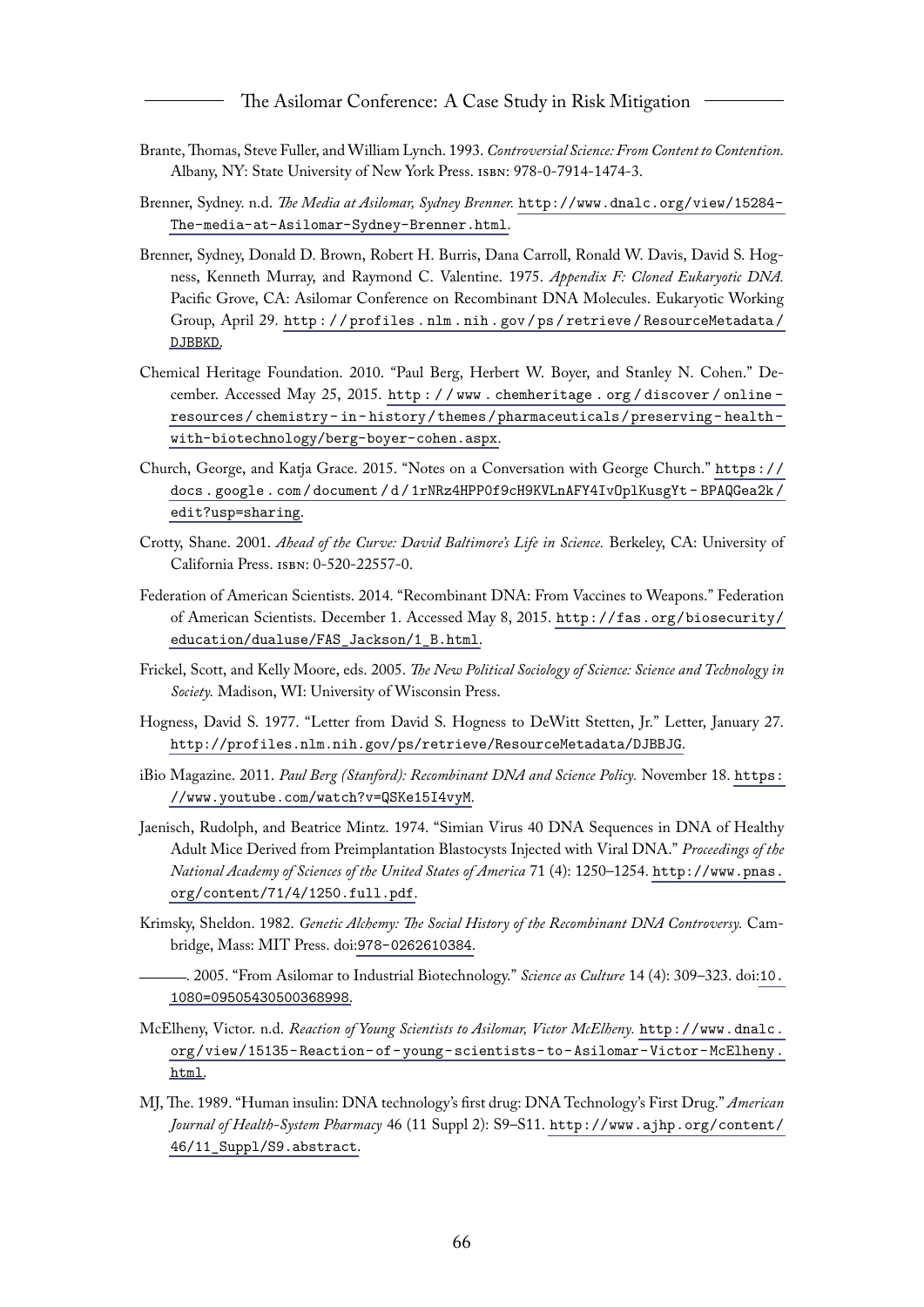- <span id="page-66-12"></span>Brante,Thomas, Steve Fuller, and William Lynch. 1993. *Controversial Science: From Content to Contention.* Albany, NY: State University of New York Press. isbn: 978-0-7914-1474-3.
- <span id="page-66-13"></span>Brenner, Sydney. n.d. *The Media at Asilomar, Sydney Brenner.* [http://www.dnalc.org/view/15284-](http://www.dnalc.org/view/15284-The-media-at-Asilomar-Sydney-Brenner.html) [The-media-at-Asilomar-Sydney-Brenner.html](http://www.dnalc.org/view/15284-The-media-at-Asilomar-Sydney-Brenner.html).
- <span id="page-66-6"></span>Brenner, Sydney, Donald D. Brown, Robert H. Burris, Dana Carroll, Ronald W. Davis, David S. Hogness, Kenneth Murray, and Raymond C. Valentine. 1975. *Appendix F: Cloned Eukaryotic DNA.* Pacific Grove, CA: Asilomar Conference on Recombinant DNA Molecules. Eukaryotic Working Group, April 29. [http : / / profiles . nlm . nih . gov / ps / retrieve / ResourceMetadata /](http://profiles.nlm.nih.gov/ps/retrieve/ResourceMetadata/DJBBKD) [DJBBKD](http://profiles.nlm.nih.gov/ps/retrieve/ResourceMetadata/DJBBKD).
- <span id="page-66-1"></span>Chemical Heritage Foundation. 2010. "Paul Berg, Herbert W. Boyer, and Stanley N. Cohen." December. Accessed May 25, 2015. [http : / / www . chemheritage . org / discover / online](http://www.chemheritage.org/discover/online-resources/chemistry-in-history/themes/pharmaceuticals/preserving-health-with-biotechnology/berg-boyer-cohen.aspx)  [resources / chemistry - in - history / themes / pharmaceuticals / preserving - health](http://www.chemheritage.org/discover/online-resources/chemistry-in-history/themes/pharmaceuticals/preserving-health-with-biotechnology/berg-boyer-cohen.aspx)  [with-biotechnology/berg-boyer-cohen.aspx](http://www.chemheritage.org/discover/online-resources/chemistry-in-history/themes/pharmaceuticals/preserving-health-with-biotechnology/berg-boyer-cohen.aspx).
- <span id="page-66-2"></span>Church, George, and Katja Grace. 2015. "Notes on a Conversation with George Church." [https://](https://docs.google.com/document/d/1rNRz4HPP0f9cH9KVLnAFY4IvOplKusgYt-BPAQGea2k/edit?usp=sharing) [docs . google . com / document / d / 1rNRz4HPP0f9cH9KVLnAFY4IvOplKusgYt - BPAQGea2k /](https://docs.google.com/document/d/1rNRz4HPP0f9cH9KVLnAFY4IvOplKusgYt-BPAQGea2k/edit?usp=sharing) [edit?usp=sharing](https://docs.google.com/document/d/1rNRz4HPP0f9cH9KVLnAFY4IvOplKusgYt-BPAQGea2k/edit?usp=sharing).
- <span id="page-66-14"></span>Crotty, Shane. 2001. *Ahead of the Curve: David Baltimore's Life in Science.* Berkeley, CA: University of California Press. isbn: 0-520-22557-0.
- <span id="page-66-9"></span>Federation of American Scientists. 2014. "Recombinant DNA: From Vaccines to Weapons." Federation of American Scientists. December 1. Accessed May 8, 2015. [http://fas.org/biosecurity/](http://fas.org/biosecurity/education/dualuse/FAS_Jackson/1_B.html) [education/dualuse/FAS\\_Jackson/1\\_B.html](http://fas.org/biosecurity/education/dualuse/FAS_Jackson/1_B.html).
- <span id="page-66-5"></span>Frickel, Scott, and Kelly Moore, eds. 2005. *The New Political Sociology of Science: Science and Technology in Society.* Madison, WI: University of Wisconsin Press.
- <span id="page-66-10"></span>Hogness, David S. 1977. "Letter from David S. Hogness to DeWitt Stetten, Jr." Letter, January 27. <http://profiles.nlm.nih.gov/ps/retrieve/ResourceMetadata/DJBBJG>.
- <span id="page-66-3"></span>iBio Magazine. 2011. *Paul Berg (Stanford): Recombinant DNA and Science Policy.* November 18. [https:](https://www.youtube.com/watch?v=QSKe15I4vyM) [//www.youtube.com/watch?v=QSKe15I4vyM](https://www.youtube.com/watch?v=QSKe15I4vyM).
- <span id="page-66-8"></span>Jaenisch, Rudolph, and Beatrice Mintz. 1974. "Simian Virus 40 DNA Sequences in DNA of Healthy Adult Mice Derived from Preimplantation Blastocysts Injected with Viral DNA." *Proceedings of the National Academy of Sciences of the United States of America* 71 (4): 1250–1254. [http://www.pnas.](http://www.pnas.org/content/71/4/1250.full.pdf) [org/content/71/4/1250.full.pdf](http://www.pnas.org/content/71/4/1250.full.pdf).
- <span id="page-66-4"></span><span id="page-66-0"></span>Krimsky, Sheldon. 1982. *Genetic Alchemy: The Social History of the Recombinant DNA Controversy.* Cambridge, Mass: MIT Press. doi:[978-0262610384](http://dx.doi.org/978-0262610384).
	- . 2005. "From Asilomar to Industrial Biotechnology." *Science as Culture* 14 (4): 309–323. doi:[10.](http://dx.doi.org/10.1080=09505430500368998) [1080=09505430500368998](http://dx.doi.org/10.1080=09505430500368998).
- <span id="page-66-11"></span>McElheny, Victor. n.d. *Reaction of Young Scientists to Asilomar, Victor McElheny.* [http://www.dnalc.](http://www.dnalc.org/view/15135-Reaction-of-young-scientists-to-Asilomar-Victor-McElheny.html) [org/view/15135- Reaction- of- young- scientists- to- Asilomar- Victor- McElheny.](http://www.dnalc.org/view/15135-Reaction-of-young-scientists-to-Asilomar-Victor-McElheny.html) [html](http://www.dnalc.org/view/15135-Reaction-of-young-scientists-to-Asilomar-Victor-McElheny.html).
- <span id="page-66-7"></span>MJ, The. 1989. "Human insulin: DNA technology's first drug: DNA Technology's First Drug." *American Journal of Health-System Pharmacy* 46 (11 Suppl 2): S9–S11. [http://www.ajhp.org/content/](http://www.ajhp.org/content/46/11_Suppl/S9.abstract) [46/11\\_Suppl/S9.abstract](http://www.ajhp.org/content/46/11_Suppl/S9.abstract).